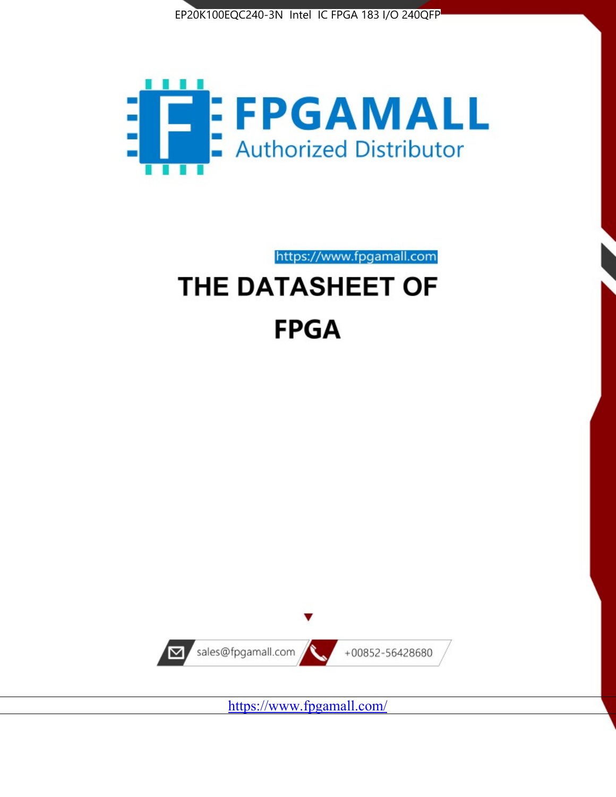



https://www.fpgamall.com

# THE DATASHEET OF **FPGA**



<https://www.fpgamall.com/>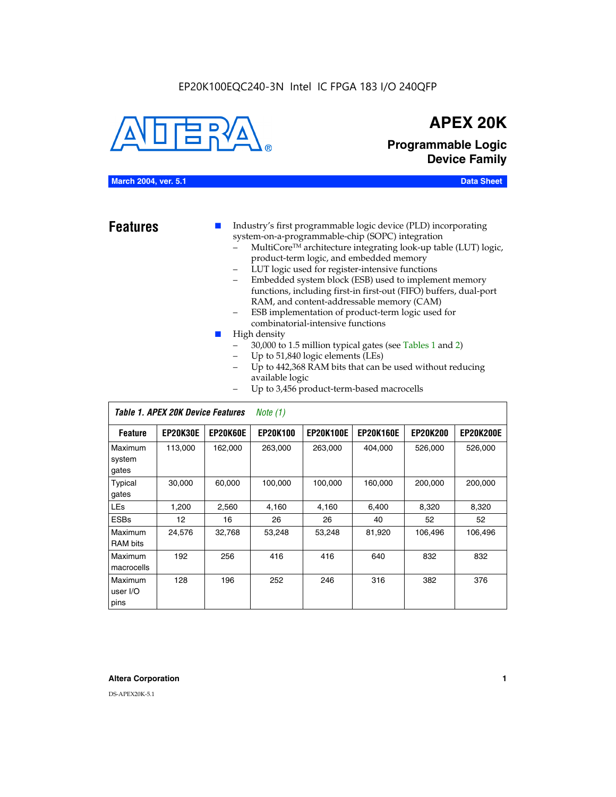#### EP20K100EQC240-3N Intel IC FPGA 183 I/O 240QFP



### **APEX 20K**

**Programmable Logic Device Family**

#### **March 2004, ver. 5.1 Data Sheet**

**Features ■** Industry's first programmable logic device (PLD) incorporating system-on-a-programmable-chip (SOPC) integration

- MultiCore™ architecture integrating look-up table (LUT) logic, product-term logic, and embedded memory
- LUT logic used for register-intensive functions
- Embedded system block (ESB) used to implement memory functions, including first-in first-out (FIFO) buffers, dual-port RAM, and content-addressable memory (CAM)
- ESB implementation of product-term logic used for combinatorial-intensive functions
- High density
	- 30,000 to 1.5 million typical gates (see Tables 1 and 2)
	- Up to 51,840 logic elements (LEs)
	- Up to 442,368 RAM bits that can be used without reducing available logic
	- Up to 3,456 product-term-based macrocells

|                             | Table 1. APEX 20K Device Features<br>Note $(1)$ |                 |                 |                  |                  |                 |                  |  |  |  |
|-----------------------------|-------------------------------------------------|-----------------|-----------------|------------------|------------------|-----------------|------------------|--|--|--|
| <b>Feature</b>              | <b>EP20K30E</b>                                 | <b>EP20K60E</b> | <b>EP20K100</b> | <b>EP20K100E</b> | <b>EP20K160E</b> | <b>EP20K200</b> | <b>EP20K200E</b> |  |  |  |
| Maximum<br>system<br>gates  | 113,000                                         | 162,000         | 263.000         | 263,000          | 404.000          | 526,000         | 526,000          |  |  |  |
| Typical<br>gates            | 30,000                                          | 60,000          | 100,000         | 100,000          | 160,000          | 200,000         | 200,000          |  |  |  |
| <b>LEs</b>                  | 1,200                                           | 2,560           | 4,160           | 4,160            | 6.400            | 8,320           | 8,320            |  |  |  |
| <b>ESBs</b>                 | $12 \overline{ }$                               | 16              | 26              | 26               | 40               | 52              | 52               |  |  |  |
| Maximum<br><b>RAM</b> bits  | 24,576                                          | 32,768          | 53,248          | 53,248           | 81,920           | 106,496         | 106,496          |  |  |  |
| Maximum<br>macrocells       | 192                                             | 256             | 416             | 416              | 640              | 832             | 832              |  |  |  |
| Maximum<br>user I/O<br>pins | 128                                             | 196             | 252             | 246              | 316              | 382             | 376              |  |  |  |

#### **Altera Corporation 1**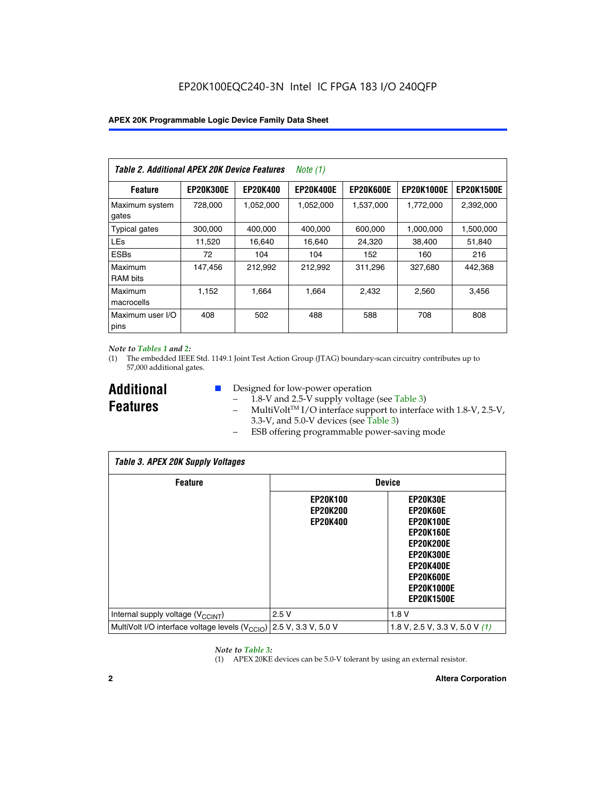| Table 2. Additional APEX 20K Device Features |                  |                 | Note (1)         |                  |                   |                   |
|----------------------------------------------|------------------|-----------------|------------------|------------------|-------------------|-------------------|
| <b>Feature</b>                               | <b>EP20K300E</b> | <b>EP20K400</b> | <b>EP20K400E</b> | <b>EP20K600E</b> | <b>EP20K1000E</b> | <b>EP20K1500E</b> |
| Maximum system<br>gates                      | 728,000          | 1,052,000       | 1,052,000        | 1,537,000        | 1,772,000         | 2,392,000         |
| <b>Typical gates</b>                         | 300,000          | 400,000         | 400,000          | 600,000          | 1,000,000         | 1,500,000         |
| <b>LEs</b>                                   | 11,520           | 16,640          | 16,640           | 24,320           | 38,400            | 51,840            |
| <b>ESBs</b>                                  | 72               | 104             | 104              | 152              | 160               | 216               |
| Maximum<br><b>RAM bits</b>                   | 147,456          | 212,992         | 212,992          | 311,296          | 327.680           | 442,368           |
| Maximum<br>macrocells                        | 1.152            | 1.664           | 1.664            | 2.432            | 2,560             | 3,456             |
| Maximum user I/O<br>pins                     | 408              | 502             | 488              | 588              | 708               | 808               |

#### *Note to Tables 1 and 2:*

(1) The embedded IEEE Std. 1149.1 Joint Test Action Group (JTAG) boundary-scan circuitry contributes up to 57,000 additional gates.

**Additional Features**

- Designed for low-power operation
	- 1.8-V and 2.5-V supply voltage (see Table 3)
	- $-$  MultiVolt<sup>TM</sup> I/O interface support to interface with 1.8-V, 2.5-V, 3.3-V, and 5.0-V devices (see Table 3)
	- ESB offering programmable power-saving mode

| <b>Table 3. APEX 20K Supply Voltages</b>                                       |                                                       |                                                                                                                                                                          |  |  |  |  |  |  |
|--------------------------------------------------------------------------------|-------------------------------------------------------|--------------------------------------------------------------------------------------------------------------------------------------------------------------------------|--|--|--|--|--|--|
| <b>Feature</b>                                                                 | <b>Device</b>                                         |                                                                                                                                                                          |  |  |  |  |  |  |
|                                                                                | <b>EP20K100</b><br><b>EP20K200</b><br><b>EP20K400</b> | EP20K30E<br>EP20K60E<br><b>EP20K100E</b><br><b>EP20K160E</b><br>EP20K200E<br><b>EP20K300E</b><br><b>EP20K400E</b><br>EP20K600E<br><b>EP20K1000E</b><br><b>EP20K1500E</b> |  |  |  |  |  |  |
| Internal supply voltage (V <sub>CCINT</sub> )                                  | 2.5V                                                  | 1.8V                                                                                                                                                                     |  |  |  |  |  |  |
| MultiVolt I/O interface voltage levels $(V_{\text{CCIO}})$ 2.5 V, 3.3 V, 5.0 V |                                                       | 1.8 V, 2.5 V, 3.3 V, 5.0 V $(1)$                                                                                                                                         |  |  |  |  |  |  |

#### *Note to Table 3:*

(1) APEX 20KE devices can be 5.0-V tolerant by using an external resistor.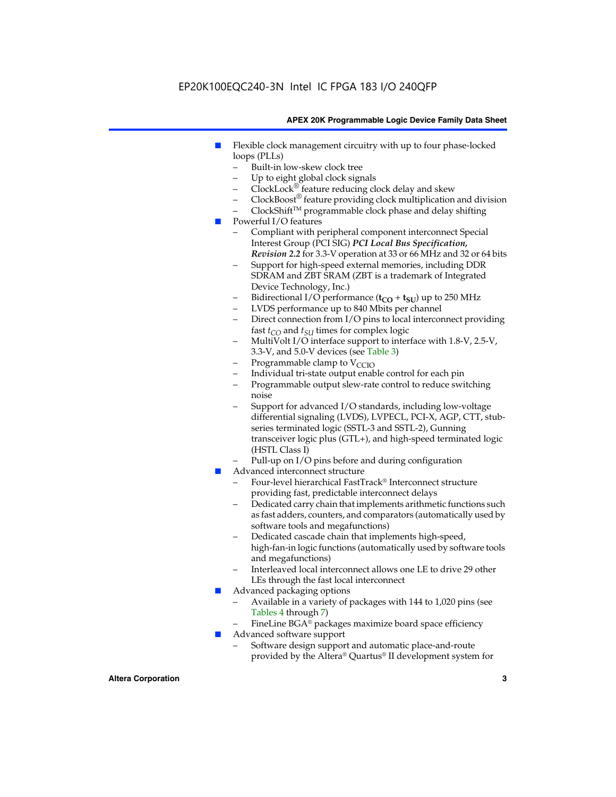### EP20K100EQC240-3N Intel IC FPGA 183 I/O 240QFP

#### **APEX 20K Programmable Logic Device Family Data Sheet**

- Flexible clock management circuitry with up to four phase-locked loops (PLLs)
	- Built-in low-skew clock tree
	- Up to eight global clock signals
	- $ClockLock^{\circledR}$  feature reducing clock delay and skew
	- $ClockBoost^{\circledR}$  feature providing clock multiplication and division
	- ClockShiftTM programmable clock phase and delay shifting
- Powerful I/O features
	- Compliant with peripheral component interconnect Special Interest Group (PCI SIG) *PCI Local Bus Specification, Revision 2.2* for 3.3-V operation at 33 or 66 MHz and 32 or 64 bits
	- Support for high-speed external memories, including DDR SDRAM and ZBT SRAM (ZBT is a trademark of Integrated Device Technology, Inc.)
	- Bidirectional I/O performance  $(t_{CO} + t_{SU})$  up to 250 MHz
	- LVDS performance up to 840 Mbits per channel
	- Direct connection from I/O pins to local interconnect providing fast  $t_{CO}$  and  $t_{SU}$  times for complex logic
	- MultiVolt I/O interface support to interface with 1.8-V, 2.5-V, 3.3-V, and 5.0-V devices (see Table 3)
	- Programmable clamp to  $V_{\text{C}CD}$
	- Individual tri-state output enable control for each pin
	- Programmable output slew-rate control to reduce switching noise
	- Support for advanced I/O standards, including low-voltage differential signaling (LVDS), LVPECL, PCI-X, AGP, CTT, stubseries terminated logic (SSTL-3 and SSTL-2), Gunning transceiver logic plus (GTL+), and high-speed terminated logic (HSTL Class I)
	- Pull-up on I/O pins before and during configuration
- Advanced interconnect structure
	- Four-level hierarchical FastTrack® Interconnect structure providing fast, predictable interconnect delays
	- Dedicated carry chain that implements arithmetic functions such as fast adders, counters, and comparators (automatically used by software tools and megafunctions)
	- Dedicated cascade chain that implements high-speed, high-fan-in logic functions (automatically used by software tools and megafunctions)
	- Interleaved local interconnect allows one LE to drive 29 other LEs through the fast local interconnect
- Advanced packaging options
	- Available in a variety of packages with 144 to 1,020 pins (see Tables 4 through 7)
	- FineLine BGA® packages maximize board space efficiency
- Advanced software support
	- Software design support and automatic place-and-route provided by the Altera® Quartus® II development system for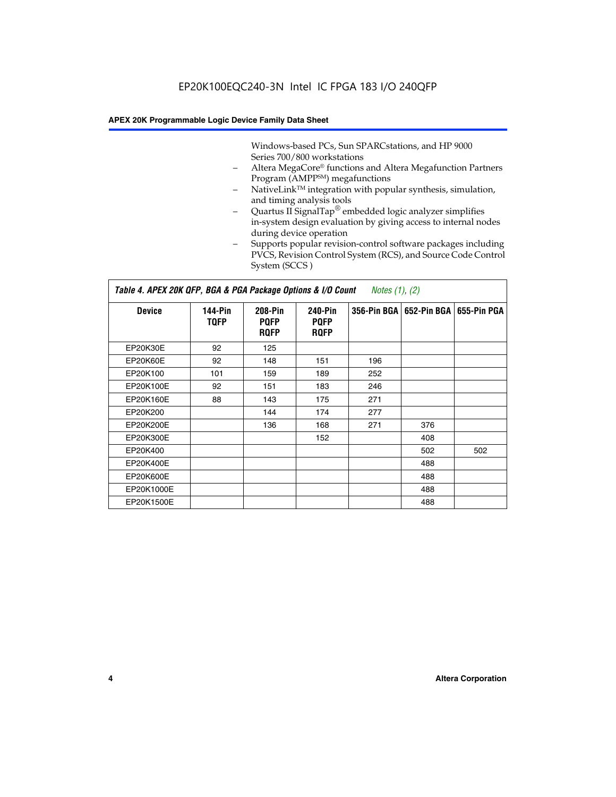Windows-based PCs, Sun SPARCstations, and HP 9000 Series 700/800 workstations

- Altera MegaCore® functions and Altera Megafunction Partners Program (AMPP<sup>SM</sup>) megafunctions
- NativeLink™ integration with popular synthesis, simulation, and timing analysis tools
- Quartus II SignalTap® embedded logic analyzer simplifies in-system design evaluation by giving access to internal nodes during device operation
- Supports popular revision-control software packages including PVCS, Revision Control System (RCS), and Source Code Control System (SCCS )

#### *Table 4. APEX 20K QFP, BGA & PGA Package Options & I/O Count Notes (1), (2)*

| <b>Device</b>   | 144-Pin<br><b>TQFP</b> | 208-Pin<br><b>PQFP</b><br><b>ROFP</b> | 240-Pin<br><b>PQFP</b><br><b>ROFP</b> |     | 356-Pin BGA   652-Pin BGA | 655-Pin PGA |
|-----------------|------------------------|---------------------------------------|---------------------------------------|-----|---------------------------|-------------|
| EP20K30E        | 92                     | 125                                   |                                       |     |                           |             |
| <b>EP20K60E</b> | 92                     | 148                                   | 151                                   | 196 |                           |             |
| EP20K100        | 101                    | 159                                   | 189                                   | 252 |                           |             |
| EP20K100E       | 92                     | 151                                   | 183                                   | 246 |                           |             |
| EP20K160E       | 88                     | 143                                   | 175                                   | 271 |                           |             |
| EP20K200        |                        | 144                                   | 174                                   | 277 |                           |             |
| EP20K200E       |                        | 136                                   | 168                                   | 271 | 376                       |             |
| EP20K300E       |                        |                                       | 152                                   |     | 408                       |             |
| EP20K400        |                        |                                       |                                       |     | 502                       | 502         |
| EP20K400E       |                        |                                       |                                       |     | 488                       |             |
| EP20K600E       |                        |                                       |                                       |     | 488                       |             |
| EP20K1000E      |                        |                                       |                                       |     | 488                       |             |
| EP20K1500E      |                        |                                       |                                       |     | 488                       |             |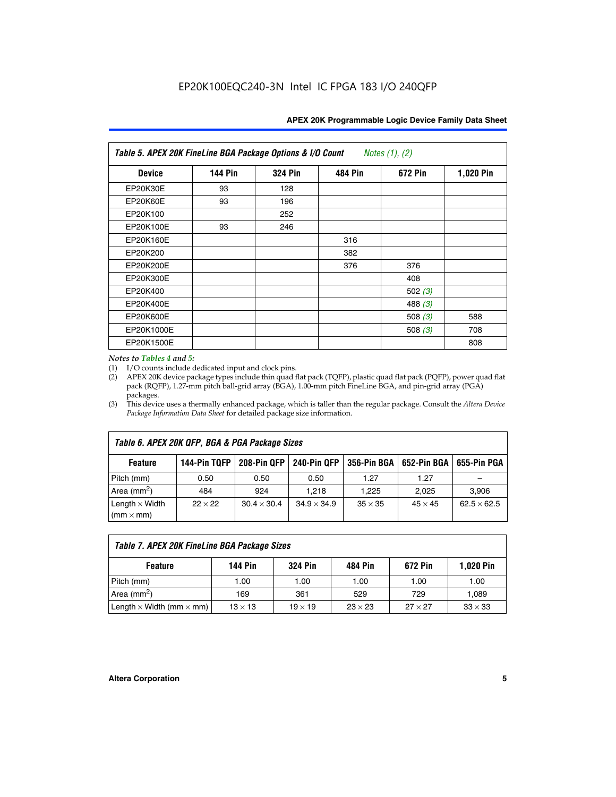| Table 5. APEX 20K FineLine BGA Package Options & I/O Count<br>Notes $(1)$ , $(2)$ |                |                |                |           |           |  |  |  |
|-----------------------------------------------------------------------------------|----------------|----------------|----------------|-----------|-----------|--|--|--|
| <b>Device</b>                                                                     | <b>144 Pin</b> | <b>324 Pin</b> | <b>484 Pin</b> | 672 Pin   | 1,020 Pin |  |  |  |
| EP20K30E                                                                          | 93             | 128            |                |           |           |  |  |  |
| <b>EP20K60E</b>                                                                   | 93             | 196            |                |           |           |  |  |  |
| EP20K100                                                                          |                | 252            |                |           |           |  |  |  |
| EP20K100E                                                                         | 93             | 246            |                |           |           |  |  |  |
| EP20K160E                                                                         |                |                | 316            |           |           |  |  |  |
| EP20K200                                                                          |                |                | 382            |           |           |  |  |  |
| EP20K200E                                                                         |                |                | 376            | 376       |           |  |  |  |
| EP20K300E                                                                         |                |                |                | 408       |           |  |  |  |
| EP20K400                                                                          |                |                |                | 502 $(3)$ |           |  |  |  |
| EP20K400E                                                                         |                |                |                | 488 $(3)$ |           |  |  |  |
| EP20K600E                                                                         |                |                |                | 508 $(3)$ | 588       |  |  |  |
| EP20K1000E                                                                        |                |                |                | 508 $(3)$ | 708       |  |  |  |
| EP20K1500E                                                                        |                |                |                |           | 808       |  |  |  |

#### *Notes to Tables 4 and 5:*

 $\Gamma$ 

(1) I/O counts include dedicated input and clock pins.

(2) APEX 20K device package types include thin quad flat pack (TQFP), plastic quad flat pack (PQFP), power quad flat pack (RQFP), 1.27-mm pitch ball-grid array (BGA), 1.00-mm pitch FineLine BGA, and pin-grid array (PGA) packages.

(3) This device uses a thermally enhanced package, which is taller than the regular package. Consult the *Altera Device Package Information Data Sheet* for detailed package size information.

| Table 6. APEX 20K QFP, BGA & PGA Package Sizes                                                           |                |                    |                    |                |                |                    |  |  |  |
|----------------------------------------------------------------------------------------------------------|----------------|--------------------|--------------------|----------------|----------------|--------------------|--|--|--|
| 144-Pin TQFP<br>240-Pin QFP<br>356-Pin BGA   652-Pin BGA<br>208-Pin QFP<br>655-Pin PGA<br><b>Feature</b> |                |                    |                    |                |                |                    |  |  |  |
| Pitch (mm)                                                                                               | 0.50           | 0.50               | 0.50               | 1.27           | 1.27           |                    |  |  |  |
| Area $(mm^2)$                                                                                            | 484            | 924                | 1.218              | 1.225          | 2.025          | 3,906              |  |  |  |
| Length $\times$ Width<br>$(mm \times mm)$                                                                | $22 \times 22$ | $30.4 \times 30.4$ | $34.9 \times 34.9$ | $35 \times 35$ | $45 \times 45$ | $62.5 \times 62.5$ |  |  |  |

| Table 7. APEX 20K FineLine BGA Package Sizes                                          |                |                |                |                |                |  |  |  |
|---------------------------------------------------------------------------------------|----------------|----------------|----------------|----------------|----------------|--|--|--|
| <b>324 Pin</b><br><b>1,020 Pin</b><br>144 Pin<br>672 Pin<br>484 Pin<br><b>Feature</b> |                |                |                |                |                |  |  |  |
| Pitch (mm)                                                                            | 1.00           | 1.00           | 1.00           | 1.00           | 1.00           |  |  |  |
| Area ( $mm2$ )                                                                        | 169            | 361            | 529            | 729            | 1,089          |  |  |  |
| Length $\times$ Width (mm $\times$ mm)                                                | $13 \times 13$ | $19 \times 19$ | $23 \times 23$ | $27 \times 27$ | $33 \times 33$ |  |  |  |

٦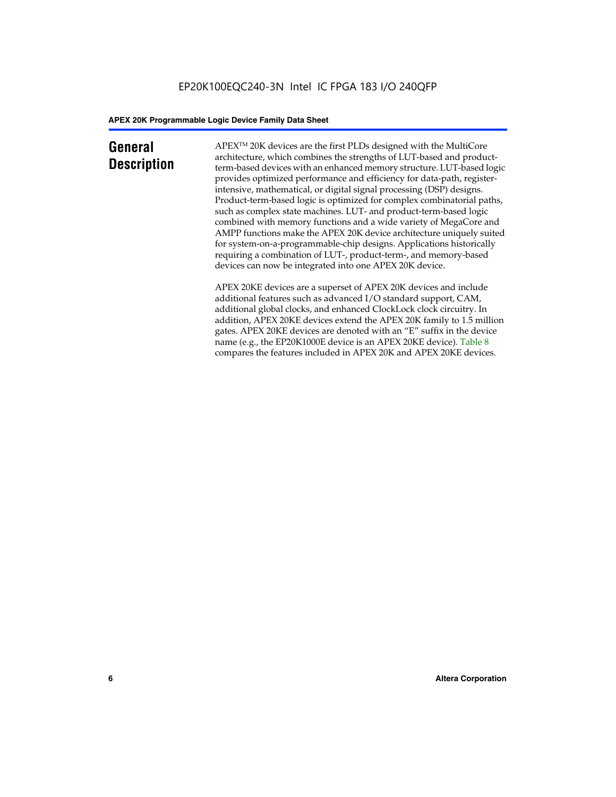### **General Description**

APEXTM 20K devices are the first PLDs designed with the MultiCore architecture, which combines the strengths of LUT-based and productterm-based devices with an enhanced memory structure. LUT-based logic provides optimized performance and efficiency for data-path, registerintensive, mathematical, or digital signal processing (DSP) designs. Product-term-based logic is optimized for complex combinatorial paths, such as complex state machines. LUT- and product-term-based logic combined with memory functions and a wide variety of MegaCore and AMPP functions make the APEX 20K device architecture uniquely suited for system-on-a-programmable-chip designs. Applications historically requiring a combination of LUT-, product-term-, and memory-based devices can now be integrated into one APEX 20K device.

APEX 20KE devices are a superset of APEX 20K devices and include additional features such as advanced I/O standard support, CAM, additional global clocks, and enhanced ClockLock clock circuitry. In addition, APEX 20KE devices extend the APEX 20K family to 1.5 million gates. APEX 20KE devices are denoted with an "E" suffix in the device name (e.g., the EP20K1000E device is an APEX 20KE device). Table 8 compares the features included in APEX 20K and APEX 20KE devices.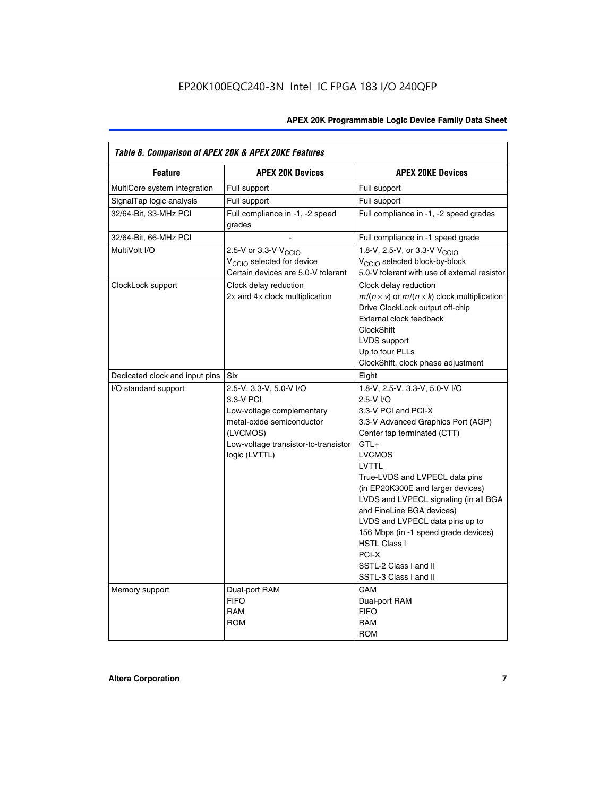| Table 8. Comparison of APEX 20K & APEX 20KE Features |                                                                                                                                                                     |                                                                                                                                                                                                                                                                                                                                                                                                                                                                                       |  |  |  |  |  |
|------------------------------------------------------|---------------------------------------------------------------------------------------------------------------------------------------------------------------------|---------------------------------------------------------------------------------------------------------------------------------------------------------------------------------------------------------------------------------------------------------------------------------------------------------------------------------------------------------------------------------------------------------------------------------------------------------------------------------------|--|--|--|--|--|
| <b>Feature</b>                                       | <b>APEX 20K Devices</b>                                                                                                                                             | <b>APEX 20KE Devices</b>                                                                                                                                                                                                                                                                                                                                                                                                                                                              |  |  |  |  |  |
| MultiCore system integration                         | Full support                                                                                                                                                        | Full support                                                                                                                                                                                                                                                                                                                                                                                                                                                                          |  |  |  |  |  |
| SignalTap logic analysis                             | Full support                                                                                                                                                        | Full support                                                                                                                                                                                                                                                                                                                                                                                                                                                                          |  |  |  |  |  |
| 32/64-Bit, 33-MHz PCI                                | Full compliance in -1, -2 speed<br>grades                                                                                                                           | Full compliance in -1, -2 speed grades                                                                                                                                                                                                                                                                                                                                                                                                                                                |  |  |  |  |  |
| 32/64-Bit, 66-MHz PCI                                |                                                                                                                                                                     | Full compliance in -1 speed grade                                                                                                                                                                                                                                                                                                                                                                                                                                                     |  |  |  |  |  |
| MultiVolt I/O                                        | 2.5-V or 3.3-V V <sub>CCIO</sub><br>V <sub>CCIO</sub> selected for device<br>Certain devices are 5.0-V tolerant                                                     | 1.8-V, 2.5-V, or 3.3-V V <sub>CCIO</sub><br>V <sub>CCIO</sub> selected block-by-block<br>5.0-V tolerant with use of external resistor                                                                                                                                                                                                                                                                                                                                                 |  |  |  |  |  |
| ClockLock support                                    | Clock delay reduction<br>$2\times$ and $4\times$ clock multiplication                                                                                               | Clock delay reduction<br>$m/(n \times v)$ or $m/(n \times k)$ clock multiplication<br>Drive ClockLock output off-chip<br>External clock feedback<br><b>ClockShift</b><br>LVDS support<br>Up to four PLLs<br>ClockShift, clock phase adjustment                                                                                                                                                                                                                                        |  |  |  |  |  |
| Dedicated clock and input pins                       | <b>Six</b>                                                                                                                                                          | Eight                                                                                                                                                                                                                                                                                                                                                                                                                                                                                 |  |  |  |  |  |
| I/O standard support                                 | 2.5-V, 3.3-V, 5.0-V I/O<br>3.3-V PCI<br>Low-voltage complementary<br>metal-oxide semiconductor<br>(LVCMOS)<br>Low-voltage transistor-to-transistor<br>logic (LVTTL) | 1.8-V, 2.5-V, 3.3-V, 5.0-V I/O<br>2.5-V I/O<br>3.3-V PCI and PCI-X<br>3.3-V Advanced Graphics Port (AGP)<br>Center tap terminated (CTT)<br>$GTL+$<br><b>LVCMOS</b><br>LVTTL<br>True-LVDS and LVPECL data pins<br>(in EP20K300E and larger devices)<br>LVDS and LVPECL signaling (in all BGA<br>and FineLine BGA devices)<br>LVDS and LVPECL data pins up to<br>156 Mbps (in -1 speed grade devices)<br><b>HSTL Class I</b><br>PCI-X<br>SSTL-2 Class I and II<br>SSTL-3 Class I and II |  |  |  |  |  |
| Memory support                                       | Dual-port RAM<br><b>FIFO</b><br><b>RAM</b><br><b>ROM</b>                                                                                                            | CAM<br>Dual-port RAM<br><b>FIFO</b><br>RAM<br><b>ROM</b>                                                                                                                                                                                                                                                                                                                                                                                                                              |  |  |  |  |  |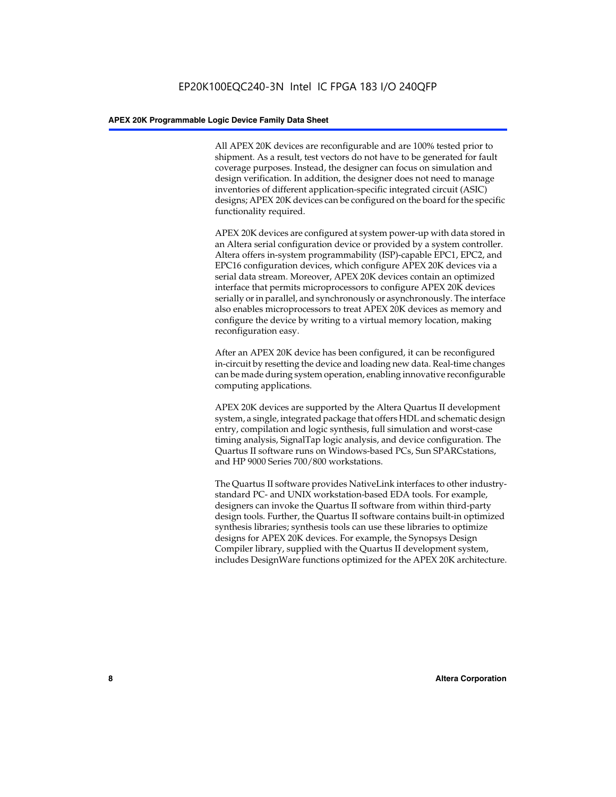All APEX 20K devices are reconfigurable and are 100% tested prior to shipment. As a result, test vectors do not have to be generated for fault coverage purposes. Instead, the designer can focus on simulation and design verification. In addition, the designer does not need to manage inventories of different application-specific integrated circuit (ASIC) designs; APEX 20K devices can be configured on the board for the specific functionality required.

APEX 20K devices are configured at system power-up with data stored in an Altera serial configuration device or provided by a system controller. Altera offers in-system programmability (ISP)-capable EPC1, EPC2, and EPC16 configuration devices, which configure APEX 20K devices via a serial data stream. Moreover, APEX 20K devices contain an optimized interface that permits microprocessors to configure APEX 20K devices serially or in parallel, and synchronously or asynchronously. The interface also enables microprocessors to treat APEX 20K devices as memory and configure the device by writing to a virtual memory location, making reconfiguration easy.

After an APEX 20K device has been configured, it can be reconfigured in-circuit by resetting the device and loading new data. Real-time changes can be made during system operation, enabling innovative reconfigurable computing applications.

APEX 20K devices are supported by the Altera Quartus II development system, a single, integrated package that offers HDL and schematic design entry, compilation and logic synthesis, full simulation and worst-case timing analysis, SignalTap logic analysis, and device configuration. The Quartus II software runs on Windows-based PCs, Sun SPARCstations, and HP 9000 Series 700/800 workstations.

The Quartus II software provides NativeLink interfaces to other industrystandard PC- and UNIX workstation-based EDA tools. For example, designers can invoke the Quartus II software from within third-party design tools. Further, the Quartus II software contains built-in optimized synthesis libraries; synthesis tools can use these libraries to optimize designs for APEX 20K devices. For example, the Synopsys Design Compiler library, supplied with the Quartus II development system, includes DesignWare functions optimized for the APEX 20K architecture.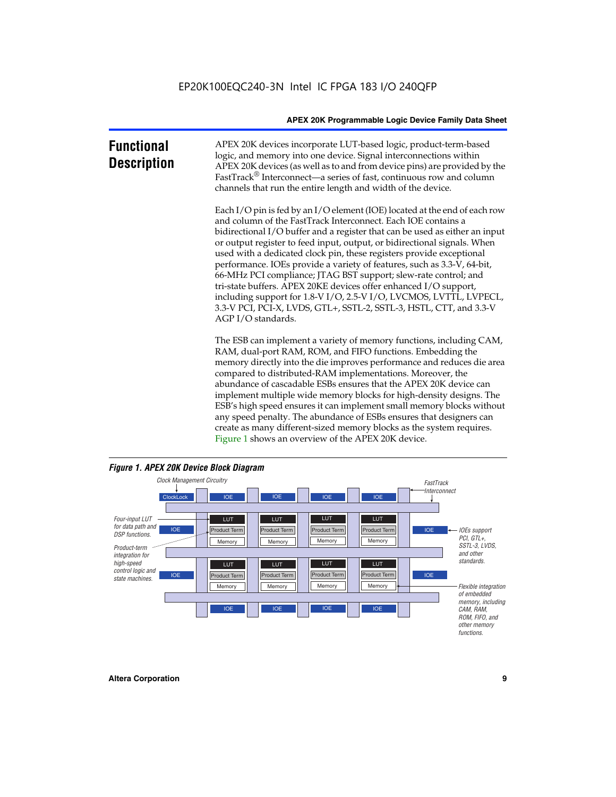| <b>Functional</b><br><b>Description</b> | APEX 20K devices incorporate LUT-based logic, product-term-based<br>logic, and memory into one device. Signal interconnections within<br>APEX 20K devices (as well as to and from device pins) are provided by the<br>FastTrack <sup>®</sup> Interconnect—a series of fast, continuous row and column<br>channels that run the entire length and width of the device.                                                                                                                                                                                                                                                                                                                                                                                              |
|-----------------------------------------|--------------------------------------------------------------------------------------------------------------------------------------------------------------------------------------------------------------------------------------------------------------------------------------------------------------------------------------------------------------------------------------------------------------------------------------------------------------------------------------------------------------------------------------------------------------------------------------------------------------------------------------------------------------------------------------------------------------------------------------------------------------------|
|                                         | Each I/O pin is fed by an I/O element (IOE) located at the end of each row<br>and column of the FastTrack Interconnect. Each IOE contains a<br>bidirectional I/O buffer and a register that can be used as either an input<br>or output register to feed input, output, or bidirectional signals. When<br>used with a dedicated clock pin, these registers provide exceptional<br>performance. IOEs provide a variety of features, such as 3.3-V, 64-bit,<br>66-MHz PCI compliance; JTAG BST support; slew-rate control; and<br>tri-state buffers. APEX 20KE devices offer enhanced I/O support,<br>including support for 1.8-V I/O, 2.5-V I/O, LVCMOS, LVTTL, LVPECL,<br>3.3-V PCI, PCI-X, LVDS, GTL+, SSTL-2, SSTL-3, HSTL, CTT, and 3.3-V<br>AGP I/O standards. |
|                                         | The ESB can implement a variety of memory functions, including CAM,<br>RAM, dual-port RAM, ROM, and FIFO functions. Embedding the<br>memory directly into the die improves performance and reduces die area<br>compared to distributed-RAM implementations. Moreover, the<br>abundance of cascadable ESBs ensures that the APEX 20K device can<br>implement multiple wide memory blocks for high-density designs. The<br>ESB's high speed ensures it can implement small memory blocks without<br>any speed penalty. The abundance of ESBs ensures that designers can                                                                                                                                                                                              |



create as many different-sized memory blocks as the system requires.

Figure 1 shows an overview of the APEX 20K device.

#### *Figure 1. APEX 20K Device Block Diagram*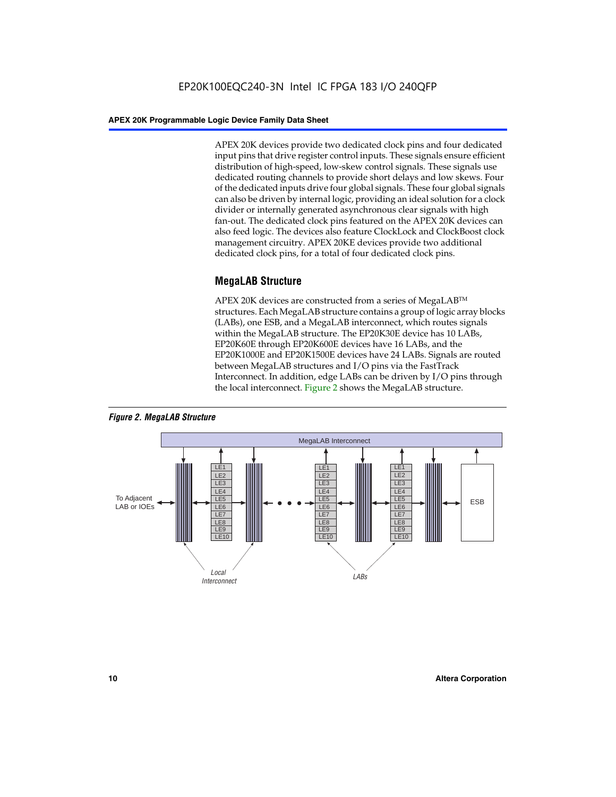APEX 20K devices provide two dedicated clock pins and four dedicated input pins that drive register control inputs. These signals ensure efficient distribution of high-speed, low-skew control signals. These signals use dedicated routing channels to provide short delays and low skews. Four of the dedicated inputs drive four global signals. These four global signals can also be driven by internal logic, providing an ideal solution for a clock divider or internally generated asynchronous clear signals with high fan-out. The dedicated clock pins featured on the APEX 20K devices can also feed logic. The devices also feature ClockLock and ClockBoost clock management circuitry. APEX 20KE devices provide two additional dedicated clock pins, for a total of four dedicated clock pins.

#### **MegaLAB Structure**

APEX 20K devices are constructed from a series of MegaLAB<sup>™</sup> structures. Each MegaLAB structure contains a group of logic array blocks (LABs), one ESB, and a MegaLAB interconnect, which routes signals within the MegaLAB structure. The EP20K30E device has 10 LABs, EP20K60E through EP20K600E devices have 16 LABs, and the EP20K1000E and EP20K1500E devices have 24 LABs. Signals are routed between MegaLAB structures and I/O pins via the FastTrack Interconnect. In addition, edge LABs can be driven by I/O pins through the local interconnect. Figure 2 shows the MegaLAB structure.



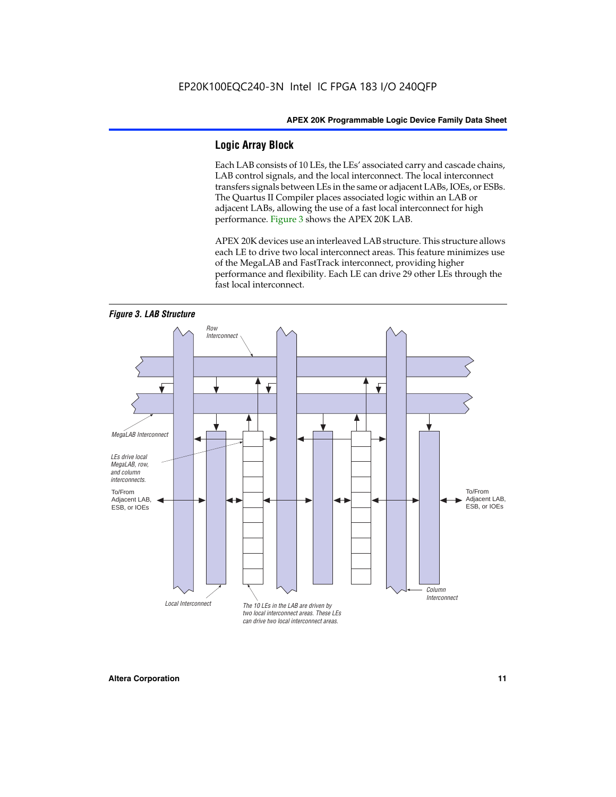#### **Logic Array Block**

Each LAB consists of 10 LEs, the LEs' associated carry and cascade chains, LAB control signals, and the local interconnect. The local interconnect transfers signals between LEs in the same or adjacent LABs, IOEs, or ESBs. The Quartus II Compiler places associated logic within an LAB or adjacent LABs, allowing the use of a fast local interconnect for high performance. Figure 3 shows the APEX 20K LAB.

APEX 20K devices use an interleaved LAB structure. This structure allows each LE to drive two local interconnect areas. This feature minimizes use of the MegaLAB and FastTrack interconnect, providing higher performance and flexibility. Each LE can drive 29 other LEs through the fast local interconnect.

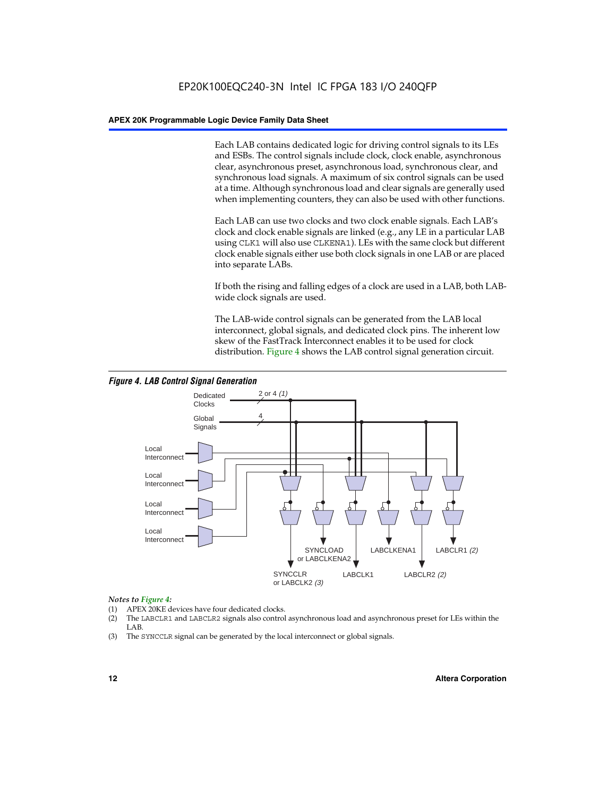Each LAB contains dedicated logic for driving control signals to its LEs and ESBs. The control signals include clock, clock enable, asynchronous clear, asynchronous preset, asynchronous load, synchronous clear, and synchronous load signals. A maximum of six control signals can be used at a time. Although synchronous load and clear signals are generally used when implementing counters, they can also be used with other functions.

Each LAB can use two clocks and two clock enable signals. Each LAB's clock and clock enable signals are linked (e.g., any LE in a particular LAB using CLK1 will also use CLKENA1). LEs with the same clock but different clock enable signals either use both clock signals in one LAB or are placed into separate LABs.

If both the rising and falling edges of a clock are used in a LAB, both LABwide clock signals are used.

The LAB-wide control signals can be generated from the LAB local interconnect, global signals, and dedicated clock pins. The inherent low skew of the FastTrack Interconnect enables it to be used for clock distribution. Figure 4 shows the LAB control signal generation circuit.



#### *Figure 4. LAB Control Signal Generation*

#### *Notes to Figure 4:*

- (1) APEX 20KE devices have four dedicated clocks.
- (2) The LABCLR1 and LABCLR2 signals also control asynchronous load and asynchronous preset for LEs within the LAB.
- (3) The SYNCCLR signal can be generated by the local interconnect or global signals.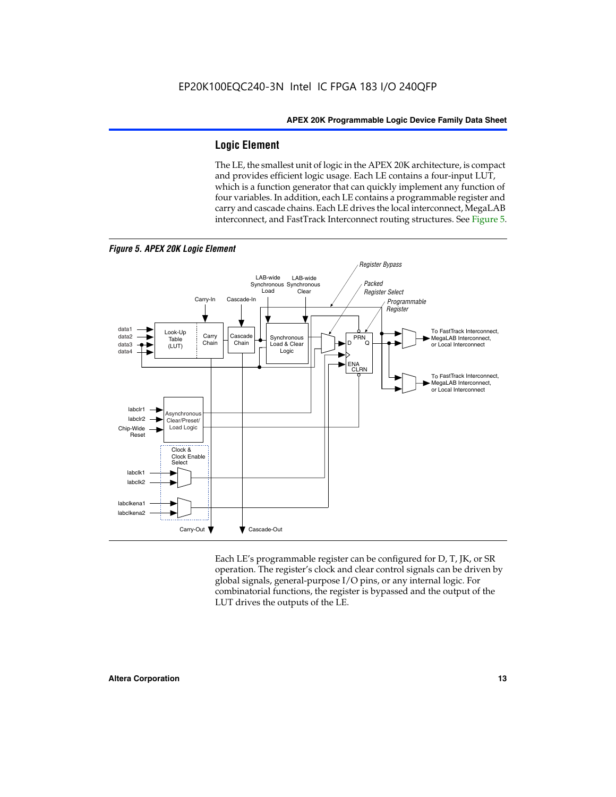#### **Logic Element**

The LE, the smallest unit of logic in the APEX 20K architecture, is compact and provides efficient logic usage. Each LE contains a four-input LUT, which is a function generator that can quickly implement any function of four variables. In addition, each LE contains a programmable register and carry and cascade chains. Each LE drives the local interconnect, MegaLAB interconnect, and FastTrack Interconnect routing structures. See Figure 5.



Each LE's programmable register can be configured for D, T, JK, or SR operation. The register's clock and clear control signals can be driven by global signals, general-purpose I/O pins, or any internal logic. For combinatorial functions, the register is bypassed and the output of the LUT drives the outputs of the LE.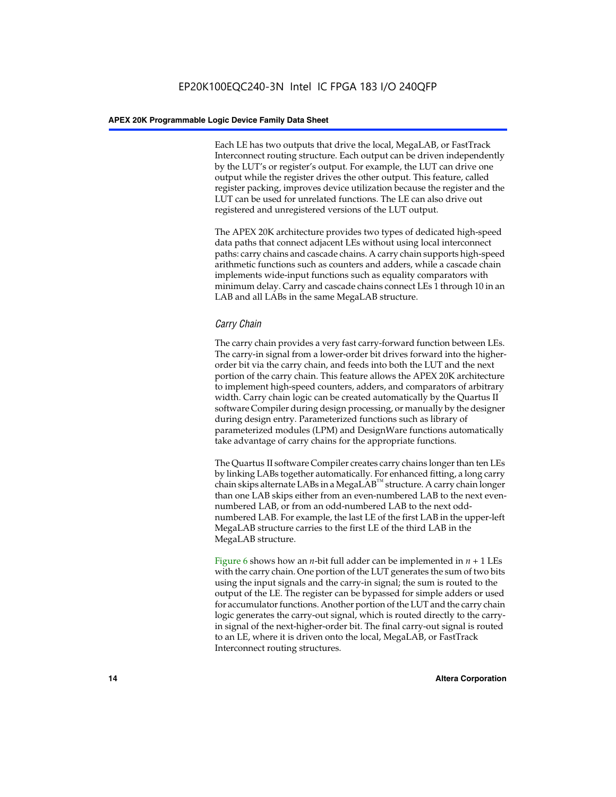Each LE has two outputs that drive the local, MegaLAB, or FastTrack Interconnect routing structure. Each output can be driven independently by the LUT's or register's output. For example, the LUT can drive one output while the register drives the other output. This feature, called register packing, improves device utilization because the register and the LUT can be used for unrelated functions. The LE can also drive out registered and unregistered versions of the LUT output.

The APEX 20K architecture provides two types of dedicated high-speed data paths that connect adjacent LEs without using local interconnect paths: carry chains and cascade chains. A carry chain supports high-speed arithmetic functions such as counters and adders, while a cascade chain implements wide-input functions such as equality comparators with minimum delay. Carry and cascade chains connect LEs 1 through 10 in an LAB and all LABs in the same MegaLAB structure.

#### *Carry Chain*

The carry chain provides a very fast carry-forward function between LEs. The carry-in signal from a lower-order bit drives forward into the higherorder bit via the carry chain, and feeds into both the LUT and the next portion of the carry chain. This feature allows the APEX 20K architecture to implement high-speed counters, adders, and comparators of arbitrary width. Carry chain logic can be created automatically by the Quartus II software Compiler during design processing, or manually by the designer during design entry. Parameterized functions such as library of parameterized modules (LPM) and DesignWare functions automatically take advantage of carry chains for the appropriate functions.

The Quartus II software Compiler creates carry chains longer than ten LEs by linking LABs together automatically. For enhanced fitting, a long carry chain skips alternate LABs in a MegaLAB<sup>™</sup> structure. A carry chain longer than one LAB skips either from an even-numbered LAB to the next evennumbered LAB, or from an odd-numbered LAB to the next oddnumbered LAB. For example, the last LE of the first LAB in the upper-left MegaLAB structure carries to the first LE of the third LAB in the MegaLAB structure.

Figure 6 shows how an *n*-bit full adder can be implemented in *n* + 1 LEs with the carry chain. One portion of the LUT generates the sum of two bits using the input signals and the carry-in signal; the sum is routed to the output of the LE. The register can be bypassed for simple adders or used for accumulator functions. Another portion of the LUT and the carry chain logic generates the carry-out signal, which is routed directly to the carryin signal of the next-higher-order bit. The final carry-out signal is routed to an LE, where it is driven onto the local, MegaLAB, or FastTrack Interconnect routing structures.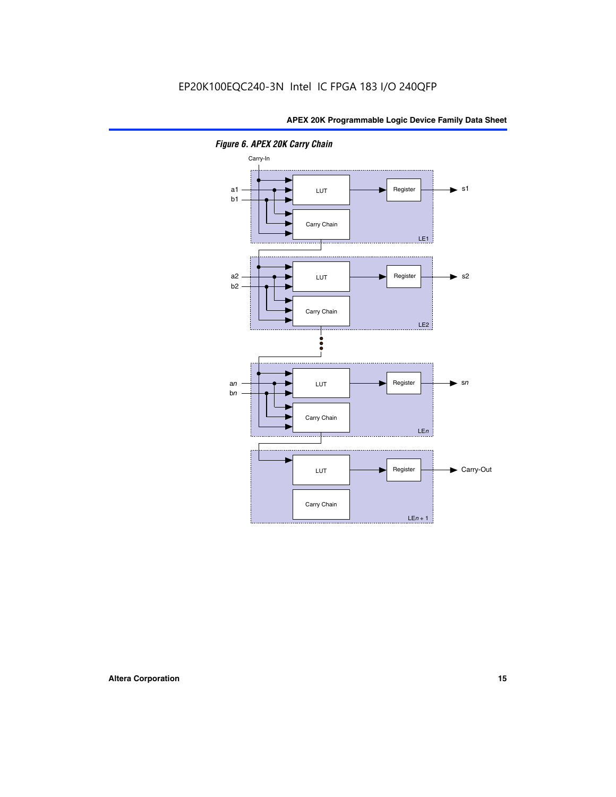

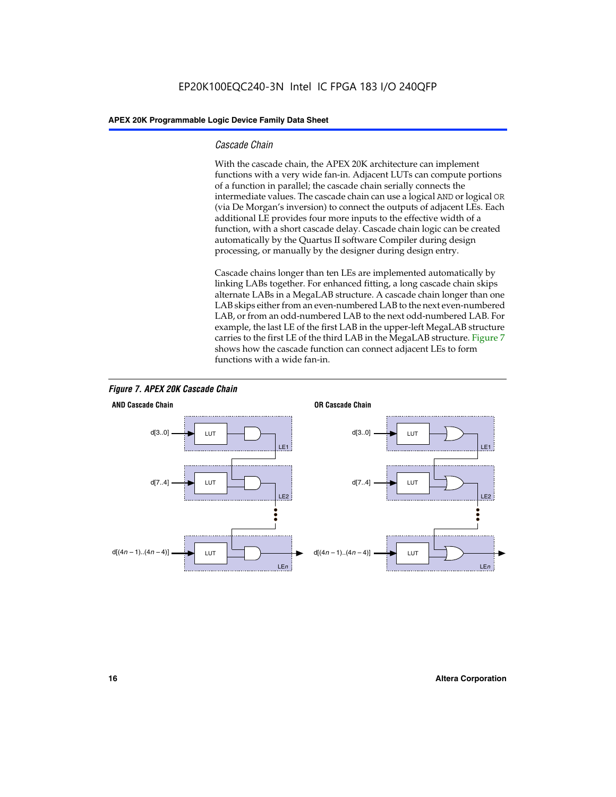#### *Cascade Chain*

With the cascade chain, the APEX 20K architecture can implement functions with a very wide fan-in. Adjacent LUTs can compute portions of a function in parallel; the cascade chain serially connects the intermediate values. The cascade chain can use a logical AND or logical OR (via De Morgan's inversion) to connect the outputs of adjacent LEs. Each additional LE provides four more inputs to the effective width of a function, with a short cascade delay. Cascade chain logic can be created automatically by the Quartus II software Compiler during design processing, or manually by the designer during design entry.

Cascade chains longer than ten LEs are implemented automatically by linking LABs together. For enhanced fitting, a long cascade chain skips alternate LABs in a MegaLAB structure. A cascade chain longer than one LAB skips either from an even-numbered LAB to the next even-numbered LAB, or from an odd-numbered LAB to the next odd-numbered LAB. For example, the last LE of the first LAB in the upper-left MegaLAB structure carries to the first LE of the third LAB in the MegaLAB structure. Figure 7 shows how the cascade function can connect adjacent LEs to form functions with a wide fan-in.



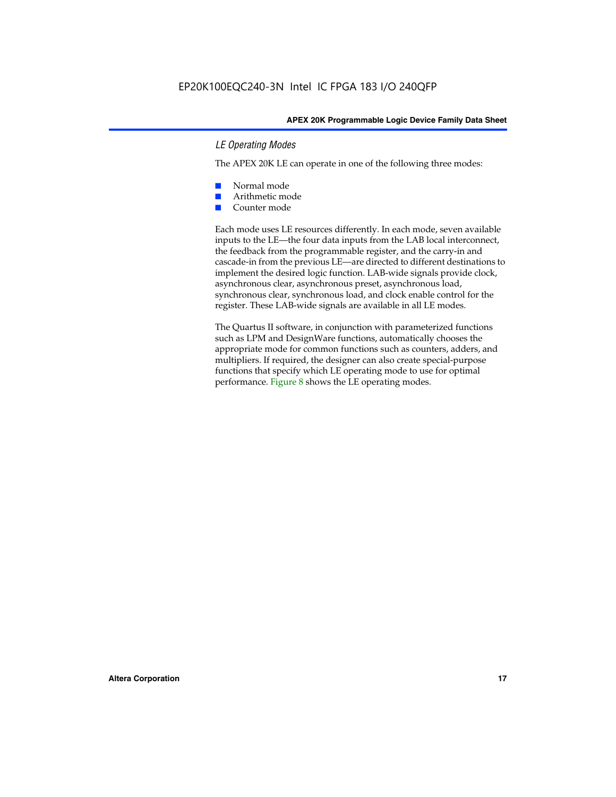#### *LE Operating Modes*

The APEX 20K LE can operate in one of the following three modes:

- Normal mode
- Arithmetic mode
- Counter mode

Each mode uses LE resources differently. In each mode, seven available inputs to the LE—the four data inputs from the LAB local interconnect, the feedback from the programmable register, and the carry-in and cascade-in from the previous LE—are directed to different destinations to implement the desired logic function. LAB-wide signals provide clock, asynchronous clear, asynchronous preset, asynchronous load, synchronous clear, synchronous load, and clock enable control for the register. These LAB-wide signals are available in all LE modes.

The Quartus II software, in conjunction with parameterized functions such as LPM and DesignWare functions, automatically chooses the appropriate mode for common functions such as counters, adders, and multipliers. If required, the designer can also create special-purpose functions that specify which LE operating mode to use for optimal performance. Figure 8 shows the LE operating modes.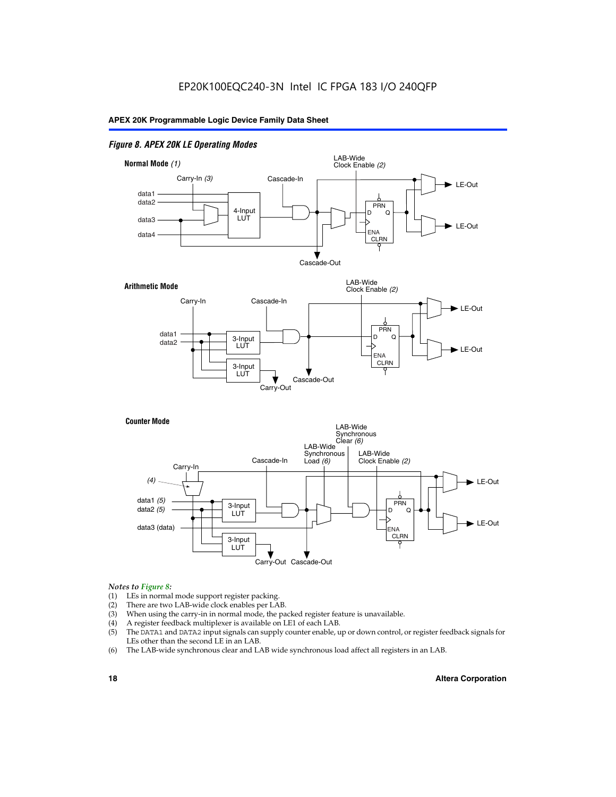#### *Figure 8. APEX 20K LE Operating Modes*



#### *Notes to Figure 8:*

- (1) LEs in normal mode support register packing.
- (2) There are two LAB-wide clock enables per LAB.
- (3) When using the carry-in in normal mode, the packed register feature is unavailable.
- (4) A register feedback multiplexer is available on LE1 of each LAB.
- (5) The DATA1 and DATA2 input signals can supply counter enable, up or down control, or register feedback signals for LEs other than the second LE in an LAB.
- (6) The LAB-wide synchronous clear and LAB wide synchronous load affect all registers in an LAB.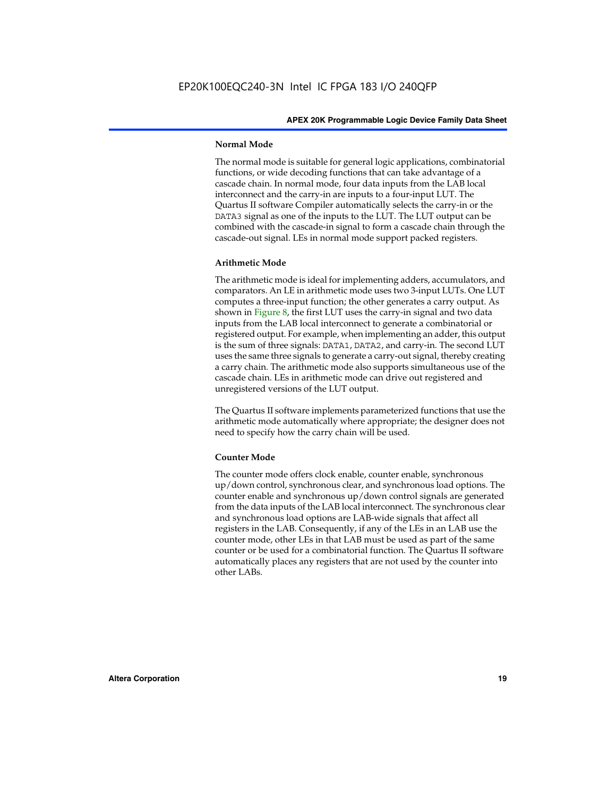#### **Normal Mode**

The normal mode is suitable for general logic applications, combinatorial functions, or wide decoding functions that can take advantage of a cascade chain. In normal mode, four data inputs from the LAB local interconnect and the carry-in are inputs to a four-input LUT. The Quartus II software Compiler automatically selects the carry-in or the DATA3 signal as one of the inputs to the LUT. The LUT output can be combined with the cascade-in signal to form a cascade chain through the cascade-out signal. LEs in normal mode support packed registers.

#### **Arithmetic Mode**

The arithmetic mode is ideal for implementing adders, accumulators, and comparators. An LE in arithmetic mode uses two 3-input LUTs. One LUT computes a three-input function; the other generates a carry output. As shown in Figure 8, the first LUT uses the carry-in signal and two data inputs from the LAB local interconnect to generate a combinatorial or registered output. For example, when implementing an adder, this output is the sum of three signals: DATA1, DATA2, and carry-in. The second LUT uses the same three signals to generate a carry-out signal, thereby creating a carry chain. The arithmetic mode also supports simultaneous use of the cascade chain. LEs in arithmetic mode can drive out registered and unregistered versions of the LUT output.

The Quartus II software implements parameterized functions that use the arithmetic mode automatically where appropriate; the designer does not need to specify how the carry chain will be used.

#### **Counter Mode**

The counter mode offers clock enable, counter enable, synchronous up/down control, synchronous clear, and synchronous load options. The counter enable and synchronous up/down control signals are generated from the data inputs of the LAB local interconnect. The synchronous clear and synchronous load options are LAB-wide signals that affect all registers in the LAB. Consequently, if any of the LEs in an LAB use the counter mode, other LEs in that LAB must be used as part of the same counter or be used for a combinatorial function. The Quartus II software automatically places any registers that are not used by the counter into other LABs.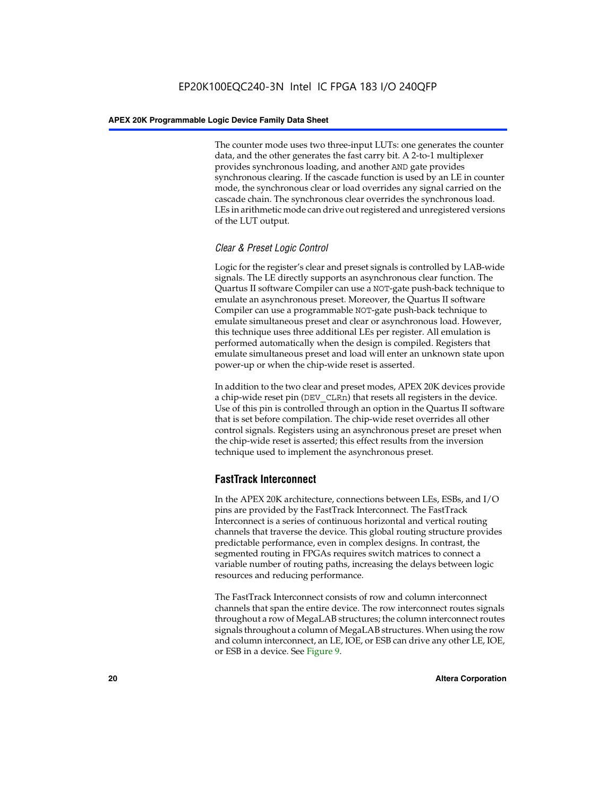The counter mode uses two three-input LUTs: one generates the counter data, and the other generates the fast carry bit. A 2-to-1 multiplexer provides synchronous loading, and another AND gate provides synchronous clearing. If the cascade function is used by an LE in counter mode, the synchronous clear or load overrides any signal carried on the cascade chain. The synchronous clear overrides the synchronous load. LEs in arithmetic mode can drive out registered and unregistered versions of the LUT output.

#### *Clear & Preset Logic Control*

Logic for the register's clear and preset signals is controlled by LAB-wide signals. The LE directly supports an asynchronous clear function. The Quartus II software Compiler can use a NOT-gate push-back technique to emulate an asynchronous preset. Moreover, the Quartus II software Compiler can use a programmable NOT-gate push-back technique to emulate simultaneous preset and clear or asynchronous load. However, this technique uses three additional LEs per register. All emulation is performed automatically when the design is compiled. Registers that emulate simultaneous preset and load will enter an unknown state upon power-up or when the chip-wide reset is asserted.

In addition to the two clear and preset modes, APEX 20K devices provide a chip-wide reset pin (DEV\_CLRn) that resets all registers in the device. Use of this pin is controlled through an option in the Quartus II software that is set before compilation. The chip-wide reset overrides all other control signals. Registers using an asynchronous preset are preset when the chip-wide reset is asserted; this effect results from the inversion technique used to implement the asynchronous preset.

#### **FastTrack Interconnect**

In the APEX 20K architecture, connections between LEs, ESBs, and I/O pins are provided by the FastTrack Interconnect. The FastTrack Interconnect is a series of continuous horizontal and vertical routing channels that traverse the device. This global routing structure provides predictable performance, even in complex designs. In contrast, the segmented routing in FPGAs requires switch matrices to connect a variable number of routing paths, increasing the delays between logic resources and reducing performance.

The FastTrack Interconnect consists of row and column interconnect channels that span the entire device. The row interconnect routes signals throughout a row of MegaLAB structures; the column interconnect routes signals throughout a column of MegaLAB structures. When using the row and column interconnect, an LE, IOE, or ESB can drive any other LE, IOE, or ESB in a device. See Figure 9.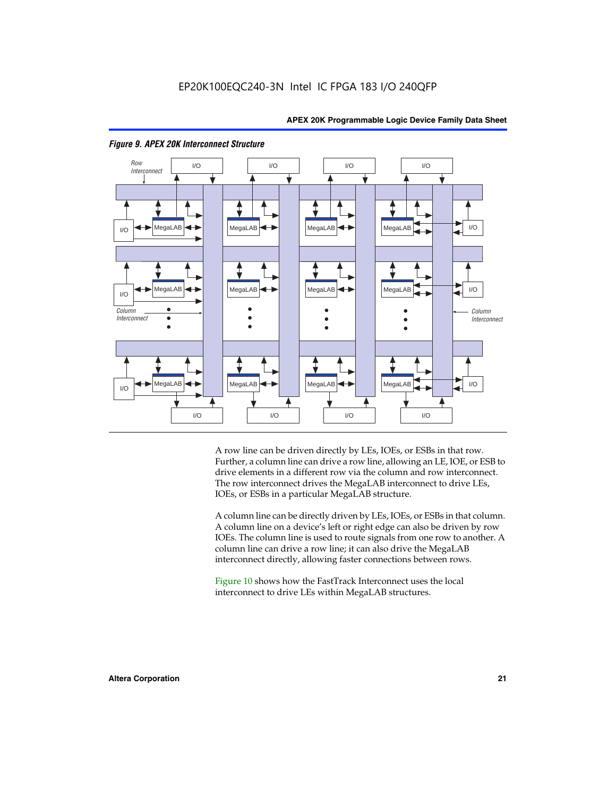

#### *Figure 9. APEX 20K Interconnect Structure*

A row line can be driven directly by LEs, IOEs, or ESBs in that row. Further, a column line can drive a row line, allowing an LE, IOE, or ESB to drive elements in a different row via the column and row interconnect. The row interconnect drives the MegaLAB interconnect to drive LEs, IOEs, or ESBs in a particular MegaLAB structure.

A column line can be directly driven by LEs, IOEs, or ESBs in that column. A column line on a device's left or right edge can also be driven by row IOEs. The column line is used to route signals from one row to another. A column line can drive a row line; it can also drive the MegaLAB interconnect directly, allowing faster connections between rows.

Figure 10 shows how the FastTrack Interconnect uses the local interconnect to drive LEs within MegaLAB structures.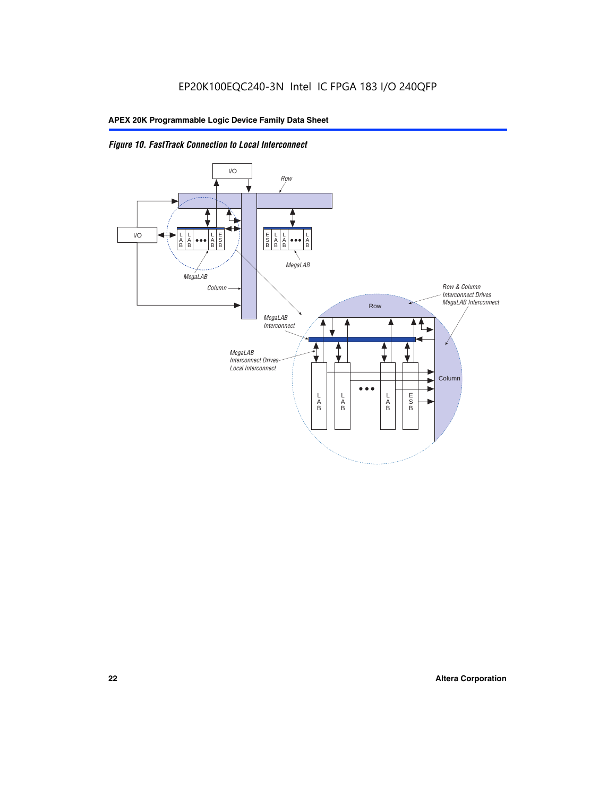

*Figure 10. FastTrack Connection to Local Interconnect*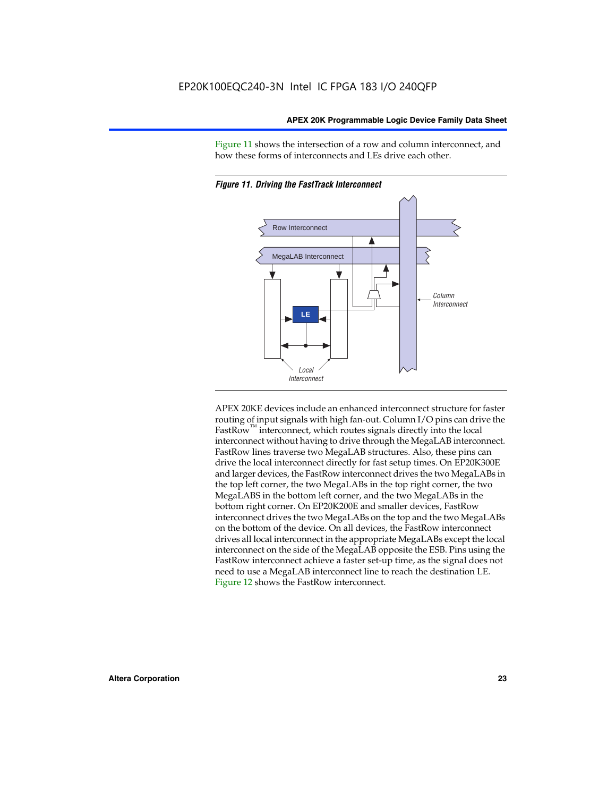Figure 11 shows the intersection of a row and column interconnect, and how these forms of interconnects and LEs drive each other.



*Figure 11. Driving the FastTrack Interconnect*

APEX 20KE devices include an enhanced interconnect structure for faster routing of input signals with high fan-out. Column I/O pins can drive the FastRow<sup>™</sup> interconnect, which routes signals directly into the local interconnect without having to drive through the MegaLAB interconnect. FastRow lines traverse two MegaLAB structures. Also, these pins can drive the local interconnect directly for fast setup times. On EP20K300E and larger devices, the FastRow interconnect drives the two MegaLABs in the top left corner, the two MegaLABs in the top right corner, the two MegaLABS in the bottom left corner, and the two MegaLABs in the bottom right corner. On EP20K200E and smaller devices, FastRow interconnect drives the two MegaLABs on the top and the two MegaLABs on the bottom of the device. On all devices, the FastRow interconnect drives all local interconnect in the appropriate MegaLABs except the local interconnect on the side of the MegaLAB opposite the ESB. Pins using the FastRow interconnect achieve a faster set-up time, as the signal does not need to use a MegaLAB interconnect line to reach the destination LE. Figure 12 shows the FastRow interconnect.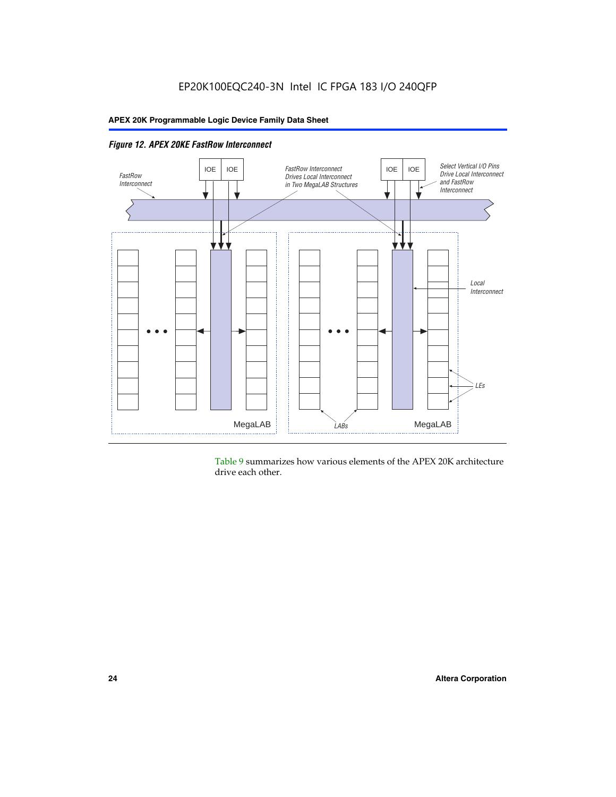

*Figure 12. APEX 20KE FastRow Interconnect*

Table 9 summarizes how various elements of the APEX 20K architecture drive each other.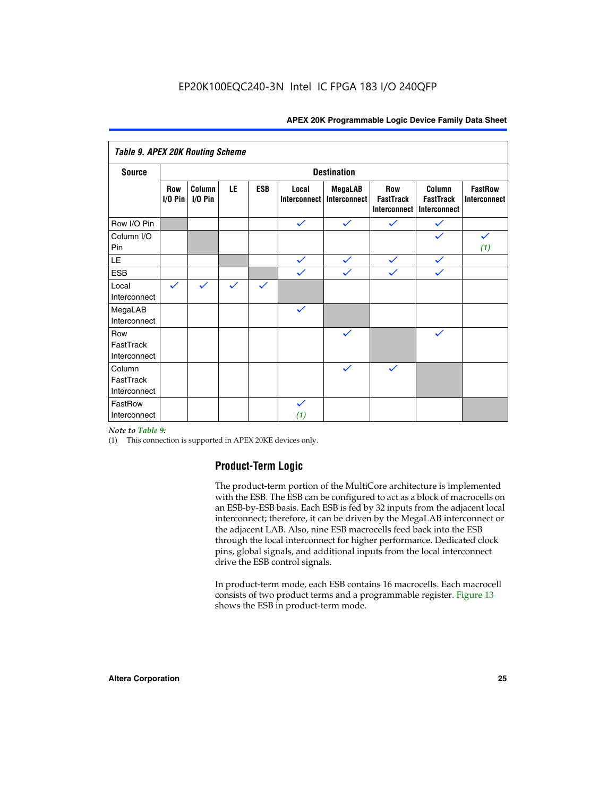| <b>Table 9. APEX 20K Routing Scheme</b> |                    |                   |              |              |                              |                                |                                                |                                            |                                |
|-----------------------------------------|--------------------|-------------------|--------------|--------------|------------------------------|--------------------------------|------------------------------------------------|--------------------------------------------|--------------------------------|
| <b>Source</b>                           | <b>Destination</b> |                   |              |              |                              |                                |                                                |                                            |                                |
|                                         | Row<br>$1/0$ Pin   | Column<br>I/O Pin | LE           | <b>ESB</b>   | Local<br><b>Interconnect</b> | <b>MegaLAB</b><br>Interconnect | Row<br><b>FastTrack</b><br><b>Interconnect</b> | Column<br><b>FastTrack</b><br>Interconnect | <b>FastRow</b><br>Interconnect |
| Row I/O Pin                             |                    |                   |              |              | $\checkmark$                 | $\checkmark$                   | $\checkmark$                                   | $\checkmark$                               |                                |
| Column I/O<br>Pin                       |                    |                   |              |              |                              |                                |                                                | $\checkmark$                               | $\checkmark$<br>(1)            |
| LE                                      |                    |                   |              |              | $\checkmark$                 | $\checkmark$                   | $\checkmark$                                   | $\checkmark$                               |                                |
| <b>ESB</b>                              |                    |                   |              |              | $\checkmark$                 | $\checkmark$                   | $\checkmark$                                   | $\checkmark$                               |                                |
| Local<br>Interconnect                   | $\checkmark$       | $\checkmark$      | $\checkmark$ | $\checkmark$ |                              |                                |                                                |                                            |                                |
| MegaLAB<br>Interconnect                 |                    |                   |              |              | $\checkmark$                 |                                |                                                |                                            |                                |
| Row<br>FastTrack<br>Interconnect        |                    |                   |              |              |                              | $\checkmark$                   |                                                | $\checkmark$                               |                                |
| Column<br>FastTrack<br>Interconnect     |                    |                   |              |              |                              | $\checkmark$                   | $\checkmark$                                   |                                            |                                |
| FastRow<br>Interconnect                 |                    |                   |              |              | $\checkmark$<br>(1)          |                                |                                                |                                            |                                |

#### *Note to Table 9:*

(1) This connection is supported in APEX 20KE devices only.

#### **Product-Term Logic**

The product-term portion of the MultiCore architecture is implemented with the ESB. The ESB can be configured to act as a block of macrocells on an ESB-by-ESB basis. Each ESB is fed by 32 inputs from the adjacent local interconnect; therefore, it can be driven by the MegaLAB interconnect or the adjacent LAB. Also, nine ESB macrocells feed back into the ESB through the local interconnect for higher performance. Dedicated clock pins, global signals, and additional inputs from the local interconnect drive the ESB control signals.

In product-term mode, each ESB contains 16 macrocells. Each macrocell consists of two product terms and a programmable register. Figure 13 shows the ESB in product-term mode.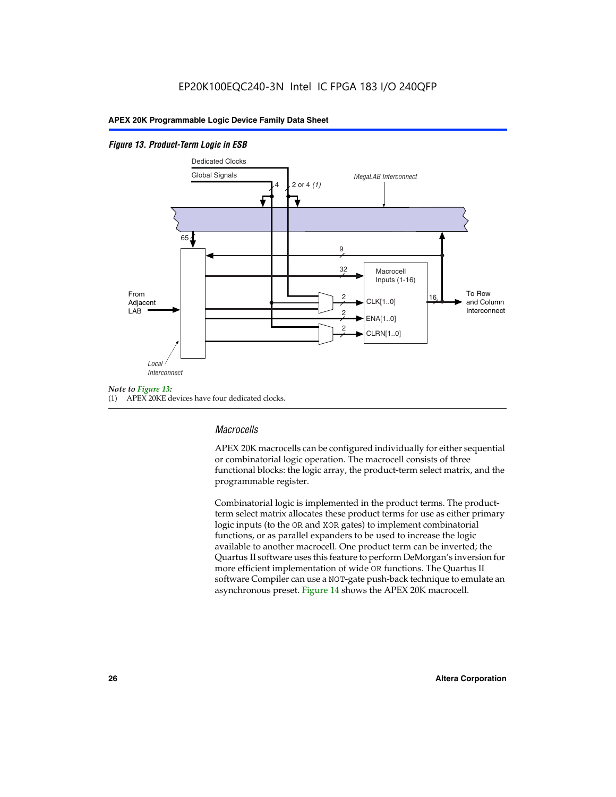#### *Figure 13. Product-Term Logic in ESB*



(1) APEX 20KE devices have four dedicated clocks.

#### *Macrocells*

APEX 20K macrocells can be configured individually for either sequential or combinatorial logic operation. The macrocell consists of three functional blocks: the logic array, the product-term select matrix, and the programmable register.

Combinatorial logic is implemented in the product terms. The productterm select matrix allocates these product terms for use as either primary logic inputs (to the OR and XOR gates) to implement combinatorial functions, or as parallel expanders to be used to increase the logic available to another macrocell. One product term can be inverted; the Quartus II software uses this feature to perform DeMorgan's inversion for more efficient implementation of wide OR functions. The Quartus II software Compiler can use a NOT-gate push-back technique to emulate an asynchronous preset. Figure 14 shows the APEX 20K macrocell.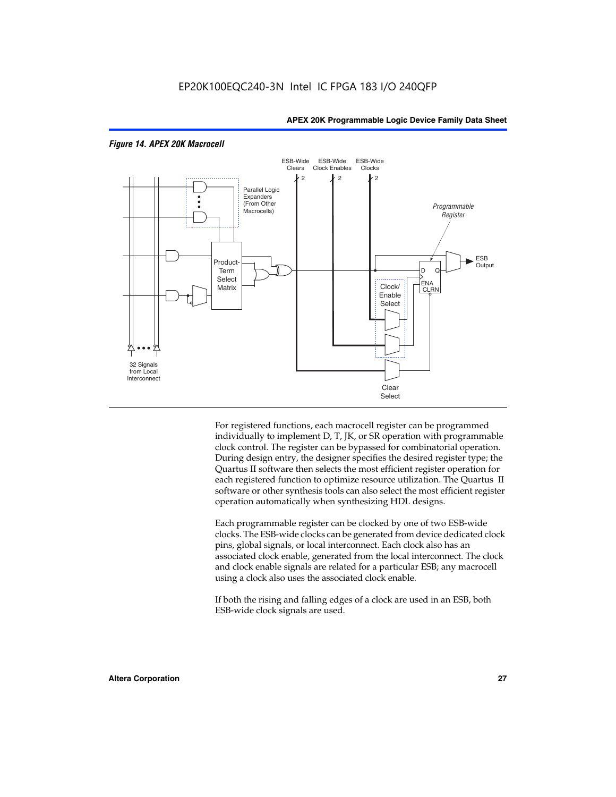

#### *Figure 14. APEX 20K Macrocell*

For registered functions, each macrocell register can be programmed individually to implement D, T, JK, or SR operation with programmable clock control. The register can be bypassed for combinatorial operation. During design entry, the designer specifies the desired register type; the Quartus II software then selects the most efficient register operation for each registered function to optimize resource utilization. The Quartus II software or other synthesis tools can also select the most efficient register operation automatically when synthesizing HDL designs.

Each programmable register can be clocked by one of two ESB-wide clocks. The ESB-wide clocks can be generated from device dedicated clock pins, global signals, or local interconnect. Each clock also has an associated clock enable, generated from the local interconnect. The clock and clock enable signals are related for a particular ESB; any macrocell using a clock also uses the associated clock enable.

If both the rising and falling edges of a clock are used in an ESB, both ESB-wide clock signals are used.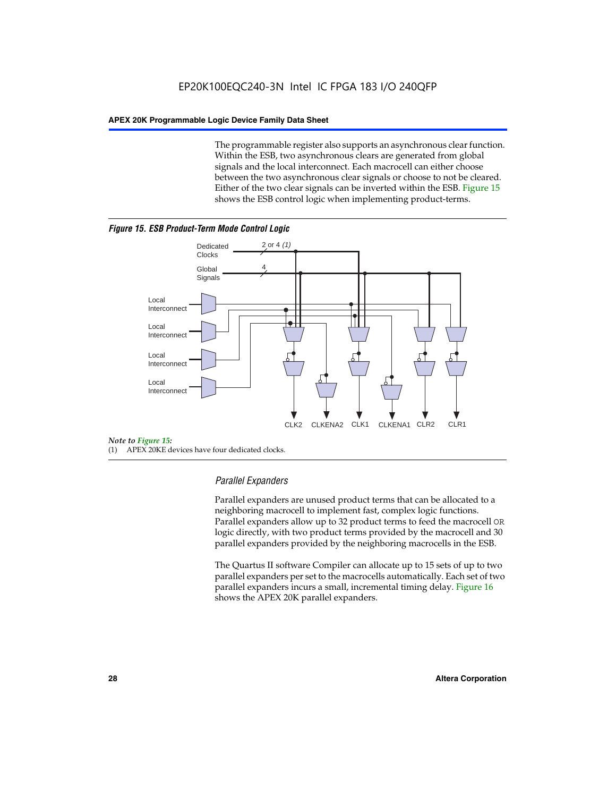The programmable register also supports an asynchronous clear function. Within the ESB, two asynchronous clears are generated from global signals and the local interconnect. Each macrocell can either choose between the two asynchronous clear signals or choose to not be cleared. Either of the two clear signals can be inverted within the ESB. Figure 15 shows the ESB control logic when implementing product-terms.





(1) APEX 20KE devices have four dedicated clocks.

#### *Parallel Expanders*

Parallel expanders are unused product terms that can be allocated to a neighboring macrocell to implement fast, complex logic functions. Parallel expanders allow up to 32 product terms to feed the macrocell OR logic directly, with two product terms provided by the macrocell and 30 parallel expanders provided by the neighboring macrocells in the ESB.

The Quartus II software Compiler can allocate up to 15 sets of up to two parallel expanders per set to the macrocells automatically. Each set of two parallel expanders incurs a small, incremental timing delay. Figure 16 shows the APEX 20K parallel expanders.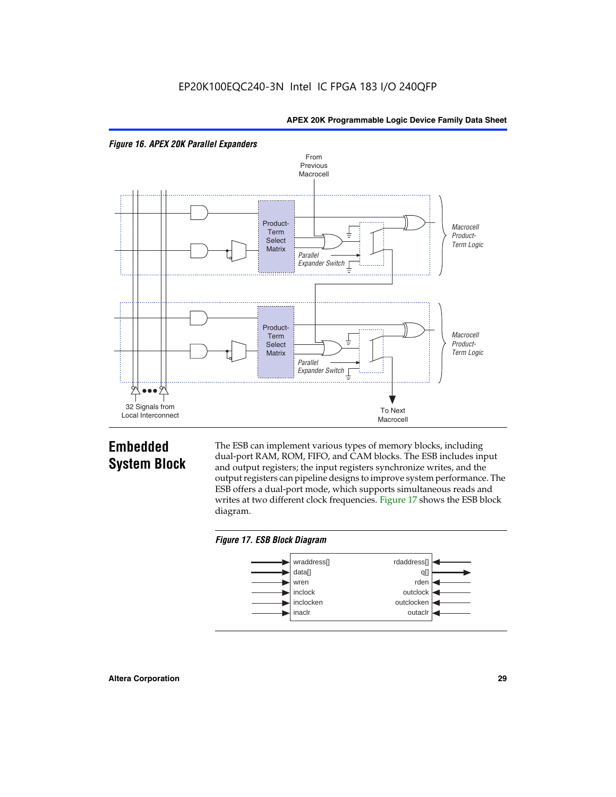



## **Embedded System Block**

The ESB can implement various types of memory blocks, including dual-port RAM, ROM, FIFO, and CAM blocks. The ESB includes input and output registers; the input registers synchronize writes, and the output registers can pipeline designs to improve system performance. The ESB offers a dual-port mode, which supports simultaneous reads and writes at two different clock frequencies. Figure 17 shows the ESB block diagram.



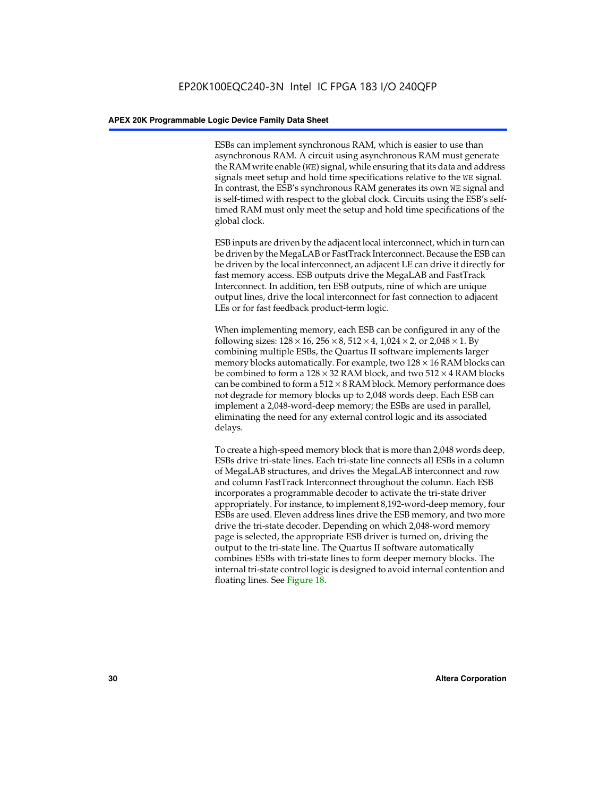ESBs can implement synchronous RAM, which is easier to use than asynchronous RAM. A circuit using asynchronous RAM must generate the RAM write enable (WE) signal, while ensuring that its data and address signals meet setup and hold time specifications relative to the WE signal. In contrast, the ESB's synchronous RAM generates its own WE signal and is self-timed with respect to the global clock. Circuits using the ESB's selftimed RAM must only meet the setup and hold time specifications of the global clock.

ESB inputs are driven by the adjacent local interconnect, which in turn can be driven by the MegaLAB or FastTrack Interconnect. Because the ESB can be driven by the local interconnect, an adjacent LE can drive it directly for fast memory access. ESB outputs drive the MegaLAB and FastTrack Interconnect. In addition, ten ESB outputs, nine of which are unique output lines, drive the local interconnect for fast connection to adjacent LEs or for fast feedback product-term logic.

When implementing memory, each ESB can be configured in any of the following sizes:  $128 \times 16$ ,  $256 \times 8$ ,  $512 \times 4$ ,  $1,024 \times 2$ , or  $2,048 \times 1$ . By combining multiple ESBs, the Quartus II software implements larger memory blocks automatically. For example, two  $128 \times 16$  RAM blocks can be combined to form a  $128 \times 32$  RAM block, and two  $512 \times 4$  RAM blocks can be combined to form a  $512 \times 8$  RAM block. Memory performance does not degrade for memory blocks up to 2,048 words deep. Each ESB can implement a 2,048-word-deep memory; the ESBs are used in parallel, eliminating the need for any external control logic and its associated delays.

To create a high-speed memory block that is more than 2,048 words deep, ESBs drive tri-state lines. Each tri-state line connects all ESBs in a column of MegaLAB structures, and drives the MegaLAB interconnect and row and column FastTrack Interconnect throughout the column. Each ESB incorporates a programmable decoder to activate the tri-state driver appropriately. For instance, to implement 8,192-word-deep memory, four ESBs are used. Eleven address lines drive the ESB memory, and two more drive the tri-state decoder. Depending on which 2,048-word memory page is selected, the appropriate ESB driver is turned on, driving the output to the tri-state line. The Quartus II software automatically combines ESBs with tri-state lines to form deeper memory blocks. The internal tri-state control logic is designed to avoid internal contention and floating lines. See Figure 18.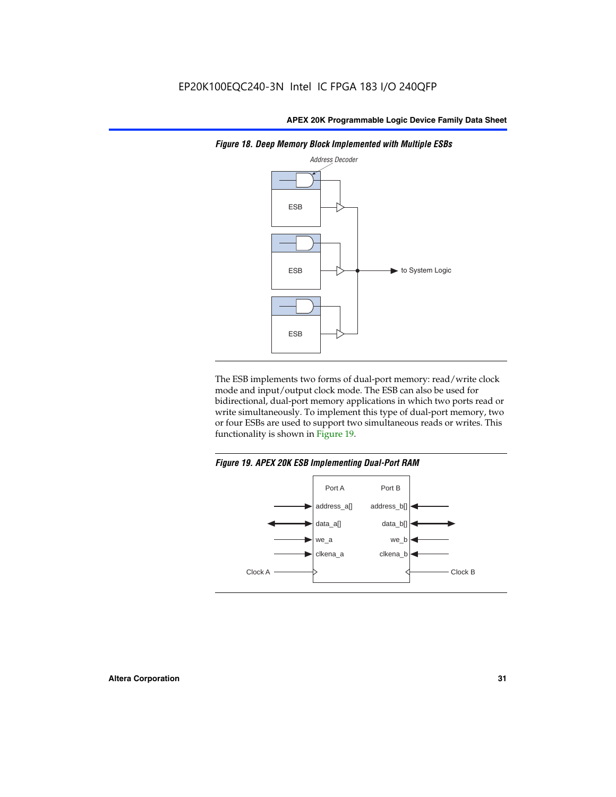

*Figure 18. Deep Memory Block Implemented with Multiple ESBs*

The ESB implements two forms of dual-port memory: read/write clock mode and input/output clock mode. The ESB can also be used for bidirectional, dual-port memory applications in which two ports read or write simultaneously. To implement this type of dual-port memory, two or four ESBs are used to support two simultaneous reads or writes. This functionality is shown in Figure 19.

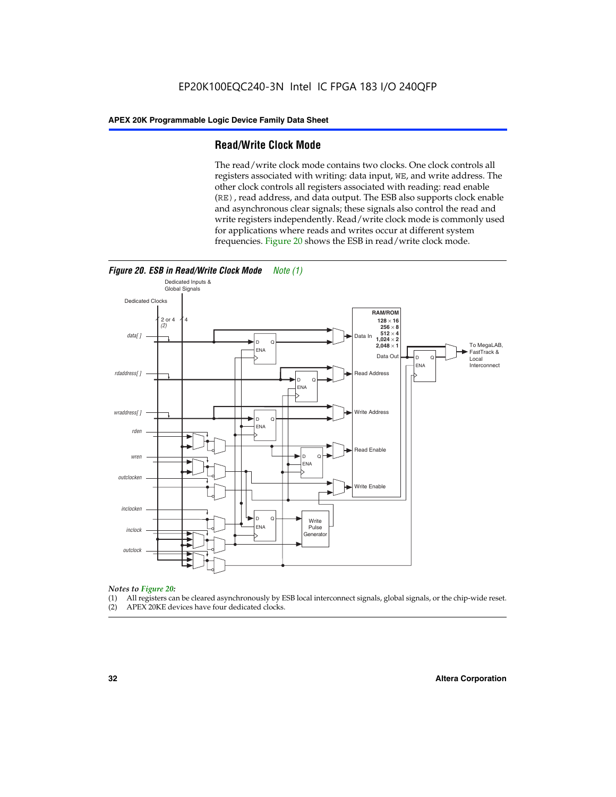#### **Read/Write Clock Mode**

The read/write clock mode contains two clocks. One clock controls all registers associated with writing: data input, WE, and write address. The other clock controls all registers associated with reading: read enable (RE), read address, and data output. The ESB also supports clock enable and asynchronous clear signals; these signals also control the read and write registers independently. Read/write clock mode is commonly used for applications where reads and writes occur at different system frequencies. Figure 20 shows the ESB in read/write clock mode.



### *Notes to Figure 20:*

- (1) All registers can be cleared asynchronously by ESB local interconnect signals, global signals, or the chip-wide reset.
- (2) APEX 20KE devices have four dedicated clocks.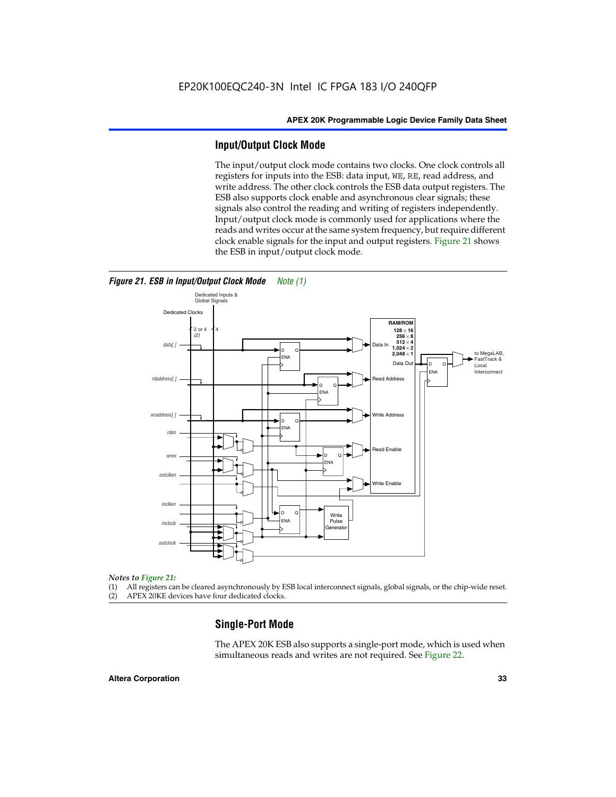#### **Input/Output Clock Mode**

The input/output clock mode contains two clocks. One clock controls all registers for inputs into the ESB: data input, WE, RE, read address, and write address. The other clock controls the ESB data output registers. The ESB also supports clock enable and asynchronous clear signals; these signals also control the reading and writing of registers independently. Input/output clock mode is commonly used for applications where the reads and writes occur at the same system frequency, but require different clock enable signals for the input and output registers. Figure 21 shows the ESB in input/output clock mode.



*Figure 21. ESB in Input/Output Clock Mode Note (1)*

#### *Notes to Figure 21:*

(1) All registers can be cleared asynchronously by ESB local interconnect signals, global signals, or the chip-wide reset.

(2) APEX 20KE devices have four dedicated clocks.

#### **Single-Port Mode**

The APEX 20K ESB also supports a single-port mode, which is used when simultaneous reads and writes are not required. See Figure 22.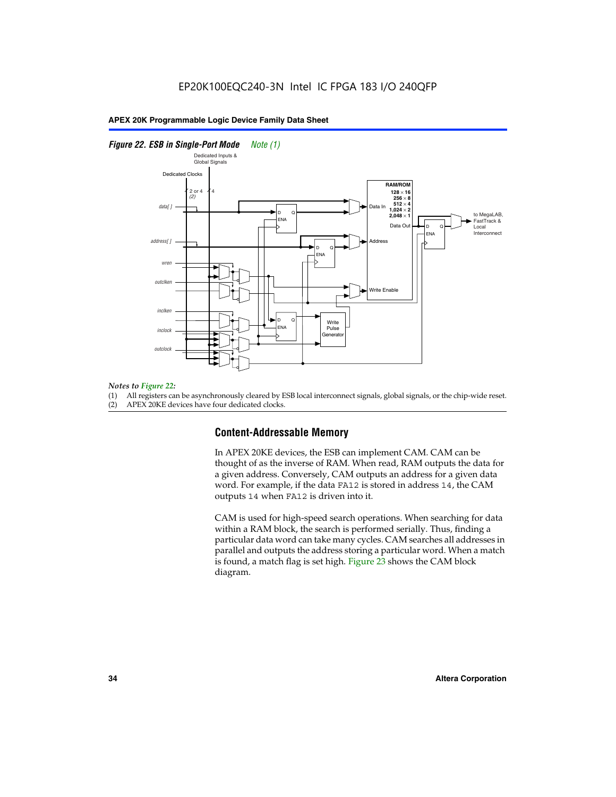#### *Figure 22. ESB in Single-Port Mode Note (1)*



#### *Notes to Figure 22:*

(1) All registers can be asynchronously cleared by ESB local interconnect signals, global signals, or the chip-wide reset.

(2) APEX 20KE devices have four dedicated clocks.

#### **Content-Addressable Memory**

In APEX 20KE devices, the ESB can implement CAM. CAM can be thought of as the inverse of RAM. When read, RAM outputs the data for a given address. Conversely, CAM outputs an address for a given data word. For example, if the data FA12 is stored in address 14, the CAM outputs 14 when FA12 is driven into it.

CAM is used for high-speed search operations. When searching for data within a RAM block, the search is performed serially. Thus, finding a particular data word can take many cycles. CAM searches all addresses in parallel and outputs the address storing a particular word. When a match is found, a match flag is set high. Figure 23 shows the CAM block diagram.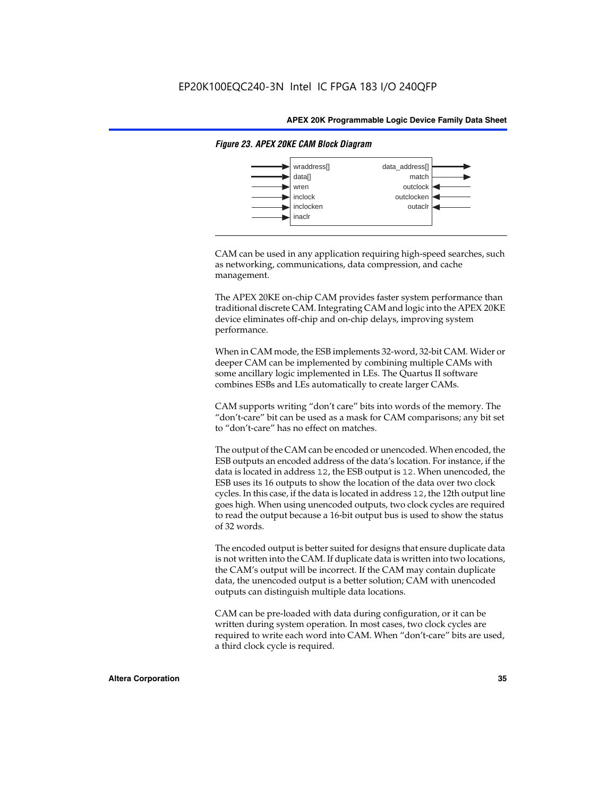

#### *Figure 23. APEX 20KE CAM Block Diagram*

CAM can be used in any application requiring high-speed searches, such as networking, communications, data compression, and cache management.

The APEX 20KE on-chip CAM provides faster system performance than traditional discrete CAM. Integrating CAM and logic into the APEX 20KE device eliminates off-chip and on-chip delays, improving system performance.

When in CAM mode, the ESB implements 32-word, 32-bit CAM. Wider or deeper CAM can be implemented by combining multiple CAMs with some ancillary logic implemented in LEs. The Quartus II software combines ESBs and LEs automatically to create larger CAMs.

CAM supports writing "don't care" bits into words of the memory. The "don't-care" bit can be used as a mask for CAM comparisons; any bit set to "don't-care" has no effect on matches.

The output of the CAM can be encoded or unencoded. When encoded, the ESB outputs an encoded address of the data's location. For instance, if the data is located in address 12, the ESB output is 12. When unencoded, the ESB uses its 16 outputs to show the location of the data over two clock cycles. In this case, if the data is located in address 12, the 12th output line goes high. When using unencoded outputs, two clock cycles are required to read the output because a 16-bit output bus is used to show the status of 32 words.

The encoded output is better suited for designs that ensure duplicate data is not written into the CAM. If duplicate data is written into two locations, the CAM's output will be incorrect. If the CAM may contain duplicate data, the unencoded output is a better solution; CAM with unencoded outputs can distinguish multiple data locations.

CAM can be pre-loaded with data during configuration, or it can be written during system operation. In most cases, two clock cycles are required to write each word into CAM. When "don't-care" bits are used, a third clock cycle is required.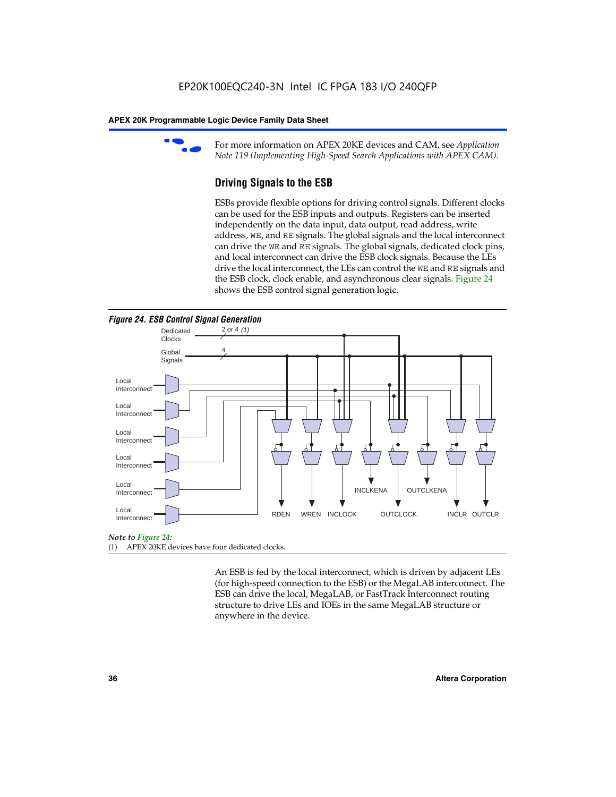

For more information on APEX 20KE devices and CAM, see *Application Note 119 (Implementing High-Speed Search Applications with APEX CAM).*

# **Driving Signals to the ESB**

ESBs provide flexible options for driving control signals. Different clocks can be used for the ESB inputs and outputs. Registers can be inserted independently on the data input, data output, read address, write address, WE, and RE signals. The global signals and the local interconnect can drive the WE and RE signals. The global signals, dedicated clock pins, and local interconnect can drive the ESB clock signals. Because the LEs drive the local interconnect, the LEs can control the WE and RE signals and the ESB clock, clock enable, and asynchronous clear signals. Figure 24 shows the ESB control signal generation logic.





#### *Note to Figure 24:*

(1) APEX 20KE devices have four dedicated clocks.

An ESB is fed by the local interconnect, which is driven by adjacent LEs (for high-speed connection to the ESB) or the MegaLAB interconnect. The ESB can drive the local, MegaLAB, or FastTrack Interconnect routing structure to drive LEs and IOEs in the same MegaLAB structure or anywhere in the device.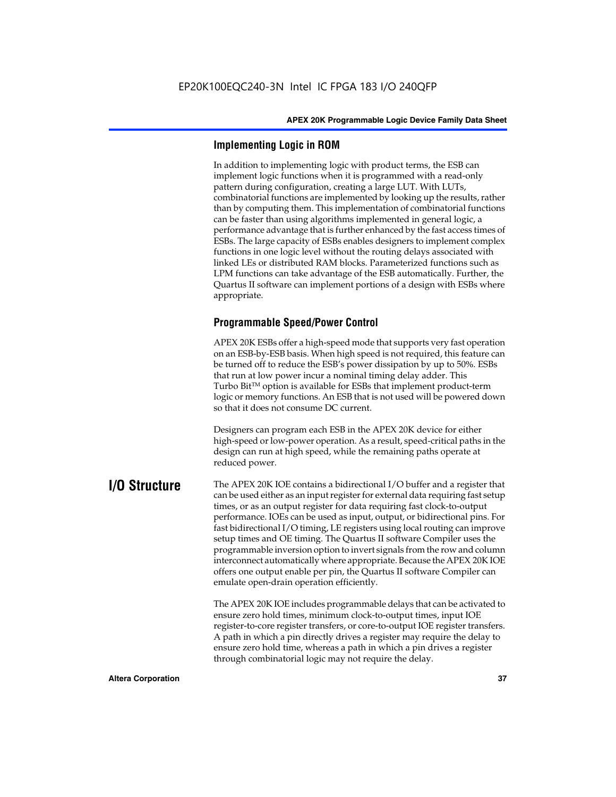# **Implementing Logic in ROM**

In addition to implementing logic with product terms, the ESB can implement logic functions when it is programmed with a read-only pattern during configuration, creating a large LUT. With LUTs, combinatorial functions are implemented by looking up the results, rather than by computing them. This implementation of combinatorial functions can be faster than using algorithms implemented in general logic, a performance advantage that is further enhanced by the fast access times of ESBs. The large capacity of ESBs enables designers to implement complex functions in one logic level without the routing delays associated with linked LEs or distributed RAM blocks. Parameterized functions such as LPM functions can take advantage of the ESB automatically. Further, the Quartus II software can implement portions of a design with ESBs where appropriate.

# **Programmable Speed/Power Control**

APEX 20K ESBs offer a high-speed mode that supports very fast operation on an ESB-by-ESB basis. When high speed is not required, this feature can be turned off to reduce the ESB's power dissipation by up to 50%. ESBs that run at low power incur a nominal timing delay adder. This Turbo  $Bit^{TM}$  option is available for ESBs that implement product-term logic or memory functions. An ESB that is not used will be powered down so that it does not consume DC current.

Designers can program each ESB in the APEX 20K device for either high-speed or low-power operation. As a result, speed-critical paths in the design can run at high speed, while the remaining paths operate at reduced power.

**I/O Structure** The APEX 20K IOE contains a bidirectional I/O buffer and a register that can be used either as an input register for external data requiring fast setup times, or as an output register for data requiring fast clock-to-output performance. IOEs can be used as input, output, or bidirectional pins. For fast bidirectional I/O timing, LE registers using local routing can improve setup times and OE timing. The Quartus II software Compiler uses the programmable inversion option to invert signals from the row and column interconnect automatically where appropriate. Because the APEX 20K IOE offers one output enable per pin, the Quartus II software Compiler can emulate open-drain operation efficiently.

> The APEX 20K IOE includes programmable delays that can be activated to ensure zero hold times, minimum clock-to-output times, input IOE register-to-core register transfers, or core-to-output IOE register transfers. A path in which a pin directly drives a register may require the delay to ensure zero hold time, whereas a path in which a pin drives a register through combinatorial logic may not require the delay.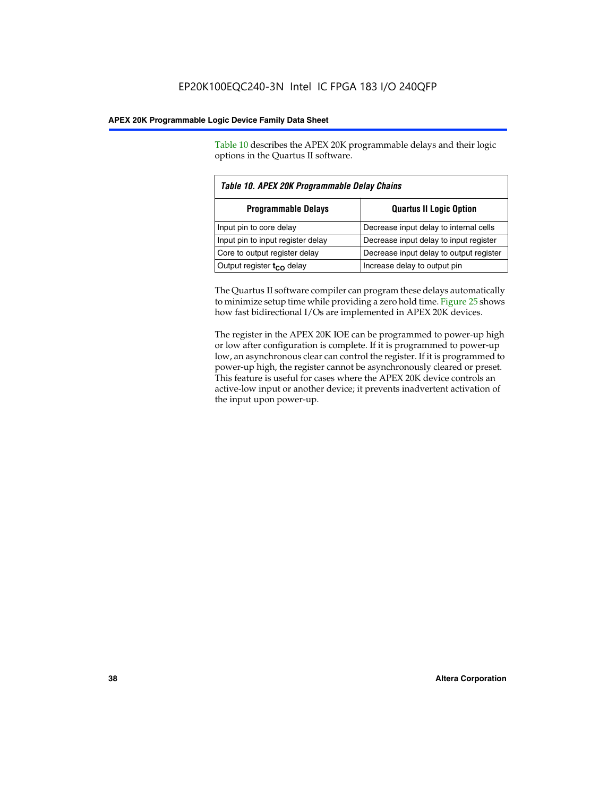Table 10 describes the APEX 20K programmable delays and their logic options in the Quartus II software.

| Table 10. APEX 20K Programmable Delay Chains |                                         |  |  |
|----------------------------------------------|-----------------------------------------|--|--|
| <b>Programmable Delays</b>                   | <b>Quartus II Logic Option</b>          |  |  |
| Input pin to core delay                      | Decrease input delay to internal cells  |  |  |
| Input pin to input register delay            | Decrease input delay to input register  |  |  |
| Core to output register delay                | Decrease input delay to output register |  |  |
| Output register $t_{\rm CO}$ delay           | Increase delay to output pin            |  |  |

The Quartus II software compiler can program these delays automatically to minimize setup time while providing a zero hold time. Figure 25 shows how fast bidirectional I/Os are implemented in APEX 20K devices.

The register in the APEX 20K IOE can be programmed to power-up high or low after configuration is complete. If it is programmed to power-up low, an asynchronous clear can control the register. If it is programmed to power-up high, the register cannot be asynchronously cleared or preset. This feature is useful for cases where the APEX 20K device controls an active-low input or another device; it prevents inadvertent activation of the input upon power-up.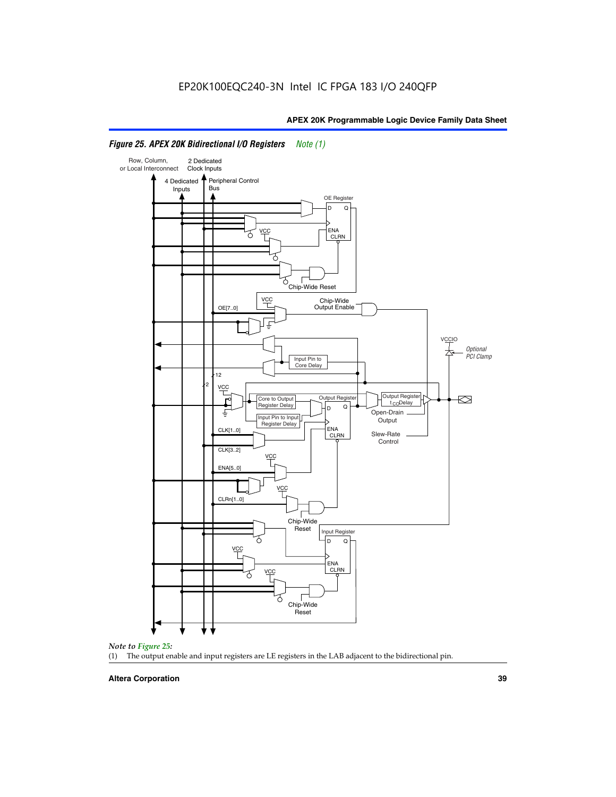

# *Figure 25. APEX 20K Bidirectional I/O Registers Note (1)*



#### **Altera Corporation 39**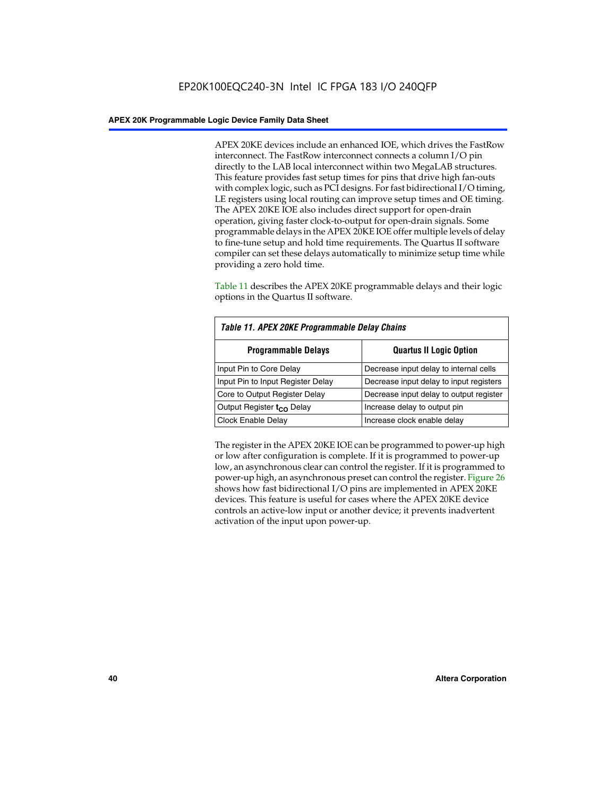APEX 20KE devices include an enhanced IOE, which drives the FastRow interconnect. The FastRow interconnect connects a column I/O pin directly to the LAB local interconnect within two MegaLAB structures. This feature provides fast setup times for pins that drive high fan-outs with complex logic, such as PCI designs. For fast bidirectional I/O timing, LE registers using local routing can improve setup times and OE timing. The APEX 20KE IOE also includes direct support for open-drain operation, giving faster clock-to-output for open-drain signals. Some programmable delays in the APEX 20KE IOE offer multiple levels of delay to fine-tune setup and hold time requirements. The Quartus II software compiler can set these delays automatically to minimize setup time while providing a zero hold time.

Table 11 describes the APEX 20KE programmable delays and their logic options in the Quartus II software.

| Table 11. APEX 20KE Programmable Delay Chains |                                         |  |  |  |
|-----------------------------------------------|-----------------------------------------|--|--|--|
| <b>Programmable Delays</b>                    | <b>Quartus II Logic Option</b>          |  |  |  |
| Input Pin to Core Delay                       | Decrease input delay to internal cells  |  |  |  |
| Input Pin to Input Register Delay             | Decrease input delay to input registers |  |  |  |
| Core to Output Register Delay                 | Decrease input delay to output register |  |  |  |
| Output Register t <sub>CO</sub> Delay         | Increase delay to output pin            |  |  |  |
| <b>Clock Enable Delay</b>                     | Increase clock enable delay             |  |  |  |

The register in the APEX 20KE IOE can be programmed to power-up high or low after configuration is complete. If it is programmed to power-up low, an asynchronous clear can control the register. If it is programmed to power-up high, an asynchronous preset can control the register. Figure 26 shows how fast bidirectional I/O pins are implemented in APEX 20KE devices. This feature is useful for cases where the APEX 20KE device controls an active-low input or another device; it prevents inadvertent activation of the input upon power-up.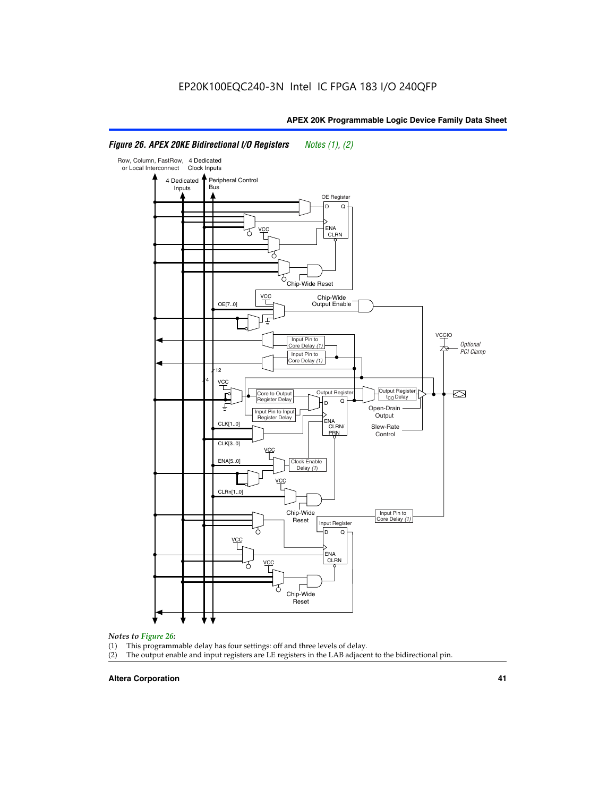#### Row, Column, FastRow, 4 Dedicated or Local Interconnect Clock Inputs Peripheral Control 4 Dedicated **Bus** Inputs OE Register D Q ENA VCC CLRN 7 Chip-Wide Reset YCC Chip-Wide Output Enable OE[7..0] VC Input Pin to **Optional** Core Delay (1) PCI Clamp Input Pin to Core Delay (1) 12 4 **VCC** Output Register **Output Registe**  $\approx$ Core to Output | Output Hegister | Durbut Tropieding | Contput Tropieding | Durbut Tropieding | Output Tropied<br>Register Delay | Durbut Tropieding | Contput Tropieding | Contput Tropieding | O t<sub>CO</sub>Delay  $D$  Q ŧ Open-Drain Input Pin to Input **Output** Register Delay ENA CLK[1..0] CLRN/ Slew-Rate PR<sub>N</sub> Control CLK[3..0] VCC ENA[5..0] Clock Enable Delay (1) VCC CLRn[1..0] Chip-Wide Input Pin to Core Delay (1) Reset Input Register D Q VCC .<br>ENA CLRN **VCC** Chip-Wide Reset

# *Figure 26. APEX 20KE Bidirectional I/O Registers Notes (1), (2)*

# *Notes to Figure 26:*

- (1) This programmable delay has four settings: off and three levels of delay.<br>(2) The output enable and input registers are LE registers in the LAB adjacer
- The output enable and input registers are LE registers in the LAB adjacent to the bidirectional pin.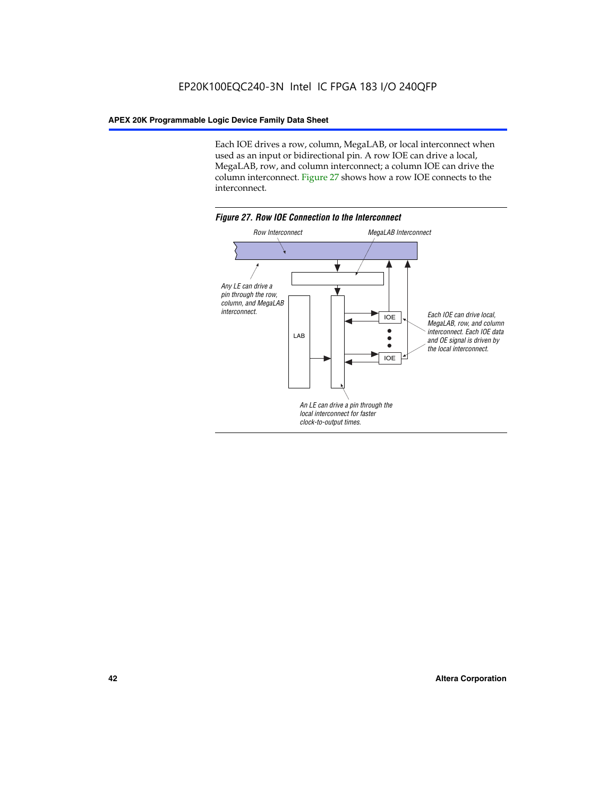Each IOE drives a row, column, MegaLAB, or local interconnect when used as an input or bidirectional pin. A row IOE can drive a local, MegaLAB, row, and column interconnect; a column IOE can drive the column interconnect. Figure 27 shows how a row IOE connects to the interconnect.

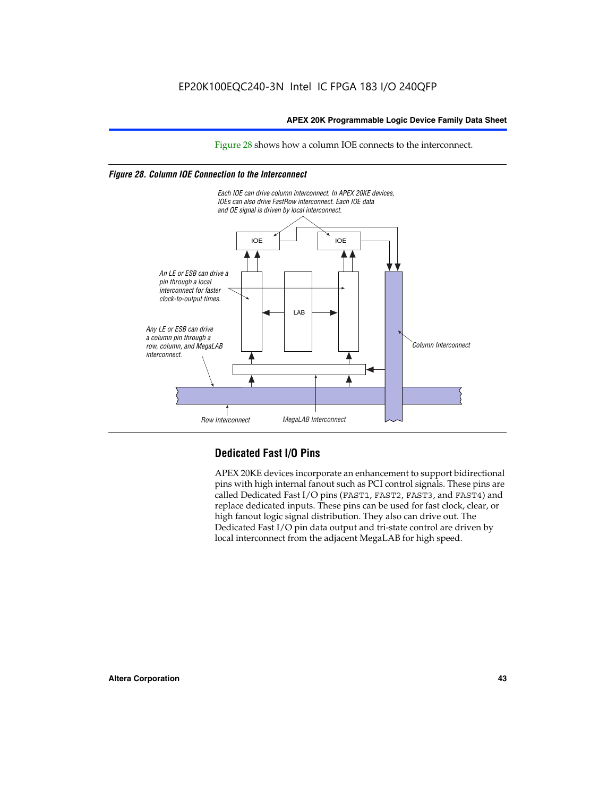Figure 28 shows how a column IOE connects to the interconnect.

# *Figure 28. Column IOE Connection to the Interconnect*



# **Dedicated Fast I/O Pins**

APEX 20KE devices incorporate an enhancement to support bidirectional pins with high internal fanout such as PCI control signals. These pins are called Dedicated Fast I/O pins (FAST1, FAST2, FAST3, and FAST4) and replace dedicated inputs. These pins can be used for fast clock, clear, or high fanout logic signal distribution. They also can drive out. The Dedicated Fast I/O pin data output and tri-state control are driven by local interconnect from the adjacent MegaLAB for high speed.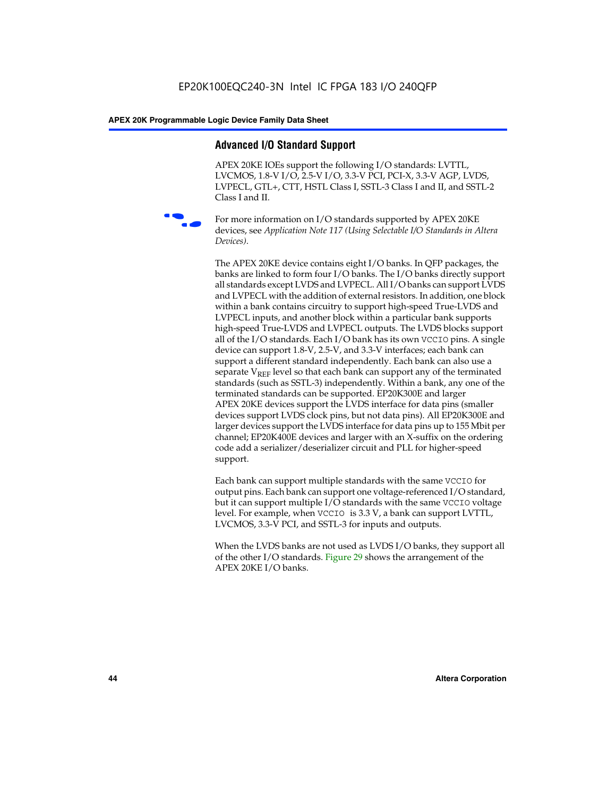# **Advanced I/O Standard Support**

APEX 20KE IOEs support the following I/O standards: LVTTL, LVCMOS, 1.8-V I/O, 2.5-V I/O, 3.3-V PCI, PCI-X, 3.3-V AGP, LVDS, LVPECL, GTL+, CTT, HSTL Class I, SSTL-3 Class I and II, and SSTL-2 Class I and II.



For more information on I/O standards supported by APEX 20KE devices, see *Application Note 117 (Using Selectable I/O Standards in Altera Devices)*.

The APEX 20KE device contains eight I/O banks. In QFP packages, the banks are linked to form four I/O banks. The I/O banks directly support all standards except LVDS and LVPECL. All I/O banks can support LVDS and LVPECL with the addition of external resistors. In addition, one block within a bank contains circuitry to support high-speed True-LVDS and LVPECL inputs, and another block within a particular bank supports high-speed True-LVDS and LVPECL outputs. The LVDS blocks support all of the I/O standards. Each I/O bank has its own VCCIO pins. A single device can support 1.8-V, 2.5-V, and 3.3-V interfaces; each bank can support a different standard independently. Each bank can also use a separate  $V_{\text{REF}}$  level so that each bank can support any of the terminated standards (such as SSTL-3) independently. Within a bank, any one of the terminated standards can be supported. EP20K300E and larger APEX 20KE devices support the LVDS interface for data pins (smaller devices support LVDS clock pins, but not data pins). All EP20K300E and larger devices support the LVDS interface for data pins up to 155 Mbit per channel; EP20K400E devices and larger with an X-suffix on the ordering code add a serializer/deserializer circuit and PLL for higher-speed support.

Each bank can support multiple standards with the same VCCIO for output pins. Each bank can support one voltage-referenced I/O standard, but it can support multiple I/O standards with the same VCCIO voltage level. For example, when VCCIO is 3.3 V, a bank can support LVTTL, LVCMOS, 3.3-V PCI, and SSTL-3 for inputs and outputs.

When the LVDS banks are not used as LVDS I/O banks, they support all of the other I/O standards. Figure 29 shows the arrangement of the APEX 20KE I/O banks.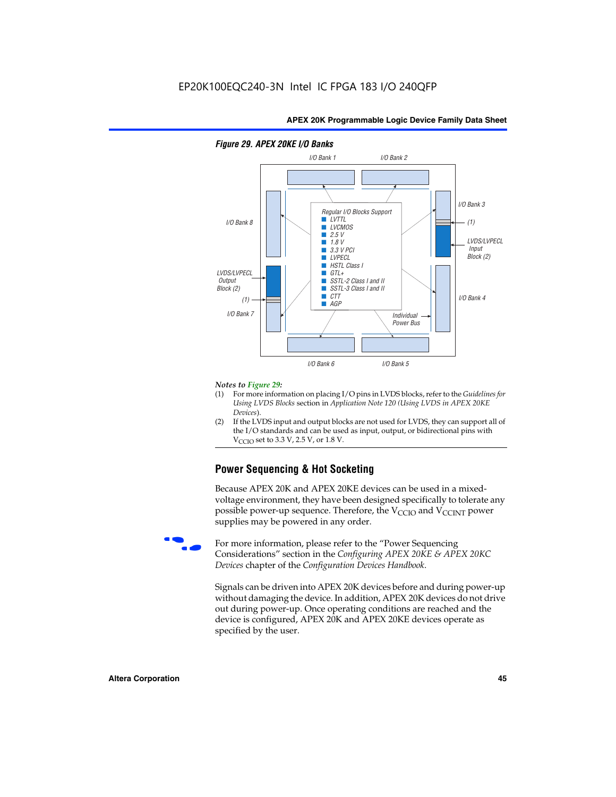

# *Figure 29. APEX 20KE I/O Banks*

#### *Notes to Figure 29:*

- (1) For more information on placing I/O pins in LVDS blocks, refer to the *Guidelines for Using LVDS Blocks* section in *Application Note 120 (Using LVDS in APEX 20KE Devices*).
- (2) If the LVDS input and output blocks are not used for LVDS, they can support all of the I/O standards and can be used as input, output, or bidirectional pins with  $V_{\text{C} \cap \text{O}}$  set to 3.3 V, 2.5 V, or 1.8 V.

# **Power Sequencing & Hot Socketing**

Because APEX 20K and APEX 20KE devices can be used in a mixedvoltage environment, they have been designed specifically to tolerate any possible power-up sequence. Therefore, the  $V_{\text{CCIO}}$  and  $V_{\text{CCINT}}$  power supplies may be powered in any order.

For more information, please refer to the "Power Sequencing Considerations" section in the *Configuring APEX 20KE & APEX 20KC Devices* chapter of the *Configuration Devices Handbook*.

Signals can be driven into APEX 20K devices before and during power-up without damaging the device. In addition, APEX 20K devices do not drive out during power-up. Once operating conditions are reached and the device is configured, APEX 20K and APEX 20KE devices operate as specified by the user.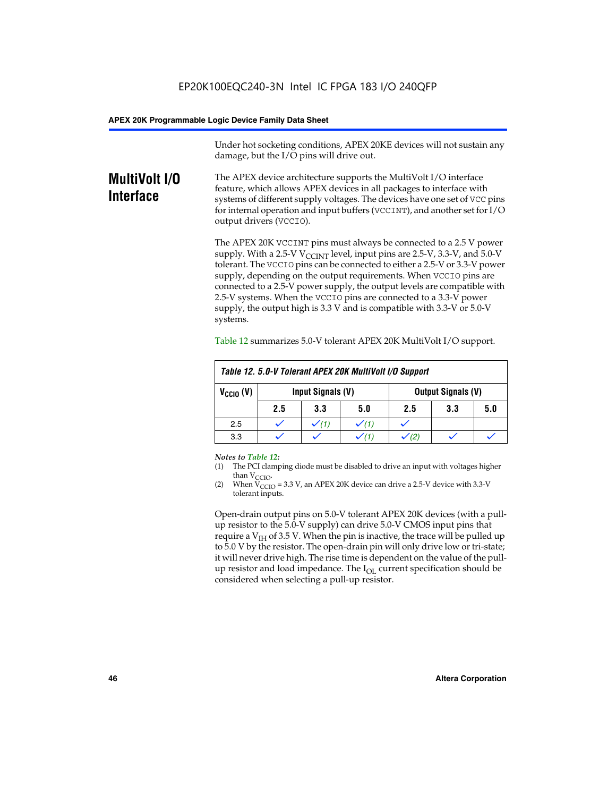Under hot socketing conditions, APEX 20KE devices will not sustain any damage, but the I/O pins will drive out.

# **MultiVolt I/O Interface**

The APEX device architecture supports the MultiVolt I/O interface feature, which allows APEX devices in all packages to interface with systems of different supply voltages. The devices have one set of VCC pins for internal operation and input buffers (VCCINT), and another set for I/O output drivers (VCCIO).

The APEX 20K VCCINT pins must always be connected to a 2.5 V power supply. With a 2.5-V  $V_{\text{CCMT}}$  level, input pins are 2.5-V, 3.3-V, and 5.0-V tolerant. The VCCIO pins can be connected to either a 2.5-V or 3.3-V power supply, depending on the output requirements. When VCCIO pins are connected to a 2.5-V power supply, the output levels are compatible with 2.5-V systems. When the VCCIO pins are connected to a 3.3-V power supply, the output high is 3.3 V and is compatible with 3.3-V or 5.0-V systems.

| Table 12. 5.0-V Tolerant APEX 20K MultiVolt I/O Support |                                                |                  |     |     |     |     |
|---------------------------------------------------------|------------------------------------------------|------------------|-----|-----|-----|-----|
| $V_{\text{CCIO}}(V)$                                    | Input Signals (V)<br><b>Output Signals (V)</b> |                  |     |     |     |     |
|                                                         | 2.5                                            | 3.3              | 5.0 | 2.5 | 3.3 | 5.0 |
| 2.5                                                     |                                                | $\checkmark$ (1) |     |     |     |     |
| 3.3                                                     |                                                |                  |     |     |     |     |

Table 12 summarizes 5.0-V tolerant APEX 20K MultiVolt I/O support.

#### *Notes to Table 12:*

- (1) The PCI clamping diode must be disabled to drive an input with voltages higher than  $V_{CCIO}$ .
- (2) When  $V_{CCIO} = 3.3 V$ , an APEX 20K device can drive a 2.5-V device with 3.3-V tolerant inputs.

Open-drain output pins on 5.0-V tolerant APEX 20K devices (with a pullup resistor to the 5.0-V supply) can drive 5.0-V CMOS input pins that require a  $V_{IH}$  of 3.5 V. When the pin is inactive, the trace will be pulled up to 5.0 V by the resistor. The open-drain pin will only drive low or tri-state; it will never drive high. The rise time is dependent on the value of the pullup resistor and load impedance. The  $I_{OI}$  current specification should be considered when selecting a pull-up resistor.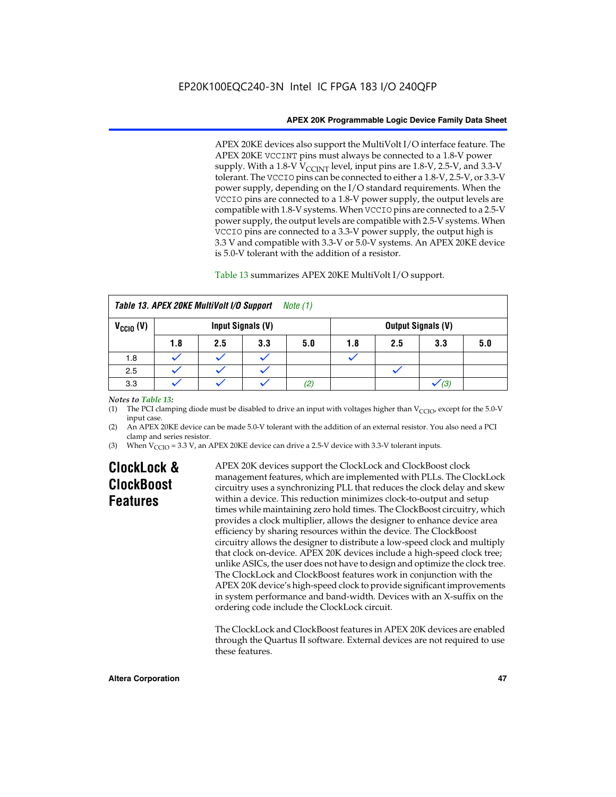APEX 20KE devices also support the MultiVolt I/O interface feature. The APEX 20KE VCCINT pins must always be connected to a 1.8-V power supply. With a 1.8-V  $V_{\text{CCINT}}$  level, input pins are 1.8-V, 2.5-V, and 3.3-V tolerant. The VCCIO pins can be connected to either a 1.8-V, 2.5-V, or 3.3-V power supply, depending on the I/O standard requirements. When the VCCIO pins are connected to a 1.8-V power supply, the output levels are compatible with 1.8-V systems. When VCCIO pins are connected to a 2.5-V power supply, the output levels are compatible with 2.5-V systems. When VCCIO pins are connected to a 3.3-V power supply, the output high is 3.3 V and compatible with 3.3-V or 5.0-V systems. An APEX 20KE device is 5.0-V tolerant with the addition of a resistor.

# Table 13 summarizes APEX 20KE MultiVolt I/O support.

|                                           | Table 13. APEX 20KE MultiVolt I/O Support<br>Note (1) |     |     |     |     |     |                           |     |
|-------------------------------------------|-------------------------------------------------------|-----|-----|-----|-----|-----|---------------------------|-----|
| $V_{\text{CCIO}}(V)$<br>Input Signals (V) |                                                       |     |     |     |     |     | <b>Output Signals (V)</b> |     |
|                                           | 1.8                                                   | 2.5 | 3.3 | 5.0 | 1.8 | 2.5 | 3.3                       | 5.0 |
| 1.8                                       |                                                       |     |     |     |     |     |                           |     |
| 2.5                                       |                                                       |     |     |     |     |     |                           |     |
| 3.3                                       |                                                       |     |     | (2) |     |     | (3)                       |     |

# *Notes to Table 13:*

(1) The PCI clamping diode must be disabled to drive an input with voltages higher than  $V_{CCIO}$ , except for the 5.0-V input case.

(2) An APEX 20KE device can be made 5.0-V tolerant with the addition of an external resistor. You also need a PCI clamp and series resistor.

(3) When  $V_{\text{CCIO}} = 3.3$  V, an APEX 20KE device can drive a 2.5-V device with 3.3-V tolerant inputs.

# **ClockLock & ClockBoost Features**

APEX 20K devices support the ClockLock and ClockBoost clock management features, which are implemented with PLLs. The ClockLock circuitry uses a synchronizing PLL that reduces the clock delay and skew within a device. This reduction minimizes clock-to-output and setup times while maintaining zero hold times. The ClockBoost circuitry, which provides a clock multiplier, allows the designer to enhance device area efficiency by sharing resources within the device. The ClockBoost circuitry allows the designer to distribute a low-speed clock and multiply that clock on-device. APEX 20K devices include a high-speed clock tree; unlike ASICs, the user does not have to design and optimize the clock tree. The ClockLock and ClockBoost features work in conjunction with the APEX 20K device's high-speed clock to provide significant improvements in system performance and band-width. Devices with an X-suffix on the ordering code include the ClockLock circuit.

The ClockLock and ClockBoost features in APEX 20K devices are enabled through the Quartus II software. External devices are not required to use these features.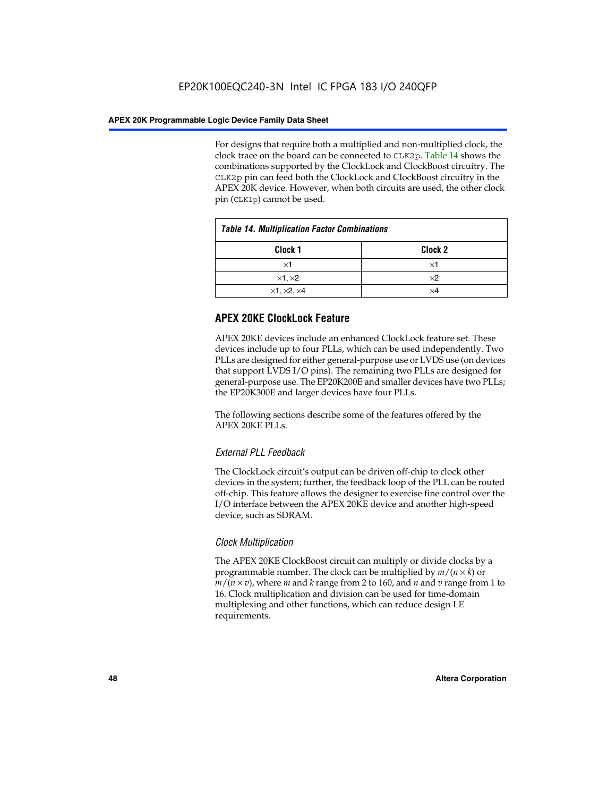For designs that require both a multiplied and non-multiplied clock, the clock trace on the board can be connected to CLK2p. Table 14 shows the combinations supported by the ClockLock and ClockBoost circuitry. The CLK2p pin can feed both the ClockLock and ClockBoost circuitry in the APEX 20K device. However, when both circuits are used, the other clock pin (CLK1p) cannot be used.

| <b>Table 14. Multiplication Factor Combinations</b> |                    |  |
|-----------------------------------------------------|--------------------|--|
| Clock <sub>1</sub>                                  | Clock <sub>2</sub> |  |
| $\times$ 1                                          | ×1                 |  |
| $\times$ 1, $\times$ 2                              | $\times 2$         |  |
| $\times$ 1, $\times$ 2, $\times$ 4                  | ×4                 |  |

# **APEX 20KE ClockLock Feature**

APEX 20KE devices include an enhanced ClockLock feature set. These devices include up to four PLLs, which can be used independently. Two PLLs are designed for either general-purpose use or LVDS use (on devices that support LVDS I/O pins). The remaining two PLLs are designed for general-purpose use. The EP20K200E and smaller devices have two PLLs; the EP20K300E and larger devices have four PLLs.

The following sections describe some of the features offered by the APEX 20KE PLLs.

# *External PLL Feedback*

The ClockLock circuit's output can be driven off-chip to clock other devices in the system; further, the feedback loop of the PLL can be routed off-chip. This feature allows the designer to exercise fine control over the I/O interface between the APEX 20KE device and another high-speed device, such as SDRAM.

# *Clock Multiplication*

The APEX 20KE ClockBoost circuit can multiply or divide clocks by a programmable number. The clock can be multiplied by *m*/(*n* × *k*) or  $m/(n \times v)$ , where *m* and *k* range from 2 to 160, and *n* and *v* range from 1 to 16. Clock multiplication and division can be used for time-domain multiplexing and other functions, which can reduce design LE requirements.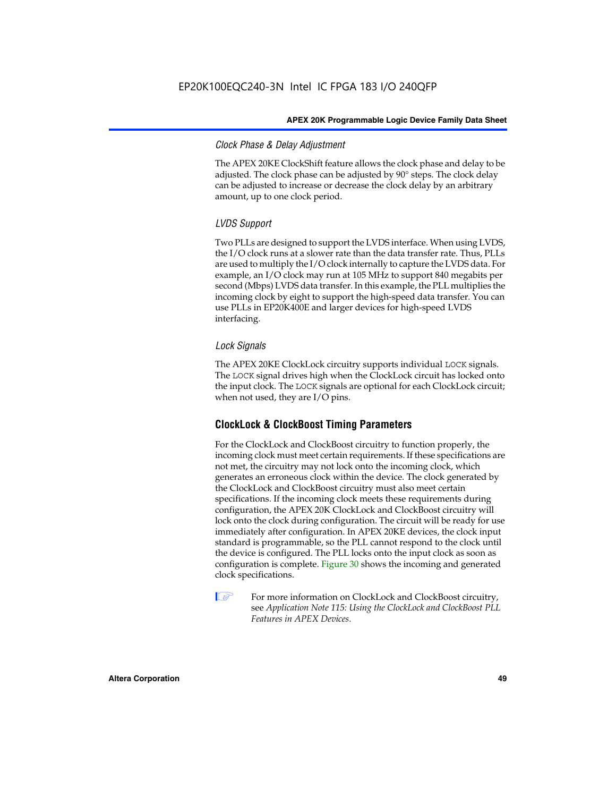# *Clock Phase & Delay Adjustment*

The APEX 20KE ClockShift feature allows the clock phase and delay to be adjusted. The clock phase can be adjusted by 90° steps. The clock delay can be adjusted to increase or decrease the clock delay by an arbitrary amount, up to one clock period.

# *LVDS Support*

Two PLLs are designed to support the LVDS interface. When using LVDS, the I/O clock runs at a slower rate than the data transfer rate. Thus, PLLs are used to multiply the I/O clock internally to capture the LVDS data. For example, an I/O clock may run at 105 MHz to support 840 megabits per second (Mbps) LVDS data transfer. In this example, the PLL multiplies the incoming clock by eight to support the high-speed data transfer. You can use PLLs in EP20K400E and larger devices for high-speed LVDS interfacing.

# *Lock Signals*

The APEX 20KE ClockLock circuitry supports individual LOCK signals. The LOCK signal drives high when the ClockLock circuit has locked onto the input clock. The LOCK signals are optional for each ClockLock circuit; when not used, they are I/O pins.

# **ClockLock & ClockBoost Timing Parameters**

For the ClockLock and ClockBoost circuitry to function properly, the incoming clock must meet certain requirements. If these specifications are not met, the circuitry may not lock onto the incoming clock, which generates an erroneous clock within the device. The clock generated by the ClockLock and ClockBoost circuitry must also meet certain specifications. If the incoming clock meets these requirements during configuration, the APEX 20K ClockLock and ClockBoost circuitry will lock onto the clock during configuration. The circuit will be ready for use immediately after configuration. In APEX 20KE devices, the clock input standard is programmable, so the PLL cannot respond to the clock until the device is configured. The PLL locks onto the input clock as soon as configuration is complete. Figure 30 shows the incoming and generated clock specifications.

 $\mathbb{I} \mathcal{F}$  For more information on ClockLock and ClockBoost circuitry, see *Application Note 115: Using the ClockLock and ClockBoost PLL Features in APEX Devices*.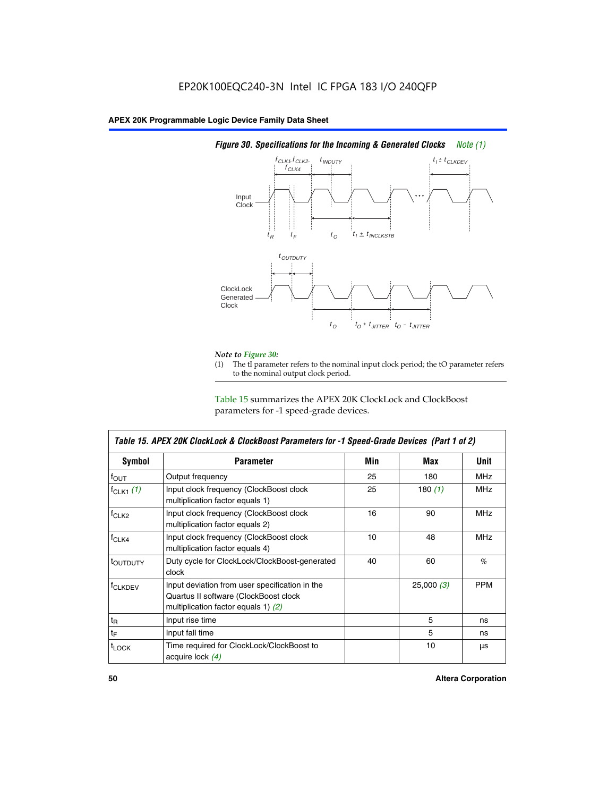

# *Figure 30. Specifications for the Incoming & Generated Clocks Note (1)*

# *Note to Figure 30:*

The tI parameter refers to the nominal input clock period; the tO parameter refers to the nominal output clock period.

Table 15 summarizes the APEX 20K ClockLock and ClockBoost parameters for -1 speed-grade devices.

| <b>Symbol</b>                                                                                                                                       | <b>Parameter</b>                                                           | Min | Max       | <b>Unit</b> |
|-----------------------------------------------------------------------------------------------------------------------------------------------------|----------------------------------------------------------------------------|-----|-----------|-------------|
| $f_{OUT}$                                                                                                                                           | Output frequency                                                           | 25  | 180       | MHz         |
| $f_{CLK1}$ $(1)$                                                                                                                                    | Input clock frequency (ClockBoost clock<br>multiplication factor equals 1) | 25  | 180 $(1)$ | <b>MHz</b>  |
| $f_{CLK2}$                                                                                                                                          | Input clock frequency (ClockBoost clock<br>multiplication factor equals 2) | 16  | 90        | <b>MHz</b>  |
| $f_{CLK4}$                                                                                                                                          | Input clock frequency (ClockBoost clock<br>multiplication factor equals 4) | 10  | 48        | <b>MHz</b>  |
| toutputy                                                                                                                                            | Duty cycle for ClockLock/ClockBoost-generated<br>clock                     | 40  | 60        | %           |
| Input deviation from user specification in the<br><b>f</b> CLKDEV<br>Quartus II software (ClockBoost clock<br>multiplication factor equals 1) $(2)$ |                                                                            |     | 25,000(3) | <b>PPM</b>  |
| $t_{\mathsf{R}}$                                                                                                                                    | Input rise time                                                            |     | 5         | ns          |
| $t_{\mathsf{F}}$                                                                                                                                    | Input fall time                                                            |     | 5         | ns          |
| <sup>t</sup> LOCK                                                                                                                                   | Time required for ClockLock/ClockBoost to<br>acquire lock (4)              |     | 10        | μs          |

 $\mathsf I$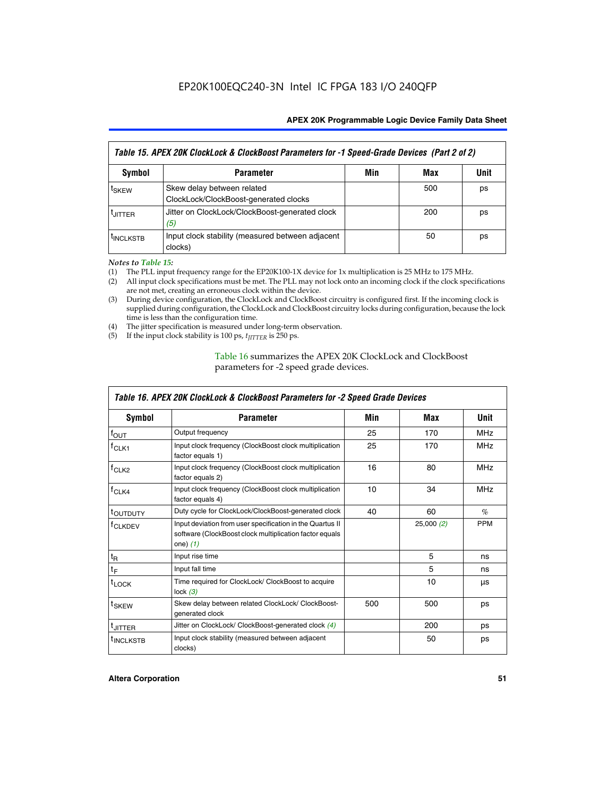| Table 15. APEX 20K ClockLock & ClockBoost Parameters for -1 Speed-Grade Devices (Part 2 of 2) |                                                                     |     |     |      |
|-----------------------------------------------------------------------------------------------|---------------------------------------------------------------------|-----|-----|------|
| <b>Symbol</b>                                                                                 | <b>Parameter</b>                                                    | Min | Max | Unit |
| t <sub>SKEW</sub>                                                                             | Skew delay between related<br>ClockLock/ClockBoost-generated clocks |     | 500 | ps   |
| <b>UITTER</b>                                                                                 | Jitter on ClockLock/ClockBoost-generated clock<br>(5)               |     | 200 | ps   |
| <b>INCLKSTB</b>                                                                               | Input clock stability (measured between adjacent<br>clocks)         |     | 50  | ps   |

*Notes to Table 15:*

- (1) The PLL input frequency range for the EP20K100-1X device for 1x multiplication is 25 MHz to 175 MHz.
- (2) All input clock specifications must be met. The PLL may not lock onto an incoming clock if the clock specifications are not met, creating an erroneous clock within the device.
- (3) During device configuration, the ClockLock and ClockBoost circuitry is configured first. If the incoming clock is supplied during configuration, the ClockLock and ClockBoost circuitry locks during configuration, because the lock time is less than the configuration time.
- (4) The jitter specification is measured under long-term observation.
- (5) If the input clock stability is 100 ps,  $t_{\text{JITTER}}$  is 250 ps.

# Table 16 summarizes the APEX 20K ClockLock and ClockBoost parameters for -2 speed grade devices.

| Symbol                                                                                          | <b>Parameter</b>                                                                                                                   | Min | Max       | <b>Unit</b> |
|-------------------------------------------------------------------------------------------------|------------------------------------------------------------------------------------------------------------------------------------|-----|-----------|-------------|
| $f_{\text{OUT}}$                                                                                | Output frequency                                                                                                                   | 25  | 170       | <b>MHz</b>  |
| <sup>†</sup> CLK1                                                                               | Input clock frequency (ClockBoost clock multiplication<br>factor equals 1)                                                         | 25  | 170       | <b>MHz</b>  |
| Input clock frequency (ClockBoost clock multiplication<br>f <sub>CLK2</sub><br>factor equals 2) |                                                                                                                                    | 16  | 80        | <b>MHz</b>  |
| $f_{CLK4}$<br>Input clock frequency (ClockBoost clock multiplication<br>factor equals 4)        |                                                                                                                                    | 10  | 34        | <b>MHz</b>  |
| <sup>τ</sup> ουτρυτγ                                                                            | Duty cycle for ClockLock/ClockBoost-generated clock                                                                                | 40  | 60        | $\%$        |
| <sup>T</sup> CLKDEV                                                                             | Input deviation from user specification in the Quartus II<br>software (ClockBoost clock multiplication factor equals<br>one) $(1)$ |     | 25,000(2) | <b>PPM</b>  |
| $t_{\mathsf{R}}$                                                                                | Input rise time                                                                                                                    |     | 5         | ns          |
| $t_F$                                                                                           | Input fall time                                                                                                                    |     | 5         | ns          |
| $t_{\text{LOCK}}$                                                                               | Time required for ClockLock/ ClockBoost to acquire<br>lock $(3)$                                                                   |     | 10        | μs          |
| <sup>t</sup> SKEW                                                                               | Skew delay between related ClockLock/ ClockBoost-<br>generated clock                                                               | 500 | 500       | ps          |
| t <sub>JITTER</sub>                                                                             | Jitter on ClockLock/ ClockBoost-generated clock (4)                                                                                |     | 200       | ps          |
| <sup>I</sup> INCLKSTB                                                                           | Input clock stability (measured between adjacent<br>clocks)                                                                        |     | 50        | ps          |

# *Table 16. APEX 20K ClockLock & ClockBoost Parameters for -2 Speed Grade Devices*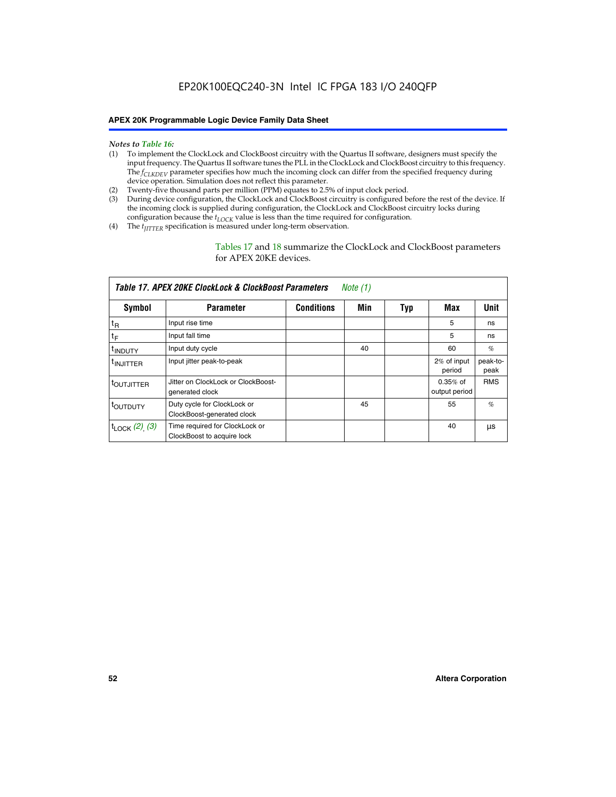#### *Notes to Table 16:*

- (1) To implement the ClockLock and ClockBoost circuitry with the Quartus II software, designers must specify the input frequency. The Quartus II software tunes the PLL in the ClockLock and ClockBoost circuitry to this frequency. The *f<sub>CLKDEV</sub>* parameter specifies how much the incoming clock can differ from the specified frequency during device operation. Simulation does not reflect this parameter.
- (2) Twenty-five thousand parts per million (PPM) equates to 2.5% of input clock period.
- (3) During device configuration, the ClockLock and ClockBoost circuitry is configured before the rest of the device. If the incoming clock is supplied during configuration, the ClockLock and ClockBoost circuitry locks during configuration because the  $t_{LOCK}$  value is less than the time required for configuration.
- (4) The  $t_{\text{ITTTER}}$  specification is measured under long-term observation.

Tables 17 and 18 summarize the ClockLock and ClockBoost parameters for APEX 20KE devices.

|                            | Table 17. APEX 20KE ClockLock & ClockBoost Parameters        |                   | Note (1) |     |                             |                  |
|----------------------------|--------------------------------------------------------------|-------------------|----------|-----|-----------------------------|------------------|
| Symbol                     | <b>Parameter</b>                                             | <b>Conditions</b> | Min      | Typ | Max                         | <b>Unit</b>      |
| $t_{R}$                    | Input rise time                                              |                   |          |     | 5                           | ns               |
| tF                         | Input fall time                                              |                   |          |     | 5                           | ns               |
| <sup>t</sup> INDUTY        | Input duty cycle                                             |                   | 40       |     | 60                          | %                |
| <sup>t</sup> INJITTER      | Input jitter peak-to-peak                                    |                   |          |     | 2% of input<br>period       | peak-to-<br>peak |
| <sup>t</sup> OUTJITTER     | Jitter on ClockLock or ClockBoost-<br>generated clock        |                   |          |     | $0.35%$ of<br>output period | <b>RMS</b>       |
| t <sub>outputy</sub>       | Duty cycle for ClockLock or<br>ClockBoost-generated clock    |                   | 45       |     | 55                          | $\%$             |
| $t_{\text{LOCK}}$ (2), (3) | Time required for ClockLock or<br>ClockBoost to acquire lock |                   |          |     | 40                          | μs               |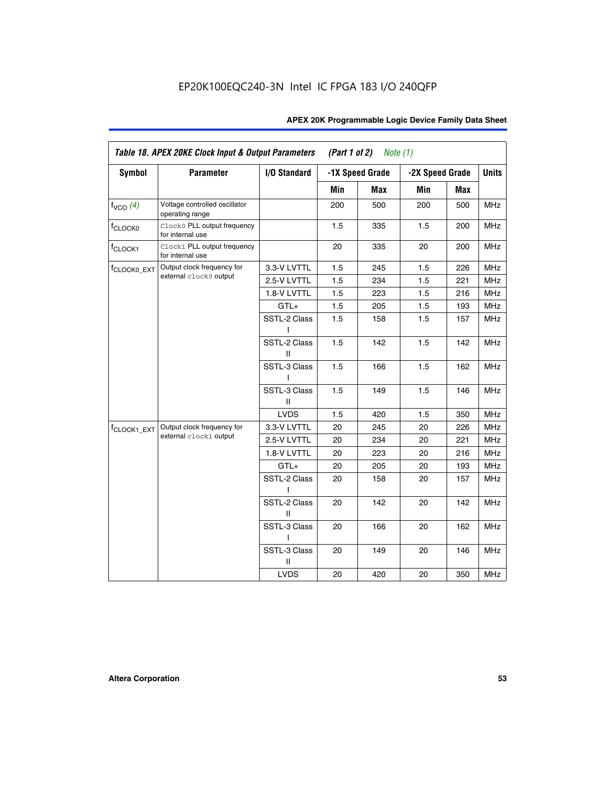| Symbol                  | <b>Parameter</b>                                 | I/O Standard      |     | -1X Speed Grade | -2X Speed Grade |     | <b>Units</b> |
|-------------------------|--------------------------------------------------|-------------------|-----|-----------------|-----------------|-----|--------------|
|                         |                                                  |                   | Min | <b>Max</b>      | Min             | Max |              |
| $f_{VCO}$ (4)           | Voltage controlled oscillator<br>operating range |                   | 200 | 500             | 200             | 500 | <b>MHz</b>   |
| f <sub>CLOCK0</sub>     | Clock0 PLL output frequency<br>for internal use  |                   | 1.5 | 335             | 1.5             | 200 | MHz          |
| f <sub>CLOCK1</sub>     | Clock1 PLL output frequency<br>for internal use  |                   | 20  | 335             | 20              | 200 | MHz          |
| f <sub>CLOCK0_EXT</sub> | Output clock frequency for                       | 3.3-V LVTTL       | 1.5 | 245             | 1.5             | 226 | <b>MHz</b>   |
|                         | external clock0 output                           | 2.5-V LVTTL       | 1.5 | 234             | 1.5             | 221 | MHz          |
|                         |                                                  | 1.8-V LVTTL       | 1.5 | 223             | 1.5             | 216 | <b>MHz</b>   |
|                         |                                                  | $GTL+$            | 1.5 | 205             | 1.5             | 193 | MHz          |
|                         |                                                  | SSTL-2 Class<br>I | 1.5 | 158             | 1.5             | 157 | <b>MHz</b>   |
|                         |                                                  | SSTL-2 Class<br>Ш | 1.5 | 142             | 1.5             | 142 | <b>MHz</b>   |
|                         |                                                  | SSTL-3 Class<br>L | 1.5 | 166             | 1.5             | 162 | <b>MHz</b>   |
|                         |                                                  | SSTL-3 Class<br>Ш | 1.5 | 149             | 1.5             | 146 | <b>MHz</b>   |
|                         |                                                  | <b>LVDS</b>       | 1.5 | 420             | 1.5             | 350 | <b>MHz</b>   |
| f <sub>CLOCK1_EXT</sub> | Output clock frequency for                       | 3.3-V LVTTL       | 20  | 245             | 20              | 226 | <b>MHz</b>   |
|                         | external clock1 output                           | 2.5-V LVTTL       | 20  | 234             | 20              | 221 | <b>MHz</b>   |
|                         |                                                  | 1.8-V LVTTL       | 20  | 223             | 20              | 216 | MHz          |
|                         |                                                  | $GTL+$            | 20  | 205             | 20              | 193 | <b>MHz</b>   |
|                         |                                                  | SSTL-2 Class<br>L | 20  | 158             | 20              | 157 | <b>MHz</b>   |
|                         |                                                  | SSTL-2 Class<br>Ш | 20  | 142             | 20              | 142 | <b>MHz</b>   |
|                         |                                                  | SSTL-3 Class      | 20  | 166             | 20              | 162 | MHz          |
|                         |                                                  | SSTL-3 Class<br>Ш | 20  | 149             | 20              | 146 | <b>MHz</b>   |
|                         |                                                  | <b>LVDS</b>       | 20  | 420             | 20              | 350 | MHz          |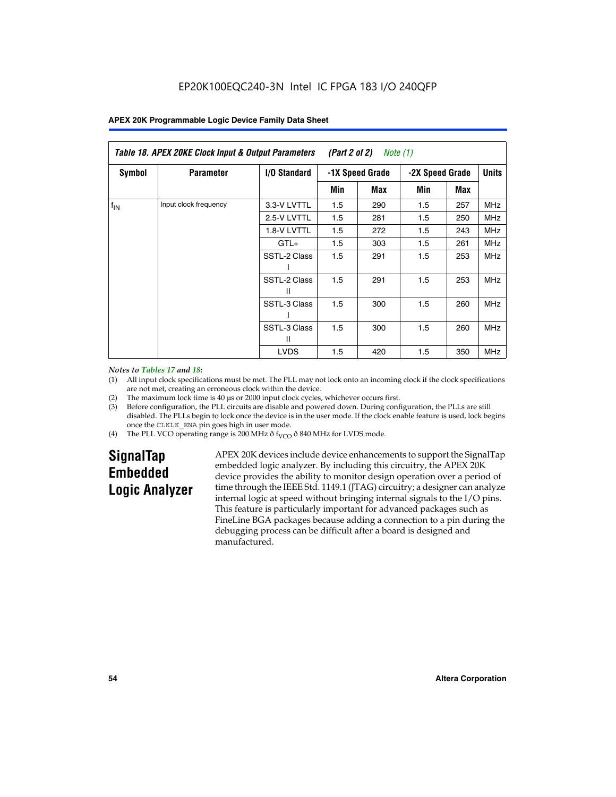|                 | Table 18. APEX 20KE Clock Input & Output Parameters<br>(Part 2 of 2)<br>Note (1) |                   |                                    |     |     |              |            |
|-----------------|----------------------------------------------------------------------------------|-------------------|------------------------------------|-----|-----|--------------|------------|
| <b>Symbol</b>   | <b>Parameter</b>                                                                 | I/O Standard      | -1X Speed Grade<br>-2X Speed Grade |     |     | <b>Units</b> |            |
|                 |                                                                                  |                   | Min                                | Max | Min | Max          |            |
| $f_{\text{IN}}$ | Input clock frequency                                                            | 3.3-V LVTTL       | 1.5                                | 290 | 1.5 | 257          | MHz        |
|                 | 2.5-V LVTTL                                                                      | 1.5               | 281                                | 1.5 | 250 | <b>MHz</b>   |            |
|                 |                                                                                  | 1.8-V LVTTL       | 1.5                                | 272 | 1.5 | 243          | <b>MHz</b> |
|                 | $GTL+$                                                                           | 1.5               | 303                                | 1.5 | 261 | <b>MHz</b>   |            |
|                 |                                                                                  | SSTL-2 Class      | 1.5                                | 291 | 1.5 | 253          | <b>MHz</b> |
|                 |                                                                                  | SSTL-2 Class<br>Ш | 1.5                                | 291 | 1.5 | 253          | <b>MHz</b> |
|                 |                                                                                  | SSTL-3 Class      | 1.5                                | 300 | 1.5 | 260          | <b>MHz</b> |
|                 |                                                                                  | SSTL-3 Class<br>Ш | 1.5                                | 300 | 1.5 | 260          | <b>MHz</b> |
|                 |                                                                                  | <b>LVDS</b>       | 1.5                                | 420 | 1.5 | 350          | <b>MHz</b> |

#### *Notes to Tables 17 and 18:*

(1) All input clock specifications must be met. The PLL may not lock onto an incoming clock if the clock specifications are not met, creating an erroneous clock within the device.

- (2) The maximum lock time is 40 µs or 2000 input clock cycles, whichever occurs first.
- (3) Before configuration, the PLL circuits are disable and powered down. During configuration, the PLLs are still disabled. The PLLs begin to lock once the device is in the user mode. If the clock enable feature is used, lock begins once the CLKLK\_ENA pin goes high in user mode.
- (4) The PLL VCO operating range is 200 MHz  $\eth$  f<sub>VCO</sub>  $\eth$  840 MHz for LVDS mode.

# **SignalTap Embedded Logic Analyzer**

APEX 20K devices include device enhancements to support the SignalTap embedded logic analyzer. By including this circuitry, the APEX 20K device provides the ability to monitor design operation over a period of time through the IEEE Std. 1149.1 (JTAG) circuitry; a designer can analyze internal logic at speed without bringing internal signals to the I/O pins. This feature is particularly important for advanced packages such as FineLine BGA packages because adding a connection to a pin during the debugging process can be difficult after a board is designed and manufactured.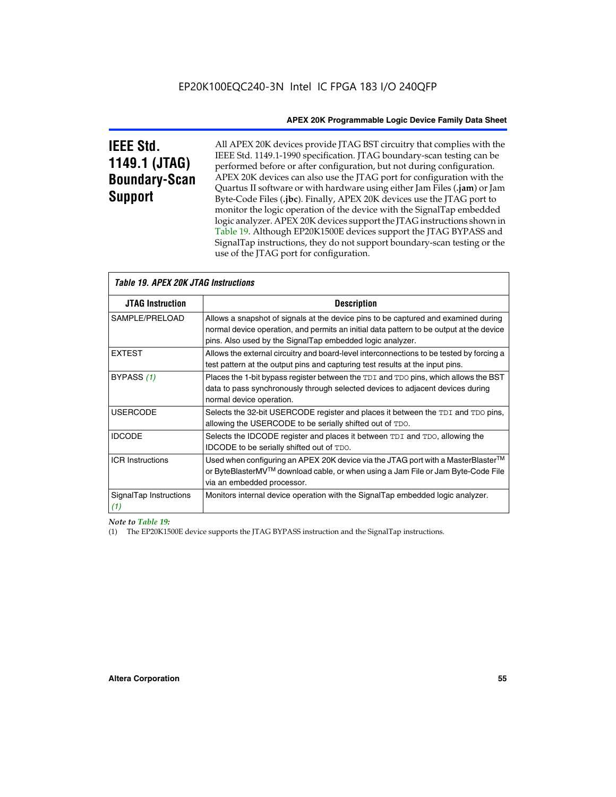# **IEEE Std. 1149.1 (JTAG) Boundary-Scan Support**

Г

All APEX 20K devices provide JTAG BST circuitry that complies with the IEEE Std. 1149.1-1990 specification. JTAG boundary-scan testing can be performed before or after configuration, but not during configuration. APEX 20K devices can also use the JTAG port for configuration with the Quartus II software or with hardware using either Jam Files (**.jam**) or Jam Byte-Code Files (**.jbc**). Finally, APEX 20K devices use the JTAG port to monitor the logic operation of the device with the SignalTap embedded logic analyzer. APEX 20K devices support the JTAG instructions shown in Table 19. Although EP20K1500E devices support the JTAG BYPASS and SignalTap instructions, they do not support boundary-scan testing or the use of the JTAG port for configuration.

| <i><b>Table 19. APEX 20K JTAG Instructions</b></i> |                                                                                                                                                                                                                                            |
|----------------------------------------------------|--------------------------------------------------------------------------------------------------------------------------------------------------------------------------------------------------------------------------------------------|
| <b>JTAG Instruction</b>                            | <b>Description</b>                                                                                                                                                                                                                         |
| SAMPLE/PRELOAD                                     | Allows a snapshot of signals at the device pins to be captured and examined during<br>normal device operation, and permits an initial data pattern to be output at the device<br>pins. Also used by the SignalTap embedded logic analyzer. |
| <b>EXTEST</b>                                      | Allows the external circuitry and board-level interconnections to be tested by forcing a<br>test pattern at the output pins and capturing test results at the input pins.                                                                  |
| BYPASS (1)                                         | Places the 1-bit bypass register between the TDI and TDO pins, which allows the BST<br>data to pass synchronously through selected devices to adjacent devices during<br>normal device operation.                                          |
| <b>USERCODE</b>                                    | Selects the 32-bit USERCODE register and places it between the TDI and TDO pins,<br>allowing the USERCODE to be serially shifted out of TDO.                                                                                               |
| <b>IDCODE</b>                                      | Selects the IDCODE register and places it between TDI and TDO, allowing the<br>IDCODE to be serially shifted out of TDO.                                                                                                                   |
| <b>ICR Instructions</b>                            | Used when configuring an APEX 20K device via the JTAG port with a MasterBlaster™<br>or ByteBlasterMV™ download cable, or when using a Jam File or Jam Byte-Code File<br>via an embedded processor.                                         |
| SignalTap Instructions<br>(1)                      | Monitors internal device operation with the SignalTap embedded logic analyzer.                                                                                                                                                             |

*Note to Table 19:*

(1) The EP20K1500E device supports the JTAG BYPASS instruction and the SignalTap instructions.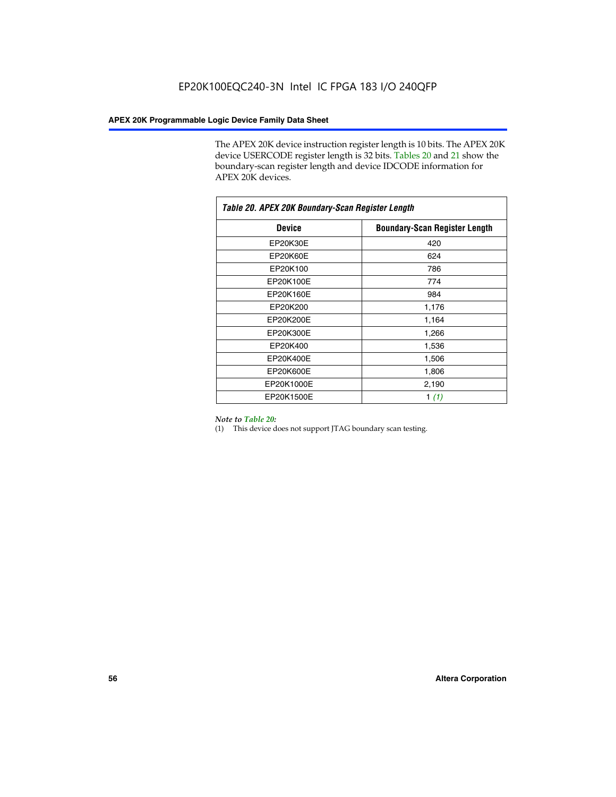The APEX 20K device instruction register length is 10 bits. The APEX 20K device USERCODE register length is 32 bits. Tables 20 and 21 show the boundary-scan register length and device IDCODE information for APEX 20K devices.

| Table 20. APEX 20K Boundary-Scan Register Length |                                      |  |  |  |
|--------------------------------------------------|--------------------------------------|--|--|--|
| <b>Device</b>                                    | <b>Boundary-Scan Register Length</b> |  |  |  |
| EP20K30E                                         | 420                                  |  |  |  |
| EP20K60E                                         | 624                                  |  |  |  |
| EP20K100                                         | 786                                  |  |  |  |
| EP20K100E                                        | 774                                  |  |  |  |
| EP20K160E                                        | 984                                  |  |  |  |
| EP20K200                                         | 1,176                                |  |  |  |
| EP20K200E                                        | 1,164                                |  |  |  |
| EP20K300E                                        | 1,266                                |  |  |  |
| EP20K400                                         | 1,536                                |  |  |  |
| EP20K400E                                        | 1,506                                |  |  |  |
| EP20K600E                                        | 1,806                                |  |  |  |
| EP20K1000E                                       | 2,190                                |  |  |  |
| EP20K1500E                                       | 1 $(1)$                              |  |  |  |

#### *Note to Table 20:*

(1) This device does not support JTAG boundary scan testing.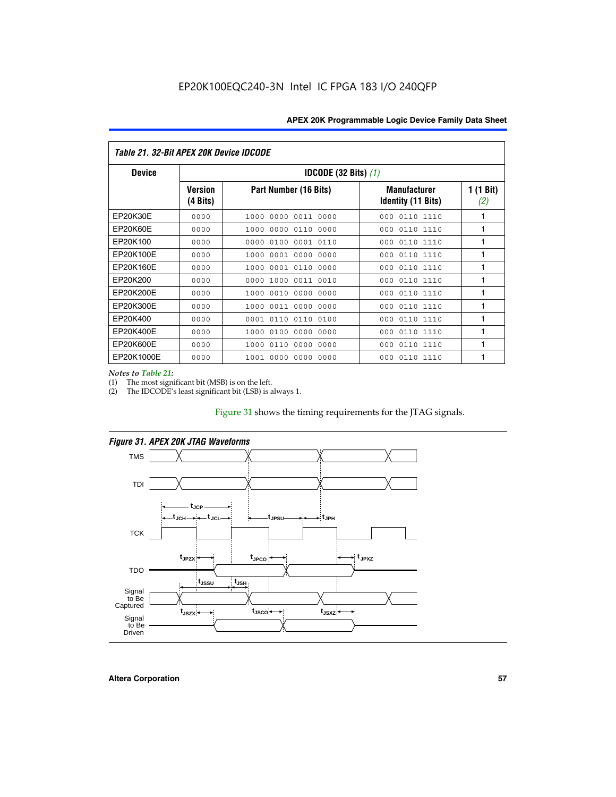| Table 21. 32-Bit APEX 20K Device IDCODE |                                          |                              |                                           |                  |  |  |
|-----------------------------------------|------------------------------------------|------------------------------|-------------------------------------------|------------------|--|--|
| <b>Device</b>                           | <b>IDCODE (32 Bits) <math>(1)</math></b> |                              |                                           |                  |  |  |
|                                         | <b>Version</b><br>(4 Bits)               | Part Number (16 Bits)        | <b>Manufacturer</b><br>Identity (11 Bits) | 1 (1 Bit)<br>(2) |  |  |
| EP20K30E                                | 0000                                     | 0000 0011 0000<br>1000       | 0110 1110<br>000                          | 1                |  |  |
| EP20K60E                                | 0000                                     | 0000<br>0110<br>0000<br>1000 | 0110 1110<br>000                          | 1                |  |  |
| EP20K100                                | 0000                                     | 0000<br>0100<br>0001 0110    | 000<br>0110 1110                          | 1                |  |  |
| EP20K100E                               | 0000                                     | 0001 0000<br>0000<br>1000    | 0110 1110<br>000                          | 1                |  |  |
| EP20K160E                               | 0000                                     | 0001 0110<br>0000<br>1000    | 0110 1110<br>000                          | 1                |  |  |
| EP20K200                                | 0000                                     | 0000<br>1000<br>0011 0010    | 0110 1110<br>000                          | 1                |  |  |
| EP20K200E                               | 0000                                     | 0010<br>0000<br>0000<br>1000 | 0110 1110<br>000                          | 1                |  |  |
| EP20K300E                               | 0000                                     | 0011 0000 0000<br>1000       | 0110 1110<br>000                          | 1                |  |  |
| EP20K400                                | 0000                                     | 0110<br>0110<br>0100<br>0001 | 0110 1110<br>000                          | 1                |  |  |
| EP20K400E                               | 0000                                     | 0100<br>0000<br>0000<br>1000 | 0110 1110<br>000                          | 1                |  |  |
| EP20K600E                               | 0000                                     | 0110<br>0000<br>0000<br>1000 | 0110 1110<br>000                          | 1                |  |  |
| EP20K1000E                              | 0000                                     | 0000<br>0000<br>0000<br>1001 | 000<br>0110 1110                          | 1                |  |  |

*Notes to Table 21:*

The most significant bit (MSB) is on the left.

(2) The IDCODE's least significant bit (LSB) is always 1.

# Figure 31 shows the timing requirements for the JTAG signals.



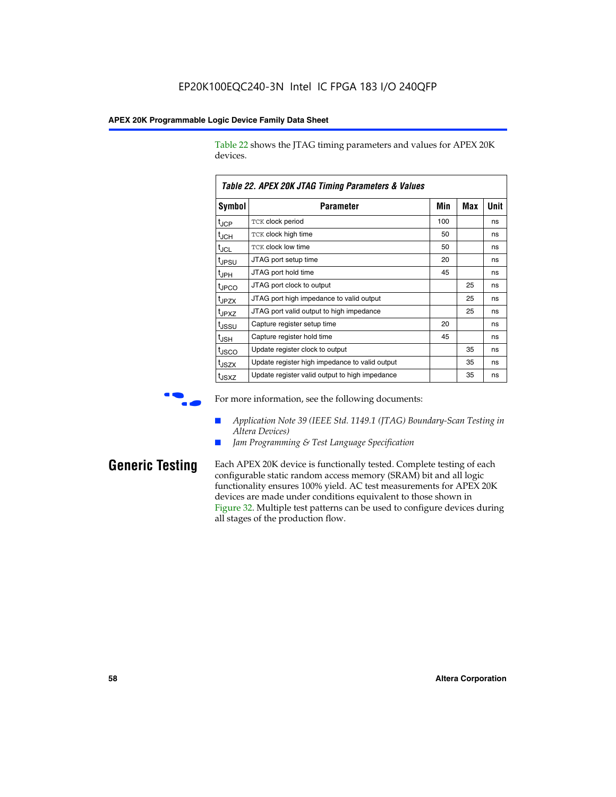Table 22 shows the JTAG timing parameters and values for APEX 20K devices.

|                   | TADIG LL. AF LA LUN JTAU THIIHIY FAIAHIGIGIS & VAIUGS |     |     |      |  |  |  |
|-------------------|-------------------------------------------------------|-----|-----|------|--|--|--|
| Symbol            | Parameter                                             | Min | Max | Unit |  |  |  |
| $t_{JCP}$         | <b>TCK clock period</b>                               | 100 |     | ns   |  |  |  |
| $t_{\text{JCH}}$  | TCK clock high time                                   | 50  |     | ns   |  |  |  |
| $t_{JCL}$         | TCK clock low time                                    | 50  |     | ns   |  |  |  |
| t <sub>JPSU</sub> | JTAG port setup time                                  | 20  |     | ns   |  |  |  |
| $t_{\rm JPH}$     | JTAG port hold time                                   | 45  |     | ns   |  |  |  |
| <sup>t</sup> JPCO | JTAG port clock to output                             |     | 25  | ns   |  |  |  |
| t <sub>JPZX</sub> | JTAG port high impedance to valid output              |     | 25  | ns   |  |  |  |
| t <sub>JPXZ</sub> | JTAG port valid output to high impedance              |     | 25  | ns   |  |  |  |
| tussu             | Capture register setup time                           | 20  |     | ns   |  |  |  |
| $t_{\rm JSH}$     | Capture register hold time                            | 45  |     | ns   |  |  |  |
| t <sub>JSCO</sub> | Update register clock to output                       |     | 35  | ns   |  |  |  |
| t <sub>JSZX</sub> | Update register high impedance to valid output        |     | 35  | ns   |  |  |  |
| t <sub>JSXZ</sub> | Update register valid output to high impedance        |     | 35  | ns   |  |  |  |

*Table 22. APEX 20K JTAG Timing Parameters & Values*

For more information, see the following documents:

- *Application Note 39 (IEEE Std. 1149.1 (JTAG) Boundary-Scan Testing in Altera Devices)*
- Jam Programming & Test Language Specification

**Generic Testing** Each APEX 20K device is functionally tested. Complete testing of each configurable static random access memory (SRAM) bit and all logic functionality ensures 100% yield. AC test measurements for APEX 20K devices are made under conditions equivalent to those shown in Figure 32. Multiple test patterns can be used to configure devices during all stages of the production flow.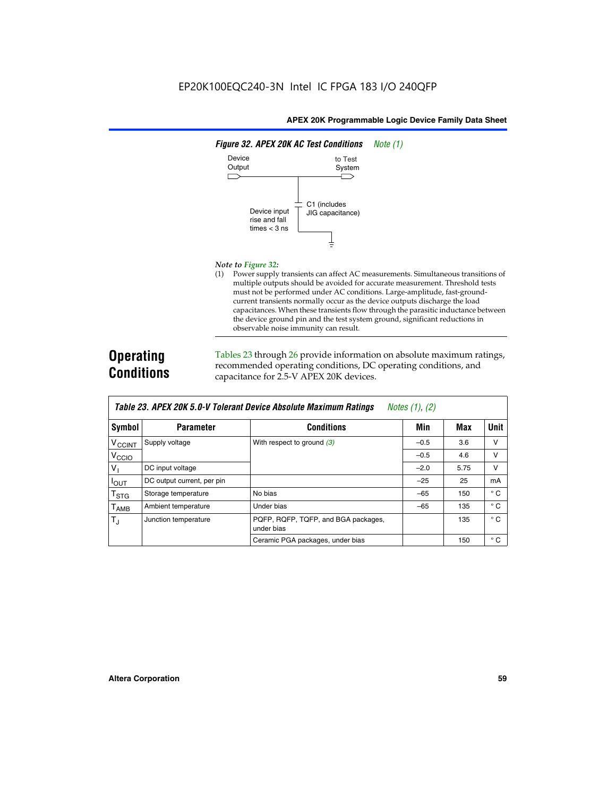

#### *Note to Figure 32:*

(1) Power supply transients can affect AC measurements. Simultaneous transitions of multiple outputs should be avoided for accurate measurement. Threshold tests must not be performed under AC conditions. Large-amplitude, fast-groundcurrent transients normally occur as the device outputs discharge the load capacitances. When these transients flow through the parasitic inductance between the device ground pin and the test system ground, significant reductions in observable noise immunity can result.

# **Operating Conditions**

Tables 23 through 26 provide information on absolute maximum ratings, recommended operating conditions, DC operating conditions, and capacitance for 2.5-V APEX 20K devices.

|                    |                            | TADIG LU. MI LA LUN U.U-V TUIGIAIN DGVIUG MUSUNUG MAANNUNI NAMNUS | $100103$ $11, 121$ |      |              |
|--------------------|----------------------------|-------------------------------------------------------------------|--------------------|------|--------------|
| Symbol             | <b>Parameter</b>           | <b>Conditions</b>                                                 | Min                | Max  | Unit         |
| V <sub>CCINT</sub> | Supply voltage             | With respect to ground $(3)$                                      | $-0.5$             | 3.6  | v            |
| V <sub>CCIO</sub>  |                            |                                                                   | $-0.5$             | 4.6  | v            |
| V                  | DC input voltage           |                                                                   | $-2.0$             | 5.75 | v            |
| $I_{OUT}$          | DC output current, per pin |                                                                   | $-25$              | 25   | mA           |
| $T_{\text{STG}}$   | Storage temperature        | No bias                                                           | $-65$              | 150  | $^{\circ}$ C |
| $T_{\sf AMB}$      | Ambient temperature        | Under bias                                                        | $-65$              | 135  | $^{\circ}$ C |
| $T_J$              | Junction temperature       | PQFP, RQFP, TQFP, and BGA packages,<br>under bias                 |                    | 135  | $^{\circ}$ C |
|                    |                            | Ceramic PGA packages, under bias                                  |                    | 150  | $^{\circ}$ C |

| Table 23. APEX 20K 5.0-V Tolerant Device Absolute Maximum Ratings | Notes (1), (2) |
|-------------------------------------------------------------------|----------------|
|-------------------------------------------------------------------|----------------|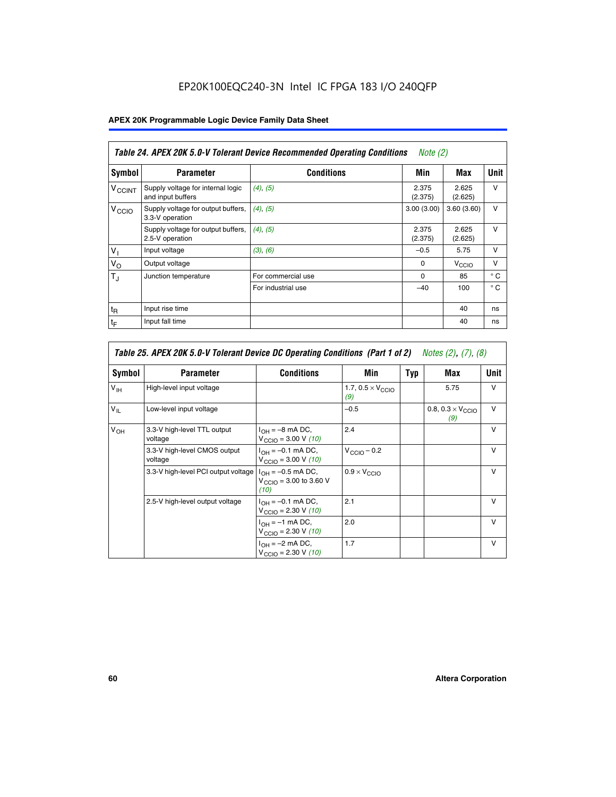# EP20K100EQC240-3N Intel IC FPGA 183 I/O 240QFP

# **APEX 20K Programmable Logic Device Family Data Sheet**

|                          | Table 24. APEX 20K 5.0-V Tolerant Device Recommended Operating Conditions<br><i>Note</i> $(2)$ |                    |                  |                  |              |  |
|--------------------------|------------------------------------------------------------------------------------------------|--------------------|------------------|------------------|--------------|--|
| Symbol                   | <b>Parameter</b>                                                                               | <b>Conditions</b>  | Min              | Max              | <b>Unit</b>  |  |
| <b>V<sub>CCINT</sub></b> | Supply voltage for internal logic<br>and input buffers                                         | $(4)$ , $(5)$      | 2.375<br>(2.375) | 2.625<br>(2.625) | $\vee$       |  |
| V <sub>CCIO</sub>        | Supply voltage for output buffers,<br>3.3-V operation                                          | (4), (5)           | 3.00(3.00)       | 3.60(3.60)       | $\vee$       |  |
|                          | Supply voltage for output buffers,<br>2.5-V operation                                          | (4), (5)           | 2.375<br>(2.375) | 2.625<br>(2.625) | $\vee$       |  |
| $V_1$                    | Input voltage                                                                                  | (3), (6)           | $-0.5$           | 5.75             | $\vee$       |  |
| $V_{\rm O}$              | Output voltage                                                                                 |                    | $\Omega$         | V <sub>CCO</sub> | $\vee$       |  |
| $T_{\rm J}$              | Junction temperature                                                                           | For commercial use | 0                | 85               | $^{\circ}$ C |  |
|                          |                                                                                                | For industrial use | $-40$            | 100              | $^{\circ}$ C |  |
| $t_{R}$                  | Input rise time                                                                                |                    |                  | 40               | ns           |  |
| $t_{\mathsf{F}}$         | Input fall time                                                                                |                    |                  | 40               | ns           |  |

|                 | Table 25. APEX 20K 5.0-V Tolerant Device DC Operating Conditions (Part 1 of 2) Notes (2), (7), (8) |                                                                      |                                          |     |                                          |              |  |  |
|-----------------|----------------------------------------------------------------------------------------------------|----------------------------------------------------------------------|------------------------------------------|-----|------------------------------------------|--------------|--|--|
| Symbol          | <b>Parameter</b>                                                                                   | <b>Conditions</b>                                                    | Min                                      | Typ | Max                                      | Unit         |  |  |
| $V_{\text{IH}}$ | High-level input voltage                                                                           |                                                                      | 1.7, $0.5 \times V_{\text{CCIO}}$<br>(9) |     | 5.75                                     | $\vee$       |  |  |
| $V_{IL}$        | Low-level input voltage                                                                            |                                                                      | $-0.5$                                   |     | 0.8, $0.3 \times V_{\text{CCIO}}$<br>(9) | v            |  |  |
| $V_{OH}$        | 3.3-V high-level TTL output<br>voltage                                                             | $I_{OH} = -8$ mA DC,<br>$V_{\text{CCIO}} = 3.00 V (10)$              | 2.4                                      |     |                                          | $\mathsf{v}$ |  |  |
|                 | 3.3-V high-level CMOS output<br>voltage                                                            | $I_{OH} = -0.1$ mA DC,<br>$V_{\text{CCIO}} = 3.00 V (10)$            | $V_{\text{CCIO}} - 0.2$                  |     |                                          | $\mathsf{V}$ |  |  |
|                 | 3.3-V high-level PCI output voltage                                                                | $I_{OH} = -0.5$ mA DC,<br>$V_{\text{CCIO}} = 3.00$ to 3.60 V<br>(10) | $0.9 \times V_{\text{CCIO}}$             |     |                                          | v            |  |  |
|                 | 2.5-V high-level output voltage                                                                    | $I_{OH} = -0.1$ mA DC,<br>$V_{\text{CCIO}} = 2.30 V (10)$            | 2.1                                      |     |                                          | $\mathsf{V}$ |  |  |
|                 |                                                                                                    | $I_{OH} = -1$ mA DC,<br>$V_{\text{CCIO}} = 2.30 V (10)$              | 2.0                                      |     |                                          | $\vee$       |  |  |
|                 |                                                                                                    | $I_{OH} = -2$ mA DC,<br>$V_{\text{CCIO}} = 2.30 V (10)$              | 1.7                                      |     |                                          | $\mathsf{V}$ |  |  |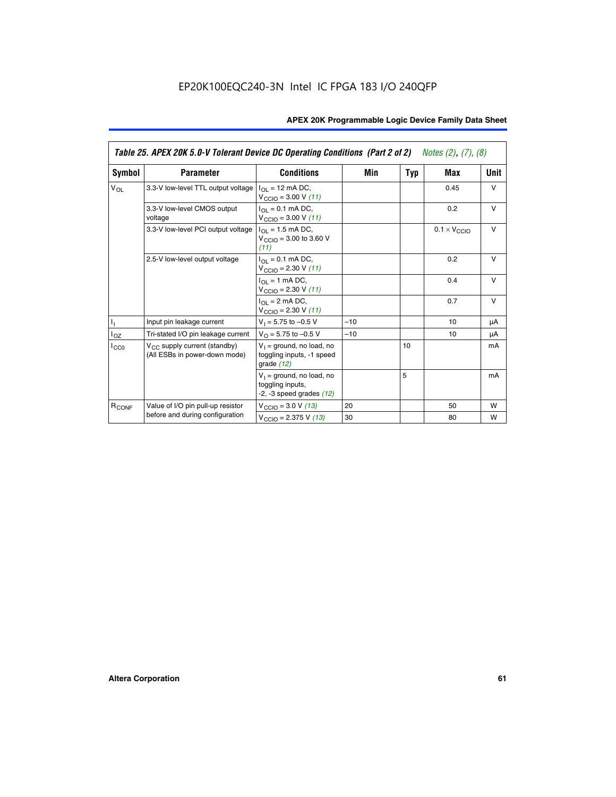|                   | Table 25. APEX 20K 5.0-V Tolerant Device DC Operating Conditions (Part 2 of 2) Notes (2), (7), (8) |                                                                                          |       |     |                              |        |  |
|-------------------|----------------------------------------------------------------------------------------------------|------------------------------------------------------------------------------------------|-------|-----|------------------------------|--------|--|
| Symbol            | <b>Parameter</b>                                                                                   | <b>Conditions</b>                                                                        | Min   | Typ | Max                          | Unit   |  |
| $V_{OL}$          | 3.3-V low-level TTL output voltage                                                                 | $I_{\Omega}$ = 12 mA DC,<br>$V_{\text{CCIO}} = 3.00 V (11)$                              |       |     | 0.45                         | $\vee$ |  |
|                   | 3.3-V low-level CMOS output<br>voltage                                                             | $I_{\Omega I} = 0.1$ mA DC,<br>$V_{\text{CCIO}} = 3.00 V (11)$                           |       |     | 0.2                          | $\vee$ |  |
|                   | 3.3-V low-level PCI output voltage                                                                 | $I_{\Omega}$ = 1.5 mA DC,<br>$V_{\text{CCIO}} = 3.00 \text{ to } 3.60 \text{ V}$<br>(11) |       |     | $0.1 \times V_{\text{CCLO}}$ | $\vee$ |  |
|                   | 2.5-V low-level output voltage                                                                     | $I_{\Omega I} = 0.1$ mA DC,<br>$V_{\text{CCIO}} = 2.30 V (11)$                           |       |     | 0.2                          | v      |  |
|                   |                                                                                                    | $I_{\Omega}$ = 1 mA DC,<br>$V_{\text{CCIO}} = 2.30 V (11)$                               |       |     | 0.4                          | $\vee$ |  |
|                   |                                                                                                    | $I_{\Omega}$ = 2 mA DC,<br>$V_{\text{CCIO}} = 2.30 V (11)$                               |       |     | 0.7                          | $\vee$ |  |
| h,                | Input pin leakage current                                                                          | $V_1 = 5.75$ to $-0.5$ V                                                                 | $-10$ |     | 10                           | μA     |  |
| $I_{OZ}$          | Tri-stated I/O pin leakage current                                                                 | $V_O = 5.75$ to $-0.5$ V                                                                 | $-10$ |     | 10                           | μA     |  |
| ICCO              | $V_{CC}$ supply current (standby)<br>(All ESBs in power-down mode)                                 | $V_1$ = ground, no load, no<br>toggling inputs, -1 speed<br>grade $(12)$                 |       | 10  |                              | mA     |  |
|                   |                                                                                                    | $V_1$ = ground, no load, no<br>toggling inputs,<br>$-2$ , $-3$ speed grades $(12)$       |       | 5   |                              | mA     |  |
| R <sub>CONF</sub> | Value of I/O pin pull-up resistor                                                                  | $V_{\text{CCIO}} = 3.0 V (13)$                                                           | 20    |     | 50                           | W      |  |
|                   | before and during configuration                                                                    | $V_{\text{CCIO}} = 2.375 \text{ V} (13)$                                                 | 30    |     | 80                           | W      |  |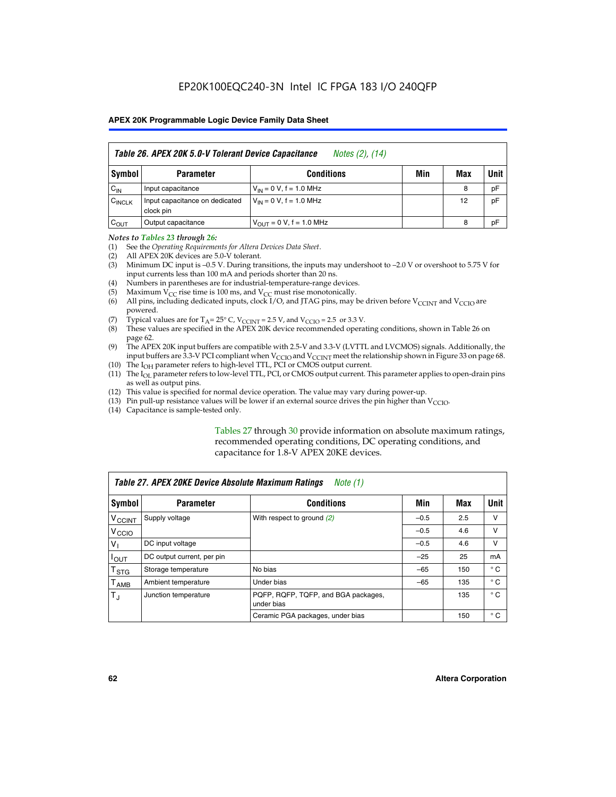|                    | Table 26. APEX 20K 5.0-V Tolerant Device Capacitance<br>Notes (2), (14) |                                     |     |     |      |  |
|--------------------|-------------------------------------------------------------------------|-------------------------------------|-----|-----|------|--|
| Symbol             | <b>Parameter</b>                                                        | <b>Conditions</b>                   | Min | Max | Unit |  |
| $C_{IN}$           | Input capacitance                                                       | $V_{1N} = 0 V$ , f = 1.0 MHz        |     | 8   | pF   |  |
| $C_{\text{INCLK}}$ | Input capacitance on dedicated<br>clock pin                             | $V_{IN} = 0 V$ , f = 1.0 MHz        |     | 12  | pF   |  |
| $C_{OUT}$          | Output capacitance                                                      | $V_{\text{OUT}} = 0 V, f = 1.0 MHz$ |     | 8   | pF   |  |

#### *Notes to Tables 23 through 26:*

- (1) See the *Operating Requirements for Altera Devices Data Sheet*.
- (2) All APEX 20K devices are 5.0-V tolerant.
- (3) Minimum DC input is –0.5 V. During transitions, the inputs may undershoot to –2.0 V or overshoot to 5.75 V for input currents less than 100 mA and periods shorter than 20 ns.
- (4) Numbers in parentheses are for industrial-temperature-range devices.
- (5) Maximum  $V_{CC}$  rise time is 100 ms, and  $V_{CC}$  must rise monotonically.<br>(6) All pins, including dedicated inputs, clock I/O, and JTAG pins, may b
- All pins, including dedicated inputs, clock I/O, and JTAG pins, may be driven before  $V_{\text{CCINT}}$  and  $V_{\text{CCIO}}$  are powered.
- (7) Typical values are for  $T_A = 25^\circ$  C, V<sub>CCINT</sub> = 2.5 V, and V<sub>CCIO</sub> = 2.5 or 3.3 V.<br>(8) These values are specified in the APEX 20K device recommended operat
- These values are specified in the APEX 20K device recommended operating conditions, shown in Table 26 on page 62.
- (9) The APEX 20K input buffers are compatible with 2.5-V and 3.3-V (LVTTL and LVCMOS) signals. Additionally, the input buffers are 3.3-V PCI compliant when  $V_{\text{CCIO}}$  and  $V_{\text{CCINI}}$  meet the relationship shown in Figure 33 on page 68.
- (10) The  $I<sub>OH</sub>$  parameter refers to high-level TTL, PCI or CMOS output current.
- (11) The I<sub>OL</sub> parameter refers to low-level TTL, PCI, or CMOS output current. This parameter applies to open-drain pins as well as output pins.
- (12) This value is specified for normal device operation. The value may vary during power-up.
- (13) Pin pull-up resistance values will be lower if an external source drives the pin higher than  $V_{\text{CCIO}}$ .
- (14) Capacitance is sample-tested only.

Tables 27 through 30 provide information on absolute maximum ratings, recommended operating conditions, DC operating conditions, and capacitance for 1.8-V APEX 20KE devices.

| Table 27. APEX 20KE Device Absolute Maximum Ratings<br>Note (1) |                            |                                                   |        |     |              |  |
|-----------------------------------------------------------------|----------------------------|---------------------------------------------------|--------|-----|--------------|--|
| Symbol                                                          | <b>Parameter</b>           | <b>Conditions</b>                                 | Min    | Max | Unit         |  |
| $V_{\text{CCINT}}$                                              | Supply voltage             | With respect to ground (2)                        | $-0.5$ | 2.5 | v            |  |
| V <sub>CCIO</sub>                                               |                            |                                                   | $-0.5$ | 4.6 | v            |  |
| $V_{1}$                                                         | DC input voltage           |                                                   | $-0.5$ | 4.6 | $\vee$       |  |
| $I_{OUT}$                                                       | DC output current, per pin |                                                   | $-25$  | 25  | mA           |  |
| $\mathsf{T}_{\texttt{STG}}$                                     | Storage temperature        | No bias                                           | $-65$  | 150 | $^{\circ}$ C |  |
| Т <sub>АМВ</sub>                                                | Ambient temperature        | Under bias                                        | $-65$  | 135 | $^{\circ}$ C |  |
| $\mathsf{T}_{\text{d}}$                                         | Junction temperature       | PQFP, RQFP, TQFP, and BGA packages,<br>under bias |        | 135 | $^{\circ}$ C |  |
|                                                                 |                            | Ceramic PGA packages, under bias                  |        | 150 | $^{\circ}$ C |  |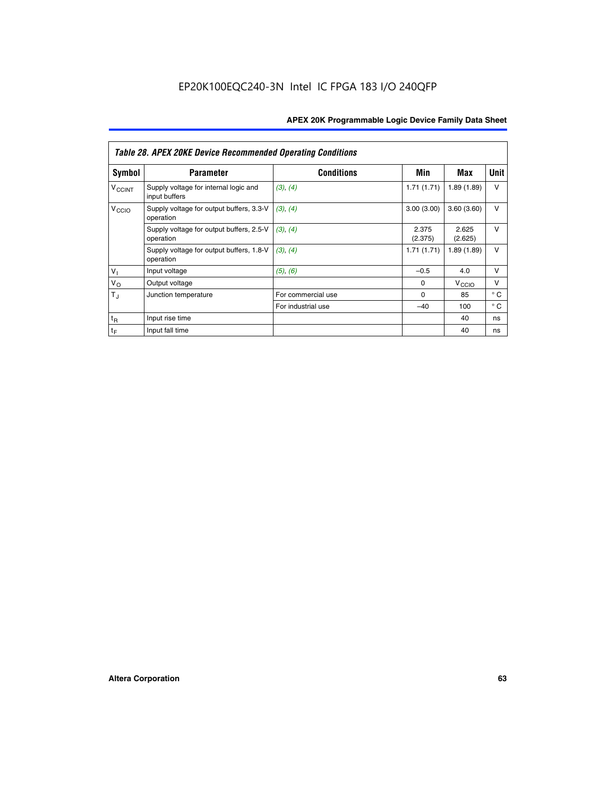|                             | <b>Table 28. APEX 20KE Device Recommended Operating Conditions</b> |                    |                  |                   |              |  |  |
|-----------------------------|--------------------------------------------------------------------|--------------------|------------------|-------------------|--------------|--|--|
| <b>Symbol</b>               | <b>Parameter</b>                                                   | <b>Conditions</b>  | Min              | Max               | <b>Unit</b>  |  |  |
| <b>V<sub>CCINT</sub></b>    | Supply voltage for internal logic and<br>input buffers             | (3), (4)           | 1.71(1.71)       | 1.89(1.89)        | $\vee$       |  |  |
| V <sub>CCIO</sub>           | Supply voltage for output buffers, 3.3-V<br>operation              | (3), (4)           | 3.00(3.00)       | 3.60(3.60)        | $\vee$       |  |  |
|                             | Supply voltage for output buffers, 2.5-V<br>operation              | (3), (4)           | 2.375<br>(2.375) | 2.625<br>(2.625)  | $\vee$       |  |  |
|                             | Supply voltage for output buffers, 1.8-V<br>operation              | (3), (4)           | 1.71(1.71)       | 1.89(1.89)        | $\vee$       |  |  |
| $V_1$                       | Input voltage                                                      | (5), (6)           | $-0.5$           | 4.0               | $\vee$       |  |  |
| $V_{\rm O}$                 | Output voltage                                                     |                    | $\Omega$         | V <sub>CCIO</sub> | v            |  |  |
| $T_{\rm J}$                 | Junction temperature                                               | For commercial use | $\Omega$         | 85                | $^{\circ}$ C |  |  |
|                             |                                                                    | For industrial use | $-40$            | 100               | $^{\circ}$ C |  |  |
| $t_{R}$                     | Input rise time                                                    |                    |                  | 40                | ns           |  |  |
| $\mathfrak{t}_{\mathsf{F}}$ | Input fall time                                                    |                    |                  | 40                | ns           |  |  |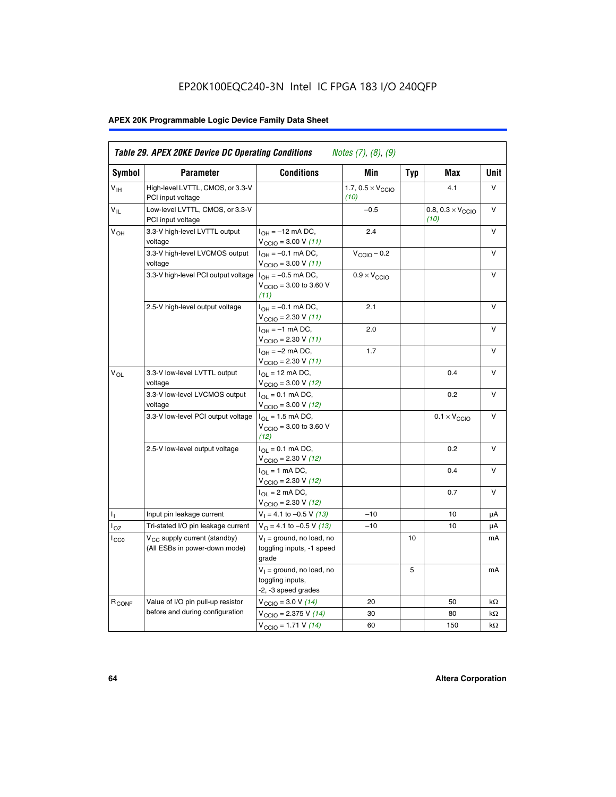# EP20K100EQC240-3N Intel IC FPGA 183 I/O 240QFP

# **APEX 20K Programmable Logic Device Family Data Sheet**

| Symbol                     | <b>Parameter</b>                                                   | <b>Conditions</b>                                                                        | Min                                       | <b>Typ</b> | Max                                       | Unit      |
|----------------------------|--------------------------------------------------------------------|------------------------------------------------------------------------------------------|-------------------------------------------|------------|-------------------------------------------|-----------|
| $V_{\text{IH}}$            | High-level LVTTL, CMOS, or 3.3-V<br>PCI input voltage              |                                                                                          | 1.7, $0.5 \times V_{\text{CCIO}}$<br>(10) |            | 4.1                                       | V         |
| $\mathsf{V}_{\mathsf{IL}}$ | Low-level LVTTL, CMOS, or 3.3-V<br>PCI input voltage               |                                                                                          | $-0.5$                                    |            | 0.8, $0.3 \times V_{\text{CCIO}}$<br>(10) | $\vee$    |
| $V_{OH}$                   | 3.3-V high-level LVTTL output<br>voltage                           | $I_{OH} = -12$ mA DC,<br>$V_{\text{CCIO}} = 3.00 V (11)$                                 | 2.4                                       |            |                                           | v         |
|                            | 3.3-V high-level LVCMOS output<br>voltage                          | $I_{OH} = -0.1$ mA DC,<br>$V_{\text{CCIO}} = 3.00 V (11)$                                | $V_{\text{CGIO}} - 0.2$                   |            |                                           | v         |
|                            | 3.3-V high-level PCI output voltage $ I_{OH} = -0.5$ mA DC,        | $V_{\text{CGIO}} = 3.00$ to 3.60 V<br>(11)                                               | $0.9 \times V_{\text{CCIO}}$              |            |                                           | V         |
|                            | 2.5-V high-level output voltage                                    | $I_{OH} = -0.1$ mA DC,<br>$V_{\text{CCIO}} = 2.30 V (11)$                                | 2.1                                       |            |                                           | v         |
|                            |                                                                    | $I_{OH} = -1$ mA DC,<br>$V_{\text{CCIO}} = 2.30 V (11)$                                  | 2.0                                       |            |                                           | v         |
|                            |                                                                    | $I_{OH} = -2$ mA DC,<br>$V_{\text{CCIO}}$ = 2.30 V (11)                                  | 1.7                                       |            |                                           | V         |
| $V_{OL}$                   | 3.3-V low-level LVTTL output<br>voltage                            | $I_{\Omega}$ = 12 mA DC,<br>$V_{\text{CCIO}} = 3.00 V (12)$                              |                                           |            | 0.4                                       | v         |
|                            | 3.3-V low-level LVCMOS output<br>voltage                           | $I_{\Omega} = 0.1$ mA DC,<br>$V_{\text{CCIO}} = 3.00 V (12)$                             |                                           |            | 0.2                                       | $\vee$    |
|                            | 3.3-V low-level PCI output voltage                                 | $I_{\Omega}$ = 1.5 mA DC,<br>$V_{\text{CCIO}} = 3.00 \text{ to } 3.60 \text{ V}$<br>(12) |                                           |            | $0.1 \times V_{\text{CCIO}}$              | v         |
|                            | 2.5-V low-level output voltage                                     | $I_{\Omega} = 0.1$ mA DC,<br>$V_{\text{CCIO}}$ = 2.30 V (12)                             |                                           |            | 0.2                                       | V         |
|                            |                                                                    | $I_{\Omega} = 1$ mA DC,<br>$V_{\text{CCIO}}$ = 2.30 V (12)                               |                                           |            | 0.4                                       | v         |
|                            |                                                                    | $I_{OL}$ = 2 mA DC,<br>$V_{\text{CCIO}} = 2.30 V (12)$                                   |                                           |            | 0.7                                       | v         |
| ъ,                         | Input pin leakage current                                          | $V_1 = 4.1$ to -0.5 V (13)                                                               | $-10$                                     |            | 10                                        | μA        |
| $I_{OZ}$                   | Tri-stated I/O pin leakage current                                 | $V_O = 4.1$ to -0.5 V (13)                                                               | $-10$                                     |            | 10                                        | μA        |
| $I_{CC0}$                  | $V_{CC}$ supply current (standby)<br>(All ESBs in power-down mode) | $V_1$ = ground, no load, no<br>toggling inputs, -1 speed<br>grade                        |                                           | 10         |                                           | mA        |
|                            |                                                                    | $V_1$ = ground, no load, no<br>toggling inputs,<br>-2, -3 speed grades                   |                                           | 5          |                                           | mA        |
| R <sub>CONF</sub>          | Value of I/O pin pull-up resistor                                  | $V_{\text{CCIO}} = 3.0 V (14)$                                                           | 20                                        |            | 50                                        | $k\Omega$ |
|                            | before and during configuration                                    | $V_{\text{CGIO}} = 2.375 V (14)$                                                         | 30                                        |            | 80                                        | kΩ        |
|                            |                                                                    | $V_{\text{CCIO}} = 1.71 V (14)$                                                          | 60                                        |            | 150                                       | $k\Omega$ |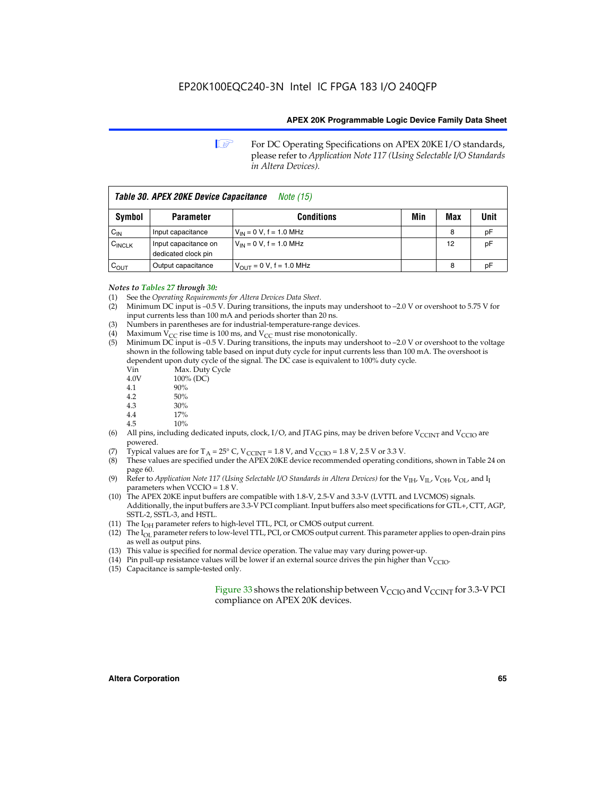**1 For DC Operating Specifications on APEX 20KE I/O standards,** please refer to *Application Note 117 (Using Selectable I/O Standards in Altera Devices).*

| Table 30. APEX 20KE Device Capacitance<br><i>Note</i> (15) |                                             |                                |     |     |      |  |
|------------------------------------------------------------|---------------------------------------------|--------------------------------|-----|-----|------|--|
| Symbol                                                     | <b>Parameter</b>                            | <b>Conditions</b>              | Min | Max | Unit |  |
| $C_{IN}$                                                   | Input capacitance                           | $V_{IN} = 0 V$ , f = 1.0 MHz   |     | 8   | pF   |  |
| $C_{\text{INCLK}}$                                         | Input capacitance on<br>dedicated clock pin | $V_{IN} = 0 V$ , f = 1.0 MHz   |     | 12  | pF   |  |
| $C_{OUT}$                                                  | Output capacitance                          | $V_{OUIT} = 0 V$ , f = 1.0 MHz |     | 8   | рF   |  |

- *Notes to Tables 27 through 30:* (1) See the *Operating Requirements for Altera Devices Data Sheet*.
- (2) Minimum DC input is –0.5 V. During transitions, the inputs may undershoot to –2.0 V or overshoot to 5.75 V for input currents less than 100 mA and periods shorter than 20 ns.
- (3) Numbers in parentheses are for industrial-temperature-range devices.
- (4) Maximum  $V_{CC}$  rise time is 100 ms, and  $V_{CC}$  must rise monotonically.<br>(5) Minimum DC input is -0.5 V. During transitions, the inputs may und
- Minimum DC input is  $-0.5$  V. During transitions, the inputs may undershoot to  $-2.0$  V or overshoot to the voltage shown in the following table based on input duty cycle for input currents less than 100 mA. The overshoot is dependent upon duty cycle of the signal. The DC case is equivalent to 100% duty cycle.

| Vin  | Max. Duty Cycle |
|------|-----------------|
| 4.0V | 100% (DC)       |
| 4.1  | 90%             |
| 4.2  | 50%             |
| 4.3  | 30%             |
| . .  |                 |

- 4.4 17%
- 4.5 10% (6) All pins, including dedicated inputs, clock, I/O, and JTAG pins, may be driven before  $V_{\text{CCINT}}$  and  $V_{\text{CCIO}}$  are powered.
	- (7) Typical values are for  $T_A = 25^\circ$  C, V<sub>CCINT</sub> = 1.8 V, and V<sub>CCIO</sub> = 1.8 V, 2.5 V or 3.3 V.
	- (8) These values are specified under the APEX 20KE device recommended operating conditions, shown in Table 24 on page 60.
	- (9) Refer to *Application Note 117 (Using Selectable I/O Standards in Altera Devices)* for the V<sub>IH</sub>, V<sub>IL</sub>, V<sub>OH</sub>, V<sub>OL</sub>, and I<sub>I</sub> parameters when VCCIO = 1.8 V.
	- (10) The APEX 20KE input buffers are compatible with 1.8-V, 2.5-V and 3.3-V (LVTTL and LVCMOS) signals. Additionally, the input buffers are 3.3-V PCI compliant. Input buffers also meet specifications for GTL+, CTT, AGP, SSTL-2, SSTL-3, and HSTL.
	- (11) The  $I_{OH}$  parameter refers to high-level TTL, PCI, or CMOS output current.
	- (12) The I<sub>OL</sub> parameter refers to low-level TTL, PCI, or CMOS output current. This parameter applies to open-drain pins as well as output pins.
	- (13) This value is specified for normal device operation. The value may vary during power-up.
	- (14) Pin pull-up resistance values will be lower if an external source drives the pin higher than  $V_{CCIO}$ .
	- (15) Capacitance is sample-tested only.

Figure 33 shows the relationship between  $V_{\text{CCIO}}$  and  $V_{\text{CCINT}}$  for 3.3-V PCI compliance on APEX 20K devices.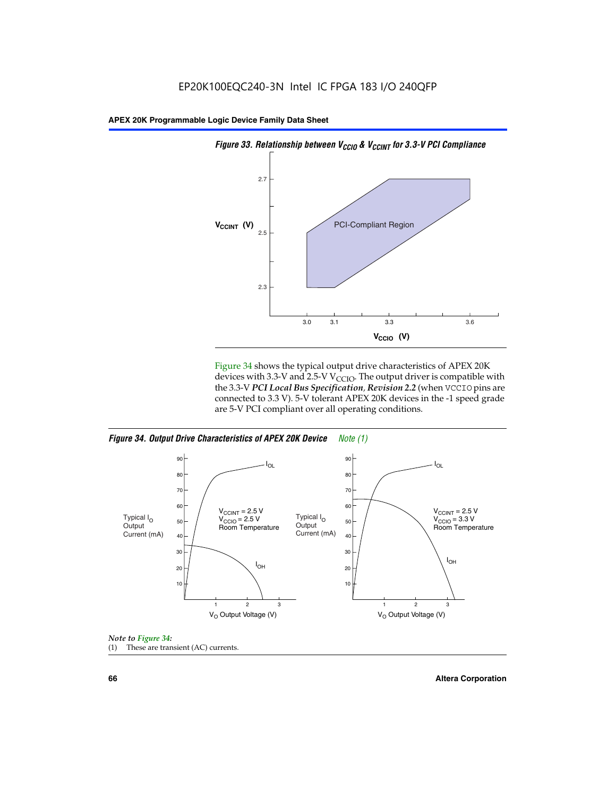

Figure 34 shows the typical output drive characteristics of APEX 20K devices with 3.3-V and 2.5-V V<sub>CCIO</sub>. The output driver is compatible with the 3.3-V *PCI Local Bus Specification, Revision 2.2* (when VCCIO pins are connected to 3.3 V). 5-V tolerant APEX 20K devices in the -1 speed grade are 5-V PCI compliant over all operating conditions.







**66 Altera Corporation**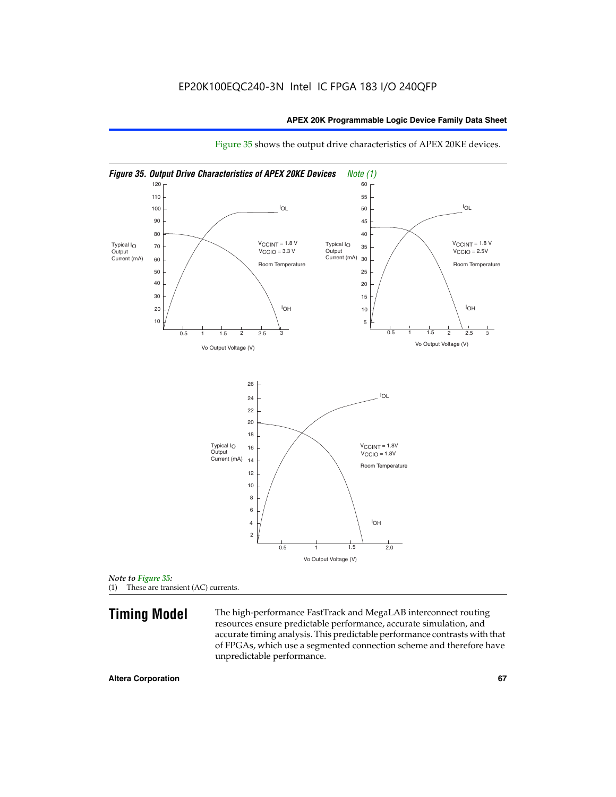

Figure 35 shows the output drive characteristics of APEX 20KE devices.

*Note to Figure 35:* (1) These are transient (AC) currents.

**Timing Model** The high-performance FastTrack and MegaLAB interconnect routing resources ensure predictable performance, accurate simulation, and accurate timing analysis. This predictable performance contrasts with that of FPGAs, which use a segmented connection scheme and therefore have unpredictable performance.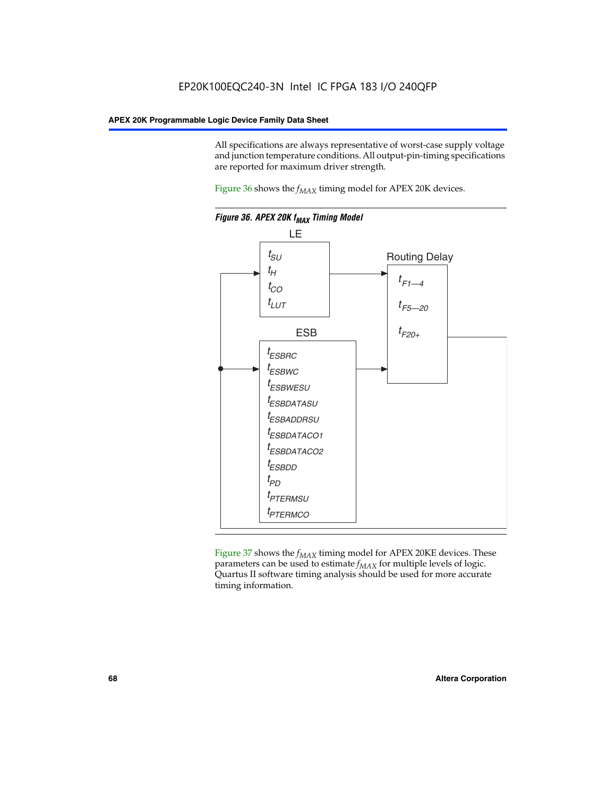All specifications are always representative of worst-case supply voltage and junction temperature conditions. All output-pin-timing specifications are reported for maximum driver strength.

Figure  $36$  shows the  $f_{MAX}$  timing model for APEX 20K devices.



Figure 37 shows the  $f_{MAX}$  timing model for APEX 20KE devices. These parameters can be used to estimate  $f_{MAX}$  for multiple levels of logic. Quartus II software timing analysis should be used for more accurate timing information.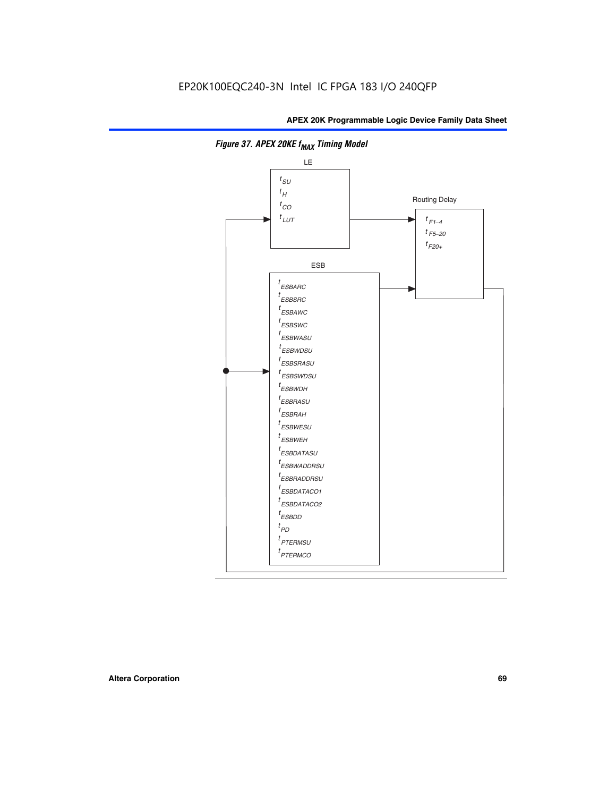

**Figure 37. APEX 20KE f<sub>MAX</sub> Timing Model**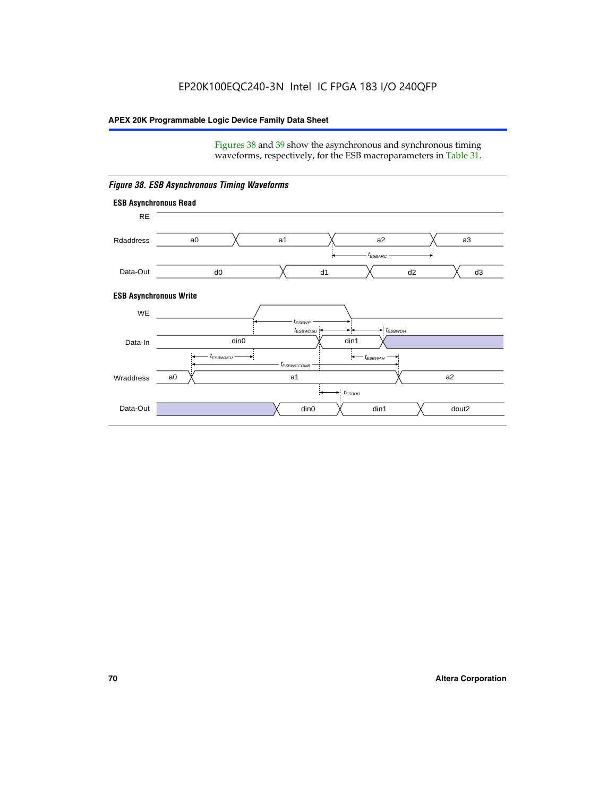Figures 38 and 39 show the asynchronous and synchronous timing waveforms, respectively, for the ESB macroparameters in Table 31.



*Figure 38. ESB Asynchronous Timing Waveforms*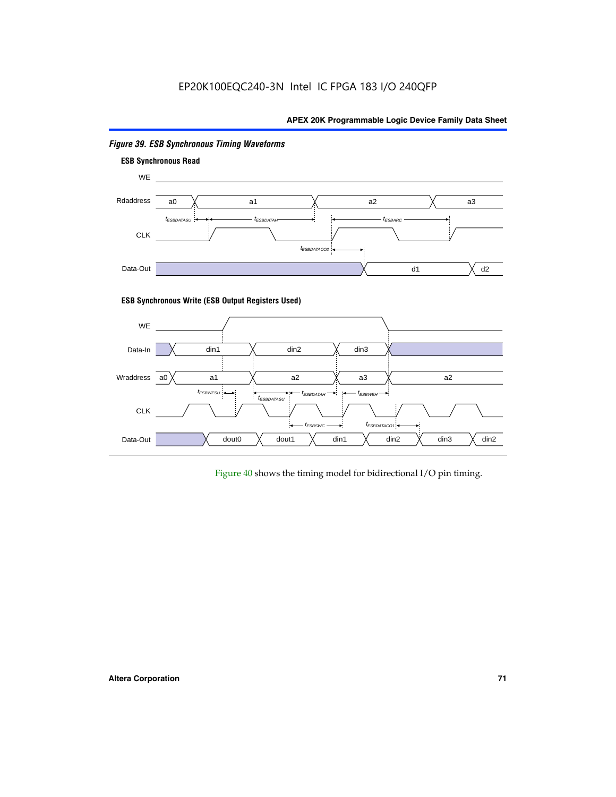

# *Figure 39. ESB Synchronous Timing Waveforms*

# **ESB Synchronous Write (ESB Output Registers Used)**



Figure 40 shows the timing model for bidirectional I/O pin timing.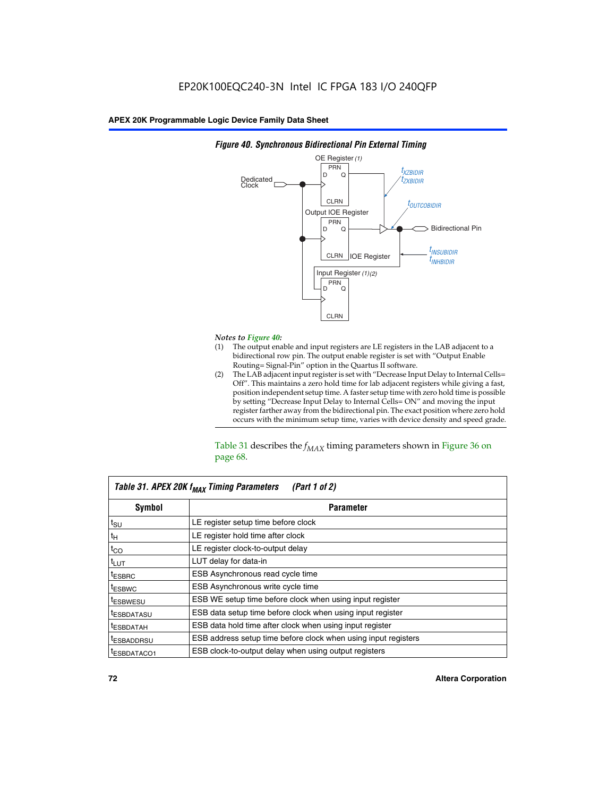

## *Figure 40. Synchronous Bidirectional Pin External Timing*

# *Notes to Figure 40:*

- The output enable and input registers are LE registers in the LAB adjacent to a bidirectional row pin. The output enable register is set with "Output Enable Routing= Signal-Pin" option in the Quartus II software.
- (2) The LAB adjacent input register is set with "Decrease Input Delay to Internal Cells= Off". This maintains a zero hold time for lab adjacent registers while giving a fast, position independent setup time. A faster setup time with zero hold time is possible by setting "Decrease Input Delay to Internal Cells= ON" and moving the input register farther away from the bidirectional pin. The exact position where zero hold occurs with the minimum setup time, varies with device density and speed grade.

Table 31 describes the  $f_{MAX}$  timing parameters shown in Figure 36 on page 68.

| Table 31. APEX 20K f <sub>MAX</sub> Timing Parameters<br>(Part 1 of 2) |                                                                |  |  |  |  |
|------------------------------------------------------------------------|----------------------------------------------------------------|--|--|--|--|
| Symbol                                                                 | <b>Parameter</b>                                               |  |  |  |  |
| $t_{\text{SU}}$                                                        | LE register setup time before clock                            |  |  |  |  |
| $t_H$                                                                  | LE register hold time after clock                              |  |  |  |  |
| $t_{CO}$                                                               | LE register clock-to-output delay                              |  |  |  |  |
| t <sub>LUT</sub>                                                       | LUT delay for data-in                                          |  |  |  |  |
| <sup>t</sup> ESBRC                                                     | ESB Asynchronous read cycle time                               |  |  |  |  |
| <sup>t</sup> ESBWC                                                     | ESB Asynchronous write cycle time                              |  |  |  |  |
| <sup>t</sup> ESBWESU                                                   | ESB WE setup time before clock when using input register       |  |  |  |  |
| <sup>t</sup> ESBDATASU                                                 | ESB data setup time before clock when using input register     |  |  |  |  |
| <sup>t</sup> ESBDATAH                                                  | ESB data hold time after clock when using input register       |  |  |  |  |
| <sup>t</sup> ESBADDRSU                                                 | ESB address setup time before clock when using input registers |  |  |  |  |
| ESBDATACO1                                                             | ESB clock-to-output delay when using output registers          |  |  |  |  |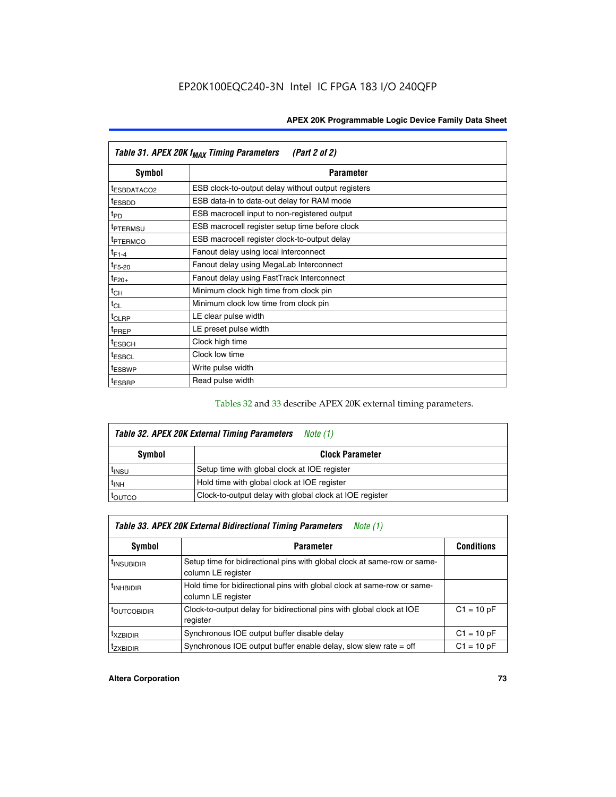| Table 31. APEX 20K f <sub>MAX</sub> Timing Parameters<br>(Part 2 of 2) |                                                    |  |  |  |  |
|------------------------------------------------------------------------|----------------------------------------------------|--|--|--|--|
| Symbol                                                                 | <b>Parameter</b>                                   |  |  |  |  |
| t <sub>ESBDATACO2</sub>                                                | ESB clock-to-output delay without output registers |  |  |  |  |
| <sup>t</sup> ESBDD                                                     | ESB data-in to data-out delay for RAM mode         |  |  |  |  |
| t <sub>PD</sub>                                                        | ESB macrocell input to non-registered output       |  |  |  |  |
| <sup>t</sup> PTERMSU                                                   | ESB macrocell register setup time before clock     |  |  |  |  |
| <sup>t</sup> PTERMCO                                                   | ESB macrocell register clock-to-output delay       |  |  |  |  |
| $t_{F1-4}$                                                             | Fanout delay using local interconnect              |  |  |  |  |
| $t_{F5-20}$                                                            | Fanout delay using MegaLab Interconnect            |  |  |  |  |
| $t_{F20+}$                                                             | Fanout delay using FastTrack Interconnect          |  |  |  |  |
| $t_{CH}$                                                               | Minimum clock high time from clock pin             |  |  |  |  |
| $t_{CL}$                                                               | Minimum clock low time from clock pin              |  |  |  |  |
| t <sub>CLRP</sub>                                                      | LE clear pulse width                               |  |  |  |  |
| t <sub>PREP</sub>                                                      | LE preset pulse width                              |  |  |  |  |
| <sup>t</sup> ESBCH                                                     | Clock high time                                    |  |  |  |  |
| <sup>t</sup> ESBCL                                                     | Clock low time                                     |  |  |  |  |
| <sup>t</sup> ESBWP                                                     | Write pulse width                                  |  |  |  |  |
| <sup>t</sup> ESBRP                                                     | Read pulse width                                   |  |  |  |  |

## Tables 32 and 33 describe APEX 20K external timing parameters.

| Table 32. APEX 20K External Timing Parameters<br>Note (1) |                                                         |  |  |  |  |
|-----------------------------------------------------------|---------------------------------------------------------|--|--|--|--|
| <b>Symbol</b>                                             | <b>Clock Parameter</b>                                  |  |  |  |  |
| <sup>t</sup> insu                                         | Setup time with global clock at IOE register            |  |  |  |  |
| $t_{\mathsf{INH}}$                                        | Hold time with global clock at IOE register             |  |  |  |  |
| toutco                                                    | Clock-to-output delay with global clock at IOE register |  |  |  |  |

| Table 33. APEX 20K External Bidirectional Timing Parameters<br>Note (1) |                                                                                                |              |  |  |  |  |
|-------------------------------------------------------------------------|------------------------------------------------------------------------------------------------|--------------|--|--|--|--|
| Symbol                                                                  | <b>Parameter</b>                                                                               |              |  |  |  |  |
| <sup>I</sup> INSUBIDIR                                                  | Setup time for bidirectional pins with global clock at same-row or same-<br>column LE register |              |  |  |  |  |
| <sup>t</sup> INHBIDIR                                                   | Hold time for bidirectional pins with global clock at same-row or same-<br>column LE register  |              |  |  |  |  |
| <sup>t</sup> OUTCOBIDIR                                                 | Clock-to-output delay for bidirectional pins with global clock at IOE<br>register              | $C1 = 10 pF$ |  |  |  |  |
| <sup>T</sup> XZBIDIR                                                    | Synchronous IOE output buffer disable delay                                                    | $C1 = 10 pF$ |  |  |  |  |
| <sup>I</sup> ZXBIDIR                                                    | Synchronous IOE output buffer enable delay, slow slew rate $=$ off                             | $C1 = 10 pF$ |  |  |  |  |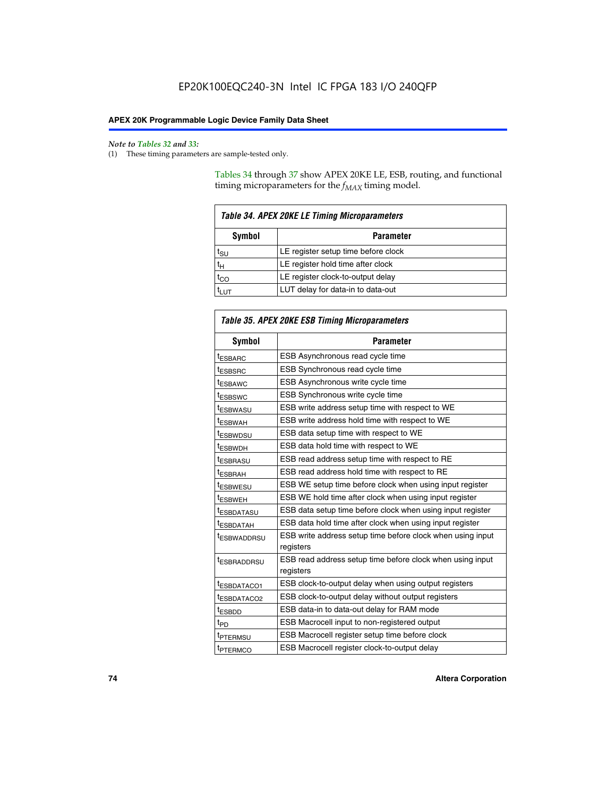$\mathbf{r}$ 

#### *Note to Tables 32 and 33:*

(1) These timing parameters are sample-tested only.

Tables 34 through 37 show APEX 20KE LE, ESB, routing, and functional timing microparameters for the  $f_{MAX}$  timing model.

| Table 34. APEX 20KE LE Timing Microparameters |                                     |  |  |  |  |
|-----------------------------------------------|-------------------------------------|--|--|--|--|
| Symbol<br><b>Parameter</b>                    |                                     |  |  |  |  |
| t <sub>SU</sub>                               | LE register setup time before clock |  |  |  |  |
| tн                                            | LE register hold time after clock   |  |  |  |  |
| $t_{CO}$                                      | LE register clock-to-output delay   |  |  |  |  |
| t <sub>LUT</sub>                              | LUT delay for data-in to data-out   |  |  |  |  |

| Table 35. APEX 20KE ESB Timing Microparameters |                                                            |  |  |  |
|------------------------------------------------|------------------------------------------------------------|--|--|--|
| Symbol                                         | <b>Parameter</b>                                           |  |  |  |
| <sup>t</sup> ESBARC                            | ESB Asynchronous read cycle time                           |  |  |  |
| <sup>t</sup> ESBSRC                            | ESB Synchronous read cycle time                            |  |  |  |
| <b><i>ESBAWC</i></b>                           | ESB Asynchronous write cycle time                          |  |  |  |
| t <sub>ESBSWC</sub>                            | ESB Synchronous write cycle time                           |  |  |  |
| t <sub>ESBWASU</sub>                           | ESB write address setup time with respect to WE            |  |  |  |
| <sup>t</sup> ESBWAH                            | ESB write address hold time with respect to WE             |  |  |  |
| t <sub>ESBWDSU</sub>                           | ESB data setup time with respect to WE                     |  |  |  |
| <sup>t</sup> ESBWDH                            | ESB data hold time with respect to WE                      |  |  |  |
| tESBRASU                                       | ESB read address setup time with respect to RE             |  |  |  |
| <sup>t</sup> ESBRAH                            | ESB read address hold time with respect to RE              |  |  |  |
| <i>ESBWESU</i>                                 | ESB WE setup time before clock when using input register   |  |  |  |
| t <sub>ESBWEH</sub>                            | ESB WE hold time after clock when using input register     |  |  |  |
| <b><i>t</i>ESBDATASU</b>                       | ESB data setup time before clock when using input register |  |  |  |
| t <sub>ESBDATAH</sub>                          | ESB data hold time after clock when using input register   |  |  |  |
| t <sub>ESBWADDRSU</sub>                        | ESB write address setup time before clock when using input |  |  |  |
|                                                | registers                                                  |  |  |  |
| <i><b>LESBRADDRSU</b></i>                      | ESB read address setup time before clock when using input  |  |  |  |
|                                                | registers                                                  |  |  |  |
| t <sub>ESBDATACO1</sub>                        | ESB clock-to-output delay when using output registers      |  |  |  |
| t <sub>ESBDATACO2</sub>                        | ESB clock-to-output delay without output registers         |  |  |  |
| $t_{ESBDD}$                                    | ESB data-in to data-out delay for RAM mode                 |  |  |  |
| $t_{\mathsf{PD}}$                              | ESB Macrocell input to non-registered output               |  |  |  |
| t <sub>PTERMSU</sub>                           | ESB Macrocell register setup time before clock             |  |  |  |
| t <sub>PTERMCO</sub>                           | ESB Macrocell register clock-to-output delay               |  |  |  |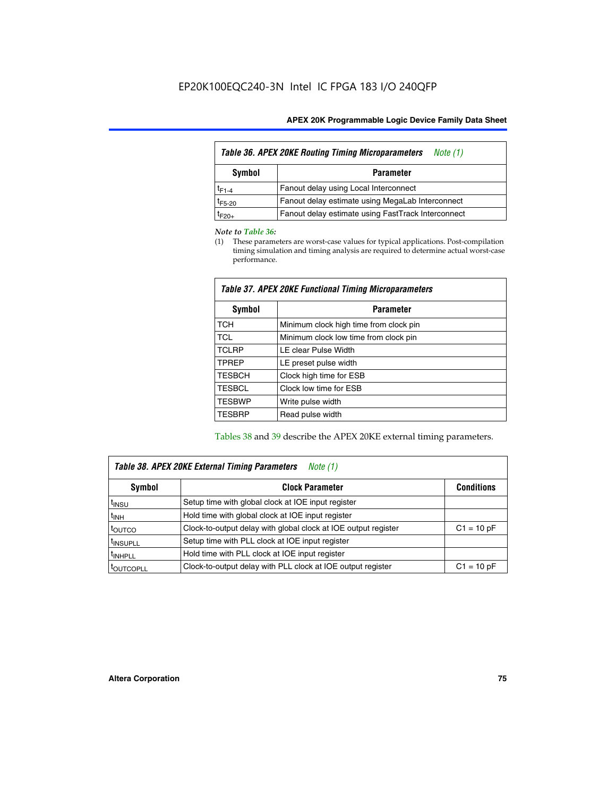| Table 36. APEX 20KE Routing Timing Microparameters<br>Note (1) |                                                    |  |  |  |  |
|----------------------------------------------------------------|----------------------------------------------------|--|--|--|--|
| Symbol<br><b>Parameter</b>                                     |                                                    |  |  |  |  |
| $t_{F1-4}$                                                     | Fanout delay using Local Interconnect              |  |  |  |  |
| $t_{F5-20}$                                                    | Fanout delay estimate using MegaLab Interconnect   |  |  |  |  |
| t <sub>F20+</sub>                                              | Fanout delay estimate using FastTrack Interconnect |  |  |  |  |

#### *Note to Table 36:*

(1) These parameters are worst-case values for typical applications. Post-compilation timing simulation and timing analysis are required to determine actual worst-case performance.

| Symbol        | <b>Parameter</b>                       |  |  |  |  |  |
|---------------|----------------------------------------|--|--|--|--|--|
| <b>TCH</b>    | Minimum clock high time from clock pin |  |  |  |  |  |
| <b>TCL</b>    | Minimum clock low time from clock pin  |  |  |  |  |  |
| <b>TCLRP</b>  | LE clear Pulse Width                   |  |  |  |  |  |
| <b>TPREP</b>  | LE preset pulse width                  |  |  |  |  |  |
| <b>TESBCH</b> | Clock high time for ESB                |  |  |  |  |  |
| <b>TESBCL</b> | Clock low time for ESB                 |  |  |  |  |  |
| <b>TESBWP</b> | Write pulse width                      |  |  |  |  |  |
| <b>TESBRP</b> | Read pulse width                       |  |  |  |  |  |

## *Table 37. APEX 20KE Functional Timing Microparameters*

Tables 38 and 39 describe the APEX 20KE external timing parameters.

| Table 38. APEX 20KE External Timing Parameters<br>Note (1) |                                                                |              |  |  |  |  |
|------------------------------------------------------------|----------------------------------------------------------------|--------------|--|--|--|--|
| <b>Clock Parameter</b><br><b>Conditions</b><br>Symbol      |                                                                |              |  |  |  |  |
| <sup>t</sup> insu                                          | Setup time with global clock at IOE input register             |              |  |  |  |  |
| $t_{\text{INH}}$                                           | Hold time with global clock at IOE input register              |              |  |  |  |  |
| t <sub>outco</sub>                                         | Clock-to-output delay with global clock at IOE output register | $C1 = 10 pF$ |  |  |  |  |
| <sup>t</sup> INSUPLL                                       | Setup time with PLL clock at IOE input register                |              |  |  |  |  |
| <sup>t</sup> INHPLL                                        | Hold time with PLL clock at IOE input register                 |              |  |  |  |  |
| <b><i>LOUTCOPLL</i></b>                                    | Clock-to-output delay with PLL clock at IOE output register    | $C1 = 10 pF$ |  |  |  |  |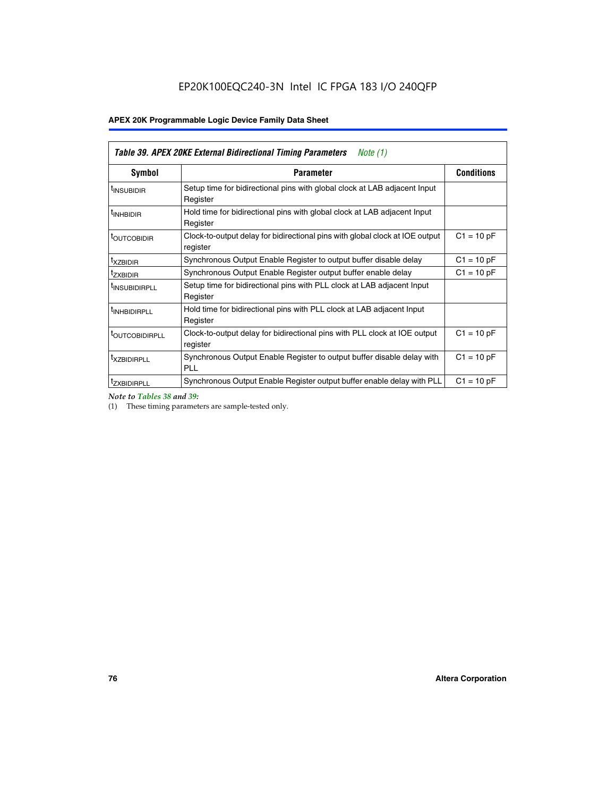| Table 39. APEX 20KE External Bidirectional Timing Parameters<br>Note $(1)$ |                                                                                                          |              |  |  |  |  |  |  |
|----------------------------------------------------------------------------|----------------------------------------------------------------------------------------------------------|--------------|--|--|--|--|--|--|
| <b>Symbol</b>                                                              | <b>Conditions</b><br><b>Parameter</b>                                                                    |              |  |  |  |  |  |  |
| <sup>t</sup> INSUBIDIR                                                     | Setup time for bidirectional pins with global clock at LAB adjacent Input<br>Register                    |              |  |  |  |  |  |  |
| <sup>t</sup> INHBIDIR                                                      | Hold time for bidirectional pins with global clock at LAB adjacent Input<br>Register                     |              |  |  |  |  |  |  |
| <b><i>LOUTCOBIDIR</i></b>                                                  | $C1 = 10 pF$<br>Clock-to-output delay for bidirectional pins with global clock at IOE output<br>register |              |  |  |  |  |  |  |
| t <sub>XZBIDIR</sub>                                                       | Synchronous Output Enable Register to output buffer disable delay                                        | $C1 = 10 pF$ |  |  |  |  |  |  |
| <sup>t</sup> zxbidir                                                       | Synchronous Output Enable Register output buffer enable delay                                            | $C1 = 10 pF$ |  |  |  |  |  |  |
| <sup>I</sup> INSUBIDIRPLL                                                  | Setup time for bidirectional pins with PLL clock at LAB adjacent Input<br>Register                       |              |  |  |  |  |  |  |
| <sup>t</sup> INHBIDIRPLL                                                   | Hold time for bidirectional pins with PLL clock at LAB adjacent Input<br>Register                        |              |  |  |  |  |  |  |
| <sup>t</sup> OUTCOBIDIRPLL                                                 | Clock-to-output delay for bidirectional pins with PLL clock at IOE output<br>register                    | $C1 = 10 pF$ |  |  |  |  |  |  |
| <sup>t</sup> XZBIDIRPLL                                                    | Synchronous Output Enable Register to output buffer disable delay with<br><b>PLL</b>                     | $C1 = 10 pF$ |  |  |  |  |  |  |
| <sup>I</sup> ZXBIDIRPLL                                                    | Synchronous Output Enable Register output buffer enable delay with PLL                                   | $C1 = 10 pF$ |  |  |  |  |  |  |

*Note to Tables 38 and 39:*

(1) These timing parameters are sample-tested only.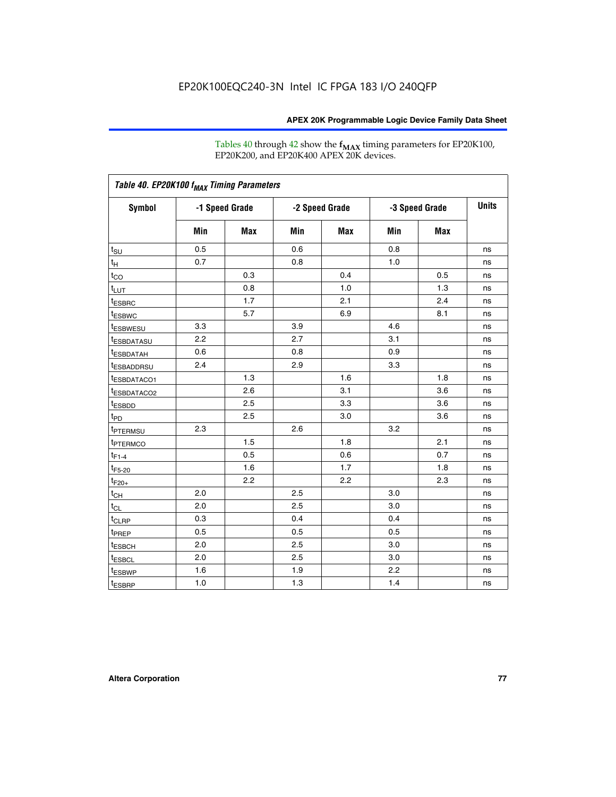Tables 40 through 42 show the **f<sub>MAX</sub>** timing parameters for EP20K100, EP20K200, and EP20K400 APEX 20K devices.

| Table 40. EP20K100 f <sub>MAX</sub> Timing Parameters |                |     |                |     |                |            |              |
|-------------------------------------------------------|----------------|-----|----------------|-----|----------------|------------|--------------|
| <b>Symbol</b>                                         | -1 Speed Grade |     | -2 Speed Grade |     | -3 Speed Grade |            | <b>Units</b> |
|                                                       | Min            | Max | Min            | Max | Min            | <b>Max</b> |              |
| $t_{\text{SU}}$                                       | 0.5            |     | 0.6            |     | 0.8            |            | ns           |
| $t_H$                                                 | 0.7            |     | 0.8            |     | 1.0            |            | ns           |
| $t_{CO}$                                              |                | 0.3 |                | 0.4 |                | 0.5        | ns           |
| $t_{LUT}$                                             |                | 0.8 |                | 1.0 |                | 1.3        | ns           |
| <sup>t</sup> ESBRC                                    |                | 1.7 |                | 2.1 |                | 2.4        | ns           |
| t <sub>ESBWC</sub>                                    |                | 5.7 |                | 6.9 |                | 8.1        | ns           |
| t <sub>ESBWESU</sub>                                  | 3.3            |     | 3.9            |     | 4.6            |            | ns           |
| <sup>t</sup> ESBDATASU                                | 2.2            |     | 2.7            |     | 3.1            |            | ns           |
| <sup>t</sup> ESBDATAH                                 | 0.6            |     | 0.8            |     | 0.9            |            | ns           |
| <sup>t</sup> ESBADDRSU                                | 2.4            |     | 2.9            |     | 3.3            |            | ns           |
| <sup>t</sup> ESBDATACO1                               |                | 1.3 |                | 1.6 |                | 1.8        | ns           |
| t <sub>ESBDATACO2</sub>                               |                | 2.6 |                | 3.1 |                | 3.6        | ns           |
| t <sub>ESBDD</sub>                                    |                | 2.5 |                | 3.3 |                | 3.6        | ns           |
| $t_{PD}$                                              |                | 2.5 |                | 3.0 |                | 3.6        | ns           |
| t <sub>PTERMSU</sub>                                  | 2.3            |     | 2.6            |     | 3.2            |            | ns           |
| t <sub>PTERMCO</sub>                                  |                | 1.5 |                | 1.8 |                | 2.1        | ns           |
| $t_{F1-4}$                                            |                | 0.5 |                | 0.6 |                | 0.7        | ns           |
| $t_{F5-20}$                                           |                | 1.6 |                | 1.7 |                | 1.8        | ns           |
| $t_{F20+}$                                            |                | 2.2 |                | 2.2 |                | 2.3        | ns           |
| $t_{\mathsf{CH}}$                                     | 2.0            |     | 2.5            |     | 3.0            |            | ns           |
| $t_{CL}$                                              | 2.0            |     | 2.5            |     | 3.0            |            | ns           |
| t <sub>CLRP</sub>                                     | 0.3            |     | 0.4            |     | 0.4            |            | ns           |
| t <sub>PREP</sub>                                     | 0.5            |     | 0.5            |     | 0.5            |            | ns           |
| <sup>t</sup> ESBCH                                    | 2.0            |     | 2.5            |     | 3.0            |            | ns           |
| <b>t</b> ESBCL                                        | 2.0            |     | 2.5            |     | 3.0            |            | ns           |
| t <sub>ESBWP</sub>                                    | 1.6            |     | 1.9            |     | 2.2            |            | ns           |
| $t_{ESBRP}$                                           | 1.0            |     | 1.3            |     | 1.4            |            | ns           |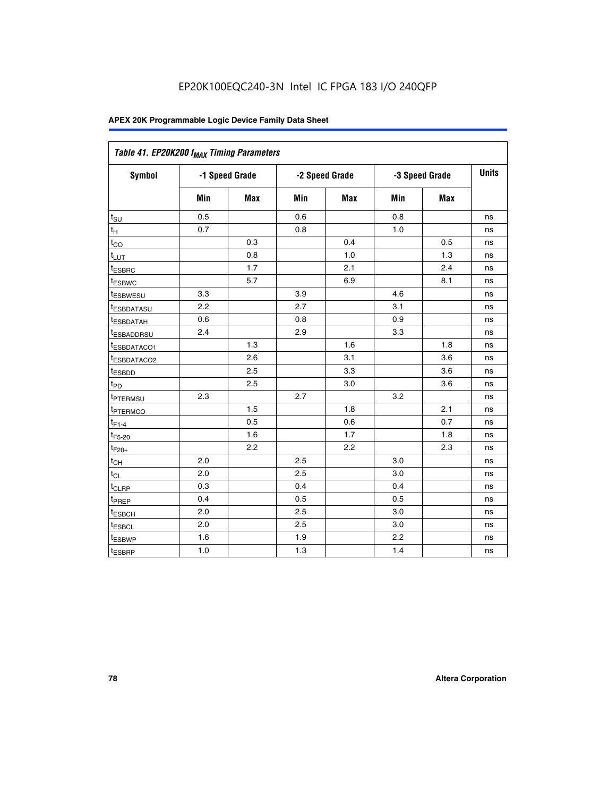| Table 41. EP20K200 f <sub>MAX</sub> Timing Parameters |                |     |     |                |     |                |    |
|-------------------------------------------------------|----------------|-----|-----|----------------|-----|----------------|----|
| Symbol                                                | -1 Speed Grade |     |     | -2 Speed Grade |     | -3 Speed Grade |    |
|                                                       | Min            | Max | Min | <b>Max</b>     | Min | Max            |    |
| $t_{\text{SU}}$                                       | 0.5            |     | 0.6 |                | 0.8 |                | ns |
| $t_H$                                                 | 0.7            |     | 0.8 |                | 1.0 |                | ns |
| $t_{CO}$                                              |                | 0.3 |     | 0.4            |     | 0.5            | ns |
| $t_{LUT}$                                             |                | 0.8 |     | 1.0            |     | 1.3            | ns |
| t <sub>ESBRC</sub>                                    |                | 1.7 |     | 2.1            |     | 2.4            | ns |
| t <sub>ESBWC</sub>                                    |                | 5.7 |     | 6.9            |     | 8.1            | ns |
| t <sub>ESBWESU</sub>                                  | 3.3            |     | 3.9 |                | 4.6 |                | ns |
| <sup>t</sup> ESBDATASU                                | 2.2            |     | 2.7 |                | 3.1 |                | ns |
| t <sub>ESBDATAH</sub>                                 | 0.6            |     | 0.8 |                | 0.9 |                | ns |
| t <sub>ESBADDRSU</sub>                                | 2.4            |     | 2.9 |                | 3.3 |                | ns |
| <u>t<sub>ESBDATACO1</sub></u>                         |                | 1.3 |     | 1.6            |     | 1.8            | ns |
| <sup>t</sup> ESBDATACO2                               |                | 2.6 |     | 3.1            |     | 3.6            | ns |
| t <sub>ESBDD</sub>                                    |                | 2.5 |     | 3.3            |     | 3.6            | ns |
| t <sub>PD</sub>                                       |                | 2.5 |     | 3.0            |     | 3.6            | ns |
| t <sub>PTERMSU</sub>                                  | 2.3            |     | 2.7 |                | 3.2 |                | ns |
| t <sub>PTERMCO</sub>                                  |                | 1.5 |     | 1.8            |     | 2.1            | ns |
| $t_{F1-4}$                                            |                | 0.5 |     | 0.6            |     | 0.7            | ns |
| $t_{F5-20}$                                           |                | 1.6 |     | 1.7            |     | 1.8            | ns |
| $t_{F20+}$                                            |                | 2.2 |     | 2.2            |     | 2.3            | ns |
| $\textnormal{t}_{\textnormal{CH}}$                    | 2.0            |     | 2.5 |                | 3.0 |                | ns |
| $t_{CL}$                                              | 2.0            |     | 2.5 |                | 3.0 |                | ns |
| t <sub>CLRP</sub>                                     | 0.3            |     | 0.4 |                | 0.4 |                | ns |
| t <sub>PREP</sub>                                     | 0.4            |     | 0.5 |                | 0.5 |                | ns |
| t <sub>ESBCH</sub>                                    | 2.0            |     | 2.5 |                | 3.0 |                | ns |
| t <sub>ESBCL</sub>                                    | 2.0            |     | 2.5 |                | 3.0 |                | ns |
| t <sub>ESBWP</sub>                                    | 1.6            |     | 1.9 |                | 2.2 |                | ns |
| t <sub>ESBRP</sub>                                    | 1.0            |     | 1.3 |                | 1.4 |                | ns |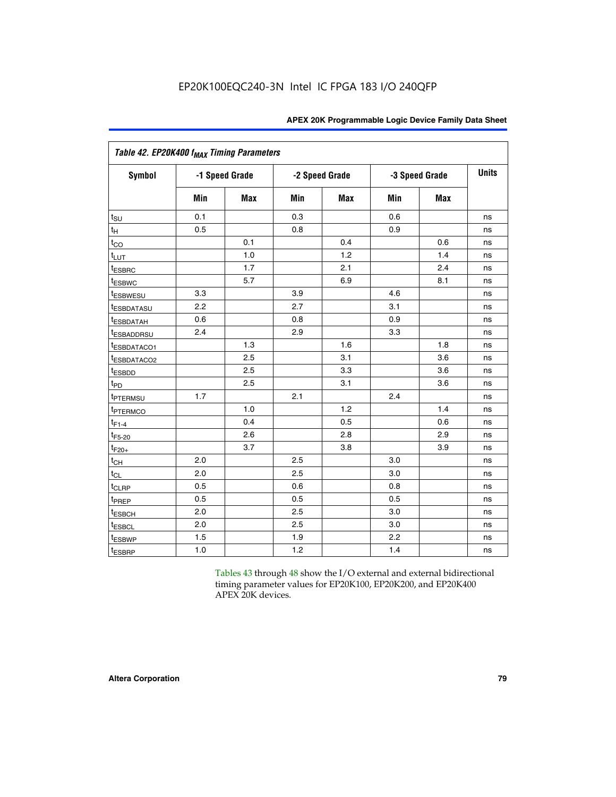| Table 42. EP20K400 f <sub>MAX</sub> Timing Parameters |     |                |     |                |     |                |              |  |  |  |  |
|-------------------------------------------------------|-----|----------------|-----|----------------|-----|----------------|--------------|--|--|--|--|
| <b>Symbol</b>                                         |     | -1 Speed Grade |     | -2 Speed Grade |     | -3 Speed Grade | <b>Units</b> |  |  |  |  |
|                                                       | Min | Max            | Min | <b>Max</b>     | Min | <b>Max</b>     |              |  |  |  |  |
| $t_{\text{SU}}$                                       | 0.1 |                | 0.3 |                | 0.6 |                | ns           |  |  |  |  |
| $t_{\mathsf{H}}$                                      | 0.5 |                | 0.8 |                | 0.9 |                | ns           |  |  |  |  |
| $t_{CO}$                                              |     | 0.1            |     | 0.4            |     | 0.6            | ns           |  |  |  |  |
| t <sub>LUT</sub>                                      |     | 1.0            |     | 1.2            |     | 1.4            | ns           |  |  |  |  |
| t <sub>ESBRC</sub>                                    |     | 1.7            |     | 2.1            |     | 2.4            | ns           |  |  |  |  |
| <sup>t</sup> ESBWC                                    |     | 5.7            |     | 6.9            |     | 8.1            | ns           |  |  |  |  |
| <i>t</i> ESBWESU                                      | 3.3 |                | 3.9 |                | 4.6 |                | ns           |  |  |  |  |
| <sup>t</sup> ESBDATASU                                | 2.2 |                | 2.7 |                | 3.1 |                | ns           |  |  |  |  |
| <sup>t</sup> ESBDATAH                                 | 0.6 |                | 0.8 |                | 0.9 |                | ns           |  |  |  |  |
| <sup>t</sup> ESBADDRSU                                | 2.4 |                | 2.9 |                | 3.3 |                | ns           |  |  |  |  |
| t <sub>ESBDATACO1</sub>                               |     | 1.3            |     | 1.6            |     | 1.8            | ns           |  |  |  |  |
| <sup>t</sup> ESBDATACO2                               |     | 2.5            |     | 3.1            |     | 3.6            | ns           |  |  |  |  |
| t <sub>ESBDD</sub>                                    |     | 2.5            |     | 3.3            |     | 3.6            | ns           |  |  |  |  |
| $t_{PD}$                                              |     | 2.5            |     | 3.1            |     | 3.6            | ns           |  |  |  |  |
| t <sub>PTERMSU</sub>                                  | 1.7 |                | 2.1 |                | 2.4 |                | ns           |  |  |  |  |
| t <sub>PTERMCO</sub>                                  |     | 1.0            |     | 1.2            |     | 1.4            | ns           |  |  |  |  |
| $t_{F1-4}$                                            |     | 0.4            |     | 0.5            |     | 0.6            | ns           |  |  |  |  |
| $t_{F5-20}$                                           |     | 2.6            |     | 2.8            |     | 2.9            | ns           |  |  |  |  |
| $t_{F20+}$                                            |     | 3.7            |     | 3.8            |     | 3.9            | ns           |  |  |  |  |
| $t_{CH}$                                              | 2.0 |                | 2.5 |                | 3.0 |                | ns           |  |  |  |  |
| $t_{CL}$                                              | 2.0 |                | 2.5 |                | 3.0 |                | ns           |  |  |  |  |
| t <sub>CLRP</sub>                                     | 0.5 |                | 0.6 |                | 0.8 |                | ns           |  |  |  |  |
| t <sub>PREP</sub>                                     | 0.5 |                | 0.5 |                | 0.5 |                | ns           |  |  |  |  |
| t <sub>ESBCH</sub>                                    | 2.0 |                | 2.5 |                | 3.0 |                | ns           |  |  |  |  |
| <b><i>LESBCL</i></b>                                  | 2.0 |                | 2.5 |                | 3.0 |                | ns           |  |  |  |  |
| t <sub>ESBWP</sub>                                    | 1.5 |                | 1.9 |                | 2.2 |                | ns           |  |  |  |  |
| t <sub>ESBRP</sub>                                    | 1.0 |                | 1.2 |                | 1.4 |                | ns           |  |  |  |  |

Tables 43 through 48 show the I/O external and external bidirectional timing parameter values for EP20K100, EP20K200, and EP20K400 APEX 20K devices.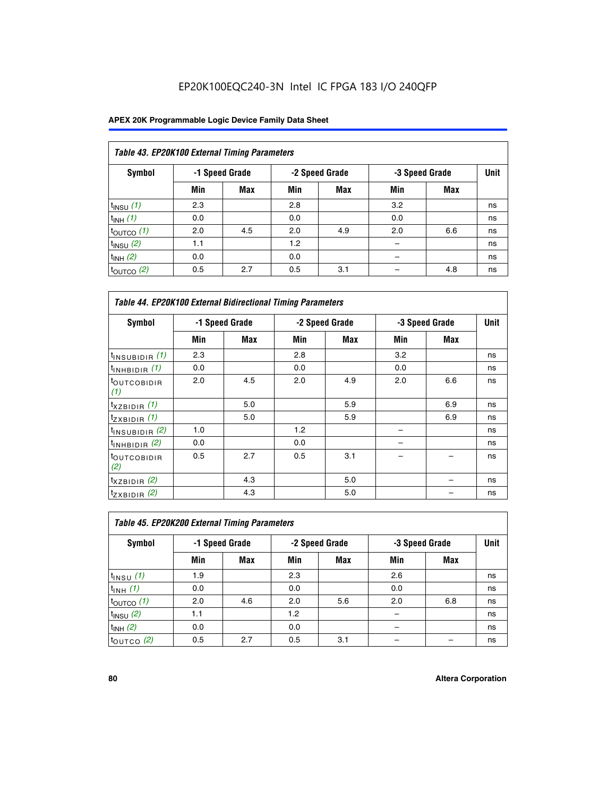# EP20K100EQC240-3N Intel IC FPGA 183 I/O 240QFP

| Table 43. EP20K100 External Timing Parameters |     |                |     |                |     |                |             |  |  |  |
|-----------------------------------------------|-----|----------------|-----|----------------|-----|----------------|-------------|--|--|--|
| Symbol                                        |     | -1 Speed Grade |     | -2 Speed Grade |     | -3 Speed Grade | <b>Unit</b> |  |  |  |
|                                               | Min | Max            | Min | <b>Max</b>     | Min | <b>Max</b>     |             |  |  |  |
| $t_{INSU}$ (1)                                | 2.3 |                | 2.8 |                | 3.2 |                | ns          |  |  |  |
| $t_{INH}$ (1)                                 | 0.0 |                | 0.0 |                | 0.0 |                | ns          |  |  |  |
| $t_{\text{OUTCO}}(1)$                         | 2.0 | 4.5            | 2.0 | 4.9            | 2.0 | 6.6            | ns          |  |  |  |
| $t_{INSU}(2)$                                 | 1.1 |                | 1.2 |                |     |                | ns          |  |  |  |
| $t_{INH}$ (2)                                 | 0.0 |                | 0.0 |                |     |                | ns          |  |  |  |
| $t_{\text{OUTCO}}$ (2)                        | 0.5 | 2.7            | 0.5 | 3.1            |     | 4.8            | ns          |  |  |  |

| <b>Table 44. EP20K100 External Bidirectional Timing Parameters</b> |     |                |     |                |     |                |    |
|--------------------------------------------------------------------|-----|----------------|-----|----------------|-----|----------------|----|
| Symbol                                                             |     | -1 Speed Grade |     | -2 Speed Grade |     | -3 Speed Grade |    |
|                                                                    | Min | Max            | Min | Max            | Min | Max            |    |
| $t_{\text{INSUBIDIR}}(1)$                                          | 2.3 |                | 2.8 |                | 3.2 |                | ns |
| $t_{INHBIDIR}$ (1)                                                 | 0.0 |                | 0.0 |                | 0.0 |                | ns |
| <sup>t</sup> OUTCOBIDIR<br>(1)                                     | 2.0 | 4.5            | 2.0 | 4.9            | 2.0 | 6.6            | ns |
| $t_{XZBIDIR}$ (1)                                                  |     | 5.0            |     | 5.9            |     | 6.9            | ns |
| $t_{ZXBIDIR}$ (1)                                                  |     | 5.0            |     | 5.9            |     | 6.9            | ns |
| $t_{INSUBIDIR}$ (2)                                                | 1.0 |                | 1.2 |                |     |                | ns |
| $t_{INHBIDIR}$ (2)                                                 | 0.0 |                | 0.0 |                |     |                | ns |
| <sup>t</sup> OUTCOBIDIR<br>(2)                                     | 0.5 | 2.7            | 0.5 | 3.1            |     |                | ns |
| $t_{XZBIDIR}$ (2)                                                  |     | 4.3            |     | 5.0            |     |                | ns |
| $t_{ZXBIDIR}$ (2)                                                  |     | 4.3            |     | 5.0            |     |                | ns |

| Table 45. EP20K200 External Timing Parameters |     |                |     |                |     |                |             |  |  |  |
|-----------------------------------------------|-----|----------------|-----|----------------|-----|----------------|-------------|--|--|--|
| Symbol                                        |     | -1 Speed Grade |     | -2 Speed Grade |     | -3 Speed Grade | <b>Unit</b> |  |  |  |
|                                               | Min | Max            | Min | <b>Max</b>     | Min | <b>Max</b>     |             |  |  |  |
| $t_{INSU}$ (1)                                | 1.9 |                | 2.3 |                | 2.6 |                | ns          |  |  |  |
| $t_{INH}$ (1)                                 | 0.0 |                | 0.0 |                | 0.0 |                | ns          |  |  |  |
| $t_{\text{OUTCO}}(1)$                         | 2.0 | 4.6            | 2.0 | 5.6            | 2.0 | 6.8            | ns          |  |  |  |
| $t_{INSU}$ (2)                                | 1.1 |                | 1.2 |                |     |                | ns          |  |  |  |
| $t_{INH}$ (2)                                 | 0.0 |                | 0.0 |                |     |                | ns          |  |  |  |
| $t_{\text{OUTCO}}$ (2)                        | 0.5 | 2.7            | 0.5 | 3.1            |     |                | ns          |  |  |  |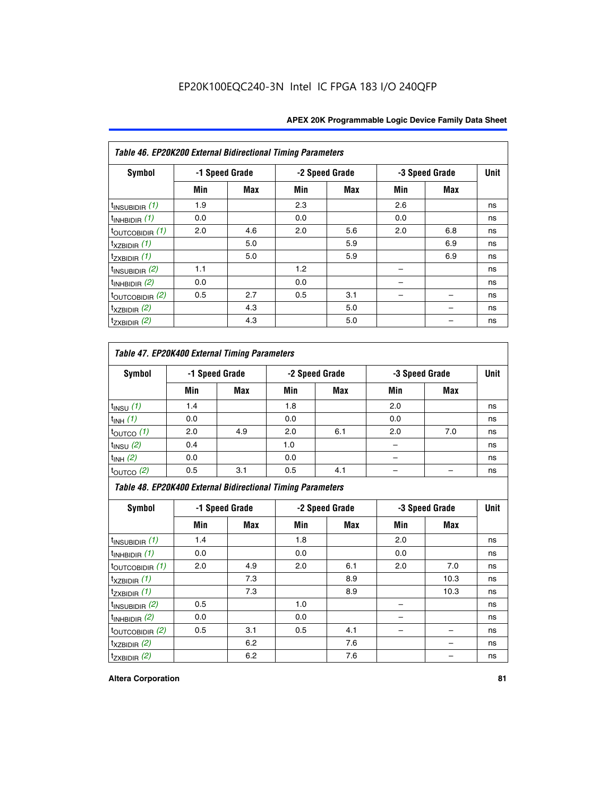| Table 46. EP20K200 External Bidirectional Timing Parameters |     |                |     |                |     |                |             |
|-------------------------------------------------------------|-----|----------------|-----|----------------|-----|----------------|-------------|
| Symbol                                                      |     | -1 Speed Grade |     | -2 Speed Grade |     | -3 Speed Grade | <b>Unit</b> |
|                                                             | Min | Max            | Min | Max            | Min | <b>Max</b>     |             |
| $t_{INSUBIDIR}$ (1)                                         | 1.9 |                | 2.3 |                | 2.6 |                | ns          |
| $t_{INHBIDIR}$ (1)                                          | 0.0 |                | 0.0 |                | 0.0 |                | ns          |
| $t_{\text{OUTCOBIDIR}}(1)$                                  | 2.0 | 4.6            | 2.0 | 5.6            | 2.0 | 6.8            | ns          |
| $t_{XZBIDIR}$ (1)                                           |     | 5.0            |     | 5.9            |     | 6.9            | ns          |
| $t_{ZXBIDIR}$ (1)                                           |     | 5.0            |     | 5.9            |     | 6.9            | ns          |
| $t_{INSUBIDIR}$ (2)                                         | 1.1 |                | 1.2 |                |     |                | ns          |
| $t_{INHBIDIR}$ (2)                                          | 0.0 |                | 0.0 |                |     |                | ns          |
| $t_{\text{OUTCOBIDIR}}(2)$                                  | 0.5 | 2.7            | 0.5 | 3.1            |     |                | ns          |
| $t_{XZBIDIR}$ (2)                                           |     | 4.3            |     | 5.0            |     |                | ns          |
| $t_{ZXBIDIR}$ (2)                                           |     | 4.3            |     | 5.0            |     |                | ns          |

## *Table 47. EP20K400 External Timing Parameters*

| Symbol                |     | -1 Speed Grade |     | -2 Speed Grade |     | -3 Speed Grade |    |  |
|-----------------------|-----|----------------|-----|----------------|-----|----------------|----|--|
|                       | Min | <b>Max</b>     | Min | <b>Max</b>     | Min | <b>Max</b>     |    |  |
| $t_{INSU}$ (1)        | 1.4 |                | 1.8 |                | 2.0 |                | ns |  |
| $t_{INH}$ (1)         | 0.0 |                | 0.0 |                | 0.0 |                | ns |  |
| $t_{\text{OUTCO}}(1)$ | 2.0 | 4.9            | 2.0 | 6.1            | 2.0 | 7.0            | ns |  |
| $t_{INSU}$ (2)        | 0.4 |                | 1.0 |                |     |                | ns |  |
| $t_{INH}$ (2)         | 0.0 |                | 0.0 |                | -   |                | ns |  |
| $t_{\text{OUTCO}}(2)$ | 0.5 | 3.1            | 0.5 | 4.1            |     |                | ns |  |

*Table 48. EP20K400 External Bidirectional Timing Parameters*

| Symbol                      | -1 Speed Grade |     | -2 Speed Grade |     |     | -3 Speed Grade | <b>Unit</b> |
|-----------------------------|----------------|-----|----------------|-----|-----|----------------|-------------|
|                             | Min            | Max | Min            | Max | Min | <b>Max</b>     |             |
| $t_{\text{INSUBIDIR}}(1)$   | 1.4            |     | 1.8            |     | 2.0 |                | ns          |
| $t_{INHBIDIR}$ (1)          | 0.0            |     | 0.0            |     | 0.0 |                | ns          |
| $t_{\text{OUTCOBIDIR}}(1)$  | 2.0            | 4.9 | 2.0            | 6.1 | 2.0 | 7.0            | ns          |
| $t_{XZBIDIR}$ (1)           |                | 7.3 |                | 8.9 |     | 10.3           | ns          |
| $t_{ZXBIDIR}$ (1)           |                | 7.3 |                | 8.9 |     | 10.3           | ns          |
| $t_{\text{INSUBIDIR}}(2)$   | 0.5            |     | 1.0            |     |     |                | ns          |
| $t_{INHBIDIR}$ (2)          | 0.0            |     | 0.0            |     |     |                | ns          |
| $t_{\text{OUTCOBIDIR}}$ (2) | 0.5            | 3.1 | 0.5            | 4.1 |     |                | ns          |
| $t_{XZBIDIR}$ (2)           |                | 6.2 |                | 7.6 |     |                | ns          |
| $t_{ZXBIDIR}$ $(2)$         |                | 6.2 |                | 7.6 |     |                | ns          |

### **Altera Corporation 81**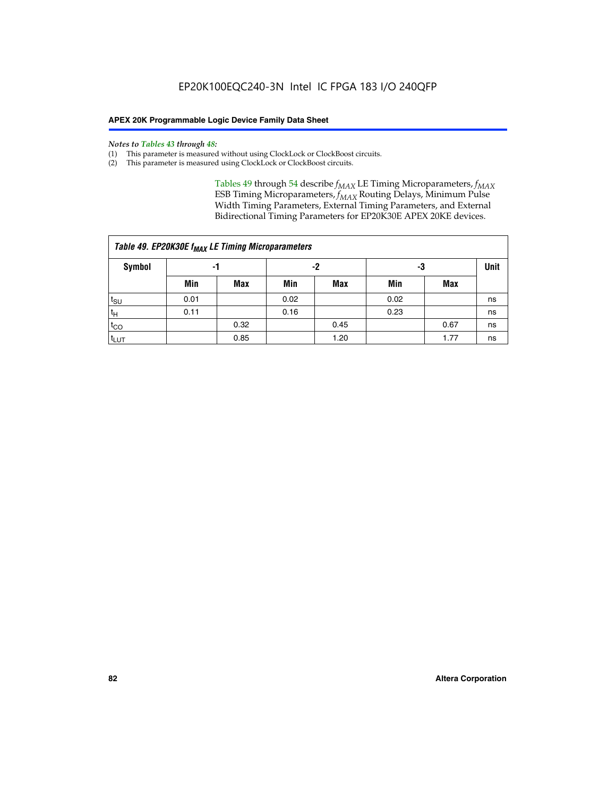#### *Notes to Tables 43 through 48:*

- (1) This parameter is measured without using ClockLock or ClockBoost circuits.
- (2) This parameter is measured using ClockLock or ClockBoost circuits.

Tables 49 through 54 describe  $f_{MAX}$  LE Timing Microparameters,  $f_{MAX}$ ESB Timing Microparameters, *f<sub>MAX</sub>* Routing Delays, Minimum Pulse Width Timing Parameters, External Timing Parameters, and External Bidirectional Timing Parameters for EP20K30E APEX 20KE devices.

| Table 49. EP20K30E f <sub>MAX</sub> LE Timing Microparameters |      |      |          |      |      |             |    |  |  |  |  |
|---------------------------------------------------------------|------|------|----------|------|------|-------------|----|--|--|--|--|
| Symbol                                                        |      | -1   | -2<br>-3 |      |      | <b>Unit</b> |    |  |  |  |  |
|                                                               | Min  | Max  | Min      | Max  | Min  | Max         |    |  |  |  |  |
| $t_{\text{SU}}$                                               | 0.01 |      | 0.02     |      | 0.02 |             | ns |  |  |  |  |
| $t_H$                                                         | 0.11 |      | 0.16     |      | 0.23 |             | ns |  |  |  |  |
| $t_{CO}$                                                      |      | 0.32 |          | 0.45 |      | 0.67        | ns |  |  |  |  |
| $t_{LUT}$                                                     |      | 0.85 |          | 1.20 |      | 1.77        | ns |  |  |  |  |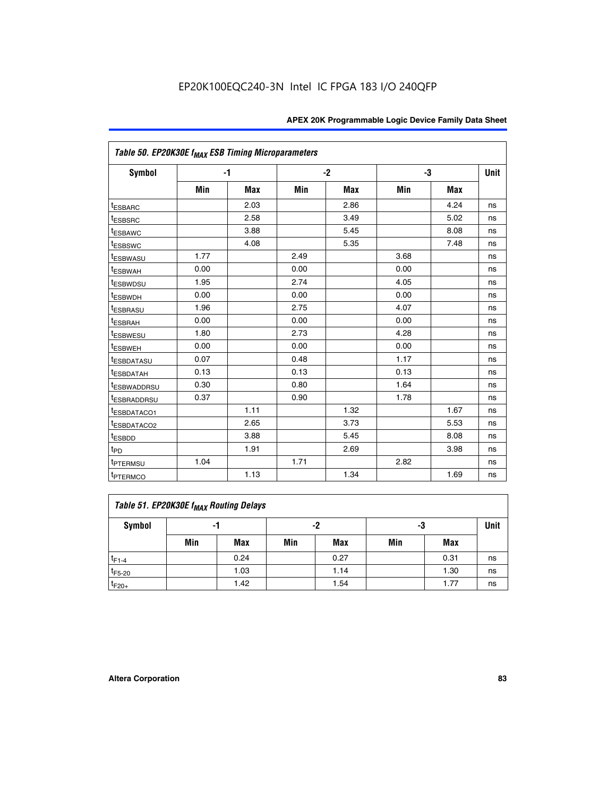| Table 50. EP20K30E f <sub>MAX</sub> ESB Timing Microparameters |      |            |      |            |      |            |             |
|----------------------------------------------------------------|------|------------|------|------------|------|------------|-------------|
| <b>Symbol</b>                                                  |      | $-1$       |      | $-2$       |      | -3         | <b>Unit</b> |
|                                                                | Min  | <b>Max</b> | Min  | <b>Max</b> | Min  | <b>Max</b> |             |
| <sup>t</sup> ESBARC                                            |      | 2.03       |      | 2.86       |      | 4.24       | ns          |
| <sup>t</sup> ESBSRC                                            |      | 2.58       |      | 3.49       |      | 5.02       | ns          |
| <sup>t</sup> ESBAWC                                            |      | 3.88       |      | 5.45       |      | 8.08       | ns          |
| t <sub>ESBSWC</sub>                                            |      | 4.08       |      | 5.35       |      | 7.48       | ns          |
| <sup>t</sup> ESBWASU                                           | 1.77 |            | 2.49 |            | 3.68 |            | ns          |
| <sup>t</sup> ESBWAH                                            | 0.00 |            | 0.00 |            | 0.00 |            | ns          |
| <sup>t</sup> ESBWDSU                                           | 1.95 |            | 2.74 |            | 4.05 |            | ns          |
| <sup>t</sup> ESBWDH                                            | 0.00 |            | 0.00 |            | 0.00 |            | ns          |
| <sup>t</sup> ESBRASU                                           | 1.96 |            | 2.75 |            | 4.07 |            | ns          |
| <sup>t</sup> ESBRAH                                            | 0.00 |            | 0.00 |            | 0.00 |            | ns          |
| <i>t</i> <sub>ESBWESU</sub>                                    | 1.80 |            | 2.73 |            | 4.28 |            | ns          |
| <sup>I</sup> ESBWEH                                            | 0.00 |            | 0.00 |            | 0.00 |            | ns          |
| t <sub>ESBDATASU</sub>                                         | 0.07 |            | 0.48 |            | 1.17 |            | ns          |
| <sup>t</sup> ESBDATAH                                          | 0.13 |            | 0.13 |            | 0.13 |            | ns          |
| <sup>t</sup> ESBWADDRSU                                        | 0.30 |            | 0.80 |            | 1.64 |            | ns          |
| <sup>I</sup> ESBRADDRSU                                        | 0.37 |            | 0.90 |            | 1.78 |            | ns          |
| ESBDATACO1                                                     |      | 1.11       |      | 1.32       |      | 1.67       | ns          |
| <sup>t</sup> ESBDATACO2                                        |      | 2.65       |      | 3.73       |      | 5.53       | ns          |
| <sup>t</sup> ESBDD                                             |      | 3.88       |      | 5.45       |      | 8.08       | ns          |
| t <sub>PD</sub>                                                |      | 1.91       |      | 2.69       |      | 3.98       | ns          |
| <sup>t</sup> PTERMSU                                           | 1.04 |            | 1.71 |            | 2.82 |            | ns          |
| t <sub>PTERMCO</sub>                                           |      | 1.13       |      | 1.34       |      | 1.69       | ns          |

## **Table 51. EP20K30E f<sub>MAX</sub> Routing Delays**

| Symbol      | - 1 |            | -2  |            | -3  |            | Unit |
|-------------|-----|------------|-----|------------|-----|------------|------|
|             | Min | <b>Max</b> | Min | <b>Max</b> | Min | <b>Max</b> |      |
| $t_{F1-4}$  |     | 0.24       |     | 0.27       |     | 0.31       | ns   |
| $t_{F5-20}$ |     | 1.03       |     | 1.14       |     | 1.30       | ns   |
| $t_{F20+}$  |     | 1.42       |     | 1.54       |     | 1.77       | ns   |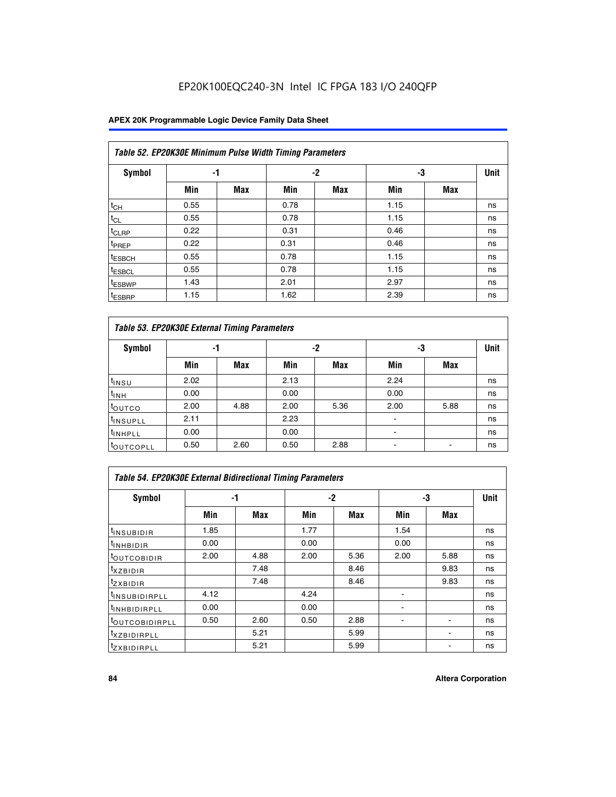# EP20K100EQC240-3N Intel IC FPGA 183 I/O 240QFP

## **APEX 20K Programmable Logic Device Family Data Sheet**

|                    | Table 52. EP20K30E Minimum Pulse Width Timing Parameters |            |      |            |      |            |             |  |  |  |  |  |
|--------------------|----------------------------------------------------------|------------|------|------------|------|------------|-------------|--|--|--|--|--|
| <b>Symbol</b>      | -1                                                       |            |      | $-2$       | -3   |            | <b>Unit</b> |  |  |  |  |  |
|                    | Min                                                      | <b>Max</b> | Min  | <b>Max</b> | Min  | <b>Max</b> |             |  |  |  |  |  |
| $t_{CH}$           | 0.55                                                     |            | 0.78 |            | 1.15 |            | ns          |  |  |  |  |  |
| $t_{CL}$           | 0.55                                                     |            | 0.78 |            | 1.15 |            | ns          |  |  |  |  |  |
| t <sub>CLRP</sub>  | 0.22                                                     |            | 0.31 |            | 0.46 |            | ns          |  |  |  |  |  |
| t <sub>PREP</sub>  | 0.22                                                     |            | 0.31 |            | 0.46 |            | ns          |  |  |  |  |  |
| <sup>t</sup> ESBCH | 0.55                                                     |            | 0.78 |            | 1.15 |            | ns          |  |  |  |  |  |
| <sup>t</sup> ESBCL | 0.55                                                     |            | 0.78 |            | 1.15 |            | ns          |  |  |  |  |  |
| <sup>t</sup> ESBWP | 1.43                                                     |            | 2.01 |            | 2.97 |            | ns          |  |  |  |  |  |
| <sup>t</sup> ESBRP | 1.15                                                     |            | 1.62 |            | 2.39 |            | ns          |  |  |  |  |  |

| Table 53. EP20K30E External Timing Parameters |      |            |      |            |                          |            |             |  |  |  |  |
|-----------------------------------------------|------|------------|------|------------|--------------------------|------------|-------------|--|--|--|--|
| <b>Symbol</b>                                 | -1   |            |      | -2         | -3                       |            | <b>Unit</b> |  |  |  |  |
|                                               | Min  | <b>Max</b> | Min  | <b>Max</b> | Min                      | <b>Max</b> |             |  |  |  |  |
| t <sub>INSU</sub>                             | 2.02 |            | 2.13 |            | 2.24                     |            | ns          |  |  |  |  |
| $t_{\text{INH}}$                              | 0.00 |            | 0.00 |            | 0.00                     |            | ns          |  |  |  |  |
| <sup>t</sup> outco                            | 2.00 | 4.88       | 2.00 | 5.36       | 2.00                     | 5.88       | ns          |  |  |  |  |
| <sup>t</sup> INSUPLL                          | 2.11 |            | 2.23 |            |                          |            | ns          |  |  |  |  |
| <sup>t</sup> INHPLL                           | 0.00 |            | 0.00 |            | $\overline{\phantom{a}}$ |            | ns          |  |  |  |  |
| <b>LOUTCOPLL</b>                              | 0.50 | 2.60       | 0.50 | 2.88       | -                        |            | ns          |  |  |  |  |

| Table 54. EP20K30E External Bidirectional Timing Parameters |      |      |      |      |                          |      |             |  |  |  |  |
|-------------------------------------------------------------|------|------|------|------|--------------------------|------|-------------|--|--|--|--|
| Symbol                                                      |      | -1   | $-2$ |      |                          | -3   | <b>Unit</b> |  |  |  |  |
|                                                             | Min  | Max  | Min  | Max  | Min                      | Max  |             |  |  |  |  |
| <sup>t</sup> INSUBIDIR                                      | 1.85 |      | 1.77 |      | 1.54                     |      | ns          |  |  |  |  |
| <b>INHBIDIR</b>                                             | 0.00 |      | 0.00 |      | 0.00                     |      | ns          |  |  |  |  |
| <b>LOUTCOBIDIR</b>                                          | 2.00 | 4.88 | 2.00 | 5.36 | 2.00                     | 5.88 | ns          |  |  |  |  |
| <sup>T</sup> XZBIDIR                                        |      | 7.48 |      | 8.46 |                          | 9.83 | ns          |  |  |  |  |
| <sup>t</sup> zxbidir                                        |      | 7.48 |      | 8.46 |                          | 9.83 | ns          |  |  |  |  |
| <sup>I</sup> INSUBIDIRPLL                                   | 4.12 |      | 4.24 |      | $\overline{\phantom{0}}$ |      | ns          |  |  |  |  |
| <b>INHBIDIRPLL</b>                                          | 0.00 |      | 0.00 |      |                          |      | ns          |  |  |  |  |
| <b><i>COUTCOBIDIRPLL</i></b>                                | 0.50 | 2.60 | 0.50 | 2.88 |                          |      | ns          |  |  |  |  |
| <sup>I</sup> XZBIDIRPLL                                     |      | 5.21 |      | 5.99 |                          |      | ns          |  |  |  |  |
| <sup>I</sup> ZXBIDIRPLL                                     |      | 5.21 |      | 5.99 |                          |      | ns          |  |  |  |  |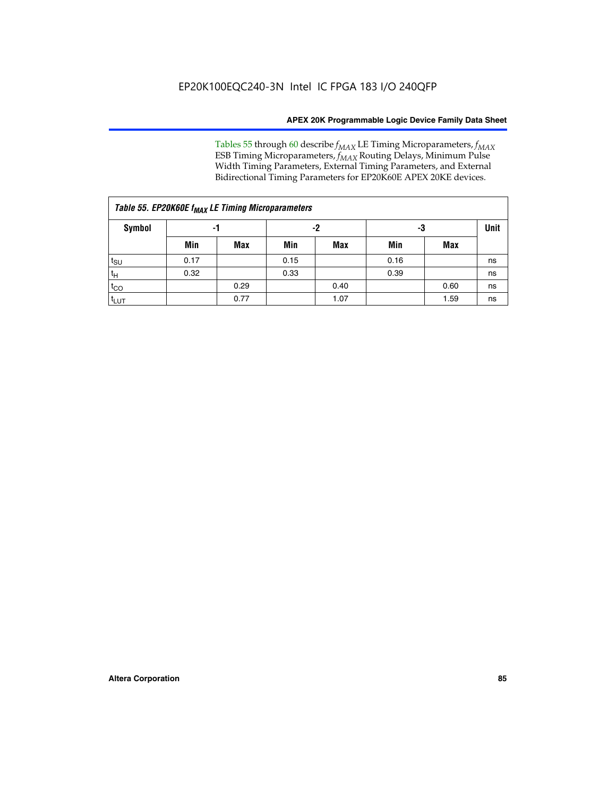Tables 55 through 60 describe *f<sub>MAX</sub>* LE Timing Microparameters, *f<sub>MAX</sub>* ESB Timing Microparameters, *f<sub>MAX</sub>* Routing Delays, Minimum Pulse Width Timing Parameters, External Timing Parameters, and External Bidirectional Timing Parameters for EP20K60E APEX 20KE devices.

| Table 55. EP20K60E f <sub>MAX</sub> LE Timing Microparameters |      |      |      |      |      |      |    |  |  |  |  |
|---------------------------------------------------------------|------|------|------|------|------|------|----|--|--|--|--|
| <b>Symbol</b>                                                 |      | -1   |      | -2   |      | -3   |    |  |  |  |  |
|                                                               | Min  | Max  | Min  | Max  | Min  | Max  |    |  |  |  |  |
| $t_{\text{SU}}$                                               | 0.17 |      | 0.15 |      | 0.16 |      | ns |  |  |  |  |
| $t_H$                                                         | 0.32 |      | 0.33 |      | 0.39 |      | ns |  |  |  |  |
| $t_{CO}$                                                      |      | 0.29 |      | 0.40 |      | 0.60 | ns |  |  |  |  |
| t <sub>lut</sub>                                              |      | 0.77 |      | 1.07 |      | 1.59 | ns |  |  |  |  |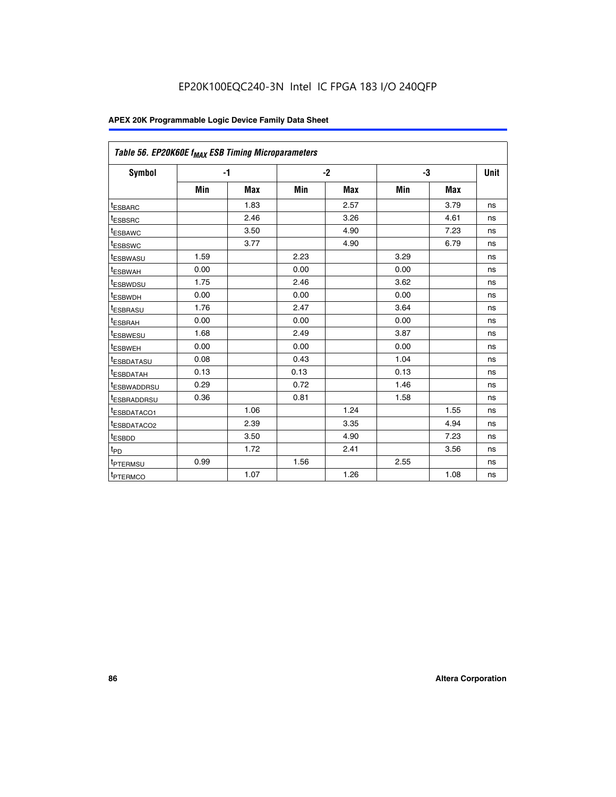| Table 56. EP20K60E f <sub>MAX</sub> ESB Timing Microparameters |      |            |      |            |      |            |             |
|----------------------------------------------------------------|------|------------|------|------------|------|------------|-------------|
| <b>Symbol</b>                                                  | $-1$ |            |      | $-2$       |      | -3         | <b>Unit</b> |
|                                                                | Min  | <b>Max</b> | Min  | <b>Max</b> | Min  | <b>Max</b> |             |
| <sup>t</sup> ESBARC                                            |      | 1.83       |      | 2.57       |      | 3.79       | ns          |
| t <sub>ESBSRC</sub>                                            |      | 2.46       |      | 3.26       |      | 4.61       | ns          |
| <sup>t</sup> ESBAWC                                            |      | 3.50       |      | 4.90       |      | 7.23       | ns          |
| <sup>t</sup> ESBSWC                                            |      | 3.77       |      | 4.90       |      | 6.79       | ns          |
| <sup>t</sup> ESBWASU                                           | 1.59 |            | 2.23 |            | 3.29 |            | ns          |
| <sup>t</sup> ESBWAH                                            | 0.00 |            | 0.00 |            | 0.00 |            | ns          |
| t <sub>ESBWDSU</sub>                                           | 1.75 |            | 2.46 |            | 3.62 |            | ns          |
| t <sub>ESBWDH</sub>                                            | 0.00 |            | 0.00 |            | 0.00 |            | ns          |
| t <sub>ESBRASU</sub>                                           | 1.76 |            | 2.47 |            | 3.64 |            | ns          |
| <sup>t</sup> ESBRAH                                            | 0.00 |            | 0.00 |            | 0.00 |            | ns          |
| t <sub>ESBWESU</sub>                                           | 1.68 |            | 2.49 |            | 3.87 |            | ns          |
| t <sub>ESBWEH</sub>                                            | 0.00 |            | 0.00 |            | 0.00 |            | ns          |
| <sup>t</sup> ESBDATASU                                         | 0.08 |            | 0.43 |            | 1.04 |            | ns          |
| t <sub>ESBDATAH</sub>                                          | 0.13 |            | 0.13 |            | 0.13 |            | ns          |
| <sup>t</sup> ESBWADDRSU                                        | 0.29 |            | 0.72 |            | 1.46 |            | ns          |
| <sup>t</sup> ESBRADDRSU                                        | 0.36 |            | 0.81 |            | 1.58 |            | ns          |
| <sup>t</sup> ESBDATACO1                                        |      | 1.06       |      | 1.24       |      | 1.55       | ns          |
| <sup>t</sup> ESBDATACO2                                        |      | 2.39       |      | 3.35       |      | 4.94       | ns          |
| <sup>t</sup> ESBDD                                             |      | 3.50       |      | 4.90       |      | 7.23       | ns          |
| t <sub>PD</sub>                                                |      | 1.72       |      | 2.41       |      | 3.56       | ns          |
| t <sub>PTERMSU</sub>                                           | 0.99 |            | 1.56 |            | 2.55 |            | ns          |
| t <sub>PTERMCO</sub>                                           |      | 1.07       |      | 1.26       |      | 1.08       | ns          |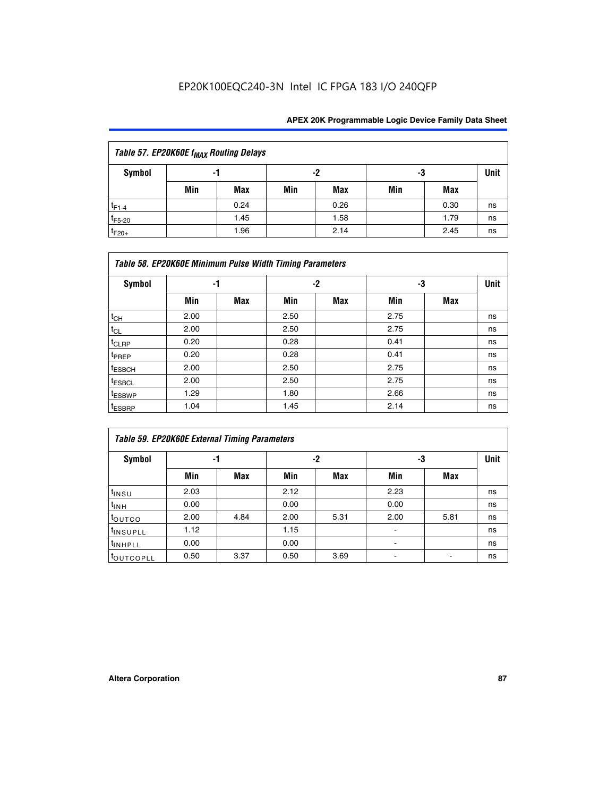# EP20K100EQC240-3N Intel IC FPGA 183 I/O 240QFP

| Table 57. EP20K60E f <sub>MAX</sub> Routing Delays |                |            |     |            |     |      |             |  |  |  |
|----------------------------------------------------|----------------|------------|-----|------------|-----|------|-------------|--|--|--|
| Symbol                                             | -2<br>-3<br>-1 |            |     |            |     |      | <b>Unit</b> |  |  |  |
|                                                    | Min            | <b>Max</b> | Min | <b>Max</b> | Min | Max  |             |  |  |  |
| $t_{F1-4}$                                         |                | 0.24       |     | 0.26       |     | 0.30 | ns          |  |  |  |
| $t_{F5-20}$                                        |                | 1.45       |     | 1.58       |     | 1.79 | ns          |  |  |  |
| $t_{F20+}$                                         |                | 1.96       |     | 2.14       |     | 2.45 | ns          |  |  |  |

|                    | Table 58. EP20K60E Minimum Pulse Width Timing Parameters |            |      |     |      |     |             |  |  |  |  |  |
|--------------------|----------------------------------------------------------|------------|------|-----|------|-----|-------------|--|--|--|--|--|
| Symbol             |                                                          | -1         |      | -2  |      | -3  | <b>Unit</b> |  |  |  |  |  |
|                    | Min                                                      | <b>Max</b> | Min  | Max | Min  | Max |             |  |  |  |  |  |
| $t_{CH}$           | 2.00                                                     |            | 2.50 |     | 2.75 |     | ns          |  |  |  |  |  |
| $t_{CL}$           | 2.00                                                     |            | 2.50 |     | 2.75 |     | ns          |  |  |  |  |  |
| $t_{CLRP}$         | 0.20                                                     |            | 0.28 |     | 0.41 |     | ns          |  |  |  |  |  |
| t <sub>PREP</sub>  | 0.20                                                     |            | 0.28 |     | 0.41 |     | ns          |  |  |  |  |  |
| <sup>t</sup> ESBCH | 2.00                                                     |            | 2.50 |     | 2.75 |     | ns          |  |  |  |  |  |
| <sup>t</sup> ESBCL | 2.00                                                     |            | 2.50 |     | 2.75 |     | ns          |  |  |  |  |  |
| <sup>t</sup> ESBWP | 1.29                                                     |            | 1.80 |     | 2.66 |     | ns          |  |  |  |  |  |
| <sup>t</sup> ESBRP | 1.04                                                     |            | 1.45 |     | 2.14 |     | ns          |  |  |  |  |  |

|                      | <b>Table 59. EP20K60E External Timing Parameters</b> |      |      |      |      |      |      |  |  |  |  |  |
|----------------------|------------------------------------------------------|------|------|------|------|------|------|--|--|--|--|--|
| Symbol               | -1                                                   |      |      | -2   | -3   |      | Unit |  |  |  |  |  |
|                      | Min                                                  | Max  | Min  | Max  | Min  | Max  |      |  |  |  |  |  |
| $t_{INSU}$           | 2.03                                                 |      | 2.12 |      | 2.23 |      | ns   |  |  |  |  |  |
| $t_{INH}$            | 0.00                                                 |      | 0.00 |      | 0.00 |      | ns   |  |  |  |  |  |
| toutco               | 2.00                                                 | 4.84 | 2.00 | 5.31 | 2.00 | 5.81 | ns   |  |  |  |  |  |
| <sup>t</sup> INSUPLL | 1.12                                                 |      | 1.15 |      | ۰    |      | ns   |  |  |  |  |  |
| <sup>t</sup> INHPLL  | 0.00                                                 |      | 0.00 |      | ۰    |      | ns   |  |  |  |  |  |
| toutcopll            | 0.50                                                 | 3.37 | 0.50 | 3.69 |      |      | ns   |  |  |  |  |  |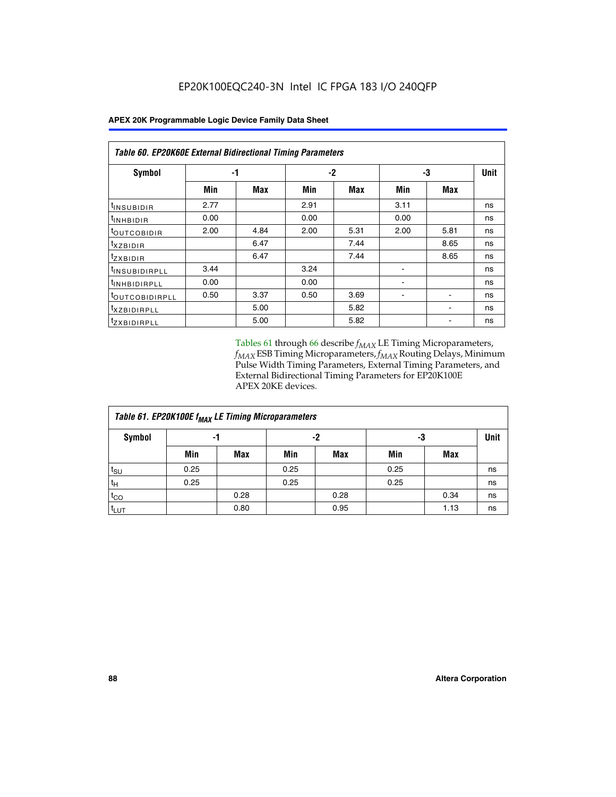| Table 60. EP20K60E External Bidirectional Timing Parameters |      |      |      |      |      |            |             |  |  |  |  |
|-------------------------------------------------------------|------|------|------|------|------|------------|-------------|--|--|--|--|
| <b>Symbol</b>                                               |      | -1   |      | $-2$ |      | -3         | <b>Unit</b> |  |  |  |  |
|                                                             | Min  | Max  | Min  | Max  | Min  | <b>Max</b> |             |  |  |  |  |
| <sup>t</sup> INSUBIDIR                                      | 2.77 |      | 2.91 |      | 3.11 |            | ns          |  |  |  |  |
| $t_{\rm INHBIDIR}$                                          | 0.00 |      | 0.00 |      | 0.00 |            | ns          |  |  |  |  |
| <sup>t</sup> OUTCOBIDIR                                     | 2.00 | 4.84 | 2.00 | 5.31 | 2.00 | 5.81       | ns          |  |  |  |  |
| txzBIDIR                                                    |      | 6.47 |      | 7.44 |      | 8.65       | ns          |  |  |  |  |
| <sup>t</sup> zxbidir                                        |      | 6.47 |      | 7.44 |      | 8.65       | ns          |  |  |  |  |
| <sup>t</sup> INSUBIDIRPLL                                   | 3.44 |      | 3.24 |      |      |            | ns          |  |  |  |  |
| <sup>t</sup> INHBIDIRPLL                                    | 0.00 |      | 0.00 |      |      |            | ns          |  |  |  |  |
| <b><i>LOUTCOBIDIRPLL</i></b>                                | 0.50 | 3.37 | 0.50 | 3.69 |      |            | ns          |  |  |  |  |
| <sup>t</sup> xzbidirpll                                     |      | 5.00 |      | 5.82 |      |            | ns          |  |  |  |  |
| <sup>t</sup> ZXBIDIRPLL                                     |      | 5.00 |      | 5.82 |      |            | ns          |  |  |  |  |

Tables 61 through 66 describe  $f_{MAX}$  LE Timing Microparameters, *fMAX* ESB Timing Microparameters, *fMAX* Routing Delays, Minimum Pulse Width Timing Parameters, External Timing Parameters, and External Bidirectional Timing Parameters for EP20K100E APEX 20KE devices.

| Table 61. EP20K100E f <sub>MAX</sub> LE Timing Microparameters |      |      |      |            |      |            |             |  |  |  |  |
|----------------------------------------------------------------|------|------|------|------------|------|------------|-------------|--|--|--|--|
| <b>Symbol</b>                                                  |      | -1   |      | -2         |      | -3         | <b>Unit</b> |  |  |  |  |
|                                                                | Min  | Max  | Min  | <b>Max</b> | Min  | <b>Max</b> |             |  |  |  |  |
| $t_{\text{SU}}$                                                | 0.25 |      | 0.25 |            | 0.25 |            | ns          |  |  |  |  |
| tμ                                                             | 0.25 |      | 0.25 |            | 0.25 |            | ns          |  |  |  |  |
| $t_{CO}$                                                       |      | 0.28 |      | 0.28       |      | 0.34       | ns          |  |  |  |  |
| t <sub>LUT</sub>                                               |      | 0.80 |      | 0.95       |      | 1.13       | ns          |  |  |  |  |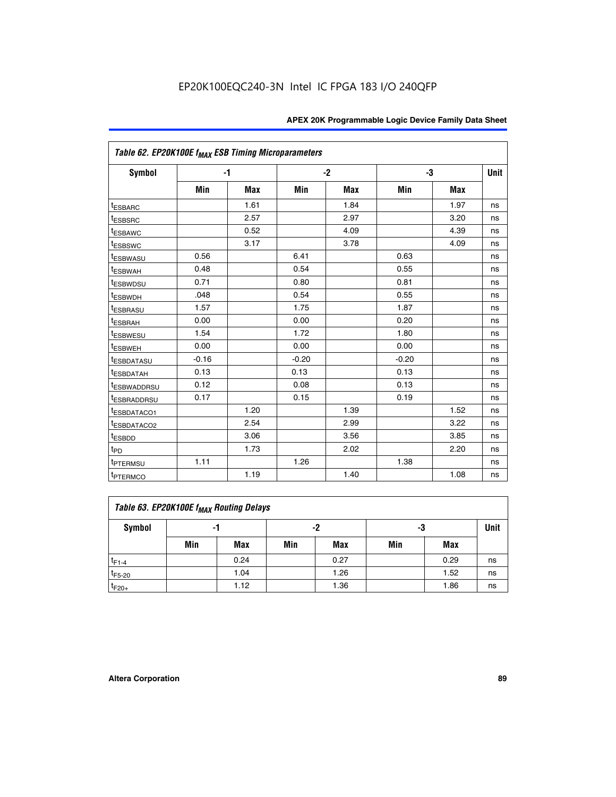| Table 62. EP20K100E f <sub>MAX</sub> ESB Timing Microparameters |         |      |         |            |         |            |             |
|-----------------------------------------------------------------|---------|------|---------|------------|---------|------------|-------------|
| Symbol                                                          | $-1$    |      |         | $-2$       |         | -3         | <b>Unit</b> |
|                                                                 | Min     | Max  | Min     | <b>Max</b> | Min     | <b>Max</b> |             |
| <sup>t</sup> ESBARC                                             |         | 1.61 |         | 1.84       |         | 1.97       | ns          |
| <sup>t</sup> ESBSRC                                             |         | 2.57 |         | 2.97       |         | 3.20       | ns          |
| <sup>t</sup> ESBAWC                                             |         | 0.52 |         | 4.09       |         | 4.39       | ns          |
| <sup>t</sup> ESBSWC                                             |         | 3.17 |         | 3.78       |         | 4.09       | ns          |
| <sup>t</sup> ESBWASU                                            | 0.56    |      | 6.41    |            | 0.63    |            | ns          |
| t <sub>ESBWAH</sub>                                             | 0.48    |      | 0.54    |            | 0.55    |            | ns          |
| <sup>t</sup> ESBWDSU                                            | 0.71    |      | 0.80    |            | 0.81    |            | ns          |
| <sup>t</sup> ESBWDH                                             | .048    |      | 0.54    |            | 0.55    |            | ns          |
| <sup>t</sup> ESBRASU                                            | 1.57    |      | 1.75    |            | 1.87    |            | ns          |
| <sup>t</sup> ESBRAH                                             | 0.00    |      | 0.00    |            | 0.20    |            | ns          |
| <sup>t</sup> ESBWESU                                            | 1.54    |      | 1.72    |            | 1.80    |            | ns          |
| <sup>I</sup> ESBWEH                                             | 0.00    |      | 0.00    |            | 0.00    |            | ns          |
| <sup>t</sup> ESBDATASU                                          | $-0.16$ |      | $-0.20$ |            | $-0.20$ |            | ns          |
| <sup>t</sup> ESBDATAH                                           | 0.13    |      | 0.13    |            | 0.13    |            | ns          |
| <sup>t</sup> ESBWADDRSU                                         | 0.12    |      | 0.08    |            | 0.13    |            | ns          |
| <sup>I</sup> ESBRADDRSU                                         | 0.17    |      | 0.15    |            | 0.19    |            | ns          |
| <sup>I</sup> ESBDATACO1                                         |         | 1.20 |         | 1.39       |         | 1.52       | ns          |
| <sup>t</sup> ESBDATACO2                                         |         | 2.54 |         | 2.99       |         | 3.22       | ns          |
| <sup>t</sup> ESBDD                                              |         | 3.06 |         | 3.56       |         | 3.85       | ns          |
| t <sub>PD</sub>                                                 |         | 1.73 |         | 2.02       |         | 2.20       | ns          |
| <sup>I</sup> PTERMSU                                            | 1.11    |      | 1.26    |            | 1.38    |            | ns          |
| t <sub>PTERMCO</sub>                                            |         | 1.19 |         | 1.40       |         | 1.08       | ns          |

| Table 63. EP20K100E f <sub>MAX</sub> Routing Delays |     |          |     |            |     |      |    |  |  |  |
|-----------------------------------------------------|-----|----------|-----|------------|-----|------|----|--|--|--|
| Symbol                                              | -1  | -2<br>-3 |     |            |     |      |    |  |  |  |
|                                                     | Min | Max      | Min | <b>Max</b> | Min | Max  |    |  |  |  |
| $t_{F1-4}$                                          |     | 0.24     |     | 0.27       |     | 0.29 | ns |  |  |  |
| $t_{F5-20}$                                         |     | 1.04     |     | 1.26       |     | 1.52 | ns |  |  |  |
| $t_{F20+}$                                          |     | 1.12     |     | 1.36       |     | 1.86 | ns |  |  |  |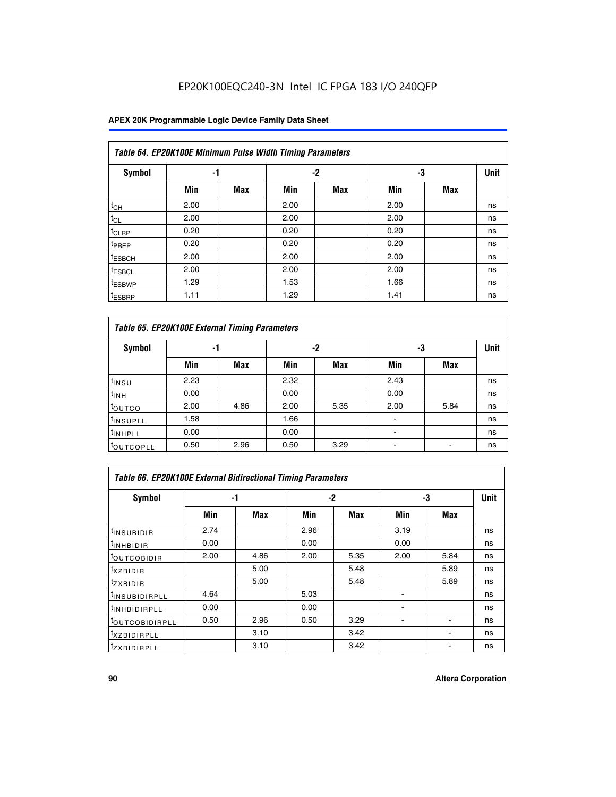# EP20K100EQC240-3N Intel IC FPGA 183 I/O 240QFP

## **APEX 20K Programmable Logic Device Family Data Sheet**

|                    | Table 64. EP20K100E Minimum Pulse Width Timing Parameters |            |      |            |      |            |             |  |  |  |  |  |
|--------------------|-----------------------------------------------------------|------------|------|------------|------|------------|-------------|--|--|--|--|--|
| <b>Symbol</b>      | -1                                                        |            |      | $-2$       |      | -3         | <b>Unit</b> |  |  |  |  |  |
|                    | Min                                                       | <b>Max</b> | Min  | <b>Max</b> | Min  | <b>Max</b> |             |  |  |  |  |  |
| $t_{CH}$           | 2.00                                                      |            | 2.00 |            | 2.00 |            | ns          |  |  |  |  |  |
| $t_{CL}$           | 2.00                                                      |            | 2.00 |            | 2.00 |            | ns          |  |  |  |  |  |
| t <sub>CLRP</sub>  | 0.20                                                      |            | 0.20 |            | 0.20 |            | ns          |  |  |  |  |  |
| t <sub>PREP</sub>  | 0.20                                                      |            | 0.20 |            | 0.20 |            | ns          |  |  |  |  |  |
| <sup>t</sup> ESBCH | 2.00                                                      |            | 2.00 |            | 2.00 |            | ns          |  |  |  |  |  |
| <sup>t</sup> ESBCL | 2.00                                                      |            | 2.00 |            | 2.00 |            | ns          |  |  |  |  |  |
| <sup>t</sup> ESBWP | 1.29                                                      |            | 1.53 |            | 1.66 |            | ns          |  |  |  |  |  |
| <sup>t</sup> ESBRP | 1.11                                                      |            | 1.29 |            | 1.41 |            | ns          |  |  |  |  |  |

|                      | Table 65. EP20K100E External Timing Parameters |            |      |            |                |            |    |  |  |  |  |  |
|----------------------|------------------------------------------------|------------|------|------------|----------------|------------|----|--|--|--|--|--|
| <b>Symbol</b>        | -1                                             |            |      | -2         |                | -3         |    |  |  |  |  |  |
|                      | Min                                            | <b>Max</b> | Min  | <b>Max</b> | Min            | <b>Max</b> |    |  |  |  |  |  |
| $t_{INSU}$           | 2.23                                           |            | 2.32 |            | 2.43           |            | ns |  |  |  |  |  |
| $t_{\rm INH}$        | 0.00                                           |            | 0.00 |            | 0.00           |            | ns |  |  |  |  |  |
| toutco               | 2.00                                           | 4.86       | 2.00 | 5.35       | 2.00           | 5.84       | ns |  |  |  |  |  |
| <sup>t</sup> INSUPLL | 1.58                                           |            | 1.66 |            |                |            | ns |  |  |  |  |  |
| <sup>t</sup> INHPLL  | 0.00                                           |            | 0.00 |            | $\blacksquare$ |            | ns |  |  |  |  |  |
| <b>LOUTCOPLL</b>     | 0.50                                           | 2.96       | 0.50 | 3.29       | -              |            | ns |  |  |  |  |  |

| Table 66. EP20K100E External Bidirectional Timing Parameters |      |      |      |      |      |            |    |  |  |  |
|--------------------------------------------------------------|------|------|------|------|------|------------|----|--|--|--|
| Symbol                                                       |      | -1   |      | $-2$ |      | -3         |    |  |  |  |
|                                                              | Min  | Max  | Min  | Max  | Min  | <b>Max</b> |    |  |  |  |
| <sup>t</sup> INSUBIDIR                                       | 2.74 |      | 2.96 |      | 3.19 |            | ns |  |  |  |
| <b>TINHBIDIR</b>                                             | 0.00 |      | 0.00 |      | 0.00 |            | ns |  |  |  |
| <b>LOUTCOBIDIR</b>                                           | 2.00 | 4.86 | 2.00 | 5.35 | 2.00 | 5.84       | ns |  |  |  |
| <sup>T</sup> XZBIDIR                                         |      | 5.00 |      | 5.48 |      | 5.89       | ns |  |  |  |
| $I_{Z}$ XBIDIR                                               |      | 5.00 |      | 5.48 |      | 5.89       | ns |  |  |  |
| <sup>t</sup> INSUBIDIRPLL                                    | 4.64 |      | 5.03 |      |      |            | ns |  |  |  |
| <sup>I</sup> INHBIDIRPLL                                     | 0.00 |      | 0.00 |      |      |            | ns |  |  |  |
| <b><i>COUTCOBIDIRPLL</i></b>                                 | 0.50 | 2.96 | 0.50 | 3.29 |      |            | ns |  |  |  |
| <sup>I</sup> XZBIDIRPLL                                      |      | 3.10 |      | 3.42 |      |            | ns |  |  |  |
| <sup>I</sup> ZXBIDIRPLL                                      |      | 3.10 |      | 3.42 |      |            | ns |  |  |  |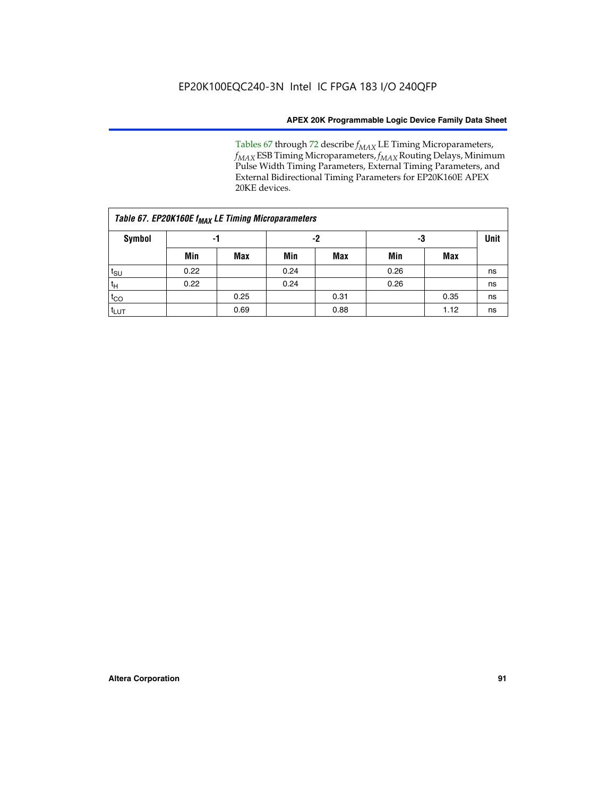Tables 67 through 72 describe *f<sub>MAX</sub>* LE Timing Microparameters, *f<sub>MAX</sub>* ESB Timing Microparameters, *f<sub>MAX</sub>* Routing Delays, Minimum Pulse Width Timing Parameters, External Timing Parameters, and External Bidirectional Timing Parameters for EP20K160E APEX 20KE devices.

| Table 67. EP20K160E f <sub>MAX</sub> LE Timing Microparameters |      |            |      |            |      |      |    |  |  |  |  |
|----------------------------------------------------------------|------|------------|------|------------|------|------|----|--|--|--|--|
| Symbol                                                         | -1   |            |      | -2         |      | -3   |    |  |  |  |  |
|                                                                | Min  | <b>Max</b> | Min  | <b>Max</b> | Min  | Max  |    |  |  |  |  |
| $t_{\text{SU}}$                                                | 0.22 |            | 0.24 |            | 0.26 |      | ns |  |  |  |  |
| $t_H$                                                          | 0.22 |            | 0.24 |            | 0.26 |      | ns |  |  |  |  |
| $t_{CO}$                                                       |      | 0.25       |      | 0.31       |      | 0.35 | ns |  |  |  |  |
| t <sub>lut</sub>                                               |      | 0.69       |      | 0.88       |      | 1.12 | ns |  |  |  |  |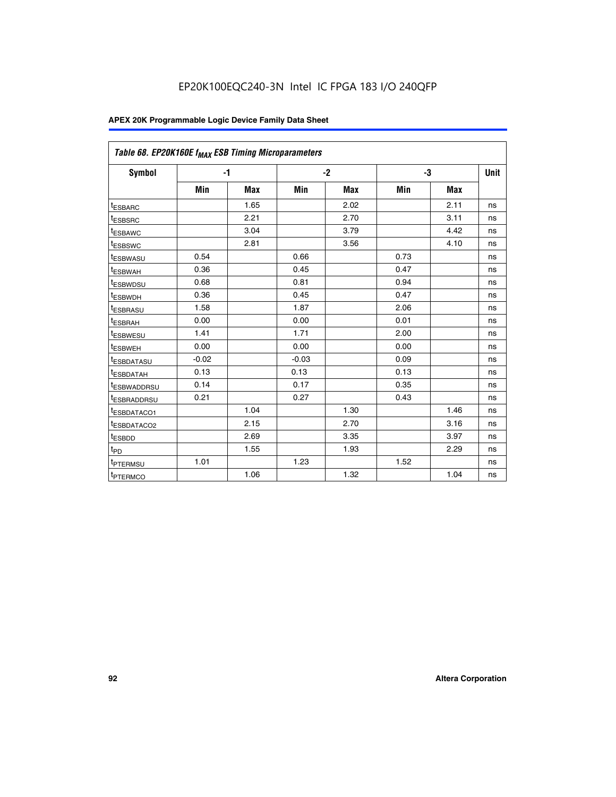| Table 68. EP20K160E f <sub>MAX</sub> ESB Timing Microparameters |         |            |         |            |      |      |      |
|-----------------------------------------------------------------|---------|------------|---------|------------|------|------|------|
| <b>Symbol</b>                                                   |         | $-1$       |         | $-2$       |      | -3   | Unit |
|                                                                 | Min     | <b>Max</b> | Min     | <b>Max</b> | Min  | Max  |      |
| <sup>t</sup> ESBARC                                             |         | 1.65       |         | 2.02       |      | 2.11 | ns   |
| t <sub>ESBSRC</sub>                                             |         | 2.21       |         | 2.70       |      | 3.11 | ns   |
| <sup>t</sup> ESBAWC                                             |         | 3.04       |         | 3.79       |      | 4.42 | ns   |
| t <sub>ESBSWC</sub>                                             |         | 2.81       |         | 3.56       |      | 4.10 | ns   |
| <sup>t</sup> ESBWASU                                            | 0.54    |            | 0.66    |            | 0.73 |      | ns   |
| <sup>t</sup> ESBWAH                                             | 0.36    |            | 0.45    |            | 0.47 |      | ns   |
| t <sub>ESBWDSU</sub>                                            | 0.68    |            | 0.81    |            | 0.94 |      | ns   |
| <sup>t</sup> ESBWDH                                             | 0.36    |            | 0.45    |            | 0.47 |      | ns   |
| t <sub>ESBRASU</sub>                                            | 1.58    |            | 1.87    |            | 2.06 |      | ns   |
| <sup>t</sup> ESBRAH                                             | 0.00    |            | 0.00    |            | 0.01 |      | ns   |
| <sup>t</sup> ESBWESU                                            | 1.41    |            | 1.71    |            | 2.00 |      | ns   |
| t <sub>ESBWEH</sub>                                             | 0.00    |            | 0.00    |            | 0.00 |      | ns   |
| t <sub>ESBDATASU</sub>                                          | $-0.02$ |            | $-0.03$ |            | 0.09 |      | ns   |
| t <sub>ESBDATAH</sub>                                           | 0.13    |            | 0.13    |            | 0.13 |      | ns   |
| t <sub>ESBWADDRSU</sub>                                         | 0.14    |            | 0.17    |            | 0.35 |      | ns   |
| <sup>t</sup> ESBRADDRSU                                         | 0.21    |            | 0.27    |            | 0.43 |      | ns   |
| <sup>I</sup> ESBDATACO1                                         |         | 1.04       |         | 1.30       |      | 1.46 | ns   |
| t <sub>ESBDATACO2</sub>                                         |         | 2.15       |         | 2.70       |      | 3.16 | ns   |
| <sup>t</sup> ESBDD                                              |         | 2.69       |         | 3.35       |      | 3.97 | ns   |
| $t_{\mathsf{PD}}$                                               |         | 1.55       |         | 1.93       |      | 2.29 | ns   |
| t <sub>PTERMSU</sub>                                            | 1.01    |            | 1.23    |            | 1.52 |      | ns   |
| t <sub>PTERMCO</sub>                                            |         | 1.06       |         | 1.32       |      | 1.04 | ns   |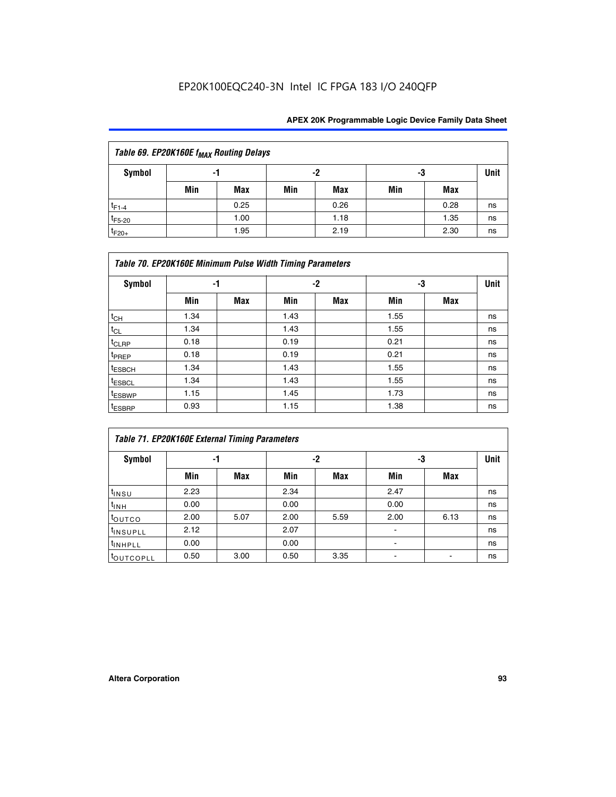| Table 69. EP20K160E f <sub>MAX</sub> Routing Delays |                |      |     |             |     |      |    |  |  |  |  |
|-----------------------------------------------------|----------------|------|-----|-------------|-----|------|----|--|--|--|--|
| Symbol                                              | -2<br>-3<br>-1 |      |     | <b>Unit</b> |     |      |    |  |  |  |  |
|                                                     | Min            | Max  | Min | Max         | Min | Max  |    |  |  |  |  |
| $t_{F1-4}$                                          |                | 0.25 |     | 0.26        |     | 0.28 | ns |  |  |  |  |
| $t_{F5-20}$                                         |                | 1.00 |     | 1.18        |     | 1.35 | ns |  |  |  |  |
| $t_{F20+}$                                          |                | 1.95 |     | 2.19        |     | 2.30 | ns |  |  |  |  |

|                    | Table 70. EP20K160E Minimum Pulse Width Timing Parameters |     |      |      |      |     |    |  |  |  |  |
|--------------------|-----------------------------------------------------------|-----|------|------|------|-----|----|--|--|--|--|
| <b>Symbol</b>      | -1                                                        |     |      | $-2$ |      | -3  |    |  |  |  |  |
|                    | Min                                                       | Max | Min  | Max  | Min  | Max |    |  |  |  |  |
| $t_{CH}$           | 1.34                                                      |     | 1.43 |      | 1.55 |     | ns |  |  |  |  |
| $t_{CL}$           | 1.34                                                      |     | 1.43 |      | 1.55 |     | ns |  |  |  |  |
| t <sub>CLRP</sub>  | 0.18                                                      |     | 0.19 |      | 0.21 |     | ns |  |  |  |  |
| t <sub>PREP</sub>  | 0.18                                                      |     | 0.19 |      | 0.21 |     | ns |  |  |  |  |
| <sup>t</sup> ESBCH | 1.34                                                      |     | 1.43 |      | 1.55 |     | ns |  |  |  |  |
| <sup>t</sup> ESBCL | 1.34                                                      |     | 1.43 |      | 1.55 |     | ns |  |  |  |  |
| <sup>t</sup> ESBWP | 1.15                                                      |     | 1.45 |      | 1.73 |     | ns |  |  |  |  |
| <sup>t</sup> ESBRP | 0.93                                                      |     | 1.15 |      | 1.38 |     | ns |  |  |  |  |

| Table 71. EP20K160E External Timing Parameters |      |      |      |      |                |      |      |  |  |  |
|------------------------------------------------|------|------|------|------|----------------|------|------|--|--|--|
| Symbol                                         | -1   |      |      | -2   | -3             |      | Unit |  |  |  |
|                                                | Min  | Max  | Min  | Max  | Min            | Max  |      |  |  |  |
| $t_{INSU}$                                     | 2.23 |      | 2.34 |      | 2.47           |      | ns   |  |  |  |
| $t_{INH}$                                      | 0.00 |      | 0.00 |      | 0.00           |      | ns   |  |  |  |
| toutco                                         | 2.00 | 5.07 | 2.00 | 5.59 | 2.00           | 6.13 | ns   |  |  |  |
| <sup>t</sup> INSUPLL                           | 2.12 |      | 2.07 |      | $\blacksquare$ |      | ns   |  |  |  |
| <sup>t</sup> INHPLL                            | 0.00 |      | 0.00 |      | ۰              |      | ns   |  |  |  |
| toutcopll                                      | 0.50 | 3.00 | 0.50 | 3.35 |                |      | ns   |  |  |  |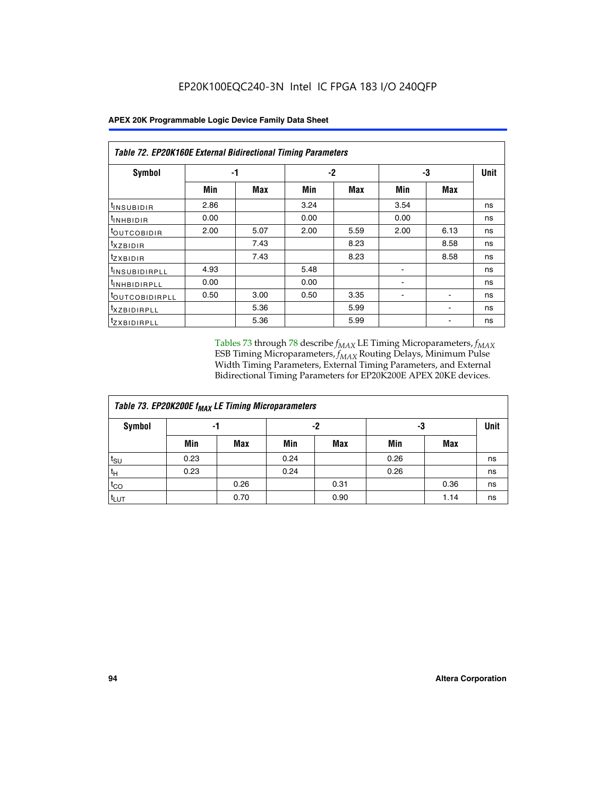|  |  |  | APEX 20K Programmable Logic Device Family Data Sheet |
|--|--|--|------------------------------------------------------|
|--|--|--|------------------------------------------------------|

| Table 72. EP20K160E External Bidirectional Timing Parameters |      |      |      |      |      |      |             |  |  |  |
|--------------------------------------------------------------|------|------|------|------|------|------|-------------|--|--|--|
| Symbol                                                       |      | -1   |      | $-2$ | -3   |      | <b>Unit</b> |  |  |  |
|                                                              | Min  | Max  | Min  | Max  | Min  | Max  |             |  |  |  |
| <sup>t</sup> INSUB <u>IDIR</u>                               | 2.86 |      | 3.24 |      | 3.54 |      | ns          |  |  |  |
| <b>UNHBIDIR</b>                                              | 0.00 |      | 0.00 |      | 0.00 |      | ns          |  |  |  |
| <b>LOUTCOBIDIR</b>                                           | 2.00 | 5.07 | 2.00 | 5.59 | 2.00 | 6.13 | ns          |  |  |  |
| KZBIDIR                                                      |      | 7.43 |      | 8.23 |      | 8.58 | ns          |  |  |  |
| <sup>t</sup> zxbidir                                         |      | 7.43 |      | 8.23 |      | 8.58 | ns          |  |  |  |
| <sup>t</sup> INSUBIDIRPLL                                    | 4.93 |      | 5.48 |      |      |      | ns          |  |  |  |
| <sup>I</sup> INHBIDIRPLL                                     | 0.00 |      | 0.00 |      | ۰    |      | ns          |  |  |  |
| <b><i>LOUTCOBIDIRPLL</i></b>                                 | 0.50 | 3.00 | 0.50 | 3.35 |      |      | ns          |  |  |  |
| <sup>T</sup> XZBIDIRPLL                                      |      | 5.36 |      | 5.99 |      |      | ns          |  |  |  |
| <sup>t</sup> ZXBIDIRPLL                                      |      | 5.36 |      | 5.99 |      |      | ns          |  |  |  |

Tables 73 through 78 describe  $f_{MAX}$  LE Timing Microparameters,  $f_{MAX}$ ESB Timing Microparameters, *f<sub>MAX</sub>* Routing Delays, Minimum Pulse Width Timing Parameters, External Timing Parameters, and External Bidirectional Timing Parameters for EP20K200E APEX 20KE devices.

| Table 73. EP20K200E f <sub>MAX</sub> LE Timing Microparameters |      |      |      |            |      |      |             |  |  |  |  |
|----------------------------------------------------------------|------|------|------|------------|------|------|-------------|--|--|--|--|
| <b>Symbol</b>                                                  | -1   |      | -2   |            | -3   |      | <b>Unit</b> |  |  |  |  |
|                                                                | Min  | Max  | Min  | <b>Max</b> | Min  | Max  |             |  |  |  |  |
| $t_{\text{SU}}$                                                | 0.23 |      | 0.24 |            | 0.26 |      | ns          |  |  |  |  |
| $t_H$                                                          | 0.23 |      | 0.24 |            | 0.26 |      | ns          |  |  |  |  |
| $t_{CO}$                                                       |      | 0.26 |      | 0.31       |      | 0.36 | ns          |  |  |  |  |
| t <sub>LUT</sub>                                               |      | 0.70 |      | 0.90       |      | 1.14 | ns          |  |  |  |  |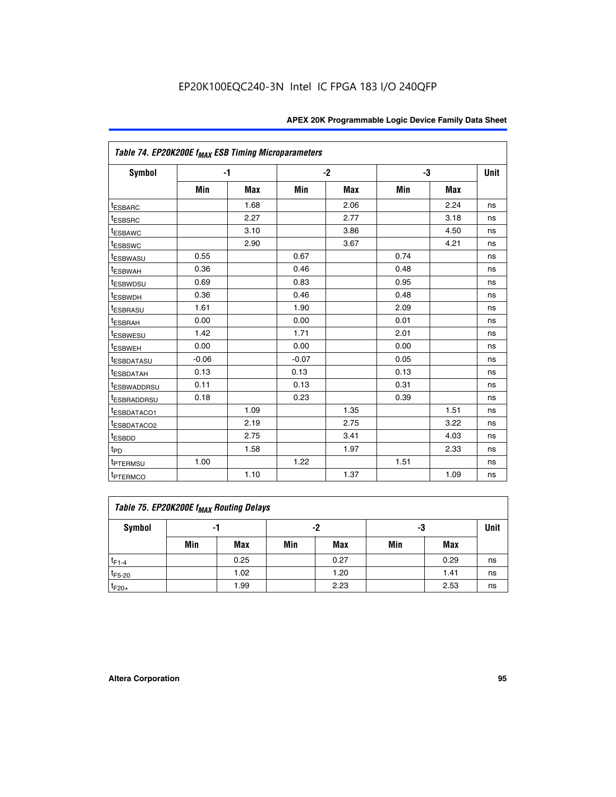| Table 74. EP20K200E f <sub>MAX</sub> ESB Timing Microparameters |         |            |         |      |      |      |             |
|-----------------------------------------------------------------|---------|------------|---------|------|------|------|-------------|
| Symbol                                                          |         | $-1$       |         | $-2$ | -3   |      | <b>Unit</b> |
|                                                                 | Min     | <b>Max</b> | Min     | Max  | Min  | Max  |             |
| <sup>t</sup> ESBARC                                             |         | 1.68       |         | 2.06 |      | 2.24 | ns          |
| <sup>t</sup> ESBSRC                                             |         | 2.27       |         | 2.77 |      | 3.18 | ns          |
| t <sub>ESBAWC</sub>                                             |         | 3.10       |         | 3.86 |      | 4.50 | ns          |
| <sup>t</sup> ESBSWC                                             |         | 2.90       |         | 3.67 |      | 4.21 | ns          |
| t <sub>ESBWASU</sub>                                            | 0.55    |            | 0.67    |      | 0.74 |      | ns          |
| <sup>t</sup> ESBWAH                                             | 0.36    |            | 0.46    |      | 0.48 |      | ns          |
| <sup>t</sup> ESBWDSU                                            | 0.69    |            | 0.83    |      | 0.95 |      | ns          |
| <sup>t</sup> ESBWDH                                             | 0.36    |            | 0.46    |      | 0.48 |      | ns          |
| <sup>t</sup> ESBRASU                                            | 1.61    |            | 1.90    |      | 2.09 |      | ns          |
| t <sub>ESBRAH</sub>                                             | 0.00    |            | 0.00    |      | 0.01 |      | ns          |
| t <sub>ESBWESU</sub>                                            | 1.42    |            | 1.71    |      | 2.01 |      | ns          |
| <sup>I</sup> ESBWEH                                             | 0.00    |            | 0.00    |      | 0.00 |      | ns          |
| t <sub>ESBDATASU</sub>                                          | $-0.06$ |            | $-0.07$ |      | 0.05 |      | ns          |
| <b>ESBDATAH</b>                                                 | 0.13    |            | 0.13    |      | 0.13 |      | ns          |
| t <sub>ESBWADDRSU</sub>                                         | 0.11    |            | 0.13    |      | 0.31 |      | ns          |
| <sup>t</sup> ESBRADDRSU                                         | 0.18    |            | 0.23    |      | 0.39 |      | ns          |
| ESBDATACO1                                                      |         | 1.09       |         | 1.35 |      | 1.51 | ns          |
| <sup>t</sup> ESBDATACO <sub>2</sub>                             |         | 2.19       |         | 2.75 |      | 3.22 | ns          |
| t <sub>ESBDD</sub>                                              |         | 2.75       |         | 3.41 |      | 4.03 | ns          |
| $t_{PD}$                                                        |         | 1.58       |         | 1.97 |      | 2.33 | ns          |
| <sup>t</sup> PTERMSU                                            | 1.00    |            | 1.22    |      | 1.51 |      | ns          |
| t <sub>PTERMCO</sub>                                            |         | 1.10       |         | 1.37 |      | 1.09 | ns          |

| Table 75. EP20K200E f <sub>MAX</sub> Routing Delays |     |      |     |            |     |      |             |  |  |  |  |
|-----------------------------------------------------|-----|------|-----|------------|-----|------|-------------|--|--|--|--|
| Symbol                                              | -1  |      |     | -2         | -3  |      | <b>Unit</b> |  |  |  |  |
|                                                     | Min | Max  | Min | <b>Max</b> | Min | Max  |             |  |  |  |  |
| $t_{F1-4}$                                          |     | 0.25 |     | 0.27       |     | 0.29 | ns          |  |  |  |  |
| $t_{F5-20}$                                         |     | 1.02 |     | 1.20       |     | 1.41 | ns          |  |  |  |  |
| $t_{F20+}$                                          |     | 1.99 |     | 2.23       |     | 2.53 | ns          |  |  |  |  |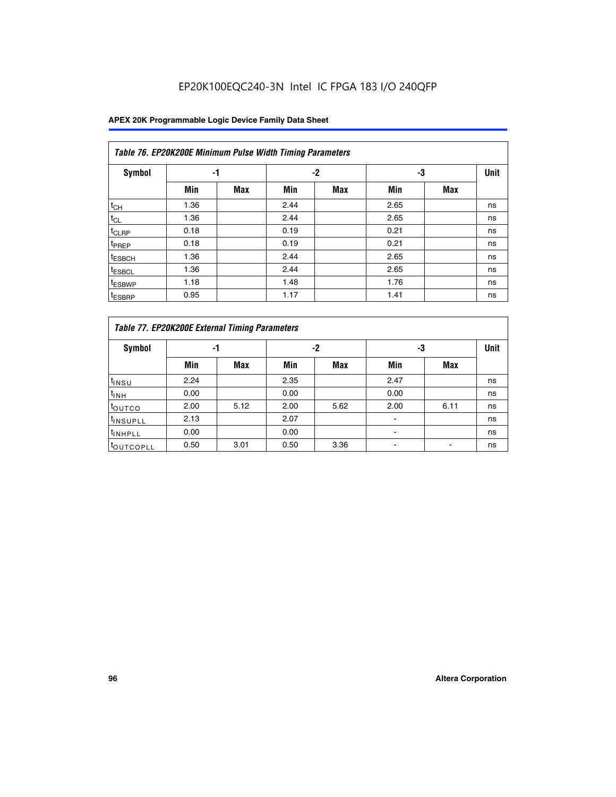# EP20K100EQC240-3N Intel IC FPGA 183 I/O 240QFP

| Table 76. EP20K200E Minimum Pulse Width Timing Parameters |      |            |      |            |      |            |             |  |  |  |  |
|-----------------------------------------------------------|------|------------|------|------------|------|------------|-------------|--|--|--|--|
| <b>Symbol</b>                                             | -1   |            |      | $-2$       | -3   |            | <b>Unit</b> |  |  |  |  |
|                                                           | Min  | <b>Max</b> | Min  | <b>Max</b> | Min  | <b>Max</b> |             |  |  |  |  |
| $t_{CH}$                                                  | 1.36 |            | 2.44 |            | 2.65 |            | ns          |  |  |  |  |
| $t_{CL}$                                                  | 1.36 |            | 2.44 |            | 2.65 |            | ns          |  |  |  |  |
| $t_{CLRP}$                                                | 0.18 |            | 0.19 |            | 0.21 |            | ns          |  |  |  |  |
| t <sub>PREP</sub>                                         | 0.18 |            | 0.19 |            | 0.21 |            | ns          |  |  |  |  |
| <sup>t</sup> ESBCH                                        | 1.36 |            | 2.44 |            | 2.65 |            | ns          |  |  |  |  |
| <sup>t</sup> ESBCL                                        | 1.36 |            | 2.44 |            | 2.65 |            | ns          |  |  |  |  |
| <sup>t</sup> ESBWP                                        | 1.18 |            | 1.48 |            | 1.76 |            | ns          |  |  |  |  |
| <sup>t</sup> ESBRP                                        | 0.95 |            | 1.17 |            | 1.41 |            | ns          |  |  |  |  |

|                       | Table 77. EP20K200E External Timing Parameters |            |      |            |      |      |    |  |  |  |  |  |
|-----------------------|------------------------------------------------|------------|------|------------|------|------|----|--|--|--|--|--|
| <b>Symbol</b>         |                                                | -1         |      | -2         |      | -3   |    |  |  |  |  |  |
|                       | Min                                            | <b>Max</b> | Min  | <b>Max</b> | Min  | Max  |    |  |  |  |  |  |
| t <sub>INSU</sub>     | 2.24                                           |            | 2.35 |            | 2.47 |      | ns |  |  |  |  |  |
| $t_{\text{INH}}$      | 0.00                                           |            | 0.00 |            | 0.00 |      | ns |  |  |  |  |  |
| toutco                | 2.00                                           | 5.12       | 2.00 | 5.62       | 2.00 | 6.11 | ns |  |  |  |  |  |
| <sup>t</sup> INSUPLL  | 2.13                                           |            | 2.07 |            |      |      | ns |  |  |  |  |  |
| <sup>t</sup> INHPLL   | 0.00                                           |            | 0.00 |            | -    |      | ns |  |  |  |  |  |
| <sup>I</sup> OUTCOPLL | 0.50                                           | 3.01       | 0.50 | 3.36       |      |      | ns |  |  |  |  |  |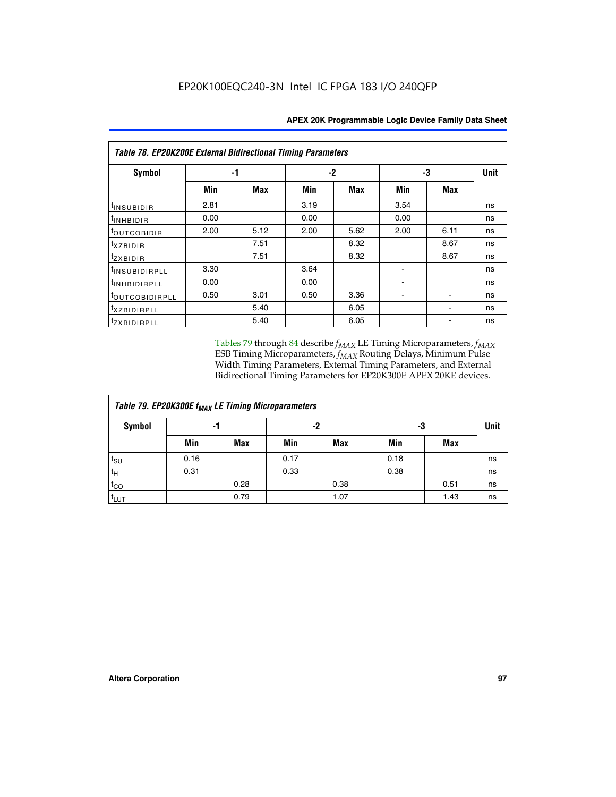| Table 78. EP20K200E External Bidirectional Timing Parameters |      |      |      |      |      |             |    |  |  |  |  |
|--------------------------------------------------------------|------|------|------|------|------|-------------|----|--|--|--|--|
| Symbol                                                       |      | -1   |      | -2   | -3   | <b>Unit</b> |    |  |  |  |  |
|                                                              | Min  | Max  | Min  | Max  | Min  | <b>Max</b>  |    |  |  |  |  |
| $t_{INSUBIDIR}$                                              | 2.81 |      | 3.19 |      | 3.54 |             | ns |  |  |  |  |
| $t_{INHBIDIR}$                                               | 0.00 |      | 0.00 |      | 0.00 |             | ns |  |  |  |  |
| t <sub>outcobidir</sub>                                      | 2.00 | 5.12 | 2.00 | 5.62 | 2.00 | 6.11        | ns |  |  |  |  |
| <i>txzbidir</i>                                              |      | 7.51 |      | 8.32 |      | 8.67        | ns |  |  |  |  |
| tzxbidir                                                     |      | 7.51 |      | 8.32 |      | 8.67        | ns |  |  |  |  |
| t <sub>INSUBIDIRPLL</sub>                                    | 3.30 |      | 3.64 |      |      |             | ns |  |  |  |  |
| tINHBIDIRPLL                                                 | 0.00 |      | 0.00 |      |      |             | ns |  |  |  |  |
| <sup>t</sup> OUTCOBIDIRPLL                                   | 0.50 | 3.01 | 0.50 | 3.36 |      |             | ns |  |  |  |  |
| <i>txzbidirpll</i>                                           |      | 5.40 |      | 6.05 |      |             | ns |  |  |  |  |
| <i>tzxBIDIRPLL</i>                                           |      | 5.40 |      | 6.05 |      |             | ns |  |  |  |  |

Tables 79 through 84 describe  $f_{MAX}$  LE Timing Microparameters,  $f_{MAX}$ ESB Timing Microparameters, *f<sub>MAX</sub>* Routing Delays, Minimum Pulse Width Timing Parameters, External Timing Parameters, and External Bidirectional Timing Parameters for EP20K300E APEX 20KE devices.

| Table 79. EP20K300E f <sub>MAX</sub> LE Timing Microparameters |      |            |      |      |      |      |             |  |  |  |
|----------------------------------------------------------------|------|------------|------|------|------|------|-------------|--|--|--|
| <b>Symbol</b>                                                  | -1   |            | -2   |      | -3   |      | <b>Unit</b> |  |  |  |
|                                                                | Min  | <b>Max</b> | Min  | Max  | Min  | Max  |             |  |  |  |
| $t_{\text{SU}}$                                                | 0.16 |            | 0.17 |      | 0.18 |      | ns          |  |  |  |
| $t_H$                                                          | 0.31 |            | 0.33 |      | 0.38 |      | ns          |  |  |  |
| $t_{CO}$                                                       |      | 0.28       |      | 0.38 |      | 0.51 | ns          |  |  |  |
| $t_{LUT}$                                                      |      | 0.79       |      | 1.07 |      | 1.43 | ns          |  |  |  |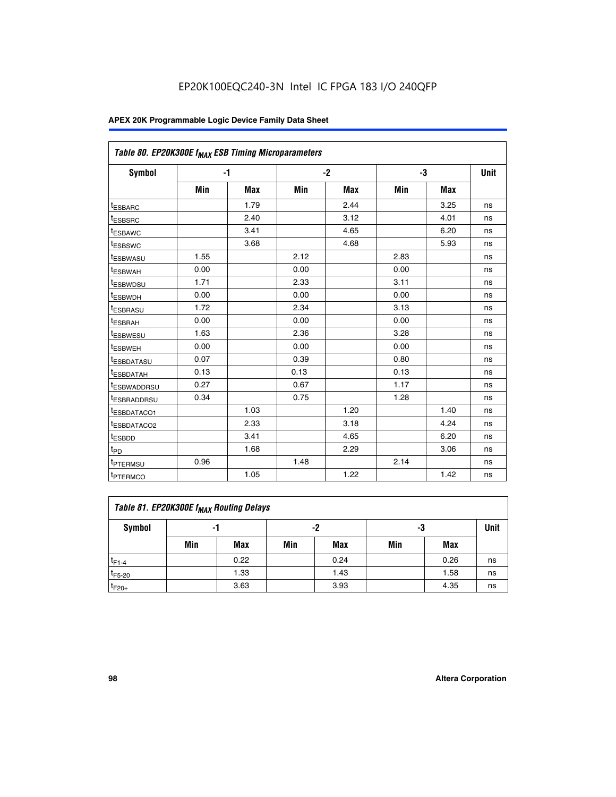| Table 80. EP20K300E f <sub>MAX</sub> ESB Timing Microparameters |      |      |      |      |      |      |             |
|-----------------------------------------------------------------|------|------|------|------|------|------|-------------|
| Symbol                                                          |      | $-1$ |      | $-2$ |      | -3   | <b>Unit</b> |
|                                                                 | Min  | Max  | Min  | Max  | Min  | Max  |             |
| t <sub>ESBARC</sub>                                             |      | 1.79 |      | 2.44 |      | 3.25 | ns          |
| t <sub>ESBSRC</sub>                                             |      | 2.40 |      | 3.12 |      | 4.01 | ns          |
| t <sub>ESBAWC</sub>                                             |      | 3.41 |      | 4.65 |      | 6.20 | ns          |
| t <sub>ESBSWC</sub>                                             |      | 3.68 |      | 4.68 |      | 5.93 | ns          |
| <sup>t</sup> ESBWASU                                            | 1.55 |      | 2.12 |      | 2.83 |      | ns          |
| t <sub>ESBWAH</sub>                                             | 0.00 |      | 0.00 |      | 0.00 |      | ns          |
| <sup>I</sup> ESBWDSU                                            | 1.71 |      | 2.33 |      | 3.11 |      | ns          |
| <sup>t</sup> ESBWDH                                             | 0.00 |      | 0.00 |      | 0.00 |      | ns          |
| <sup>t</sup> ESBRASU                                            | 1.72 |      | 2.34 |      | 3.13 |      | ns          |
| <sup>t</sup> ESBRAH                                             | 0.00 |      | 0.00 |      | 0.00 |      | ns          |
| <sup>t</sup> ESBWESU                                            | 1.63 |      | 2.36 |      | 3.28 |      | ns          |
| t <sub>ESBWEH</sub>                                             | 0.00 |      | 0.00 |      | 0.00 |      | ns          |
| t <sub>ESBDATASU</sub>                                          | 0.07 |      | 0.39 |      | 0.80 |      | ns          |
| <sup>t</sup> ESBDATAH                                           | 0.13 |      | 0.13 |      | 0.13 |      | ns          |
| <sup>t</sup> ESBWADDRSU                                         | 0.27 |      | 0.67 |      | 1.17 |      | ns          |
| <sup>t</sup> ESBRADDRSU                                         | 0.34 |      | 0.75 |      | 1.28 |      | ns          |
| <sup>I</sup> ESBDATACO1                                         |      | 1.03 |      | 1.20 |      | 1.40 | ns          |
| t <sub>ESBDATACO2</sub>                                         |      | 2.33 |      | 3.18 |      | 4.24 | ns          |
| <sup>t</sup> ESBDD                                              |      | 3.41 |      | 4.65 |      | 6.20 | ns          |
| t <sub>PD</sub>                                                 |      | 1.68 |      | 2.29 |      | 3.06 | ns          |
| t <sub>PTERMSU</sub>                                            | 0.96 |      | 1.48 |      | 2.14 |      | ns          |
| t <sub>PTERMCO</sub>                                            |      | 1.05 |      | 1.22 |      | 1.42 | ns          |

| Table 81. EP20K300E f <sub>MAX</sub> Routing Delays |                |      |     |      |     |      |      |  |  |  |
|-----------------------------------------------------|----------------|------|-----|------|-----|------|------|--|--|--|
| Symbol                                              | -2<br>-3<br>-1 |      |     |      |     |      | Unit |  |  |  |
|                                                     | Min            | Max  | Min | Max  | Min | Max  |      |  |  |  |
| $t_{F1-4}$                                          |                | 0.22 |     | 0.24 |     | 0.26 | ns   |  |  |  |
| $t_{F5-20}$                                         |                | 1.33 |     | 1.43 |     | 1.58 | ns   |  |  |  |
| $t_{F20+}$                                          |                | 3.63 |     | 3.93 |     | 4.35 | ns   |  |  |  |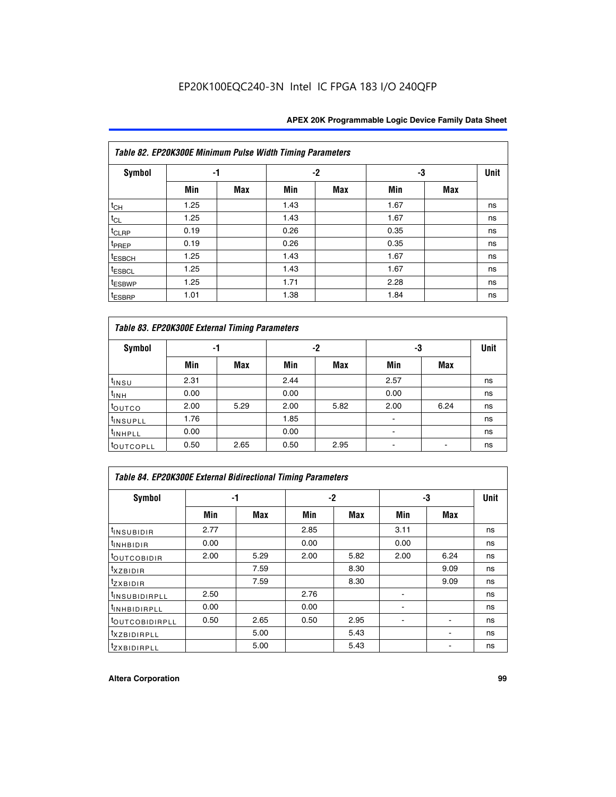|                    | Table 82. EP20K300E Minimum Pulse Width Timing Parameters |            |      |            |      |            |             |  |  |  |  |  |
|--------------------|-----------------------------------------------------------|------------|------|------------|------|------------|-------------|--|--|--|--|--|
| <b>Symbol</b>      | -1                                                        |            |      | $-2$       | -3   |            | <b>Unit</b> |  |  |  |  |  |
|                    | Min                                                       | <b>Max</b> | Min  | <b>Max</b> | Min  | <b>Max</b> |             |  |  |  |  |  |
| $t_{CH}$           | 1.25                                                      |            | 1.43 |            | 1.67 |            | ns          |  |  |  |  |  |
| $t_{CL}$           | 1.25                                                      |            | 1.43 |            | 1.67 |            | ns          |  |  |  |  |  |
| t <sub>CLRP</sub>  | 0.19                                                      |            | 0.26 |            | 0.35 |            | ns          |  |  |  |  |  |
| t <sub>PREP</sub>  | 0.19                                                      |            | 0.26 |            | 0.35 |            | ns          |  |  |  |  |  |
| <sup>t</sup> ESBCH | 1.25                                                      |            | 1.43 |            | 1.67 |            | ns          |  |  |  |  |  |
| <sup>t</sup> ESBCL | 1.25                                                      |            | 1.43 |            | 1.67 |            | ns          |  |  |  |  |  |
| <sup>t</sup> ESBWP | 1.25                                                      |            | 1.71 |            | 2.28 |            | ns          |  |  |  |  |  |
| <sup>t</sup> ESBRP | 1.01                                                      |            | 1.38 |            | 1.84 |            | ns          |  |  |  |  |  |

|                       | Table 83. EP20K300E External Timing Parameters |      |      |      |      |            |    |  |  |  |  |  |
|-----------------------|------------------------------------------------|------|------|------|------|------------|----|--|--|--|--|--|
| Symbol                |                                                | -1   |      | -2   |      | -3         |    |  |  |  |  |  |
|                       | Min                                            | Max  | Min  | Max  | Min  | <b>Max</b> |    |  |  |  |  |  |
| t <sub>INSU</sub>     | 2.31                                           |      | 2.44 |      | 2.57 |            | ns |  |  |  |  |  |
| $t_{INH}$             | 0.00                                           |      | 0.00 |      | 0.00 |            | ns |  |  |  |  |  |
| toutco                | 2.00                                           | 5.29 | 2.00 | 5.82 | 2.00 | 6.24       | ns |  |  |  |  |  |
| <sup>t</sup> INSUPLL  | 1.76                                           |      | 1.85 |      |      |            | ns |  |  |  |  |  |
| <sup>t</sup> INHPLL   | 0.00                                           |      | 0.00 |      | -    |            | ns |  |  |  |  |  |
| <sup>t</sup> OUTCOPLL | 0.50                                           | 2.65 | 0.50 | 2.95 |      |            | ns |  |  |  |  |  |

| Table 84. EP20K300E External Bidirectional Timing Parameters |      |      |      |            |      |             |    |  |  |  |  |
|--------------------------------------------------------------|------|------|------|------------|------|-------------|----|--|--|--|--|
| Symbol                                                       | -1   |      | $-2$ |            | -3   | <b>Unit</b> |    |  |  |  |  |
|                                                              | Min  | Max  | Min  | <b>Max</b> | Min  | <b>Max</b>  |    |  |  |  |  |
| <sup>t</sup> INSUBIDIR                                       | 2.77 |      | 2.85 |            | 3.11 |             | ns |  |  |  |  |
| <b>TINHBIDIR</b>                                             | 0.00 |      | 0.00 |            | 0.00 |             | ns |  |  |  |  |
| <sup>t</sup> OUTCOBIDIR                                      | 2.00 | 5.29 | 2.00 | 5.82       | 2.00 | 6.24        | ns |  |  |  |  |
| KZBIDIR                                                      |      | 7.59 |      | 8.30       |      | 9.09        | ns |  |  |  |  |
| $t_{Z}$ <i>x</i> BIDIR                                       |      | 7.59 |      | 8.30       |      | 9.09        | ns |  |  |  |  |
| <b>INSUBIDIRPLL</b>                                          | 2.50 |      | 2.76 |            |      |             | ns |  |  |  |  |
| <sup>t</sup> INHBIDIRPLL                                     | 0.00 |      | 0.00 |            |      |             | ns |  |  |  |  |
| <b><i>LOUTCOBIDIRPLL</i></b>                                 | 0.50 | 2.65 | 0.50 | 2.95       |      |             | ns |  |  |  |  |
| <sup>t</sup> XZBIDIRPLL                                      |      | 5.00 |      | 5.43       |      |             | ns |  |  |  |  |
| <sup>t</sup> ZXBIDIRPLL                                      |      | 5.00 |      | 5.43       |      |             | ns |  |  |  |  |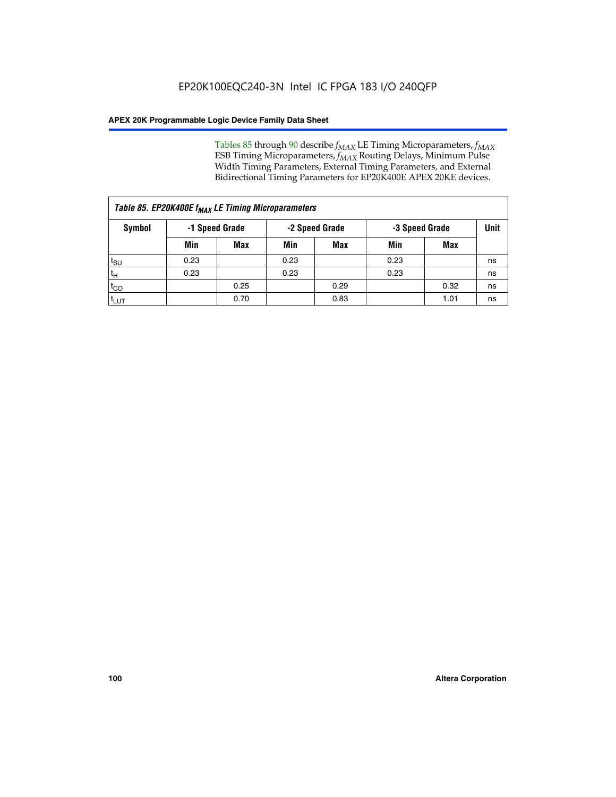Tables 85 through 90 describe  $f_{MAX}$  LE Timing Microparameters,  $f_{MAX}$ ESB Timing Microparameters, *f<sub>MAX</sub>* Routing Delays, Minimum Pulse Width Timing Parameters, External Timing Parameters, and External Bidirectional Timing Parameters for EP20K400E APEX 20KE devices.

| Table 85. EP20K400E f <sub>MAX</sub> LE Timing Microparameters |      |                |      |                |      |                |      |  |  |  |
|----------------------------------------------------------------|------|----------------|------|----------------|------|----------------|------|--|--|--|
| Symbol                                                         |      | -1 Speed Grade |      | -2 Speed Grade |      | -3 Speed Grade | Unit |  |  |  |
|                                                                | Min  | Max            | Min  | Max            | Min  | Max            |      |  |  |  |
| t <sub>SU</sub>                                                | 0.23 |                | 0.23 |                | 0.23 |                | ns   |  |  |  |
| $t_H$                                                          | 0.23 |                | 0.23 |                | 0.23 |                | ns   |  |  |  |
| $t_{CO}$                                                       |      | 0.25           |      | 0.29           |      | 0.32           | ns   |  |  |  |
| t <sub>LUT</sub>                                               |      | 0.70           |      | 0.83           |      | 1.01           | ns   |  |  |  |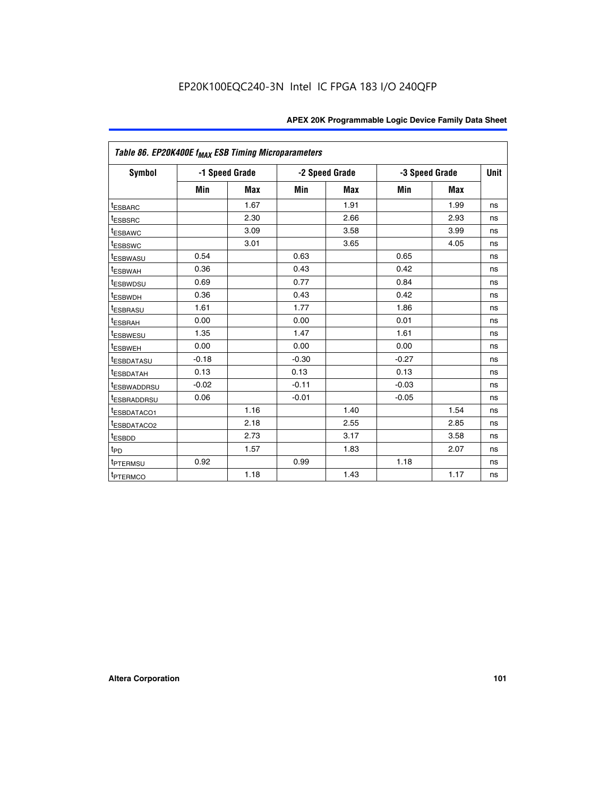|                         | Table 86. EP20K400E f <sub>MAX</sub> ESB Timing Microparameters |                |         |                |                |            |             |  |  |  |  |
|-------------------------|-----------------------------------------------------------------|----------------|---------|----------------|----------------|------------|-------------|--|--|--|--|
| Symbol                  |                                                                 | -1 Speed Grade |         | -2 Speed Grade | -3 Speed Grade |            | <b>Unit</b> |  |  |  |  |
|                         | Min                                                             | <b>Max</b>     | Min     | Max            | Min            | <b>Max</b> |             |  |  |  |  |
| <b>tESBARC</b>          |                                                                 | 1.67           |         | 1.91           |                | 1.99       | ns          |  |  |  |  |
| <sup>t</sup> ESBSRC     |                                                                 | 2.30           |         | 2.66           |                | 2.93       | ns          |  |  |  |  |
| <sup>t</sup> ESBAWC     |                                                                 | 3.09           |         | 3.58           |                | 3.99       | ns          |  |  |  |  |
| <sup>t</sup> ESBSWC     |                                                                 | 3.01           |         | 3.65           |                | 4.05       | ns          |  |  |  |  |
| <sup>t</sup> ESBWASU    | 0.54                                                            |                | 0.63    |                | 0.65           |            | ns          |  |  |  |  |
| t <sub>ESBWAH</sub>     | 0.36                                                            |                | 0.43    |                | 0.42           |            | ns          |  |  |  |  |
| <sup>t</sup> ESBWDSU    | 0.69                                                            |                | 0.77    |                | 0.84           |            | ns          |  |  |  |  |
| <sup>I</sup> ESBWDH     | 0.36                                                            |                | 0.43    |                | 0.42           |            | ns          |  |  |  |  |
| t <sub>ESBRASU</sub>    | 1.61                                                            |                | 1.77    |                | 1.86           |            | ns          |  |  |  |  |
| t <sub>ESBRAH</sub>     | 0.00                                                            |                | 0.00    |                | 0.01           |            | ns          |  |  |  |  |
| <sup>t</sup> ESBWESU    | 1.35                                                            |                | 1.47    |                | 1.61           |            | ns          |  |  |  |  |
| t <sub>ESBWEH</sub>     | 0.00                                                            |                | 0.00    |                | 0.00           |            | ns          |  |  |  |  |
| <sup>I</sup> ESBDATASU  | $-0.18$                                                         |                | $-0.30$ |                | $-0.27$        |            | ns          |  |  |  |  |
| <b>ESBDATAH</b>         | 0.13                                                            |                | 0.13    |                | 0.13           |            | ns          |  |  |  |  |
| <sup>T</sup> ESBWADDRSU | $-0.02$                                                         |                | $-0.11$ |                | $-0.03$        |            | ns          |  |  |  |  |
| <sup>T</sup> ESBRADDRSU | 0.06                                                            |                | $-0.01$ |                | $-0.05$        |            | ns          |  |  |  |  |
| <sup>t</sup> ESBDATACO1 |                                                                 | 1.16           |         | 1.40           |                | 1.54       | ns          |  |  |  |  |
| <sup>t</sup> ESBDATACO2 |                                                                 | 2.18           |         | 2.55           |                | 2.85       | ns          |  |  |  |  |
| <sup>t</sup> ESBDD      |                                                                 | 2.73           |         | 3.17           |                | 3.58       | ns          |  |  |  |  |
| $t_{P\underline{D}}$    |                                                                 | 1.57           |         | 1.83           |                | 2.07       | ns          |  |  |  |  |
| t <sub>PTERMSU</sub>    | 0.92                                                            |                | 0.99    |                | 1.18           |            | ns          |  |  |  |  |
| <sup>t</sup> PTERMCO    |                                                                 | 1.18           |         | 1.43           |                | 1.17       | ns          |  |  |  |  |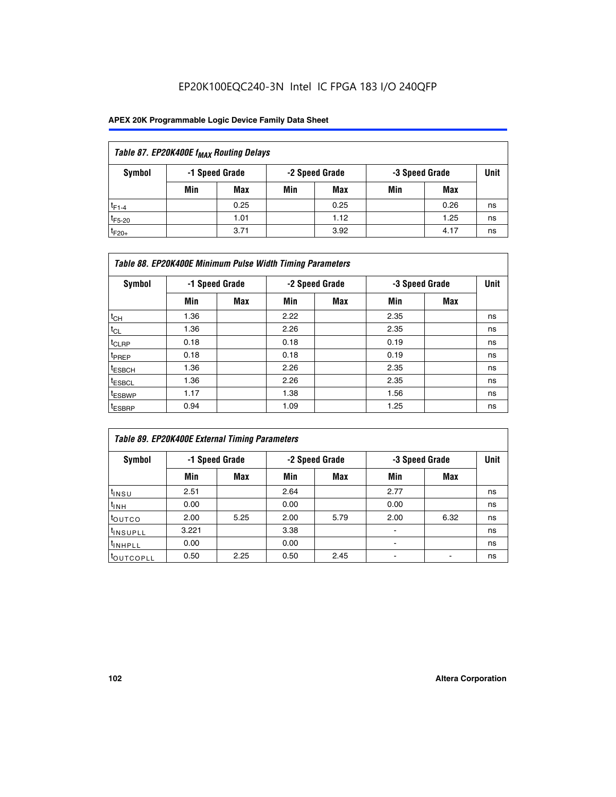# EP20K100EQC240-3N Intel IC FPGA 183 I/O 240QFP

| Table 87. EP20K400E f <sub>MAX</sub> Routing Delays |                                                    |      |     |      |     |      |      |  |  |  |
|-----------------------------------------------------|----------------------------------------------------|------|-----|------|-----|------|------|--|--|--|
| Symbol                                              | -1 Speed Grade<br>-2 Speed Grade<br>-3 Speed Grade |      |     |      |     |      | Unit |  |  |  |
|                                                     | Min                                                | Max  | Min | Max  | Min | Max  |      |  |  |  |
| $t_{F1-4}$                                          |                                                    | 0.25 |     | 0.25 |     | 0.26 | ns   |  |  |  |
| $t_{F5-20}$                                         |                                                    | 1.01 |     | 1.12 |     | 1.25 | ns   |  |  |  |
| $t_{F20+}$                                          |                                                    | 3.71 |     | 3.92 |     | 4.17 | ns   |  |  |  |

|                    | Table 88. EP20K400E Minimum Pulse Width Timing Parameters |                |      |                |      |                |             |  |  |  |  |
|--------------------|-----------------------------------------------------------|----------------|------|----------------|------|----------------|-------------|--|--|--|--|
| Symbol             |                                                           | -1 Speed Grade |      | -2 Speed Grade |      | -3 Speed Grade | <b>Unit</b> |  |  |  |  |
|                    | Min                                                       | <b>Max</b>     | Min  | <b>Max</b>     | Min  | Max            |             |  |  |  |  |
| $t_{CH}$           | 1.36                                                      |                | 2.22 |                | 2.35 |                | ns          |  |  |  |  |
| $t_{\rm CL}$       | 1.36                                                      |                | 2.26 |                | 2.35 |                | ns          |  |  |  |  |
| $t_{CLRP}$         | 0.18                                                      |                | 0.18 |                | 0.19 |                | ns          |  |  |  |  |
| <sup>t</sup> PREP  | 0.18                                                      |                | 0.18 |                | 0.19 |                | ns          |  |  |  |  |
| <sup>t</sup> ESBCH | 1.36                                                      |                | 2.26 |                | 2.35 |                | ns          |  |  |  |  |
| <sup>t</sup> ESBCL | 1.36                                                      |                | 2.26 |                | 2.35 |                | ns          |  |  |  |  |
| <sup>t</sup> ESBWP | 1.17                                                      |                | 1.38 |                | 1.56 |                | ns          |  |  |  |  |
| <sup>t</sup> ESBRP | 0.94                                                      |                | 1.09 |                | 1.25 |                | ns          |  |  |  |  |

| Table 89. EP20K400E External Timing Parameters |                |            |      |                |                |      |             |  |  |
|------------------------------------------------|----------------|------------|------|----------------|----------------|------|-------------|--|--|
| Symbol                                         | -1 Speed Grade |            |      | -2 Speed Grade | -3 Speed Grade |      | <b>Unit</b> |  |  |
|                                                | Min            | <b>Max</b> | Min  | <b>Max</b>     | Min            | Max  |             |  |  |
| t <sub>INSU</sub>                              | 2.51           |            | 2.64 |                | 2.77           |      | ns          |  |  |
| $t_{INH}$                                      | 0.00           |            | 0.00 |                | 0.00           |      | ns          |  |  |
| <b>t</b> outco                                 | 2.00           | 5.25       | 2.00 | 5.79           | 2.00           | 6.32 | ns          |  |  |
| <sup>t</sup> INSUPLL                           | 3.221          |            | 3.38 |                | -              |      | ns          |  |  |
| I <sup>t</sup> INHPLL                          | 0.00           |            | 0.00 |                | -              |      | ns          |  |  |
| toutcopll                                      | 0.50           | 2.25       | 0.50 | 2.45           | -              |      | ns          |  |  |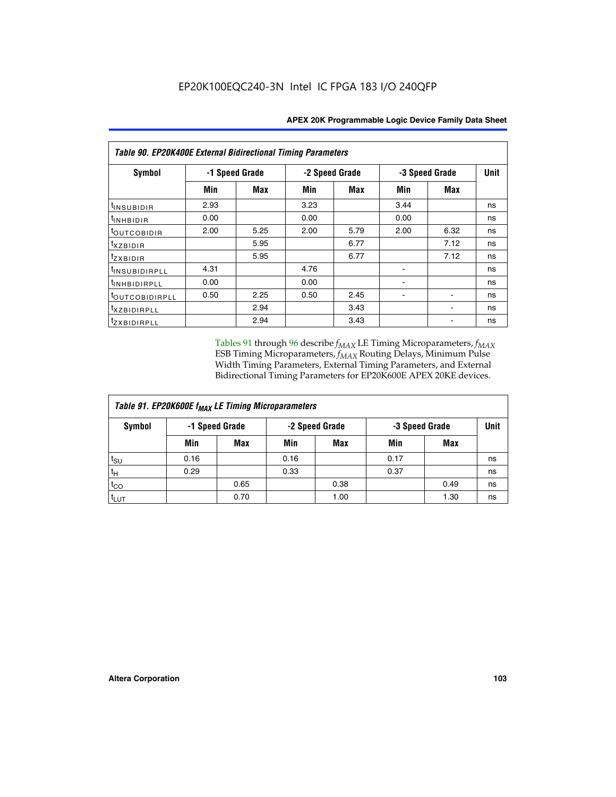| Table 90. EP20K400E External Bidirectional Timing Parameters |                |            |      |                |      |                |             |  |  |
|--------------------------------------------------------------|----------------|------------|------|----------------|------|----------------|-------------|--|--|
| Symbol                                                       | -1 Speed Grade |            |      | -2 Speed Grade |      | -3 Speed Grade | <b>Unit</b> |  |  |
|                                                              | Min            | <b>Max</b> | Min  | <b>Max</b>     | Min  | Max            |             |  |  |
| t <sub>INSUBIDIR</sub>                                       | 2.93           |            | 3.23 |                | 3.44 |                | ns          |  |  |
| $t_{INHBIDIR}$                                               | 0.00           |            | 0.00 |                | 0.00 |                | ns          |  |  |
| <sup>t</sup> OUTCOBIDIR                                      | 2.00           | 5.25       | 2.00 | 5.79           | 2.00 | 6.32           | ns          |  |  |
| <i>txzbidir</i>                                              |                | 5.95       |      | 6.77           |      | 7.12           | ns          |  |  |
| tzxbidir                                                     |                | 5.95       |      | 6.77           |      | 7.12           | ns          |  |  |
| t <sub>INSUBIDIRPLL</sub>                                    | 4.31           |            | 4.76 |                |      |                | ns          |  |  |
| tINHBIDIRPLL                                                 | 0.00           |            | 0.00 |                | ۰    |                | ns          |  |  |
| <sup>t</sup> OUTCOBIDIRPLL                                   | 0.50           | 2.25       | 0.50 | 2.45           |      |                | ns          |  |  |
| <i>txzbidirpll</i>                                           |                | 2.94       |      | 3.43           |      |                | ns          |  |  |
| tzxBIDIRPLL                                                  |                | 2.94       |      | 3.43           |      |                | ns          |  |  |

Tables 91 through 96 describe  $f_{MAX}$  LE Timing Microparameters,  $f_{MAX}$ ESB Timing Microparameters, *f<sub>MAX</sub>* Routing Delays, Minimum Pulse Width Timing Parameters, External Timing Parameters, and External Bidirectional Timing Parameters for EP20K600E APEX 20KE devices.

| Table 91. EP20K600E f <sub>MAX</sub> LE Timing Microparameters |                |            |                |            |                |      |             |  |  |
|----------------------------------------------------------------|----------------|------------|----------------|------------|----------------|------|-------------|--|--|
| Symbol                                                         | -1 Speed Grade |            | -2 Speed Grade |            | -3 Speed Grade |      | <b>Unit</b> |  |  |
|                                                                | Min            | <b>Max</b> | Min            | <b>Max</b> | Min            | Max  |             |  |  |
| $t_{\sf SU}$                                                   | 0.16           |            | 0.16           |            | 0.17           |      | ns          |  |  |
| $t_H$                                                          | 0.29           |            | 0.33           |            | 0.37           |      | ns          |  |  |
| $t_{CO}$                                                       |                | 0.65       |                | 0.38       |                | 0.49 | ns          |  |  |
| <sup>t</sup> LUT                                               |                | 0.70       |                | 1.00       |                | 1.30 | ns          |  |  |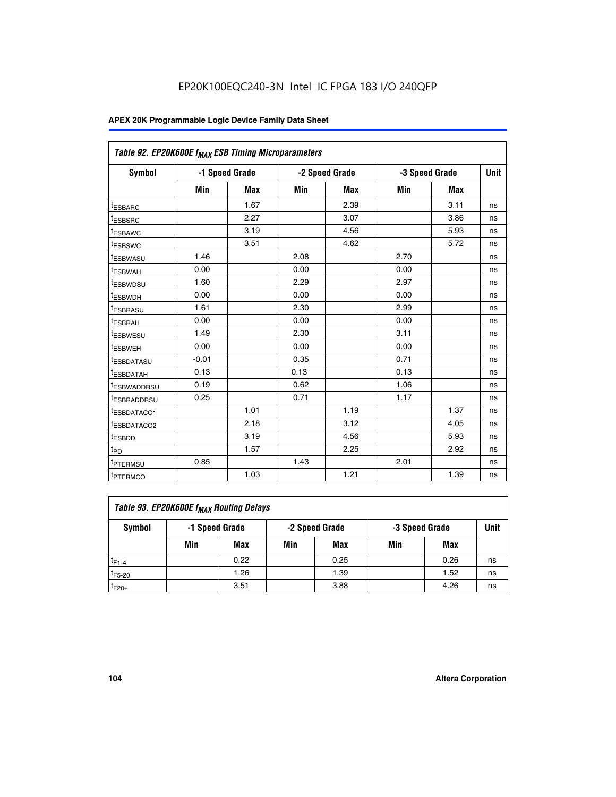| Table 92. EP20K600E f <sub>MAX</sub> ESB Timing Microparameters |         |                |      |                |                |      |      |
|-----------------------------------------------------------------|---------|----------------|------|----------------|----------------|------|------|
| <b>Symbol</b>                                                   |         | -1 Speed Grade |      | -2 Speed Grade | -3 Speed Grade |      | Unit |
|                                                                 | Min     | Max            | Min  | Max            | Min            | Max  |      |
| <sup>t</sup> ESBARC                                             |         | 1.67           |      | 2.39           |                | 3.11 | ns   |
| t <sub>ESBSRC</sub>                                             |         | 2.27           |      | 3.07           |                | 3.86 | ns   |
| <sup>t</sup> ESBAWC                                             |         | 3.19           |      | 4.56           |                | 5.93 | ns   |
| <sup>t</sup> ESBSWC                                             |         | 3.51           |      | 4.62           |                | 5.72 | ns   |
| <sup>t</sup> ESBWASU                                            | 1.46    |                | 2.08 |                | 2.70           |      | ns   |
| t <sub>ESBWAH</sub>                                             | 0.00    |                | 0.00 |                | 0.00           |      | ns   |
| t <sub>ESBWDSU</sub>                                            | 1.60    |                | 2.29 |                | 2.97           |      | ns   |
| t <sub>ESBWDH</sub>                                             | 0.00    |                | 0.00 |                | 0.00           |      | ns   |
| <sup>t</sup> ESBRASU                                            | 1.61    |                | 2.30 |                | 2.99           |      | ns   |
| <sup>t</sup> ESBRAH                                             | 0.00    |                | 0.00 |                | 0.00           |      | ns   |
| t <sub>ESBWESU</sub>                                            | 1.49    |                | 2.30 |                | 3.11           |      | ns   |
| t <sub>ESBWEH</sub>                                             | 0.00    |                | 0.00 |                | 0.00           |      | ns   |
| t <sub>ESBDATASU</sub>                                          | $-0.01$ |                | 0.35 |                | 0.71           |      | ns   |
| <sup>t</sup> ESBDATAH                                           | 0.13    |                | 0.13 |                | 0.13           |      | ns   |
| <sup>t</sup> ESBWADDRSU                                         | 0.19    |                | 0.62 |                | 1.06           |      | ns   |
| <sup>t</sup> ESBRADDRSU                                         | 0.25    |                | 0.71 |                | 1.17           |      | ns   |
| <sup>t</sup> ESBDATACO1                                         |         | 1.01           |      | 1.19           |                | 1.37 | ns   |
| <sup>t</sup> ESBDATACO2                                         |         | 2.18           |      | 3.12           |                | 4.05 | ns   |
| <sup>t</sup> ESBDD                                              |         | 3.19           |      | 4.56           |                | 5.93 | ns   |
| t <sub>PD</sub>                                                 |         | 1.57           |      | 2.25           |                | 2.92 | ns   |
| <b>TPTERMSU</b>                                                 | 0.85    |                | 1.43 |                | 2.01           |      | ns   |
| t <sub>PTERMCO</sub>                                            |         | 1.03           |      | 1.21           |                | 1.39 | ns   |

| Table 93. EP20K600E f <sub>MAX</sub> Routing Delays |     |                                                    |     |      |     |      |    |  |  |  |
|-----------------------------------------------------|-----|----------------------------------------------------|-----|------|-----|------|----|--|--|--|
| Symbol                                              |     | -2 Speed Grade<br>-1 Speed Grade<br>-3 Speed Grade |     | Unit |     |      |    |  |  |  |
|                                                     | Min | Max                                                | Min | Max  | Min | Max  |    |  |  |  |
| $t_{F1-4}$                                          |     | 0.22                                               |     | 0.25 |     | 0.26 | ns |  |  |  |
| $t_{F5-20}$                                         |     | 1.26                                               |     | 1.39 |     | 1.52 | ns |  |  |  |
| $t_{F20+}$                                          |     | 3.51                                               |     | 3.88 |     | 4.26 | ns |  |  |  |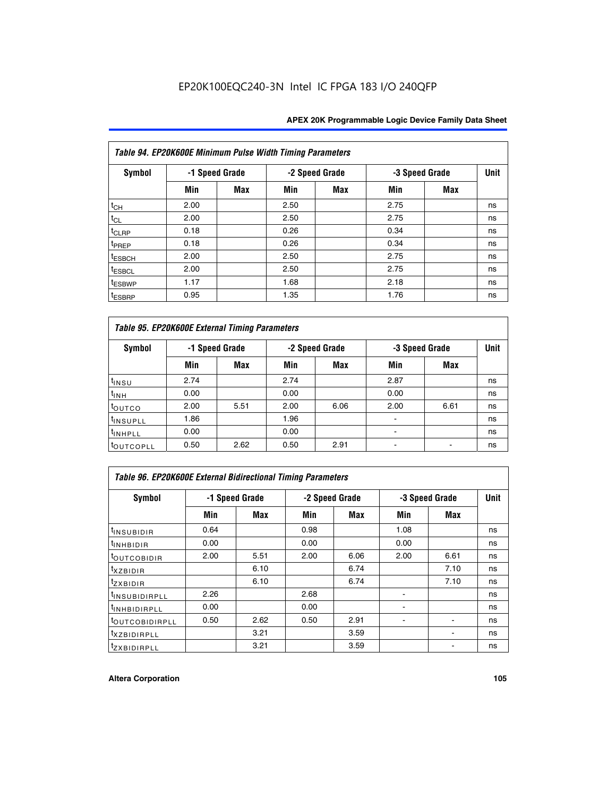| Table 94. EP20K600E Minimum Pulse Width Timing Parameters |      |                |      |                |      |                |    |  |  |
|-----------------------------------------------------------|------|----------------|------|----------------|------|----------------|----|--|--|
| <b>Symbol</b>                                             |      | -1 Speed Grade |      | -2 Speed Grade |      | -3 Speed Grade |    |  |  |
|                                                           | Min  | Max            | Min  | Max            | Min  | <b>Max</b>     |    |  |  |
| $t_{CH}$                                                  | 2.00 |                | 2.50 |                | 2.75 |                | ns |  |  |
| $t_{CL}$                                                  | 2.00 |                | 2.50 |                | 2.75 |                | ns |  |  |
| t <sub>CLRP</sub>                                         | 0.18 |                | 0.26 |                | 0.34 |                | ns |  |  |
| t <sub>PREP</sub>                                         | 0.18 |                | 0.26 |                | 0.34 |                | ns |  |  |
| <sup>t</sup> ESBCH                                        | 2.00 |                | 2.50 |                | 2.75 |                | ns |  |  |
| <sup>t</sup> ESBCL                                        | 2.00 |                | 2.50 |                | 2.75 |                | ns |  |  |
| <sup>t</sup> ESBWP                                        | 1.17 |                | 1.68 |                | 2.18 |                | ns |  |  |
| <sup>t</sup> ESBRP                                        | 0.95 |                | 1.35 |                | 1.76 |                | ns |  |  |

| Table 95. EP20K600E External Timing Parameters |                |      |      |                |                          |                |    |  |  |
|------------------------------------------------|----------------|------|------|----------------|--------------------------|----------------|----|--|--|
| Symbol                                         | -1 Speed Grade |      |      | -2 Speed Grade |                          | -3 Speed Grade |    |  |  |
|                                                | Min            | Max  | Min  | Max            | Min                      | <b>Max</b>     |    |  |  |
| t <sub>insu</sub>                              | 2.74           |      | 2.74 |                | 2.87                     |                | ns |  |  |
| $t_{INH}$                                      | 0.00           |      | 0.00 |                | 0.00                     |                | ns |  |  |
| toutco                                         | 2.00           | 5.51 | 2.00 | 6.06           | 2.00                     | 6.61           | ns |  |  |
| <sup>t</sup> INSUPLL                           | 1.86           |      | 1.96 |                |                          |                | ns |  |  |
| <sup>t</sup> INHPLL                            | 0.00           |      | 0.00 |                | $\overline{\phantom{a}}$ |                | ns |  |  |
| <b>LOUTCOPLL</b>                               | 0.50           | 2.62 | 0.50 | 2.91           |                          |                | ns |  |  |

| <b>Table 96. EP20K600E External Bidirectional Timing Parameters</b> |                |      |      |                |      |                          |             |  |  |
|---------------------------------------------------------------------|----------------|------|------|----------------|------|--------------------------|-------------|--|--|
| Symbol                                                              | -1 Speed Grade |      |      | -2 Speed Grade |      | -3 Speed Grade           | <b>Unit</b> |  |  |
|                                                                     | Min            | Max  | Min  | <b>Max</b>     | Min  | <b>Max</b>               |             |  |  |
| t <sub>INSUBIDIR</sub>                                              | 0.64           |      | 0.98 |                | 1.08 |                          | ns          |  |  |
| <b>TINHBIDIR</b>                                                    | 0.00           |      | 0.00 |                | 0.00 |                          | ns          |  |  |
| <sup>t</sup> OUTCOBIDIR                                             | 2.00           | 5.51 | 2.00 | 6.06           | 2.00 | 6.61                     | ns          |  |  |
| $txz$ BIDIR                                                         |                | 6.10 |      | 6.74           |      | 7.10                     | ns          |  |  |
| $t_{Z}$ <i>x</i> BIDIR                                              |                | 6.10 |      | 6.74           |      | 7.10                     | ns          |  |  |
| <sup>t</sup> INSUBIDIRPLL                                           | 2.26           |      | 2.68 |                |      |                          | ns          |  |  |
| <sup>t</sup> INHBIDIRPLL                                            | 0.00           |      | 0.00 |                |      |                          | ns          |  |  |
| <sup>t</sup> OUTCOBIDIRPLL                                          | 0.50           | 2.62 | 0.50 | 2.91           |      |                          | ns          |  |  |
| <sup>t</sup> xzbidirpll                                             |                | 3.21 |      | 3.59           |      | $\overline{\phantom{a}}$ | ns          |  |  |
| <sup>t</sup> ZXBIDIRPLL                                             |                | 3.21 |      | 3.59           |      |                          | ns          |  |  |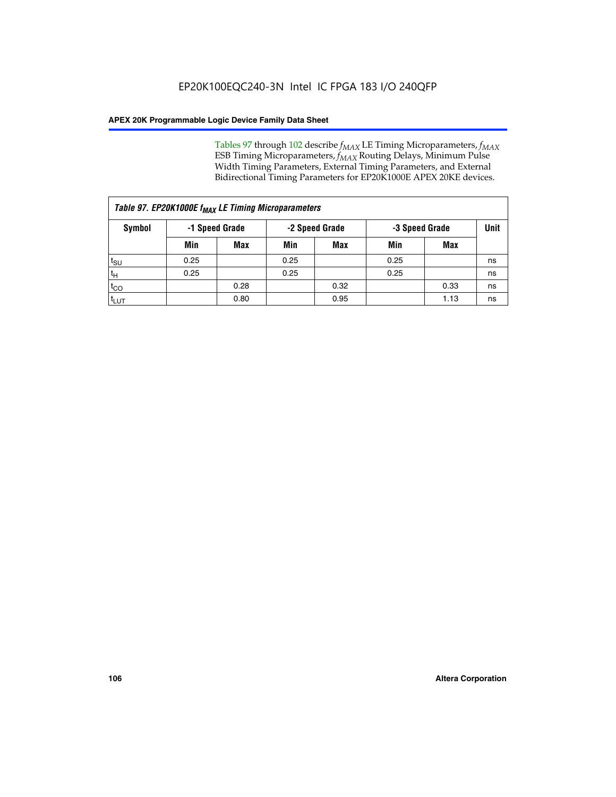Tables 97 through 102 describe  $f_{MAX}$  LE Timing Microparameters,  $f_{MAX}$ ESB Timing Microparameters, *f<sub>MAX</sub>* Routing Delays, Minimum Pulse Width Timing Parameters, External Timing Parameters, and External Bidirectional Timing Parameters for EP20K1000E APEX 20KE devices.

| Table 97. EP20K1000E f <sub>MAX</sub> LE Timing Microparameters |                                                    |            |      |            |      |      |    |  |  |
|-----------------------------------------------------------------|----------------------------------------------------|------------|------|------------|------|------|----|--|--|
| Symbol                                                          | -1 Speed Grade<br>-2 Speed Grade<br>-3 Speed Grade |            |      | Unit       |      |      |    |  |  |
|                                                                 | Min                                                | <b>Max</b> | Min  | <b>Max</b> | Min  | Max  |    |  |  |
| $t_{\text{SU}}$                                                 | 0.25                                               |            | 0.25 |            | 0.25 |      | ns |  |  |
| $t_H$                                                           | 0.25                                               |            | 0.25 |            | 0.25 |      | ns |  |  |
| $t_{CO}$                                                        |                                                    | 0.28       |      | 0.32       |      | 0.33 | ns |  |  |
| t <sub>LUT</sub>                                                |                                                    | 0.80       |      | 0.95       |      | 1.13 | ns |  |  |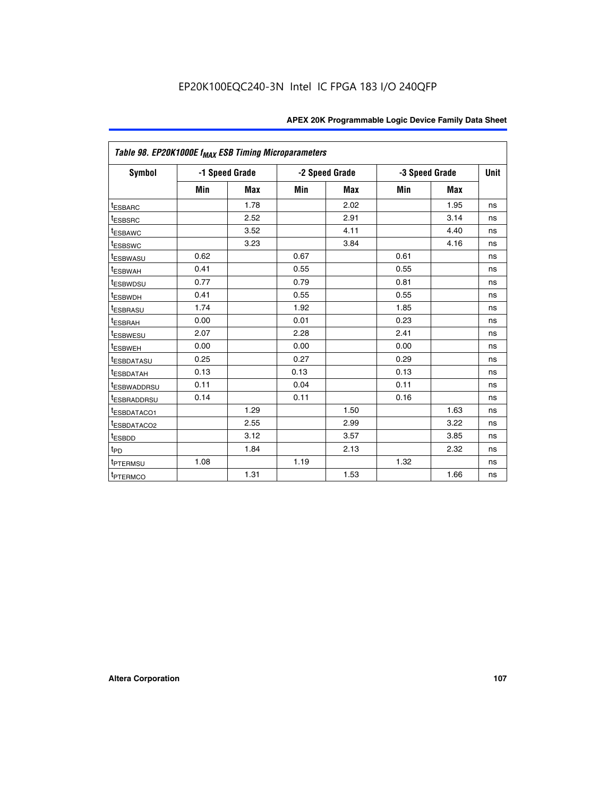| Table 98. EP20K1000E f <sub>MAX</sub> ESB Timing Microparameters |                |            |      |                |                |            |             |
|------------------------------------------------------------------|----------------|------------|------|----------------|----------------|------------|-------------|
| <b>Symbol</b>                                                    | -1 Speed Grade |            |      | -2 Speed Grade | -3 Speed Grade |            | <b>Unit</b> |
|                                                                  | Min            | <b>Max</b> | Min  | <b>Max</b>     | Min            | <b>Max</b> |             |
| <b>tESBARC</b>                                                   |                | 1.78       |      | 2.02           |                | 1.95       | ns          |
| <sup>t</sup> ESBSRC                                              |                | 2.52       |      | 2.91           |                | 3.14       | ns          |
| <sup>t</sup> ESBAWC                                              |                | 3.52       |      | 4.11           |                | 4.40       | ns          |
| t <sub>ESBSWC</sub>                                              |                | 3.23       |      | 3.84           |                | 4.16       | ns          |
| t <sub>ESBWASU</sub>                                             | 0.62           |            | 0.67 |                | 0.61           |            | ns          |
| <sup>t</sup> ESBWAH                                              | 0.41           |            | 0.55 |                | 0.55           |            | ns          |
| <sup>t</sup> ESBWDSU                                             | 0.77           |            | 0.79 |                | 0.81           |            | ns          |
| <sup>t</sup> ESBWDH                                              | 0.41           |            | 0.55 |                | 0.55           |            | ns          |
| <sup>t</sup> ESBRASU                                             | 1.74           |            | 1.92 |                | 1.85           |            | ns          |
| <sup>t</sup> ESBRAH                                              | 0.00           |            | 0.01 |                | 0.23           |            | ns          |
| <sup>t</sup> ESBWESU                                             | 2.07           |            | 2.28 |                | 2.41           |            | ns          |
| <sup>t</sup> ESBWEH                                              | 0.00           |            | 0.00 |                | 0.00           |            | ns          |
| <sup>t</sup> ESBDATASU                                           | 0.25           |            | 0.27 |                | 0.29           |            | ns          |
| <sup>t</sup> ESBDATAH                                            | 0.13           |            | 0.13 |                | 0.13           |            | ns          |
| <sup>t</sup> ESBWADDRSU                                          | 0.11           |            | 0.04 |                | 0.11           |            | ns          |
| <sup>T</sup> ESBRADDRSU                                          | 0.14           |            | 0.11 |                | 0.16           |            | ns          |
| <sup>t</sup> ESBDATACO1                                          |                | 1.29       |      | 1.50           |                | 1.63       | ns          |
| <sup>t</sup> ESBDATACO2                                          |                | 2.55       |      | 2.99           |                | 3.22       | ns          |
| <sup>t</sup> ESBDD                                               |                | 3.12       |      | 3.57           |                | 3.85       | ns          |
| t <sub>PD</sub>                                                  |                | 1.84       |      | 2.13           |                | 2.32       | ns          |
| <sup>t</sup> PTERMSU                                             | 1.08           |            | 1.19 |                | 1.32           |            | ns          |
| <sup>t</sup> PTERMCO                                             |                | 1.31       |      | 1.53           |                | 1.66       | ns          |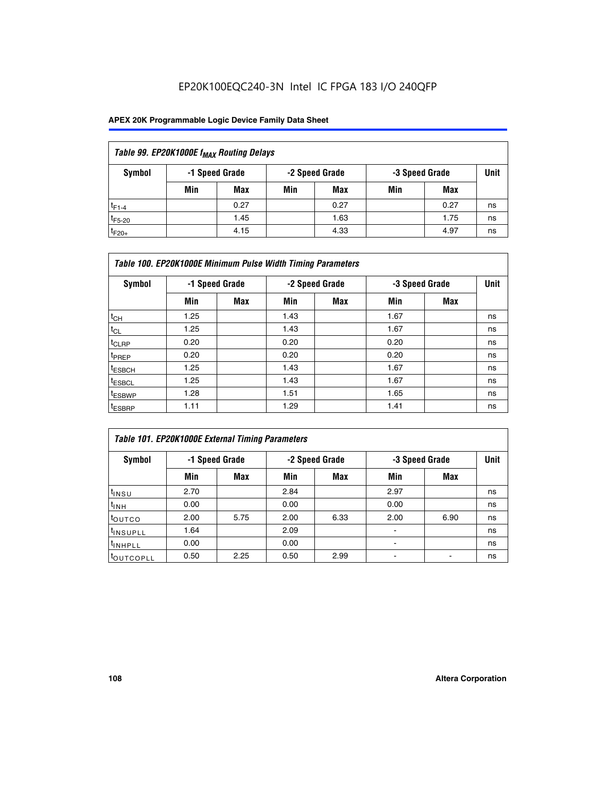| Table 99. EP20K1000E f <sub>MAX</sub> Routing Delays |     |                |                |      |                |      |      |  |  |
|------------------------------------------------------|-----|----------------|----------------|------|----------------|------|------|--|--|
| Symbol                                               |     | -1 Speed Grade | -2 Speed Grade |      | -3 Speed Grade |      | Unit |  |  |
|                                                      | Min | Max            | Min            | Max  | Min            | Max  |      |  |  |
| $t_{F1-4}$                                           |     | 0.27           |                | 0.27 |                | 0.27 | ns   |  |  |
| $t_{F5-20}$                                          |     | 1.45           |                | 1.63 |                | 1.75 | ns   |  |  |
| $t_{F20+}$                                           |     | 4.15           |                | 4.33 |                | 4.97 | ns   |  |  |

| Table 100. EP20K1000E Minimum Pulse Width Timing Parameters |                |     |      |                |      |                |             |  |  |
|-------------------------------------------------------------|----------------|-----|------|----------------|------|----------------|-------------|--|--|
| Symbol                                                      | -1 Speed Grade |     |      | -2 Speed Grade |      | -3 Speed Grade | <b>Unit</b> |  |  |
|                                                             | Min            | Max | Min  | Max            | Min  | Max            |             |  |  |
| $t_{CH}$                                                    | 1.25           |     | 1.43 |                | 1.67 |                | ns          |  |  |
| $t_{CL}$                                                    | 1.25           |     | 1.43 |                | 1.67 |                | ns          |  |  |
| $t_{CLRP}$                                                  | 0.20           |     | 0.20 |                | 0.20 |                | ns          |  |  |
| t <sub>PREP</sub>                                           | 0.20           |     | 0.20 |                | 0.20 |                | ns          |  |  |
| <sup>t</sup> ESBCH                                          | 1.25           |     | 1.43 |                | 1.67 |                | ns          |  |  |
| <sup>t</sup> ESBCL                                          | 1.25           |     | 1.43 |                | 1.67 |                | ns          |  |  |
| <sup>t</sup> ESBWP                                          | 1.28           |     | 1.51 |                | 1.65 |                | ns          |  |  |
| <sup>t</sup> ESBRP                                          | 1.11           |     | 1.29 |                | 1.41 |                | ns          |  |  |

| Table 101. EP20K1000E External Timing Parameters |                |      |      |                |                          |                |    |  |  |
|--------------------------------------------------|----------------|------|------|----------------|--------------------------|----------------|----|--|--|
| Symbol                                           | -1 Speed Grade |      |      | -2 Speed Grade |                          | -3 Speed Grade |    |  |  |
|                                                  | Min            | Max  | Min  | <b>Max</b>     | Min                      | Max            |    |  |  |
| t <sub>INSU</sub>                                | 2.70           |      | 2.84 |                | 2.97                     |                | ns |  |  |
| $t_{INH}$                                        | 0.00           |      | 0.00 |                | 0.00                     |                | ns |  |  |
| toutco                                           | 2.00           | 5.75 | 2.00 | 6.33           | 2.00                     | 6.90           | ns |  |  |
| <sup>t</sup> INSUPLL                             | 1.64           |      | 2.09 |                | ٠                        |                | ns |  |  |
| I <sup>t</sup> INHPLL                            | 0.00           |      | 0.00 |                | $\overline{\phantom{a}}$ |                | ns |  |  |
| toutcopll                                        | 0.50           | 2.25 | 0.50 | 2.99           | -                        |                | ns |  |  |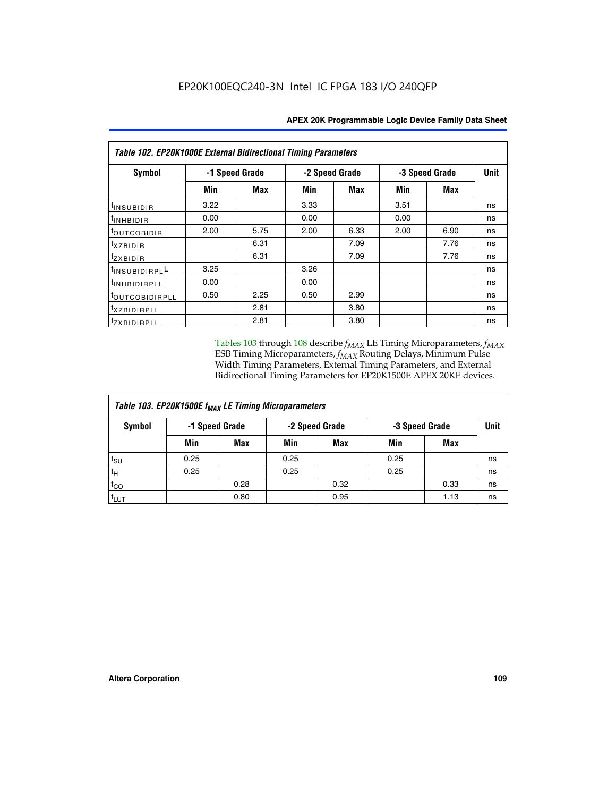| <b>Table 102. EP20K1000E External Bidirectional Timing Parameters</b> |                |      |      |                |      |                |    |  |
|-----------------------------------------------------------------------|----------------|------|------|----------------|------|----------------|----|--|
| Symbol                                                                | -1 Speed Grade |      |      | -2 Speed Grade |      | -3 Speed Grade |    |  |
|                                                                       | Min            | Max  | Min  | Max            | Min  | Max            |    |  |
| t <sub>INSUBIDIR</sub>                                                | 3.22           |      | 3.33 |                | 3.51 |                | ns |  |
| t <sub>inhBidir</sub>                                                 | 0.00           |      | 0.00 |                | 0.00 |                | ns |  |
| I <sup>t</sup> outcobidir                                             | 2.00           | 5.75 | 2.00 | 6.33           | 2.00 | 6.90           | ns |  |
| $txz$ BIDIR                                                           |                | 6.31 |      | 7.09           |      | 7.76           | ns |  |
| tzxbidir                                                              |                | 6.31 |      | 7.09           |      | 7.76           | ns |  |
| t <sub>INSUBIDIRPL</sub> L                                            | 3.25           |      | 3.26 |                |      |                | ns |  |
| tINHBIDIRPLL                                                          | 0.00           |      | 0.00 |                |      |                | ns |  |
| toutcobidirpll                                                        | 0.50           | 2.25 | 0.50 | 2.99           |      |                | ns |  |
| <i>txzBIDIRPLL</i>                                                    |                | 2.81 |      | 3.80           |      |                | ns |  |
| tzxBIDIRPLL                                                           |                | 2.81 |      | 3.80           |      |                | ns |  |

Tables 103 through 108 describe  $f_{MAX}$  LE Timing Microparameters,  $f_{MAX}$ ESB Timing Microparameters, *f<sub>MAX</sub>* Routing Delays, Minimum Pulse Width Timing Parameters, External Timing Parameters, and External Bidirectional Timing Parameters for EP20K1500E APEX 20KE devices.

| Table 103. EP20K1500E f <sub>MAX</sub> LE Timing Microparameters |      |                |                |            |                |      |      |  |  |
|------------------------------------------------------------------|------|----------------|----------------|------------|----------------|------|------|--|--|
| Symbol                                                           |      | -1 Speed Grade | -2 Speed Grade |            | -3 Speed Grade |      | Unit |  |  |
|                                                                  | Min  | <b>Max</b>     | Min            | <b>Max</b> | Min            | Max  |      |  |  |
| $t_{\sf SU}$                                                     | 0.25 |                | 0.25           |            | 0.25           |      | ns   |  |  |
| $t_H$                                                            | 0.25 |                | 0.25           |            | 0.25           |      | ns   |  |  |
| $t_{CO}$                                                         |      | 0.28           |                | 0.32       |                | 0.33 | ns   |  |  |
| t <sub>lut</sub>                                                 |      | 0.80           |                | 0.95       |                | 1.13 | ns   |  |  |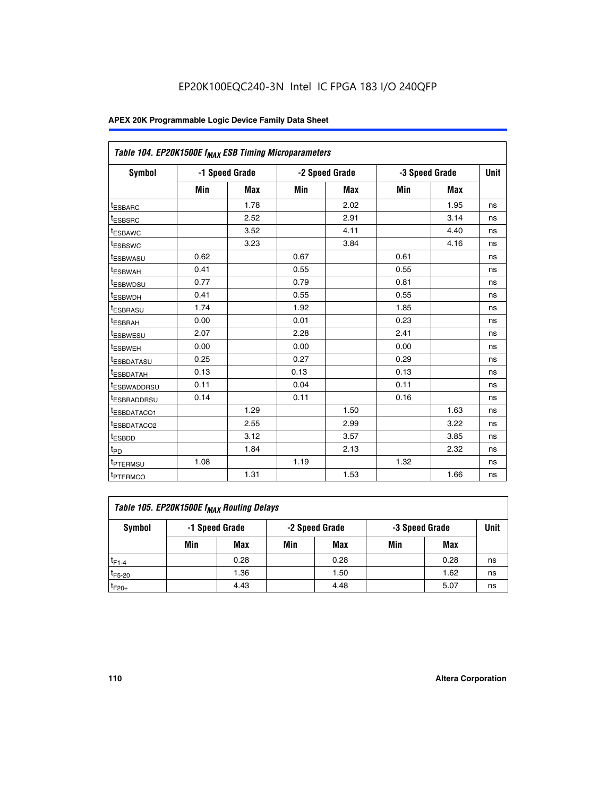| Table 104. EP20K1500E f <sub>MAX</sub> ESB Timing Microparameters |      |                |            |                |      |                |             |  |
|-------------------------------------------------------------------|------|----------------|------------|----------------|------|----------------|-------------|--|
| <b>Symbol</b>                                                     |      | -1 Speed Grade |            | -2 Speed Grade |      | -3 Speed Grade | <b>Unit</b> |  |
|                                                                   | Min  | <b>Max</b>     | <b>Min</b> | Max            | Min  | Max            |             |  |
| <sup>t</sup> ESBARC                                               |      | 1.78           |            | 2.02           |      | 1.95           | ns          |  |
| t <sub>ESBSRC</sub>                                               |      | 2.52           |            | 2.91           |      | 3.14           | ns          |  |
| <sup>t</sup> ESBAWC                                               |      | 3.52           |            | 4.11           |      | 4.40           | ns          |  |
| t <sub>ESBSWC</sub>                                               |      | 3.23           |            | 3.84           |      | 4.16           | ns          |  |
| t <sub>ESBWASU</sub>                                              | 0.62 |                | 0.67       |                | 0.61 |                | ns          |  |
| t <sub>ESBWAH</sub>                                               | 0.41 |                | 0.55       |                | 0.55 |                | ns          |  |
| <sup>t</sup> ESBWDSU                                              | 0.77 |                | 0.79       |                | 0.81 |                | ns          |  |
| t <sub>ESBWDH</sub>                                               | 0.41 |                | 0.55       |                | 0.55 |                | ns          |  |
| <sup>t</sup> ESBRASU                                              | 1.74 |                | 1.92       |                | 1.85 |                | ns          |  |
| <sup>t</sup> ESBRAH                                               | 0.00 |                | 0.01       |                | 0.23 |                | ns          |  |
| <sup>t</sup> ESBWESU                                              | 2.07 |                | 2.28       |                | 2.41 |                | ns          |  |
| <sup>t</sup> ESBWEH                                               | 0.00 |                | 0.00       |                | 0.00 |                | ns          |  |
| <sup>t</sup> ESBDATASU                                            | 0.25 |                | 0.27       |                | 0.29 |                | ns          |  |
| <sup>t</sup> ESBDATAH                                             | 0.13 |                | 0.13       |                | 0.13 |                | ns          |  |
| <sup>t</sup> ESBWADDRSU                                           | 0.11 |                | 0.04       |                | 0.11 |                | ns          |  |
| t <sub>ESBRADDRSU</sub>                                           | 0.14 |                | 0.11       |                | 0.16 |                | ns          |  |
| <sup>I</sup> ESBDATACO1                                           |      | 1.29           |            | 1.50           |      | 1.63           | ns          |  |
| <sup>t</sup> ESBDATACO2                                           |      | 2.55           |            | 2.99           |      | 3.22           | ns          |  |
| <sup>t</sup> ESBDD                                                |      | 3.12           |            | 3.57           |      | 3.85           | ns          |  |
| t <sub>PD</sub>                                                   |      | 1.84           |            | 2.13           |      | 2.32           | ns          |  |
| t <sub>PTERMSU</sub>                                              | 1.08 |                | 1.19       |                | 1.32 |                | ns          |  |
| t <sub>PTERMCO</sub>                                              |      | 1.31           |            | 1.53           |      | 1.66           | ns          |  |

| Table 105. EP20K1500E f <sub>MAX</sub> Routing Delays |     |                |                |      |                |      |      |  |  |
|-------------------------------------------------------|-----|----------------|----------------|------|----------------|------|------|--|--|
| Symbol                                                |     | -1 Speed Grade | -2 Speed Grade |      | -3 Speed Grade |      | Unit |  |  |
|                                                       | Min | Max            | Min            | Max  | Min            | Max  |      |  |  |
| $t_{F1-4}$                                            |     | 0.28           |                | 0.28 |                | 0.28 | ns   |  |  |
| $t_{F5-20}$                                           |     | 1.36           |                | 1.50 |                | 1.62 | ns   |  |  |
| $t_{F20+}$                                            |     | 4.43           |                | 4.48 |                | 5.07 | ns   |  |  |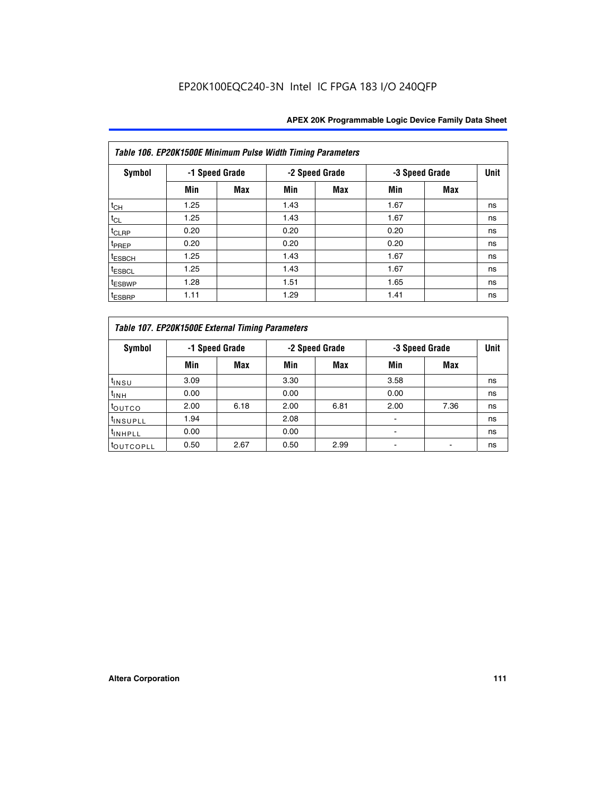| Table 106. EP20K1500E Minimum Pulse Width Timing Parameters |                |            |      |                |      |                |             |  |  |
|-------------------------------------------------------------|----------------|------------|------|----------------|------|----------------|-------------|--|--|
| <b>Symbol</b>                                               | -1 Speed Grade |            |      | -2 Speed Grade |      | -3 Speed Grade | <b>Unit</b> |  |  |
|                                                             | Min            | <b>Max</b> | Min  | Max            | Min  | <b>Max</b>     |             |  |  |
| $t_{CH}$                                                    | 1.25           |            | 1.43 |                | 1.67 |                | ns          |  |  |
| $t_{CL}$                                                    | 1.25           |            | 1.43 |                | 1.67 |                | ns          |  |  |
| $t_{CLRP}$                                                  | 0.20           |            | 0.20 |                | 0.20 |                | ns          |  |  |
| t <sub>PREP</sub>                                           | 0.20           |            | 0.20 |                | 0.20 |                | ns          |  |  |
| <sup>t</sup> ESBCH                                          | 1.25           |            | 1.43 |                | 1.67 |                | ns          |  |  |
| <sup>t</sup> ESBCL                                          | 1.25           |            | 1.43 |                | 1.67 |                | ns          |  |  |
| <sup>t</sup> ESBWP                                          | 1.28           |            | 1.51 |                | 1.65 |                | ns          |  |  |
| <sup>t</sup> ESBRP                                          | 1.11           |            | 1.29 |                | 1.41 |                | ns          |  |  |

| Table 107. EP20K1500E External Timing Parameters |                |      |      |                |                          |      |             |  |  |
|--------------------------------------------------|----------------|------|------|----------------|--------------------------|------|-------------|--|--|
| Symbol                                           | -1 Speed Grade |      |      | -2 Speed Grade | -3 Speed Grade           |      | <b>Unit</b> |  |  |
|                                                  | Min            | Max  | Min  | <b>Max</b>     | Min                      | Max  |             |  |  |
| t <sub>insu</sub>                                | 3.09           |      | 3.30 |                | 3.58                     |      | ns          |  |  |
| $t_{INH}$                                        | 0.00           |      | 0.00 |                | 0.00                     |      | ns          |  |  |
| toutco                                           | 2.00           | 6.18 | 2.00 | 6.81           | 2.00                     | 7.36 | ns          |  |  |
| <sup>t</sup> INSUPLL                             | 1.94           |      | 2.08 |                |                          |      | ns          |  |  |
| <sup>t</sup> INHPLL                              | 0.00           |      | 0.00 |                | $\overline{\phantom{0}}$ |      | ns          |  |  |
| <b>LOUTCOPLL</b>                                 | 0.50           | 2.67 | 0.50 | 2.99           |                          |      | ns          |  |  |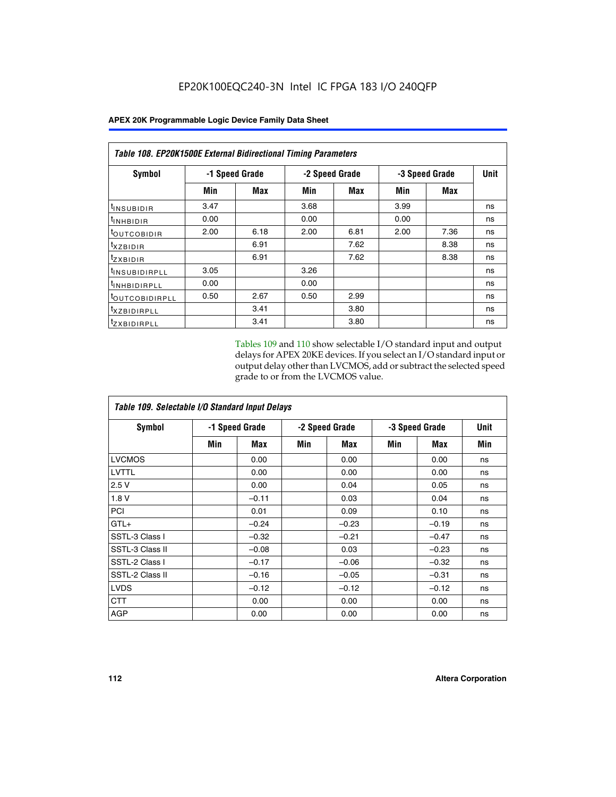| <b>Table 108. EP20K1500E External Bidirectional Timing Parameters</b> |                |            |                |      |                |             |    |  |
|-----------------------------------------------------------------------|----------------|------------|----------------|------|----------------|-------------|----|--|
| Symbol                                                                | -1 Speed Grade |            | -2 Speed Grade |      | -3 Speed Grade | <b>Unit</b> |    |  |
|                                                                       | Min            | <b>Max</b> | Min            | Max  | Min            | <b>Max</b>  |    |  |
| <sup>t</sup> INSUBIDIR                                                | 3.47           |            | 3.68           |      | 3.99           |             | ns |  |
| <sup>t</sup> INHBIDIR                                                 | 0.00           |            | 0.00           |      | 0.00           |             | ns |  |
| <b><i>LOUTCOBIDIR</i></b>                                             | 2.00           | 6.18       | 2.00           | 6.81 | 2.00           | 7.36        | ns |  |
| $t_{XZBIDIR}$                                                         |                | 6.91       |                | 7.62 |                | 8.38        | ns |  |
| $t_{Z}$ <i>x</i> BIDIR                                                |                | 6.91       |                | 7.62 |                | 8.38        | ns |  |
| <sup>t</sup> INSUBIDIRPLL                                             | 3.05           |            | 3.26           |      |                |             | ns |  |
| <sup>t</sup> INHBIDIRPLL                                              | 0.00           |            | 0.00           |      |                |             | ns |  |
| <sup>t</sup> OUTCOBIDIRPLL                                            | 0.50           | 2.67       | 0.50           | 2.99 |                |             | ns |  |
| <sup>t</sup> XZBIDIRPLL                                               |                | 3.41       |                | 3.80 |                |             | ns |  |
| <sup>t</sup> zxbidirpll                                               |                | 3.41       |                | 3.80 |                |             | ns |  |

Tables 109 and 110 show selectable I/O standard input and output delays for APEX 20KE devices. If you select an I/O standard input or output delay other than LVCMOS, add or subtract the selected speed grade to or from the LVCMOS value.

| Table 109. Selectable I/O Standard Input Delays |     |                |     |                |     |                |     |  |
|-------------------------------------------------|-----|----------------|-----|----------------|-----|----------------|-----|--|
| <b>Symbol</b>                                   |     | -1 Speed Grade |     | -2 Speed Grade |     | -3 Speed Grade |     |  |
|                                                 | Min | Max            | Min | Max            | Min | Max            | Min |  |
| <b>LVCMOS</b>                                   |     | 0.00           |     | 0.00           |     | 0.00           | ns  |  |
| <b>LVTTL</b>                                    |     | 0.00           |     | 0.00           |     | 0.00           | ns  |  |
| 2.5V                                            |     | 0.00           |     | 0.04           |     | 0.05           | ns  |  |
| 1.8V                                            |     | $-0.11$        |     | 0.03           |     | 0.04           | ns  |  |
| PCI                                             |     | 0.01           |     | 0.09           |     | 0.10           | ns  |  |
| $GTL+$                                          |     | $-0.24$        |     | $-0.23$        |     | $-0.19$        | ns  |  |
| SSTL-3 Class I                                  |     | $-0.32$        |     | $-0.21$        |     | $-0.47$        | ns  |  |
| SSTL-3 Class II                                 |     | $-0.08$        |     | 0.03           |     | $-0.23$        | ns  |  |
| SSTL-2 Class I                                  |     | $-0.17$        |     | $-0.06$        |     | $-0.32$        | ns  |  |
| SSTL-2 Class II                                 |     | $-0.16$        |     | $-0.05$        |     | $-0.31$        | ns  |  |
| <b>LVDS</b>                                     |     | $-0.12$        |     | $-0.12$        |     | $-0.12$        | ns  |  |
| <b>CTT</b>                                      |     | 0.00           |     | 0.00           |     | 0.00           | ns  |  |
| <b>AGP</b>                                      |     | 0.00           |     | 0.00           |     | 0.00           | ns  |  |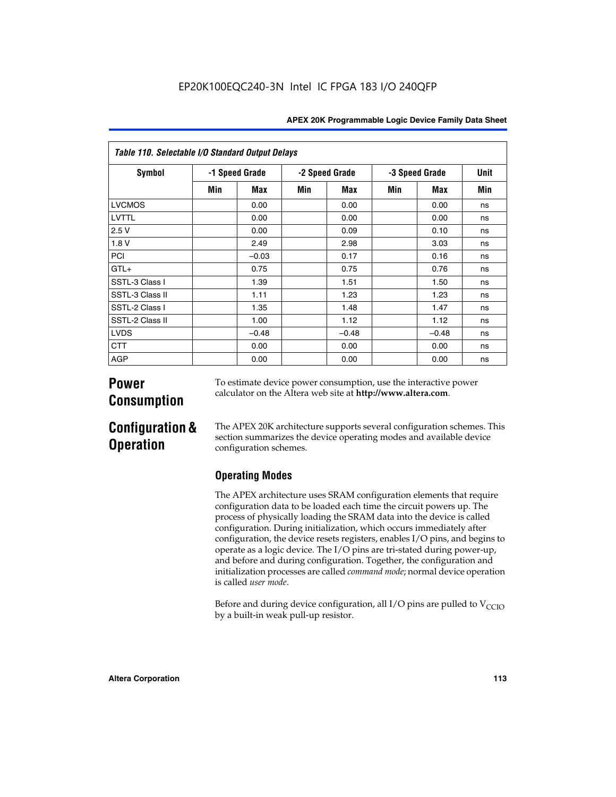| <b>APEX 20K Programmable Logic Device Family Data Sheet</b> |  |  |
|-------------------------------------------------------------|--|--|
|-------------------------------------------------------------|--|--|

| Table 110. Selectable I/O Standard Output Delays |                |         |                |         |                |         |             |  |
|--------------------------------------------------|----------------|---------|----------------|---------|----------------|---------|-------------|--|
| Symbol                                           | -1 Speed Grade |         | -2 Speed Grade |         | -3 Speed Grade |         | <b>Unit</b> |  |
|                                                  | Min            | Max     | Min            | Max     | Min            | Max     | Min         |  |
| <b>LVCMOS</b>                                    |                | 0.00    |                | 0.00    |                | 0.00    | ns          |  |
| LVTTL                                            |                | 0.00    |                | 0.00    |                | 0.00    | ns          |  |
| 2.5V                                             |                | 0.00    |                | 0.09    |                | 0.10    | ns          |  |
| 1.8V                                             |                | 2.49    |                | 2.98    |                | 3.03    | ns          |  |
| PCI                                              |                | $-0.03$ |                | 0.17    |                | 0.16    | ns          |  |
| $GTL+$                                           |                | 0.75    |                | 0.75    |                | 0.76    | ns          |  |
| SSTL-3 Class I                                   |                | 1.39    |                | 1.51    |                | 1.50    | ns          |  |
| SSTL-3 Class II                                  |                | 1.11    |                | 1.23    |                | 1.23    | ns          |  |
| SSTL-2 Class I                                   |                | 1.35    |                | 1.48    |                | 1.47    | ns          |  |
| SSTL-2 Class II                                  |                | 1.00    |                | 1.12    |                | 1.12    | ns          |  |
| <b>LVDS</b>                                      |                | $-0.48$ |                | $-0.48$ |                | $-0.48$ | ns          |  |
| <b>CTT</b>                                       |                | 0.00    |                | 0.00    |                | 0.00    | ns          |  |
| <b>AGP</b>                                       |                | 0.00    |                | 0.00    |                | 0.00    | ns          |  |

# **Power Consumption**

To estimate device power consumption, use the interactive power calculator on the Altera web site at **http://www.altera.com**.

# **Configuration & Operation**

The APEX 20K architecture supports several configuration schemes. This section summarizes the device operating modes and available device configuration schemes.

## **Operating Modes**

The APEX architecture uses SRAM configuration elements that require configuration data to be loaded each time the circuit powers up. The process of physically loading the SRAM data into the device is called configuration. During initialization, which occurs immediately after configuration, the device resets registers, enables I/O pins, and begins to operate as a logic device. The I/O pins are tri-stated during power-up, and before and during configuration. Together, the configuration and initialization processes are called *command mode*; normal device operation is called *user mode*.

Before and during device configuration, all I/O pins are pulled to  $V<sub>CCIO</sub>$ by a built-in weak pull-up resistor.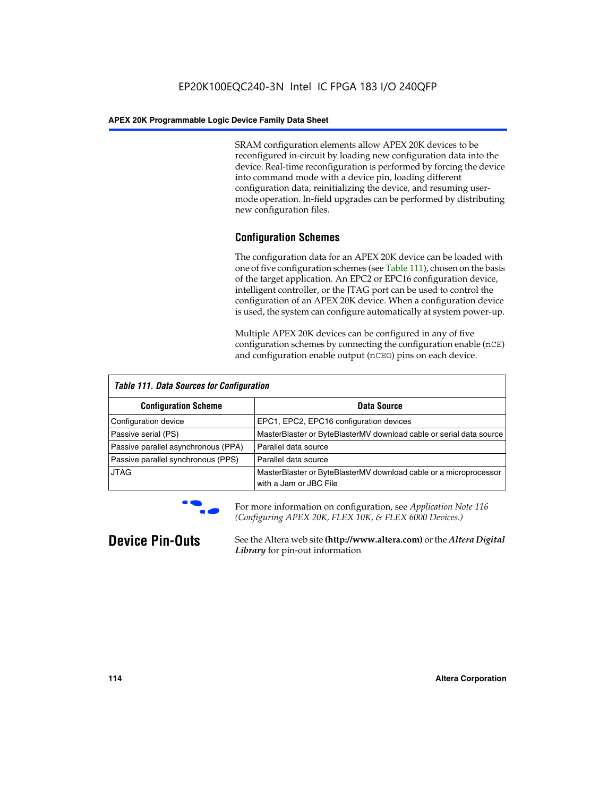SRAM configuration elements allow APEX 20K devices to be reconfigured in-circuit by loading new configuration data into the device. Real-time reconfiguration is performed by forcing the device into command mode with a device pin, loading different configuration data, reinitializing the device, and resuming usermode operation. In-field upgrades can be performed by distributing new configuration files.

### **Configuration Schemes**

The configuration data for an APEX 20K device can be loaded with one of five configuration schemes (see Table 111), chosen on the basis of the target application. An EPC2 or EPC16 configuration device, intelligent controller, or the JTAG port can be used to control the configuration of an APEX 20K device. When a configuration device is used, the system can configure automatically at system power-up.

Multiple APEX 20K devices can be configured in any of five configuration schemes by connecting the configuration enable (nCE) and configuration enable output (nCEO) pins on each device.

| <b>Table 111. Data Sources for Configuration</b> |                                                                                             |  |  |  |  |
|--------------------------------------------------|---------------------------------------------------------------------------------------------|--|--|--|--|
| <b>Configuration Scheme</b>                      | Data Source                                                                                 |  |  |  |  |
| Configuration device                             | EPC1, EPC2, EPC16 configuration devices                                                     |  |  |  |  |
| Passive serial (PS)                              | MasterBlaster or ByteBlasterMV download cable or serial data source                         |  |  |  |  |
| Passive parallel asynchronous (PPA)              | Parallel data source                                                                        |  |  |  |  |
| Passive parallel synchronous (PPS)               | Parallel data source                                                                        |  |  |  |  |
| <b>JTAG</b>                                      | MasterBlaster or ByteBlasterMV download cable or a microprocessor<br>with a Jam or JBC File |  |  |  |  |



**For more information on configuration, see Application Note 116** *(Configuring APEX 20K, FLEX 10K, & FLEX 6000 Devices.)*

**Device Pin-Outs** See the Altera web site **(http://www.altera.com)** or the *Altera Digital Library* for pin-out information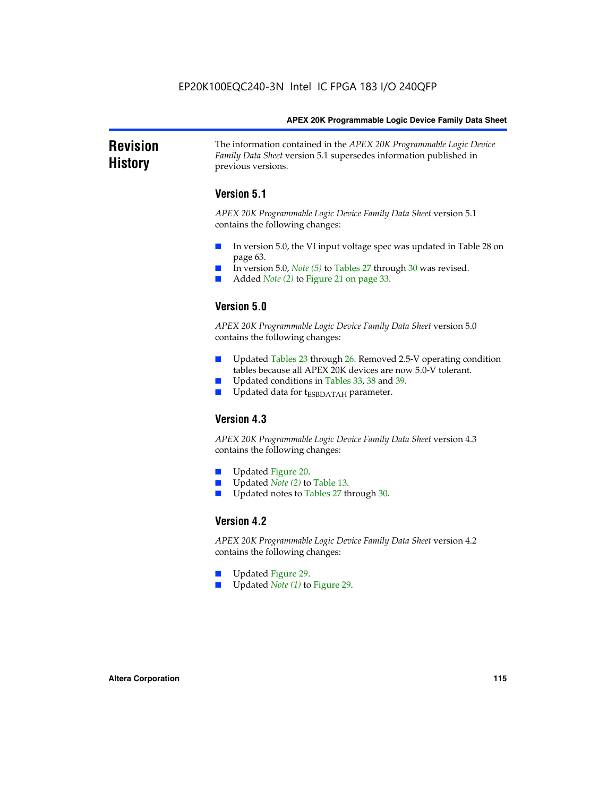#### **Revision History** The information contained in the *APEX 20K Programmable Logic Device Family Data Sheet* version 5.1 supersedes information published in previous versions.

### **Version 5.1**

*APEX 20K Programmable Logic Device Family Data Sheet* version 5.1 contains the following changes:

- In version 5.0, the VI input voltage spec was updated in Table 28 on page 63.
- In version 5.0, *Note* (5) to Tables 27 through 30 was revised.
- Added *Note* (2) to Figure 21 on page 33.

### **Version 5.0**

*APEX 20K Programmable Logic Device Family Data Sheet* version 5.0 contains the following changes:

- Updated Tables 23 through 26. Removed 2.5-V operating condition tables because all APEX 20K devices are now 5.0-V tolerant.
- Updated conditions in Tables 33, 38 and 39.
- Updated data for t<sub>ESBDATAH</sub> parameter.

### **Version 4.3**

*APEX 20K Programmable Logic Device Family Data Sheet* version 4.3 contains the following changes:

- Updated Figure 20.
- Updated *Note (2)* to Table 13.
- Updated notes to Tables 27 through 30.

### **Version 4.2**

*APEX 20K Programmable Logic Device Family Data Sheet* version 4.2 contains the following changes:

- Updated Figure 29.
- Updated *Note (1)* to Figure 29.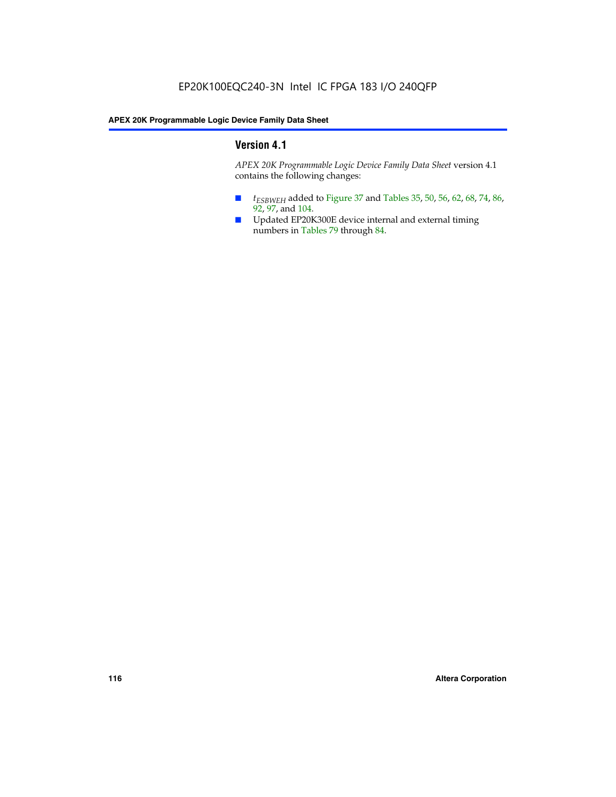### **Version 4.1**

*APEX 20K Programmable Logic Device Family Data Sheet* version 4.1 contains the following changes:

- *t<sub>ESBWEH</sub>* added to Figure 37 and Tables 35, 50, 56, 62, 68, 74, 86, 92, 97, and 104.
- Updated EP20K300E device internal and external timing numbers in Tables 79 through 84.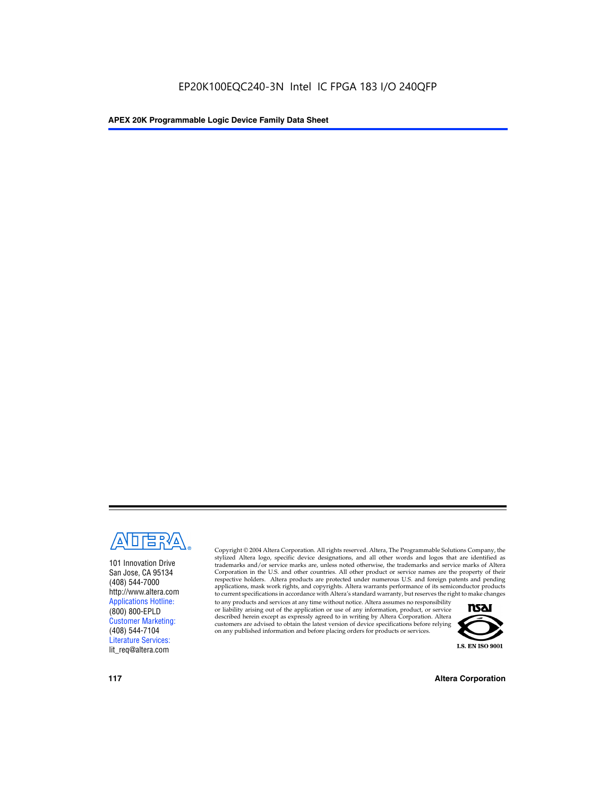

101 Innovation Drive San Jose, CA 95134 (408) 544-7000 http://www.altera.com Applications Hotline: (800) 800-EPLD Customer Marketing: (408) 544-7104 Literature Services: lit\_req@altera.com

Copyright © 2004 Altera Corporation. All rights reserved. Altera, The Programmable Solutions Company, the stylized Altera logo, specific device designations, and all other words and logos that are identified as trademarks and/or service marks are, unless noted otherwise, the trademarks and service marks of Altera Corporation in the U.S. and other countries. All other product or service names are the property of their respective holders. Altera products are protected under numerous U.S. and foreign patents and pending applications, mask work rights, and copyrights. Altera warrants performance of its semiconductor products to current specifications in accordance with Altera's standard warranty, but reserves the right to make changes

to any products and services at any time without notice. Altera assumes no responsibility or liability arising out of the application or use of any information, product, or service described herein except as expressly agreed to in writing by Altera Corporation. Altera customers are advised to obtain the latest version of device specifications before relying on any published information and before placing orders for products or services.



**117 Altera Corporation**